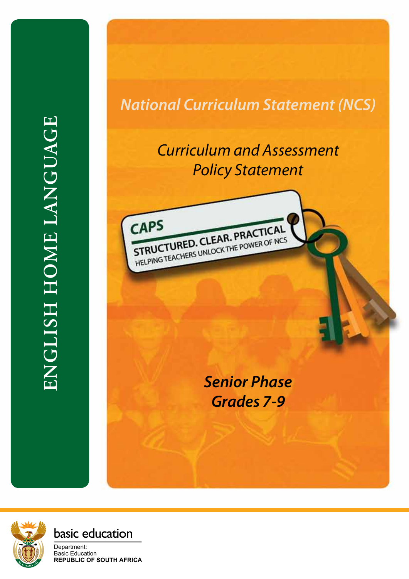

# *Curriculum and Assessment Policy Statement*



*Senior Phase Grades 7-9*



Basic Education Department: **REPUBLIC OF SOUTH AFRICA**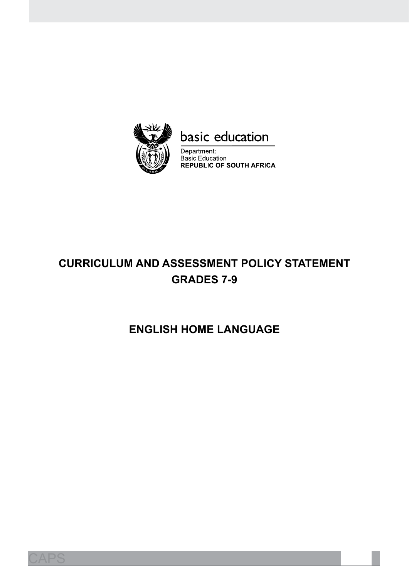

## basic education

Department: **Basic Education REPUBLIC OF SOUTH AFRICA** 

## **Curriculum and Assessment Policy Statement GRADES 7-9**

## **ENGLISH HOME LANGUAGE**

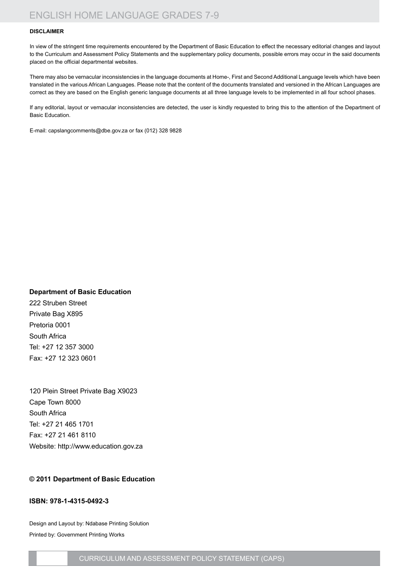#### **DISCLAIMER**

In view of the stringent time requirements encountered by the Department of Basic Education to effect the necessary editorial changes and layout to the Curriculum and Assessment Policy Statements and the supplementary policy documents, possible errors may occur in the said documents placed on the official departmental websites.

There may also be vernacular inconsistencies in the language documents at Home-, First and Second Additional Language levels which have been translated in the various African Languages. Please note that the content of the documents translated and versioned in the African Languages are correct as they are based on the English generic language documents at all three language levels to be implemented in all four school phases.

If any editorial, layout or vernacular inconsistencies are detected, the user is kindly requested to bring this to the attention of the Department of Basic Education.

E-mail: capslangcomments@dbe.gov.za or fax (012) 328 9828

#### **Department of Basic Education**

222 Struben Street Private Bag X895 Pretoria 0001 South Africa Tel: +27 12 357 3000 Fax: +27 12 323 0601

120 Plein Street Private Bag X9023 Cape Town 8000 South Africa Tel: +27 21 465 1701 Fax: +27 21 461 8110 Website: http://www.education.gov.za

#### **© 2011 Department of Basic Education**

#### **Isbn: 978-1-4315-0492-3**

Design and Layout by: Ndabase Printing Solution Printed by: Government Printing Works

CURRICULUM AND ASSESSMENT POLICY STATEMENT (CAPS)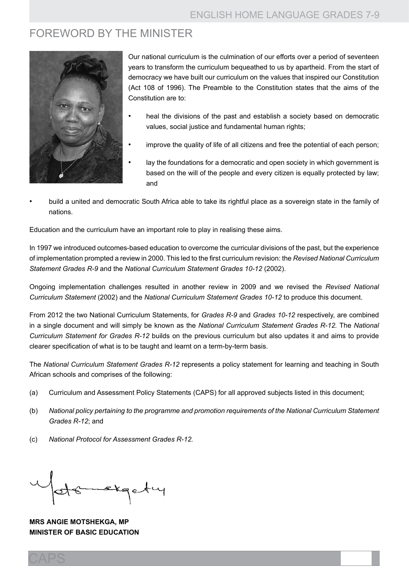## FOREWORD by the minister



Our national curriculum is the culmination of our efforts over a period of seventeen years to transform the curriculum bequeathed to us by apartheid. From the start of democracy we have built our curriculum on the values that inspired our Constitution (Act 108 of 1996). The Preamble to the Constitution states that the aims of the Constitution are to:

- heal the divisions of the past and establish a society based on democratic values, social justice and fundamental human rights;
- improve the quality of life of all citizens and free the potential of each person;
	- lay the foundations for a democratic and open society in which government is based on the will of the people and every citizen is equally protected by law; and
- build a united and democratic South Africa able to take its rightful place as a sovereign state in the family of nations.

Education and the curriculum have an important role to play in realising these aims.

In 1997 we introduced outcomes-based education to overcome the curricular divisions of the past, but the experience of implementation prompted a review in 2000. This led to the first curriculum revision: the *Revised National Curriculum Statement Grades R-9* and the *National Curriculum Statement Grades 10-12* (2002).

Ongoing implementation challenges resulted in another review in 2009 and we revised the *Revised National Curriculum Statement* (2002) and the *National Curriculum Statement Grades 10-12* to produce this document.

From 2012 the two National Curriculum Statements, for *Grades R-9* and *Grades 10-12* respectively, are combined in a single document and will simply be known as the *National Curriculum Statement Grades R-12.* The *National Curriculum Statement for Grades R-12* builds on the previous curriculum but also updates it and aims to provide clearer specification of what is to be taught and learnt on a term-by-term basis.

The *National Curriculum Statement Grades R-12* represents a policy statement for learning and teaching in South African schools and comprises of the following:

- (a) Curriculum and Assessment Policy Statements (CAPS) for all approved subjects listed in this document;
- (b) *National policy pertaining to the programme and promotion requirements of the National Curriculum Statement Grades R-12*; and
- (c) *National Protocol for Assessment Grades R-12.*

expedy

**MRS ANGIE MOTSHEKGA, MP MINISTER OF BASIC EDUCATION**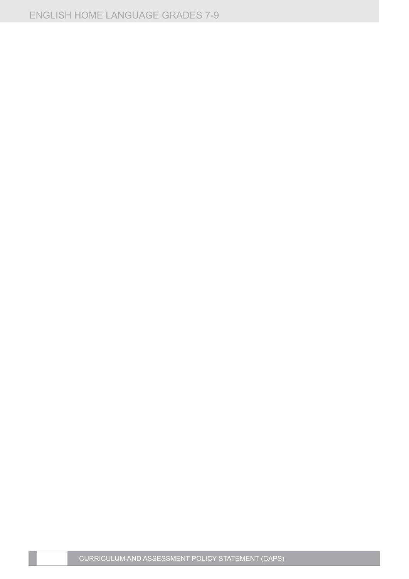CURRICULUM AND ASSESSMENT POLICY STATEMENT (CAPS)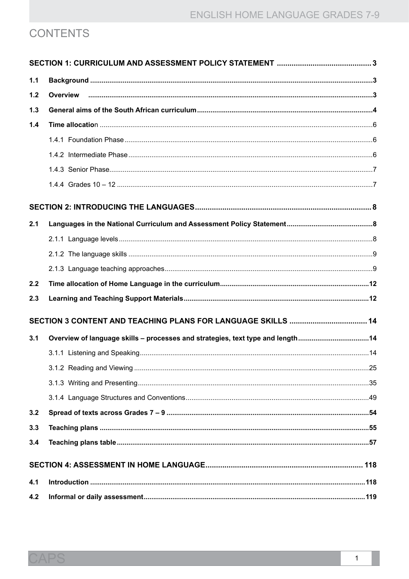## **CONTENTS**

| 1.1   |                                                                                |  |
|-------|--------------------------------------------------------------------------------|--|
| 1.2   | Overview                                                                       |  |
| 1.3   |                                                                                |  |
| $1.4$ |                                                                                |  |
|       |                                                                                |  |
|       |                                                                                |  |
|       |                                                                                |  |
|       |                                                                                |  |
|       |                                                                                |  |
| 2.1   |                                                                                |  |
|       |                                                                                |  |
|       |                                                                                |  |
|       |                                                                                |  |
| 2.2   |                                                                                |  |
| 2.3   |                                                                                |  |
|       |                                                                                |  |
| 3.1   | Overview of language skills - processes and strategies, text type and length14 |  |
|       |                                                                                |  |
|       |                                                                                |  |
|       |                                                                                |  |
|       |                                                                                |  |
| 3.2   |                                                                                |  |
| 3.3   |                                                                                |  |
| 3.4   |                                                                                |  |
|       |                                                                                |  |
| 4.1   |                                                                                |  |
| 4.2   |                                                                                |  |

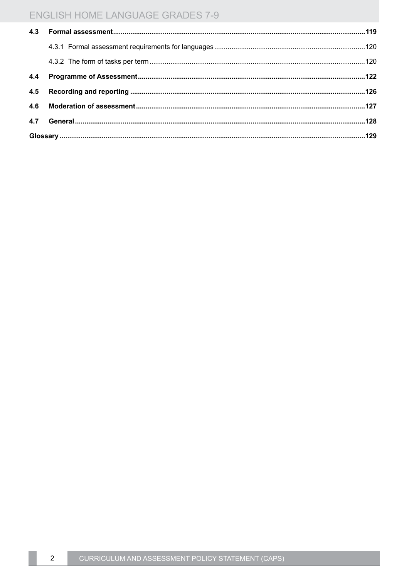| 4.4 |  |
|-----|--|
| 4.5 |  |
|     |  |
|     |  |
|     |  |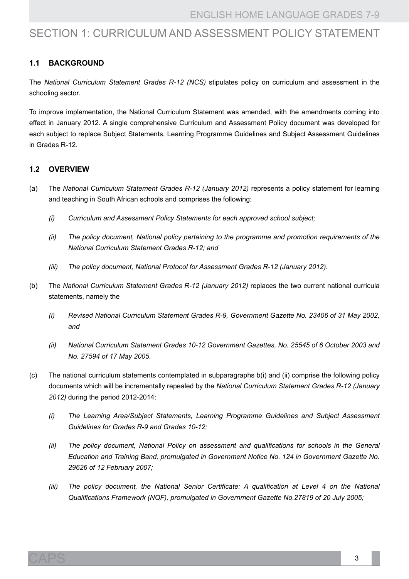## SECTION 1: CURRICULUM AND ASSESSMENT POLICY STATEMENT

## **1.1 Background**

The *National Curriculum Statement Grades R-12 (NCS)* stipulates policy on curriculum and assessment in the schooling sector.

To improve implementation, the National Curriculum Statement was amended, with the amendments coming into effect in January 2012. A single comprehensive Curriculum and Assessment Policy document was developed for each subject to replace Subject Statements, Learning Programme Guidelines and Subject Assessment Guidelines in Grades R-12.

### **1.2 Overview**

- (a) The *National Curriculum Statement Grades R-12 (January 2012)* represents a policy statement for learning and teaching in South African schools and comprises the following:
	- *(i) Curriculum and Assessment Policy Statements for each approved school subject;*
	- *(ii) The policy document, National policy pertaining to the programme and promotion requirements of the National Curriculum Statement Grades R-12; and*
	- *(iii) The policy document, National Protocol for Assessment Grades R-12 (January 2012).*
- (b) The *National Curriculum Statement Grades R-12 (January 2012)* replaces the two current national curricula statements, namely the
	- *(i) Revised National Curriculum Statement Grades R-9, Government Gazette No. 23406 of 31 May 2002, and*
	- *(ii) National Curriculum Statement Grades 10-12 Government Gazettes, No. 25545 of 6 October 2003 and No. 27594 of 17 May 2005.*
- (c) The national curriculum statements contemplated in subparagraphs b(i) and (ii) comprise the following policy documents which will be incrementally repealed by the *National Curriculum Statement Grades R-12 (January 2012)* during the period 2012-2014:
	- *(i) The Learning Area/Subject Statements, Learning Programme Guidelines and Subject Assessment Guidelines for Grades R-9 and Grades 10-12;*
	- *(ii) The policy document, National Policy on assessment and qualifications for schools in the General Education and Training Band, promulgated in Government Notice No. 124 in Government Gazette No. 29626 of 12 February 2007;*
	- *(iii) The policy document, the National Senior Certificate: A qualification at Level 4 on the National Qualifications Framework (NQF), promulgated in Government Gazette No.27819 of 20 July 2005;*

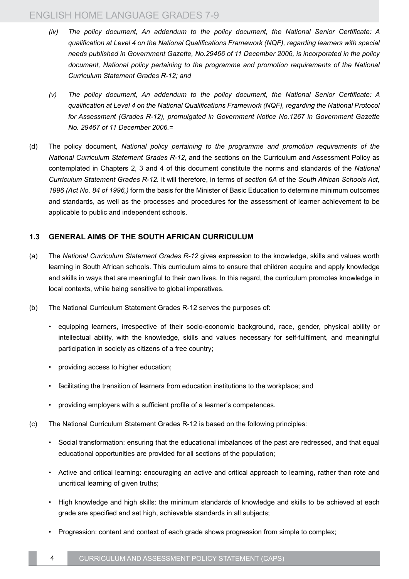## ENGLISH HOME LANGUAGE GRADES 7-9

- *(iv) The policy document, An addendum to the policy document, the National Senior Certificate: A qualification at Level 4 on the National Qualifications Framework (NQF), regarding learners with special needs published in Government Gazette, No.29466 of 11 December 2006, is incorporated in the policy*  document. National policy pertaining to the programme and promotion requirements of the National *Curriculum Statement Grades R-12; and*
- *(v) The policy document, An addendum to the policy document, the National Senior Certificate: A qualification at Level 4 on the National Qualifications Framework (NQF), regarding the National Protocol for Assessment (Grades R-12), promulgated in Government Notice No.1267 in Government Gazette No. 29467 of 11 December 2006.=*
- (d) The policy document, *National policy pertaining to the programme and promotion requirements of the National Curriculum Statement Grades R-12*, and the sections on the Curriculum and Assessment Policy as contemplated in Chapters 2, 3 and 4 of this document constitute the norms and standards of the *National Curriculum Statement Grades R-12.* It will therefore, in terms of *section 6A* of the *South African Schools Act, 1996 (Act No. 84 of 1996,)* form the basis for the Minister of Basic Education to determine minimum outcomes and standards, as well as the processes and procedures for the assessment of learner achievement to be applicable to public and independent schools.

## **1.3 General aims of the South African Curriculum**

- (a) The *National Curriculum Statement Grades R-12* gives expression to the knowledge, skills and values worth learning in South African schools. This curriculum aims to ensure that children acquire and apply knowledge and skills in ways that are meaningful to their own lives. In this regard, the curriculum promotes knowledge in local contexts, while being sensitive to global imperatives.
- (b) The National Curriculum Statement Grades R-12 serves the purposes of:
	- equipping learners, irrespective of their socio-economic background, race, gender, physical ability or intellectual ability, with the knowledge, skills and values necessary for self-fulfilment, and meaningful participation in society as citizens of a free country;
	- providing access to higher education;
	- facilitating the transition of learners from education institutions to the workplace; and
	- providing employers with a sufficient profile of a learner's competences.
- (c) The National Curriculum Statement Grades R-12 is based on the following principles:
	- Social transformation: ensuring that the educational imbalances of the past are redressed, and that equal educational opportunities are provided for all sections of the population;
	- Active and critical learning: encouraging an active and critical approach to learning, rather than rote and uncritical learning of given truths;
	- High knowledge and high skills: the minimum standards of knowledge and skills to be achieved at each grade are specified and set high, achievable standards in all subjects;
	- Progression: content and context of each grade shows progression from simple to complex;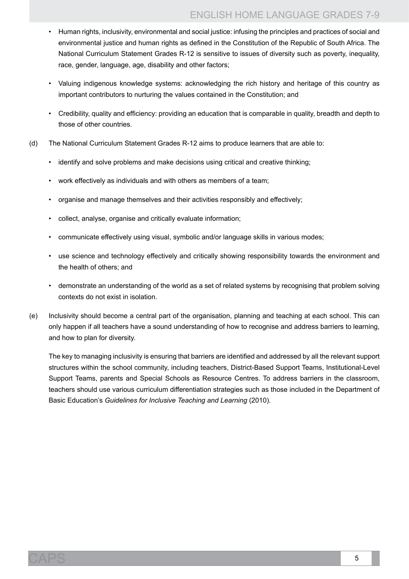- Human rights, inclusivity, environmental and social justice: infusing the principles and practices of social and environmental justice and human rights as defined in the Constitution of the Republic of South Africa. The National Curriculum Statement Grades R-12 is sensitive to issues of diversity such as poverty, inequality, race, gender, language, age, disability and other factors;
- Valuing indigenous knowledge systems: acknowledging the rich history and heritage of this country as important contributors to nurturing the values contained in the Constitution; and
- Credibility, quality and efficiency: providing an education that is comparable in quality, breadth and depth to those of other countries.
- (d) The National Curriculum Statement Grades R-12 aims to produce learners that are able to:
	- identify and solve problems and make decisions using critical and creative thinking;
	- work effectively as individuals and with others as members of a team;
	- organise and manage themselves and their activities responsibly and effectively;
	- collect, analyse, organise and critically evaluate information;
	- communicate effectively using visual, symbolic and/or language skills in various modes;
	- use science and technology effectively and critically showing responsibility towards the environment and the health of others; and
	- demonstrate an understanding of the world as a set of related systems by recognising that problem solving contexts do not exist in isolation.
- (e) Inclusivity should become a central part of the organisation, planning and teaching at each school. This can only happen if all teachers have a sound understanding of how to recognise and address barriers to learning, and how to plan for diversity.

The key to managing inclusivity is ensuring that barriers are identified and addressed by all the relevant support structures within the school community, including teachers, District-Based Support Teams, Institutional-Level Support Teams, parents and Special Schools as Resource Centres. To address barriers in the classroom, teachers should use various curriculum differentiation strategies such as those included in the Department of Basic Education's *Guidelines for Inclusive Teaching and Learning* (2010).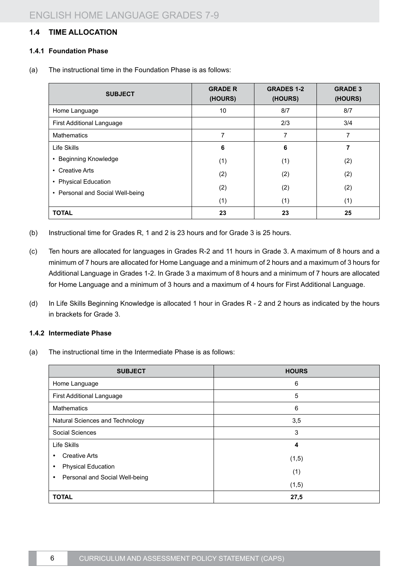## **1.4 Time Allocation**

### **1.4.1 Foundation Phase**

(a) The instructional time in the Foundation Phase is as follows:

| <b>SUBJECT</b>                                           | <b>GRADE R</b><br>(HOURS) | <b>GRADES 1-2</b><br>(HOURS) | <b>GRADE 3</b><br>(HOURS) |
|----------------------------------------------------------|---------------------------|------------------------------|---------------------------|
| Home Language                                            | 10                        | 8/7                          | 8/7                       |
| <b>First Additional Language</b>                         |                           | 2/3                          | 3/4                       |
| <b>Mathematics</b>                                       | 7                         | 7                            | 7                         |
| Life Skills                                              | 6                         | 6                            | 7                         |
| • Beginning Knowledge                                    | (1)                       | (1)                          | (2)                       |
| • Creative Arts                                          | (2)                       | (2)                          | (2)                       |
| • Physical Education<br>• Personal and Social Well-being | (2)                       | (2)                          | (2)                       |
|                                                          | (1)                       | (1)                          | (1)                       |
| <b>TOTAL</b>                                             | 23                        | 23                           | 25                        |

- (b) Instructional time for Grades R, 1 and 2 is 23 hours and for Grade 3 is 25 hours.
- (c) Ten hours are allocated for languages in Grades R-2 and 11 hours in Grade 3. A maximum of 8 hours and a minimum of 7 hours are allocated for Home Language and a minimum of 2 hours and a maximum of 3 hours for Additional Language in Grades 1-2. In Grade 3 a maximum of 8 hours and a minimum of 7 hours are allocated for Home Language and a minimum of 3 hours and a maximum of 4 hours for First Additional Language.
- (d) In Life Skills Beginning Knowledge is allocated 1 hour in Grades R 2 and 2 hours as indicated by the hours in brackets for Grade 3.

#### **1.4.2 Intermediate Phase**

(a) The instructional time in the Intermediate Phase is as follows:

| <b>SUBJECT</b>                                                                                     | <b>HOURS</b>          |
|----------------------------------------------------------------------------------------------------|-----------------------|
| Home Language                                                                                      | 6                     |
| <b>First Additional Language</b>                                                                   | 5                     |
| <b>Mathematics</b>                                                                                 | 6                     |
| Natural Sciences and Technology                                                                    | 3,5                   |
| Social Sciences                                                                                    | 3                     |
| Life Skills                                                                                        | 4                     |
| <b>Creative Arts</b><br>٠<br><b>Physical Education</b><br>٠<br>Personal and Social Well-being<br>٠ | (1,5)<br>(1)<br>(1,5) |
| <b>TOTAL</b>                                                                                       | 27,5                  |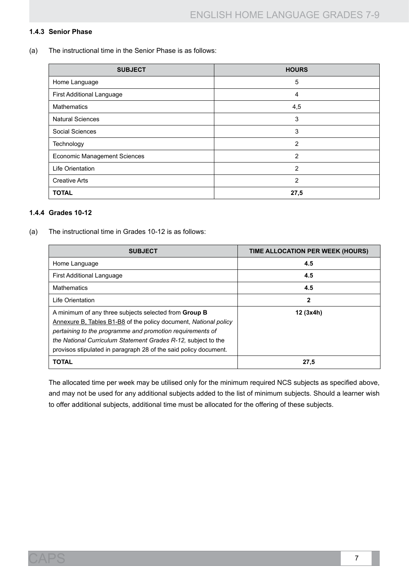#### **1.4.3 Senior Phase**

(a) The instructional time in the Senior Phase is as follows:

| <b>SUBJECT</b>                      | <b>HOURS</b>   |
|-------------------------------------|----------------|
| Home Language                       | 5              |
| <b>First Additional Language</b>    | 4              |
| <b>Mathematics</b>                  | 4,5            |
| <b>Natural Sciences</b>             | 3              |
| Social Sciences                     | 3              |
| Technology                          | 2              |
| <b>Economic Management Sciences</b> | 2              |
| Life Orientation                    | 2              |
| <b>Creative Arts</b>                | $\overline{2}$ |
| <b>TOTAL</b>                        | 27,5           |

### **1.4.4 Grades 10-12**

(a) The instructional time in Grades 10-12 is as follows:

| <b>SUBJECT</b>                                                                                                                                                                                                                                                                                                              | TIME ALLOCATION PER WEEK (HOURS) |
|-----------------------------------------------------------------------------------------------------------------------------------------------------------------------------------------------------------------------------------------------------------------------------------------------------------------------------|----------------------------------|
| Home Language                                                                                                                                                                                                                                                                                                               | 4.5                              |
| First Additional Language                                                                                                                                                                                                                                                                                                   | 4.5                              |
| <b>Mathematics</b>                                                                                                                                                                                                                                                                                                          | 4.5                              |
| Life Orientation                                                                                                                                                                                                                                                                                                            | 2                                |
| A minimum of any three subjects selected from Group B<br>Annexure B, Tables B1-B8 of the policy document, National policy<br>pertaining to the programme and promotion requirements of<br>the National Curriculum Statement Grades R-12, subject to the<br>provisos stipulated in paragraph 28 of the said policy document. | 12 (3x4h)                        |
| <b>TOTAL</b>                                                                                                                                                                                                                                                                                                                | 27,5                             |

The allocated time per week may be utilised only for the minimum required NCS subjects as specified above, and may not be used for any additional subjects added to the list of minimum subjects. Should a learner wish to offer additional subjects, additional time must be allocated for the offering of these subjects.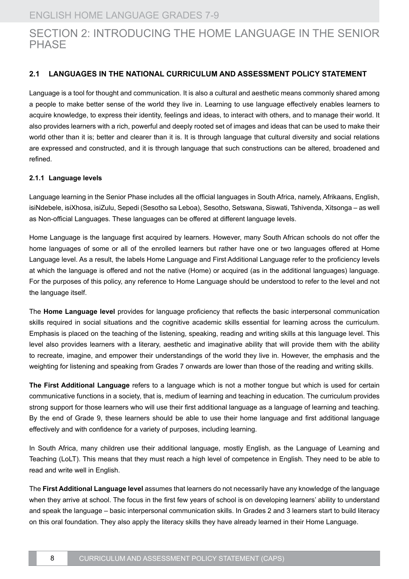## SECTION 2: INTRODUCING THE HOME LANGUAGE IN THE SENIOR PHASE

## **2.1 Languages in the National Curriculum and Assessment Policy Statement**

Language is a tool for thought and communication. It is also a cultural and aesthetic means commonly shared among a people to make better sense of the world they live in. Learning to use language effectively enables learners to acquire knowledge, to express their identity, feelings and ideas, to interact with others, and to manage their world. It also provides learners with a rich, powerful and deeply rooted set of images and ideas that can be used to make their world other than it is; better and clearer than it is. It is through language that cultural diversity and social relations are expressed and constructed, and it is through language that such constructions can be altered, broadened and refined.

#### **2.1.1 Language levels**

Language learning in the Senior Phase includes all the official languages in South Africa, namely, Afrikaans, English, isiNdebele, isiXhosa, isiZulu, Sepedi (Sesotho sa Leboa), Sesotho, Setswana, Siswati, Tshivenda, Xitsonga – as well as Non-official Languages. These languages can be offered at different language levels.

Home Language is the language first acquired by learners. However, many South African schools do not offer the home languages of some or all of the enrolled learners but rather have one or two languages offered at Home Language level. As a result, the labels Home Language and First Additional Language refer to the proficiency levels at which the language is offered and not the native (Home) or acquired (as in the additional languages) language. For the purposes of this policy, any reference to Home Language should be understood to refer to the level and not the language itself.

The **Home Language level** provides for language proficiency that reflects the basic interpersonal communication skills required in social situations and the cognitive academic skills essential for learning across the curriculum. Emphasis is placed on the teaching of the listening, speaking, reading and writing skills at this language level. This level also provides learners with a literary, aesthetic and imaginative ability that will provide them with the ability to recreate, imagine, and empower their understandings of the world they live in. However, the emphasis and the weighting for listening and speaking from Grades 7 onwards are lower than those of the reading and writing skills.

**The First Additional Language** refers to a language which is not a mother tongue but which is used for certain communicative functions in a society, that is, medium of learning and teaching in education. The curriculum provides strong support for those learners who will use their first additional language as a language of learning and teaching. By the end of Grade 9, these learners should be able to use their home language and first additional language effectively and with confidence for a variety of purposes, including learning.

In South Africa, many children use their additional language, mostly English, as the Language of Learning and Teaching (LoLT). This means that they must reach a high level of competence in English. They need to be able to read and write well in English.

The **First Additional Language level** assumes that learners do not necessarily have any knowledge of the language when they arrive at school. The focus in the first few years of school is on developing learners' ability to understand and speak the language – basic interpersonal communication skills. In Grades 2 and 3 learners start to build literacy on this oral foundation. They also apply the literacy skills they have already learned in their Home Language.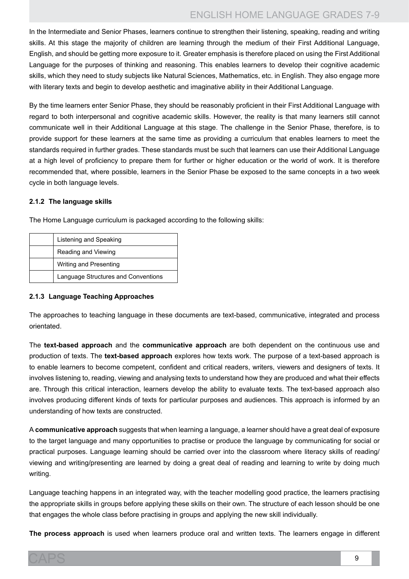## ENGLISH HOME LANGUAGE GRADES 7-9

In the Intermediate and Senior Phases, learners continue to strengthen their listening, speaking, reading and writing skills. At this stage the majority of children are learning through the medium of their First Additional Language, English, and should be getting more exposure to it. Greater emphasis is therefore placed on using the First Additional Language for the purposes of thinking and reasoning. This enables learners to develop their cognitive academic skills, which they need to study subjects like Natural Sciences, Mathematics, etc. in English. They also engage more with literary texts and begin to develop aesthetic and imaginative ability in their Additional Language.

By the time learners enter Senior Phase, they should be reasonably proficient in their First Additional Language with regard to both interpersonal and cognitive academic skills. However, the reality is that many learners still cannot communicate well in their Additional Language at this stage. The challenge in the Senior Phase, therefore, is to provide support for these learners at the same time as providing a curriculum that enables learners to meet the standards required in further grades. These standards must be such that learners can use their Additional Language at a high level of proficiency to prepare them for further or higher education or the world of work. It is therefore recommended that, where possible, learners in the Senior Phase be exposed to the same concepts in a two week cycle in both language levels.

#### **2.1.2 The language skills**

| Listening and Speaking              |
|-------------------------------------|
| Reading and Viewing                 |
| Writing and Presenting              |
| Language Structures and Conventions |

The Home Language curriculum is packaged according to the following skills:

### **2.1.3 Language Teaching Approaches**

The approaches to teaching language in these documents are text-based, communicative, integrated and process orientated.

The **text-based approach** and the **communicative approach** are both dependent on the continuous use and production of texts. The **text-based approach** explores how texts work. The purpose of a text-based approach is to enable learners to become competent, confident and critical readers, writers, viewers and designers of texts. It involves listening to, reading, viewing and analysing texts to understand how they are produced and what their effects are. Through this critical interaction, learners develop the ability to evaluate texts. The text-based approach also involves producing different kinds of texts for particular purposes and audiences. This approach is informed by an understanding of how texts are constructed.

A **communicative approach** suggests that when learning a language, a learner should have a great deal of exposure to the target language and many opportunities to practise or produce the language by communicating for social or practical purposes. Language learning should be carried over into the classroom where literacy skills of reading/ viewing and writing/presenting are learned by doing a great deal of reading and learning to write by doing much writing.

Language teaching happens in an integrated way, with the teacher modelling good practice, the learners practising the appropriate skills in groups before applying these skills on their own. The structure of each lesson should be one that engages the whole class before practising in groups and applying the new skill individually.

**The process approach** is used when learners produce oral and written texts. The learners engage in different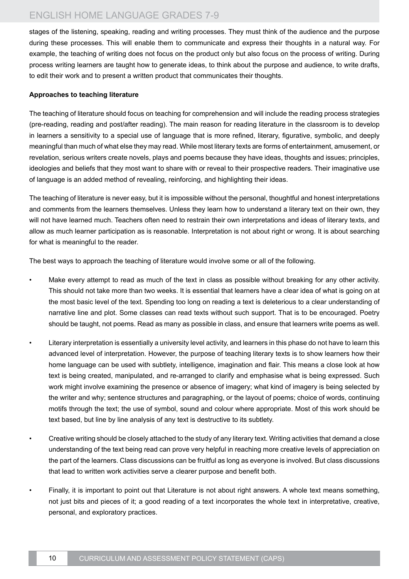## ENGLISH HOME LANGUAGE GRADES 7-9

stages of the listening, speaking, reading and writing processes. They must think of the audience and the purpose during these processes. This will enable them to communicate and express their thoughts in a natural way. For example, the teaching of writing does not focus on the product only but also focus on the process of writing. During process writing learners are taught how to generate ideas, to think about the purpose and audience, to write drafts, to edit their work and to present a written product that communicates their thoughts.

#### **Approaches to teaching literature**

The teaching of literature should focus on teaching for comprehension and will include the reading process strategies (pre-reading, reading and post/after reading). The main reason for reading literature in the classroom is to develop in learners a sensitivity to a special use of language that is more refined, literary, figurative, symbolic, and deeply meaningful than much of what else they may read. While most literary texts are forms of entertainment, amusement, or revelation, serious writers create novels, plays and poems because they have ideas, thoughts and issues; principles, ideologies and beliefs that they most want to share with or reveal to their prospective readers. Their imaginative use of language is an added method of revealing, reinforcing, and highlighting their ideas.

The teaching of literature is never easy, but it is impossible without the personal, thoughtful and honest interpretations and comments from the learners themselves. Unless they learn how to understand a literary text on their own, they will not have learned much. Teachers often need to restrain their own interpretations and ideas of literary texts, and allow as much learner participation as is reasonable. Interpretation is not about right or wrong. It is about searching for what is meaningful to the reader.

The best ways to approach the teaching of literature would involve some or all of the following.

- Make every attempt to read as much of the text in class as possible without breaking for any other activity. This should not take more than two weeks. It is essential that learners have a clear idea of what is going on at the most basic level of the text. Spending too long on reading a text is deleterious to a clear understanding of narrative line and plot. Some classes can read texts without such support. That is to be encouraged. Poetry should be taught, not poems. Read as many as possible in class, and ensure that learners write poems as well.
- Literary interpretation is essentially a university level activity, and learners in this phase do not have to learn this advanced level of interpretation. However, the purpose of teaching literary texts is to show learners how their home language can be used with subtlety, intelligence, imagination and flair. This means a close look at how text is being created, manipulated, and re-arranged to clarify and emphasise what is being expressed. Such work might involve examining the presence or absence of imagery; what kind of imagery is being selected by the writer and why; sentence structures and paragraphing, or the layout of poems; choice of words, continuing motifs through the text; the use of symbol, sound and colour where appropriate. Most of this work should be text based, but line by line analysis of any text is destructive to its subtlety.
- Creative writing should be closely attached to the study of any literary text. Writing activities that demand a close understanding of the text being read can prove very helpful in reaching more creative levels of appreciation on the part of the learners. Class discussions can be fruitful as long as everyone is involved. But class discussions that lead to written work activities serve a clearer purpose and benefit both.
- Finally, it is important to point out that Literature is not about right answers. A whole text means something, not just bits and pieces of it; a good reading of a text incorporates the whole text in interpretative, creative, personal, and exploratory practices.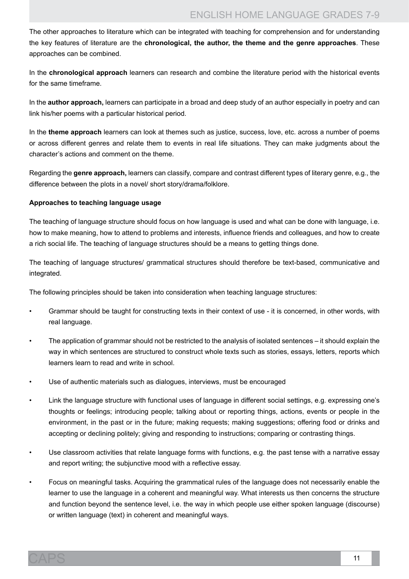The other approaches to literature which can be integrated with teaching for comprehension and for understanding the key features of literature are the **chronological, the author, the theme and the genre approaches**. These approaches can be combined.

In the **chronological approach** learners can research and combine the literature period with the historical events for the same timeframe.

In the **author approach,** learners can participate in a broad and deep study of an author especially in poetry and can link his/her poems with a particular historical period.

In the **theme approach** learners can look at themes such as justice, success, love, etc. across a number of poems or across different genres and relate them to events in real life situations. They can make judgments about the character's actions and comment on the theme.

Regarding the **genre approach,** learners can classify, compare and contrast different types of literary genre, e.g., the difference between the plots in a novel/ short story/drama/folklore.

#### **Approaches to teaching language usage**

The teaching of language structure should focus on how language is used and what can be done with language, i.e. how to make meaning, how to attend to problems and interests, influence friends and colleagues, and how to create a rich social life. The teaching of language structures should be a means to getting things done.

The teaching of language structures/ grammatical structures should therefore be text-based, communicative and integrated.

The following principles should be taken into consideration when teaching language structures:

- Grammar should be taught for constructing texts in their context of use it is concerned, in other words, with real language.
- The application of grammar should not be restricted to the analysis of isolated sentences it should explain the way in which sentences are structured to construct whole texts such as stories, essays, letters, reports which learners learn to read and write in school.
- Use of authentic materials such as dialogues, interviews, must be encouraged
- Link the language structure with functional uses of language in different social settings, e.g. expressing one's thoughts or feelings; introducing people; talking about or reporting things, actions, events or people in the environment, in the past or in the future; making requests; making suggestions; offering food or drinks and accepting or declining politely; giving and responding to instructions; comparing or contrasting things.
- Use classroom activities that relate language forms with functions, e.g. the past tense with a narrative essay and report writing; the subjunctive mood with a reflective essay.
- Focus on meaningful tasks. Acquiring the grammatical rules of the language does not necessarily enable the learner to use the language in a coherent and meaningful way. What interests us then concerns the structure and function beyond the sentence level, i.e. the way in which people use either spoken language (discourse) or written language (text) in coherent and meaningful ways.

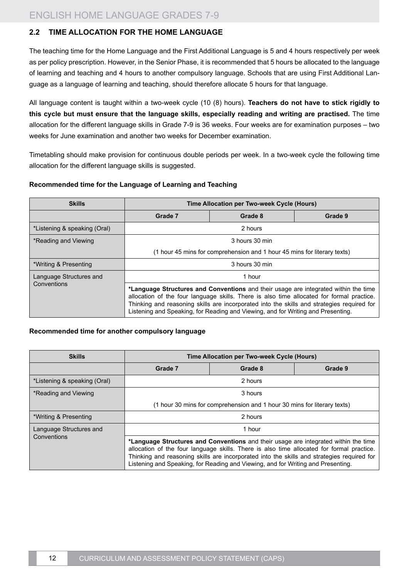## **2.2 Time allocation for the Home Language**

The teaching time for the Home Language and the First Additional Language is 5 and 4 hours respectively per week as per policy prescription. However, in the Senior Phase, it is recommended that 5 hours be allocated to the language of learning and teaching and 4 hours to another compulsory language. Schools that are using First Additional Language as a language of learning and teaching, should therefore allocate 5 hours for that language.

All language content is taught within a two-week cycle (10 (8) hours). **Teachers do not have to stick rigidly to this cycle but must ensure that the language skills, especially reading and writing are practised.** The time allocation for the different language skills in Grade 7-9 is 36 weeks. Four weeks are for examination purposes – two weeks for June examination and another two weeks for December examination.

Timetabling should make provision for continuous double periods per week. In a two-week cycle the following time allocation for the different language skills is suggested.

#### **Recommended time for the Language of Learning and Teaching**

| <b>Skills</b>                | Time Allocation per Two-week Cycle (Hours)                               |                                                                                                                                                                                                                                                                                                                                                                    |         |
|------------------------------|--------------------------------------------------------------------------|--------------------------------------------------------------------------------------------------------------------------------------------------------------------------------------------------------------------------------------------------------------------------------------------------------------------------------------------------------------------|---------|
|                              | Grade 7                                                                  | Grade 8                                                                                                                                                                                                                                                                                                                                                            | Grade 9 |
| *Listening & speaking (Oral) | 2 hours                                                                  |                                                                                                                                                                                                                                                                                                                                                                    |         |
| *Reading and Viewing         | 3 hours 30 min                                                           |                                                                                                                                                                                                                                                                                                                                                                    |         |
|                              | (1 hour 45 mins for comprehension and 1 hour 45 mins for literary texts) |                                                                                                                                                                                                                                                                                                                                                                    |         |
| *Writing & Presenting        | 3 hours 30 min                                                           |                                                                                                                                                                                                                                                                                                                                                                    |         |
| Language Structures and      |                                                                          | 1 hour                                                                                                                                                                                                                                                                                                                                                             |         |
| Conventions                  |                                                                          | *Language Structures and Conventions and their usage are integrated within the time<br>allocation of the four language skills. There is also time allocated for formal practice.<br>Thinking and reasoning skills are incorporated into the skills and strategies required for<br>Listening and Speaking, for Reading and Viewing, and for Writing and Presenting. |         |

#### **Recommended time for another compulsory language**

| <b>Skills</b>                | Time Allocation per Two-week Cycle (Hours)                               |                                                                                                                                                                                                                                                                                                                                                                    |         |
|------------------------------|--------------------------------------------------------------------------|--------------------------------------------------------------------------------------------------------------------------------------------------------------------------------------------------------------------------------------------------------------------------------------------------------------------------------------------------------------------|---------|
|                              | Grade 7                                                                  | Grade 8                                                                                                                                                                                                                                                                                                                                                            | Grade 9 |
| *Listening & speaking (Oral) | 2 hours                                                                  |                                                                                                                                                                                                                                                                                                                                                                    |         |
| *Reading and Viewing         | 3 hours                                                                  |                                                                                                                                                                                                                                                                                                                                                                    |         |
|                              | (1 hour 30 mins for comprehension and 1 hour 30 mins for literary texts) |                                                                                                                                                                                                                                                                                                                                                                    |         |
| *Writing & Presenting        | 2 hours                                                                  |                                                                                                                                                                                                                                                                                                                                                                    |         |
| Language Structures and      |                                                                          | 1 hour                                                                                                                                                                                                                                                                                                                                                             |         |
| Conventions                  |                                                                          | *Language Structures and Conventions and their usage are integrated within the time<br>allocation of the four language skills. There is also time allocated for formal practice.<br>Thinking and reasoning skills are incorporated into the skills and strategies required for<br>Listening and Speaking, for Reading and Viewing, and for Writing and Presenting. |         |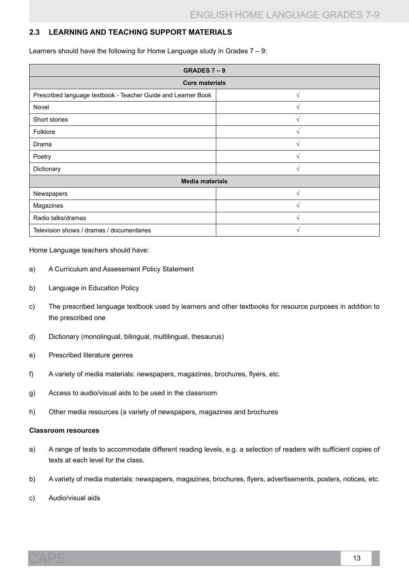## **2.3 Learning and Teaching Support Materials**

Learners should have the following for Home Language study in Grades  $7 - 9$ :

| GRADES $7 - 9$                                                     |            |  |
|--------------------------------------------------------------------|------------|--|
| <b>Core materials</b>                                              |            |  |
| Prescribed language textbook - Teacher Guide and Learner Book<br>N |            |  |
| Novel                                                              | $\sim$     |  |
| Short stories                                                      | $\sqrt{ }$ |  |
| Folklore                                                           |            |  |
| Drama                                                              |            |  |
| Poetry                                                             | $\sqrt{ }$ |  |
| Dictionary                                                         |            |  |
| <b>Media materials</b>                                             |            |  |
| Newspapers<br>$\sqrt{ }$                                           |            |  |
| Magazines                                                          |            |  |
| Radio talks/dramas                                                 |            |  |
| Television shows / dramas / documentaries                          |            |  |

Home Language teachers should have:

- a) A Curriculum and Assessment Policy Statement
- b) Language in Education Policy
- c) The prescribed language textbook used by learners and other textbooks for resource purposes in addition to the prescribed one
- d) Dictionary (monolingual, bilingual, multilingual, thesaurus)
- e) Prescribed literature genres
- f) A variety of media materials: newspapers, magazines, brochures, flyers, etc.
- g) Access to audio/visual aids to be used in the classroom
- h) Other media resources (a variety of newspapers, magazines and brochures

#### **Classroom resources**

- a) A range of texts to accommodate different reading levels, e.g. a selection of readers with sufficient copies of texts at each level for the class.
- b) A variety of media materials: newspapers, magazines, brochures, flyers, advertisements, posters, notices, etc.
- c) Audio/visual aids

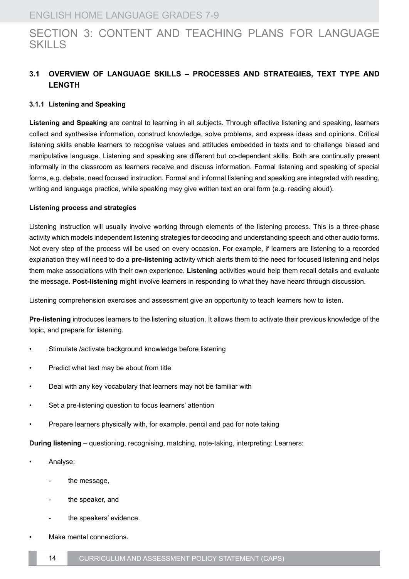## SECTION 3: CONTENT AND TEACHING PLANS FOR LANGUAGE SKILLS

## **3.1 Overview of language skills – processes and strategies, text type and length**

### **3.1.1 Listening and Speaking**

**Listening and Speaking** are central to learning in all subjects. Through effective listening and speaking, learners collect and synthesise information, construct knowledge, solve problems, and express ideas and opinions. Critical listening skills enable learners to recognise values and attitudes embedded in texts and to challenge biased and manipulative language. Listening and speaking are different but co-dependent skills. Both are continually present informally in the classroom as learners receive and discuss information. Formal listening and speaking of special forms, e.g. debate, need focused instruction. Formal and informal listening and speaking are integrated with reading, writing and language practice, while speaking may give written text an oral form (e.g. reading aloud).

#### **Listening process and strategies**

Listening instruction will usually involve working through elements of the listening process. This is a three-phase activity which models independent listening strategies for decoding and understanding speech and other audio forms. Not every step of the process will be used on every occasion. For example, if learners are listening to a recorded explanation they will need to do a **pre-listening** activity which alerts them to the need for focused listening and helps them make associations with their own experience. **Listening** activities would help them recall details and evaluate the message. **Post-listening** might involve learners in responding to what they have heard through discussion.

Listening comprehension exercises and assessment give an opportunity to teach learners how to listen.

**Pre-listening** introduces learners to the listening situation. It allows them to activate their previous knowledge of the topic, and prepare for listening.

- Stimulate /activate background knowledge before listening
- Predict what text may be about from title
- Deal with any key vocabulary that learners may not be familiar with
- Set a pre-listening question to focus learners' attention
- Prepare learners physically with, for example, pencil and pad for note taking

**During listening** – questioning, recognising, matching, note-taking, interpreting: Learners:

- Analyse:
	- the message,
	- the speaker, and
	- the speakers' evidence.
	- Make mental connections.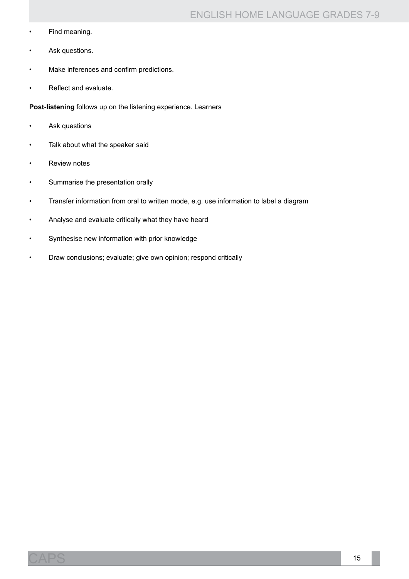- Find meaning.
- Ask questions.
- Make inferences and confirm predictions.
- Reflect and evaluate.

**Post-listening** follows up on the listening experience. Learners

- Ask questions
- Talk about what the speaker said
- Review notes
- Summarise the presentation orally
- Transfer information from oral to written mode, e.g. use information to label a diagram
- Analyse and evaluate critically what they have heard
- Synthesise new information with prior knowledge
- Draw conclusions; evaluate; give own opinion; respond critically

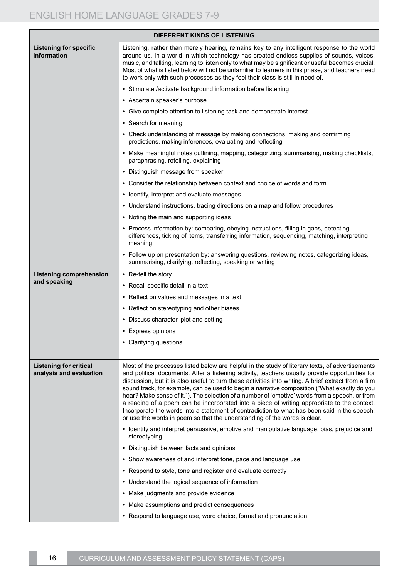| DIFFERENT KINDS OF LISTENING                             |                                                                                                                                                                                                                                                                                                                                                                                                                                                                                                                                                                                                                                                                                                                                                                                           |  |
|----------------------------------------------------------|-------------------------------------------------------------------------------------------------------------------------------------------------------------------------------------------------------------------------------------------------------------------------------------------------------------------------------------------------------------------------------------------------------------------------------------------------------------------------------------------------------------------------------------------------------------------------------------------------------------------------------------------------------------------------------------------------------------------------------------------------------------------------------------------|--|
| <b>Listening for specific</b><br>information             | Listening, rather than merely hearing, remains key to any intelligent response to the world<br>around us. In a world in which technology has created endless supplies of sounds, voices,<br>music, and talking, learning to listen only to what may be significant or useful becomes crucial.<br>Most of what is listed below will not be unfamiliar to learners in this phase, and teachers need<br>to work only with such processes as they feel their class is still in need of.                                                                                                                                                                                                                                                                                                       |  |
|                                                          | • Stimulate /activate background information before listening                                                                                                                                                                                                                                                                                                                                                                                                                                                                                                                                                                                                                                                                                                                             |  |
|                                                          | • Ascertain speaker's purpose                                                                                                                                                                                                                                                                                                                                                                                                                                                                                                                                                                                                                                                                                                                                                             |  |
|                                                          | • Give complete attention to listening task and demonstrate interest                                                                                                                                                                                                                                                                                                                                                                                                                                                                                                                                                                                                                                                                                                                      |  |
|                                                          | • Search for meaning                                                                                                                                                                                                                                                                                                                                                                                                                                                                                                                                                                                                                                                                                                                                                                      |  |
|                                                          | • Check understanding of message by making connections, making and confirming<br>predictions, making inferences, evaluating and reflecting                                                                                                                                                                                                                                                                                                                                                                                                                                                                                                                                                                                                                                                |  |
|                                                          | • Make meaningful notes outlining, mapping, categorizing, summarising, making checklists,<br>paraphrasing, retelling, explaining                                                                                                                                                                                                                                                                                                                                                                                                                                                                                                                                                                                                                                                          |  |
|                                                          | • Distinguish message from speaker                                                                                                                                                                                                                                                                                                                                                                                                                                                                                                                                                                                                                                                                                                                                                        |  |
|                                                          | • Consider the relationship between context and choice of words and form                                                                                                                                                                                                                                                                                                                                                                                                                                                                                                                                                                                                                                                                                                                  |  |
|                                                          | • Identify, interpret and evaluate messages                                                                                                                                                                                                                                                                                                                                                                                                                                                                                                                                                                                                                                                                                                                                               |  |
|                                                          | • Understand instructions, tracing directions on a map and follow procedures                                                                                                                                                                                                                                                                                                                                                                                                                                                                                                                                                                                                                                                                                                              |  |
|                                                          | • Noting the main and supporting ideas                                                                                                                                                                                                                                                                                                                                                                                                                                                                                                                                                                                                                                                                                                                                                    |  |
|                                                          | • Process information by: comparing, obeying instructions, filling in gaps, detecting<br>differences, ticking of items, transferring information, sequencing, matching, interpreting<br>meaning                                                                                                                                                                                                                                                                                                                                                                                                                                                                                                                                                                                           |  |
|                                                          | • Follow up on presentation by: answering questions, reviewing notes, categorizing ideas,<br>summarising, clarifying, reflecting, speaking or writing                                                                                                                                                                                                                                                                                                                                                                                                                                                                                                                                                                                                                                     |  |
| <b>Listening comprehension</b>                           | • Re-tell the story                                                                                                                                                                                                                                                                                                                                                                                                                                                                                                                                                                                                                                                                                                                                                                       |  |
| and speaking                                             | • Recall specific detail in a text                                                                                                                                                                                                                                                                                                                                                                                                                                                                                                                                                                                                                                                                                                                                                        |  |
|                                                          | • Reflect on values and messages in a text                                                                                                                                                                                                                                                                                                                                                                                                                                                                                                                                                                                                                                                                                                                                                |  |
|                                                          | • Reflect on stereotyping and other biases                                                                                                                                                                                                                                                                                                                                                                                                                                                                                                                                                                                                                                                                                                                                                |  |
|                                                          | • Discuss character, plot and setting                                                                                                                                                                                                                                                                                                                                                                                                                                                                                                                                                                                                                                                                                                                                                     |  |
|                                                          | • Express opinions                                                                                                                                                                                                                                                                                                                                                                                                                                                                                                                                                                                                                                                                                                                                                                        |  |
|                                                          | • Clarifying questions                                                                                                                                                                                                                                                                                                                                                                                                                                                                                                                                                                                                                                                                                                                                                                    |  |
|                                                          |                                                                                                                                                                                                                                                                                                                                                                                                                                                                                                                                                                                                                                                                                                                                                                                           |  |
| <b>Listening for critical</b><br>analysis and evaluation | Most of the processes listed below are helpful in the study of literary texts, of advertisements<br>and political documents. After a listening activity, teachers usually provide opportunities for<br>discussion, but it is also useful to turn these activities into writing. A brief extract from a film<br>sound track, for example, can be used to begin a narrative composition ("What exactly do you<br>hear? Make sense of it."). The selection of a number of 'emotive' words from a speech, or from<br>a reading of a poem can be incorporated into a piece of writing appropriate to the context.<br>Incorporate the words into a statement of contradiction to what has been said in the speech;<br>or use the words in poem so that the understanding of the words is clear. |  |
|                                                          | • Identify and interpret persuasive, emotive and manipulative language, bias, prejudice and<br>stereotyping                                                                                                                                                                                                                                                                                                                                                                                                                                                                                                                                                                                                                                                                               |  |
|                                                          | • Distinguish between facts and opinions                                                                                                                                                                                                                                                                                                                                                                                                                                                                                                                                                                                                                                                                                                                                                  |  |
|                                                          | • Show awareness of and interpret tone, pace and language use                                                                                                                                                                                                                                                                                                                                                                                                                                                                                                                                                                                                                                                                                                                             |  |
|                                                          | • Respond to style, tone and register and evaluate correctly                                                                                                                                                                                                                                                                                                                                                                                                                                                                                                                                                                                                                                                                                                                              |  |
|                                                          | • Understand the logical sequence of information                                                                                                                                                                                                                                                                                                                                                                                                                                                                                                                                                                                                                                                                                                                                          |  |
|                                                          | • Make judgments and provide evidence                                                                                                                                                                                                                                                                                                                                                                                                                                                                                                                                                                                                                                                                                                                                                     |  |
|                                                          | • Make assumptions and predict consequences                                                                                                                                                                                                                                                                                                                                                                                                                                                                                                                                                                                                                                                                                                                                               |  |
|                                                          | • Respond to language use, word choice, format and pronunciation                                                                                                                                                                                                                                                                                                                                                                                                                                                                                                                                                                                                                                                                                                                          |  |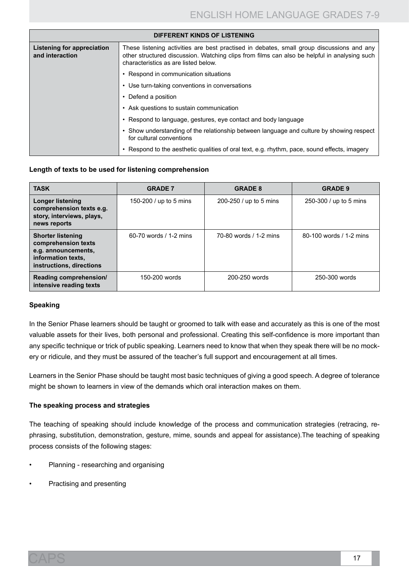| DIFFERENT KINDS OF LISTENING                  |                                                                                                                                                                                                                                   |  |
|-----------------------------------------------|-----------------------------------------------------------------------------------------------------------------------------------------------------------------------------------------------------------------------------------|--|
| Listening for appreciation<br>and interaction | These listening activities are best practised in debates, small group discussions and any<br>other structured discussion. Watching clips from films can also be helpful in analysing such<br>characteristics as are listed below. |  |
|                                               | • Respond in communication situations                                                                                                                                                                                             |  |
|                                               | • Use turn-taking conventions in conversations                                                                                                                                                                                    |  |
|                                               | • Defend a position                                                                                                                                                                                                               |  |
|                                               | • Ask questions to sustain communication                                                                                                                                                                                          |  |
|                                               | • Respond to language, gestures, eye contact and body language                                                                                                                                                                    |  |
|                                               | • Show understanding of the relationship between language and culture by showing respect<br>for cultural conventions                                                                                                              |  |
|                                               | • Respond to the aesthetic qualities of oral text, e.g. rhythm, pace, sound effects, imagery                                                                                                                                      |  |

#### **Length of texts to be used for listening comprehension**

| <b>TASK</b>                                                                                                              | <b>GRADE 7</b>         | <b>GRADE 8</b>         | <b>GRADE 9</b>          |
|--------------------------------------------------------------------------------------------------------------------------|------------------------|------------------------|-------------------------|
| Longer listening<br>comprehension texts e.g.<br>story, interviews, plays,<br>news reports                                | 150-200 / up to 5 mins | 200-250 / up to 5 mins | 250-300 / up to 5 mins  |
| <b>Shorter listening</b><br>comprehension texts<br>e.g. announcements,<br>information texts.<br>instructions, directions | 60-70 words / 1-2 mins | 70-80 words / 1-2 mins | 80-100 words / 1-2 mins |
| Reading comprehension/<br>intensive reading texts                                                                        | 150-200 words          | 200-250 words          | 250-300 words           |

#### **Speaking**

In the Senior Phase learners should be taught or groomed to talk with ease and accurately as this is one of the most valuable assets for their lives, both personal and professional. Creating this self-confidence is more important than any specific technique or trick of public speaking. Learners need to know that when they speak there will be no mockery or ridicule, and they must be assured of the teacher's full support and encouragement at all times.

Learners in the Senior Phase should be taught most basic techniques of giving a good speech. A degree of tolerance might be shown to learners in view of the demands which oral interaction makes on them.

#### **The speaking process and strategies**

The teaching of speaking should include knowledge of the process and communication strategies (retracing, rephrasing, substitution, demonstration, gesture, mime, sounds and appeal for assistance).The teaching of speaking process consists of the following stages:

- Planning researching and organising
- Practising and presenting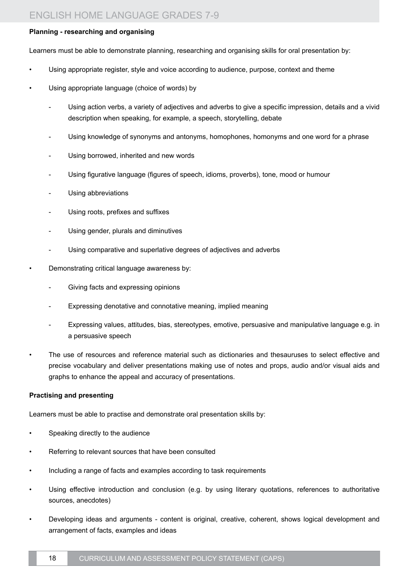#### **Planning - researching and organising**

Learners must be able to demonstrate planning, researching and organising skills for oral presentation by:

- Using appropriate register, style and voice according to audience, purpose, context and theme
- Using appropriate language (choice of words) by
	- Using action verbs, a variety of adjectives and adverbs to give a specific impression, details and a vivid description when speaking, for example, a speech, storytelling, debate
	- Using knowledge of synonyms and antonyms, homophones, homonyms and one word for a phrase
	- Using borrowed, inherited and new words
	- Using figurative language (figures of speech, idioms, proverbs), tone, mood or humour
	- Using abbreviations
	- Using roots, prefixes and suffixes
	- Using gender, plurals and diminutives
	- Using comparative and superlative degrees of adjectives and adverbs
- Demonstrating critical language awareness by:
	- Giving facts and expressing opinions
	- Expressing denotative and connotative meaning, implied meaning
	- Expressing values, attitudes, bias, stereotypes, emotive, persuasive and manipulative language e.g. in a persuasive speech
- The use of resources and reference material such as dictionaries and thesauruses to select effective and precise vocabulary and deliver presentations making use of notes and props, audio and/or visual aids and graphs to enhance the appeal and accuracy of presentations.

#### **Practising and presenting**

Learners must be able to practise and demonstrate oral presentation skills by:

- Speaking directly to the audience
- Referring to relevant sources that have been consulted
- Including a range of facts and examples according to task requirements
- Using effective introduction and conclusion (e.g. by using literary quotations, references to authoritative sources, anecdotes)
- Developing ideas and arguments content is original, creative, coherent, shows logical development and arrangement of facts, examples and ideas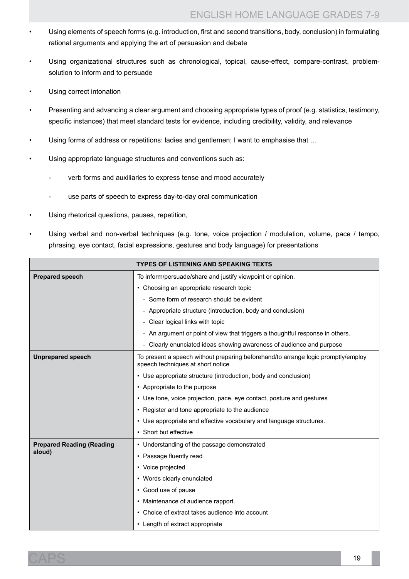- Using elements of speech forms (e.g. introduction, first and second transitions, body, conclusion) in formulating rational arguments and applying the art of persuasion and debate
- Using organizational structures such as chronological, topical, cause-effect, compare-contrast, problemsolution to inform and to persuade
- Using correct intonation
- Presenting and advancing a clear argument and choosing appropriate types of proof (e.g. statistics, testimony, specific instances) that meet standard tests for evidence, including credibility, validity, and relevance
- Using forms of address or repetitions: ladies and gentlemen; I want to emphasise that …
- Using appropriate language structures and conventions such as:
	- verb forms and auxiliaries to express tense and mood accurately
	- use parts of speech to express day-to-day oral communication
- Using rhetorical questions, pauses, repetition,
- Using verbal and non-verbal techniques (e.g. tone, voice projection / modulation, volume, pace / tempo, phrasing, eye contact, facial expressions, gestures and body language) for presentations

|                                  | <b>TYPES OF LISTENING AND SPEAKING TEXTS</b>                                                                           |
|----------------------------------|------------------------------------------------------------------------------------------------------------------------|
| <b>Prepared speech</b>           | To inform/persuade/share and justify viewpoint or opinion.                                                             |
|                                  | • Choosing an appropriate research topic                                                                               |
|                                  | - Some form of research should be evident                                                                              |
|                                  | - Appropriate structure (introduction, body and conclusion)                                                            |
|                                  | - Clear logical links with topic                                                                                       |
|                                  | - An argument or point of view that triggers a thoughtful response in others.                                          |
|                                  | - Clearly enunciated ideas showing awareness of audience and purpose                                                   |
| <b>Unprepared speech</b>         | To present a speech without preparing beforehand/to arrange logic promptly/employ<br>speech techniques at short notice |
|                                  | • Use appropriate structure (introduction, body and conclusion)                                                        |
|                                  | • Appropriate to the purpose                                                                                           |
|                                  | • Use tone, voice projection, pace, eye contact, posture and gestures                                                  |
|                                  | • Register and tone appropriate to the audience                                                                        |
|                                  | • Use appropriate and effective vocabulary and language structures.                                                    |
|                                  | • Short but effective                                                                                                  |
| <b>Prepared Reading (Reading</b> | • Understanding of the passage demonstrated                                                                            |
| aloud)                           | • Passage fluently read                                                                                                |
|                                  | • Voice projected                                                                                                      |
|                                  | • Words clearly enunciated                                                                                             |
|                                  | • Good use of pause                                                                                                    |
|                                  | • Maintenance of audience rapport.                                                                                     |
|                                  | • Choice of extract takes audience into account                                                                        |
|                                  | • Length of extract appropriate                                                                                        |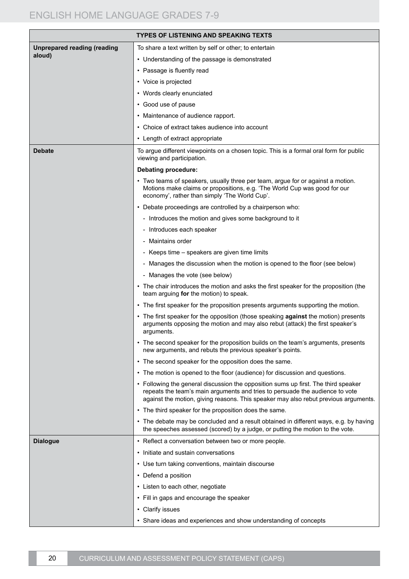| <b>TYPES OF LISTENING AND SPEAKING TEXTS</b> |                                                                                                                                                                                                                                                           |  |
|----------------------------------------------|-----------------------------------------------------------------------------------------------------------------------------------------------------------------------------------------------------------------------------------------------------------|--|
| <b>Unprepared reading (reading</b>           | To share a text written by self or other; to entertain                                                                                                                                                                                                    |  |
| aloud)                                       | • Understanding of the passage is demonstrated                                                                                                                                                                                                            |  |
|                                              | • Passage is fluently read                                                                                                                                                                                                                                |  |
|                                              | • Voice is projected                                                                                                                                                                                                                                      |  |
|                                              | • Words clearly enunciated                                                                                                                                                                                                                                |  |
|                                              | • Good use of pause                                                                                                                                                                                                                                       |  |
|                                              | • Maintenance of audience rapport.                                                                                                                                                                                                                        |  |
|                                              | • Choice of extract takes audience into account                                                                                                                                                                                                           |  |
|                                              | • Length of extract appropriate                                                                                                                                                                                                                           |  |
| Debate                                       | To argue different viewpoints on a chosen topic. This is a formal oral form for public<br>viewing and participation.                                                                                                                                      |  |
|                                              | <b>Debating procedure:</b>                                                                                                                                                                                                                                |  |
|                                              | • Two teams of speakers, usually three per team, argue for or against a motion.<br>Motions make claims or propositions, e.g. 'The World Cup was good for our<br>economy', rather than simply 'The World Cup'.                                             |  |
|                                              | • Debate proceedings are controlled by a chairperson who:                                                                                                                                                                                                 |  |
|                                              | - Introduces the motion and gives some background to it                                                                                                                                                                                                   |  |
|                                              | - Introduces each speaker                                                                                                                                                                                                                                 |  |
|                                              | - Maintains order                                                                                                                                                                                                                                         |  |
|                                              | - Keeps time – speakers are given time limits                                                                                                                                                                                                             |  |
|                                              | - Manages the discussion when the motion is opened to the floor (see below)                                                                                                                                                                               |  |
|                                              | - Manages the vote (see below)                                                                                                                                                                                                                            |  |
|                                              | • The chair introduces the motion and asks the first speaker for the proposition (the<br>team arguing for the motion) to speak.                                                                                                                           |  |
|                                              | • The first speaker for the proposition presents arguments supporting the motion.                                                                                                                                                                         |  |
|                                              | • The first speaker for the opposition (those speaking against the motion) presents<br>arguments opposing the motion and may also rebut (attack) the first speaker's<br>arguments.                                                                        |  |
|                                              | • The second speaker for the proposition builds on the team's arguments, presents<br>new arguments, and rebuts the previous speaker's points.                                                                                                             |  |
|                                              | • The second speaker for the opposition does the same.                                                                                                                                                                                                    |  |
|                                              | • The motion is opened to the floor (audience) for discussion and questions.                                                                                                                                                                              |  |
|                                              | • Following the general discussion the opposition sums up first. The third speaker<br>repeats the team's main arguments and tries to persuade the audience to vote<br>against the motion, giving reasons. This speaker may also rebut previous arguments. |  |
|                                              | • The third speaker for the proposition does the same.                                                                                                                                                                                                    |  |
|                                              | • The debate may be concluded and a result obtained in different ways, e.g. by having<br>the speeches assessed (scored) by a judge, or putting the motion to the vote.                                                                                    |  |
| <b>Dialogue</b>                              | • Reflect a conversation between two or more people.                                                                                                                                                                                                      |  |
|                                              | • Initiate and sustain conversations                                                                                                                                                                                                                      |  |
|                                              | • Use turn taking conventions, maintain discourse                                                                                                                                                                                                         |  |
|                                              | • Defend a position                                                                                                                                                                                                                                       |  |
|                                              | • Listen to each other, negotiate                                                                                                                                                                                                                         |  |
|                                              | • Fill in gaps and encourage the speaker                                                                                                                                                                                                                  |  |
|                                              | • Clarify issues                                                                                                                                                                                                                                          |  |
|                                              | • Share ideas and experiences and show understanding of concepts                                                                                                                                                                                          |  |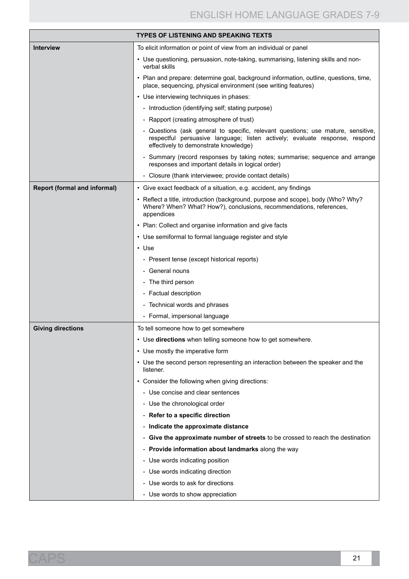|                                     | <b>TYPES OF LISTENING AND SPEAKING TEXTS</b>                                                                                                                                                             |  |
|-------------------------------------|----------------------------------------------------------------------------------------------------------------------------------------------------------------------------------------------------------|--|
| <b>Interview</b>                    | To elicit information or point of view from an individual or panel                                                                                                                                       |  |
|                                     | • Use questioning, persuasion, note-taking, summarising, listening skills and non-<br>verbal skills                                                                                                      |  |
|                                     | • Plan and prepare: determine goal, background information, outline, questions, time,<br>place, sequencing, physical environment (see writing features)                                                  |  |
|                                     | • Use interviewing techniques in phases:                                                                                                                                                                 |  |
|                                     | - Introduction (identifying self; stating purpose)                                                                                                                                                       |  |
|                                     | - Rapport (creating atmosphere of trust)                                                                                                                                                                 |  |
|                                     | - Questions (ask general to specific, relevant questions; use mature, sensitive,<br>respectful persuasive language; listen actively; evaluate response, respond<br>effectively to demonstrate knowledge) |  |
|                                     | - Summary (record responses by taking notes; summarise; sequence and arrange<br>responses and important details in logical order)                                                                        |  |
|                                     | - Closure (thank interviewee; provide contact details)                                                                                                                                                   |  |
| <b>Report (formal and informal)</b> | • Give exact feedback of a situation, e.g. accident, any findings                                                                                                                                        |  |
|                                     | • Reflect a title, introduction (background, purpose and scope), body (Who? Why?<br>Where? When? What? How?), conclusions, recommendations, references,<br>appendices                                    |  |
|                                     | • Plan: Collect and organise information and give facts                                                                                                                                                  |  |
|                                     | • Use semiformal to formal language register and style                                                                                                                                                   |  |
|                                     | $\cdot$ Use                                                                                                                                                                                              |  |
|                                     | - Present tense (except historical reports)                                                                                                                                                              |  |
|                                     | - General nouns                                                                                                                                                                                          |  |
|                                     | - The third person                                                                                                                                                                                       |  |
|                                     | - Factual description                                                                                                                                                                                    |  |
|                                     | - Technical words and phrases                                                                                                                                                                            |  |
|                                     | - Formal, impersonal language                                                                                                                                                                            |  |
| <b>Giving directions</b>            | To tell someone how to get somewhere                                                                                                                                                                     |  |
|                                     | Use directions when telling someone how to get somewhere.                                                                                                                                                |  |
|                                     | • Use mostly the imperative form                                                                                                                                                                         |  |
|                                     | • Use the second person representing an interaction between the speaker and the<br>listener.                                                                                                             |  |
|                                     | • Consider the following when giving directions:                                                                                                                                                         |  |
|                                     | - Use concise and clear sentences                                                                                                                                                                        |  |
|                                     | - Use the chronological order                                                                                                                                                                            |  |
|                                     | - Refer to a specific direction                                                                                                                                                                          |  |
|                                     | - Indicate the approximate distance                                                                                                                                                                      |  |
|                                     | - Give the approximate number of streets to be crossed to reach the destination                                                                                                                          |  |
|                                     | - Provide information about landmarks along the way                                                                                                                                                      |  |
|                                     | - Use words indicating position                                                                                                                                                                          |  |
|                                     | - Use words indicating direction                                                                                                                                                                         |  |
|                                     | - Use words to ask for directions                                                                                                                                                                        |  |
|                                     | - Use words to show appreciation                                                                                                                                                                         |  |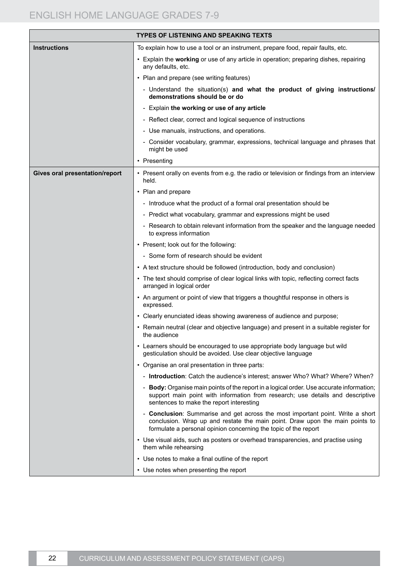| <b>TYPES OF LISTENING AND SPEAKING TEXTS</b> |                                                                                                                                                                                                                                   |
|----------------------------------------------|-----------------------------------------------------------------------------------------------------------------------------------------------------------------------------------------------------------------------------------|
| <b>Instructions</b>                          | To explain how to use a tool or an instrument, prepare food, repair faults, etc.                                                                                                                                                  |
|                                              | • Explain the working or use of any article in operation; preparing dishes, repairing<br>any defaults, etc.                                                                                                                       |
|                                              | • Plan and prepare (see writing features)                                                                                                                                                                                         |
|                                              | - Understand the situation(s) and what the product of giving instructions/<br>demonstrations should be or do                                                                                                                      |
|                                              | - Explain the working or use of any article                                                                                                                                                                                       |
|                                              | - Reflect clear, correct and logical sequence of instructions                                                                                                                                                                     |
|                                              | - Use manuals, instructions, and operations.                                                                                                                                                                                      |
|                                              | - Consider vocabulary, grammar, expressions, technical language and phrases that<br>might be used                                                                                                                                 |
|                                              | • Presenting                                                                                                                                                                                                                      |
| <b>Gives oral presentation/report</b>        | • Present orally on events from e.g. the radio or television or findings from an interview<br>held.                                                                                                                               |
|                                              | • Plan and prepare                                                                                                                                                                                                                |
|                                              | - Introduce what the product of a formal oral presentation should be                                                                                                                                                              |
|                                              | - Predict what vocabulary, grammar and expressions might be used                                                                                                                                                                  |
|                                              | - Research to obtain relevant information from the speaker and the language needed<br>to express information                                                                                                                      |
|                                              | • Present; look out for the following:                                                                                                                                                                                            |
|                                              | - Some form of research should be evident                                                                                                                                                                                         |
|                                              | • A text structure should be followed (introduction, body and conclusion)                                                                                                                                                         |
|                                              | • The text should comprise of clear logical links with topic, reflecting correct facts<br>arranged in logical order                                                                                                               |
|                                              | • An argument or point of view that triggers a thoughtful response in others is<br>expressed.                                                                                                                                     |
|                                              | • Clearly enunciated ideas showing awareness of audience and purpose;                                                                                                                                                             |
|                                              | • Remain neutral (clear and objective language) and present in a suitable register for<br>the audience                                                                                                                            |
|                                              | • Learners should be encouraged to use appropriate body language but wild<br>gesticulation should be avoided. Use clear objective language                                                                                        |
|                                              | • Organise an oral presentation in three parts:                                                                                                                                                                                   |
|                                              | - Introduction: Catch the audience's interest; answer Who? What? Where? When?                                                                                                                                                     |
|                                              | - Body: Organise main points of the report in a logical order. Use accurate information;<br>support main point with information from research; use details and descriptive<br>sentences to make the report interesting            |
|                                              | - Conclusion: Summarise and get across the most important point. Write a short<br>conclusion. Wrap up and restate the main point. Draw upon the main points to<br>formulate a personal opinion concerning the topic of the report |
|                                              | • Use visual aids, such as posters or overhead transparencies, and practise using<br>them while rehearsing                                                                                                                        |
|                                              | • Use notes to make a final outline of the report                                                                                                                                                                                 |
|                                              | • Use notes when presenting the report                                                                                                                                                                                            |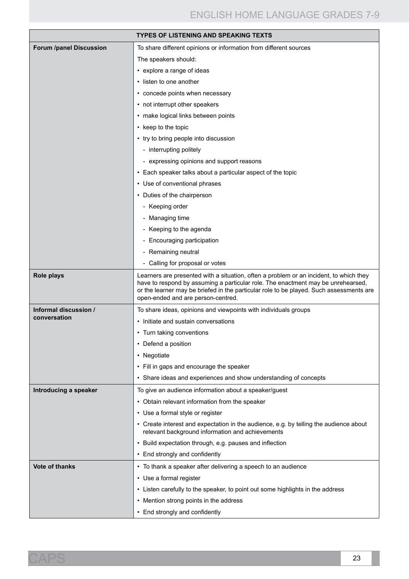|                         | <b>TYPES OF LISTENING AND SPEAKING TEXTS</b>                                                                                                                                                                                                                                                                |
|-------------------------|-------------------------------------------------------------------------------------------------------------------------------------------------------------------------------------------------------------------------------------------------------------------------------------------------------------|
| Forum /panel Discussion | To share different opinions or information from different sources                                                                                                                                                                                                                                           |
|                         | The speakers should:                                                                                                                                                                                                                                                                                        |
|                         | • explore a range of ideas                                                                                                                                                                                                                                                                                  |
|                         | • listen to one another                                                                                                                                                                                                                                                                                     |
|                         | • concede points when necessary                                                                                                                                                                                                                                                                             |
|                         | • not interrupt other speakers                                                                                                                                                                                                                                                                              |
|                         | • make logical links between points                                                                                                                                                                                                                                                                         |
|                         | • keep to the topic                                                                                                                                                                                                                                                                                         |
|                         | • try to bring people into discussion                                                                                                                                                                                                                                                                       |
|                         | - interrupting politely                                                                                                                                                                                                                                                                                     |
|                         | - expressing opinions and support reasons                                                                                                                                                                                                                                                                   |
|                         | • Each speaker talks about a particular aspect of the topic                                                                                                                                                                                                                                                 |
|                         | • Use of conventional phrases                                                                                                                                                                                                                                                                               |
|                         | • Duties of the chairperson                                                                                                                                                                                                                                                                                 |
|                         | - Keeping order                                                                                                                                                                                                                                                                                             |
|                         | - Managing time                                                                                                                                                                                                                                                                                             |
|                         | - Keeping to the agenda                                                                                                                                                                                                                                                                                     |
|                         | - Encouraging participation                                                                                                                                                                                                                                                                                 |
|                         | - Remaining neutral                                                                                                                                                                                                                                                                                         |
|                         | - Calling for proposal or votes                                                                                                                                                                                                                                                                             |
| <b>Role plays</b>       | Learners are presented with a situation, often a problem or an incident, to which they<br>have to respond by assuming a particular role. The enactment may be unrehearsed,<br>or the learner may be briefed in the particular role to be played. Such assessments are<br>open-ended and are person-centred. |
| Informal discussion /   | To share ideas, opinions and viewpoints with individuals groups                                                                                                                                                                                                                                             |
| conversation            | • Initiate and sustain conversations                                                                                                                                                                                                                                                                        |
|                         | • Turn taking conventions                                                                                                                                                                                                                                                                                   |
|                         | Defend a position                                                                                                                                                                                                                                                                                           |
|                         | • Negotiate                                                                                                                                                                                                                                                                                                 |
|                         | • Fill in gaps and encourage the speaker                                                                                                                                                                                                                                                                    |
|                         | • Share ideas and experiences and show understanding of concepts                                                                                                                                                                                                                                            |
| Introducing a speaker   | To give an audience information about a speaker/guest                                                                                                                                                                                                                                                       |
|                         | • Obtain relevant information from the speaker                                                                                                                                                                                                                                                              |
|                         | • Use a formal style or register                                                                                                                                                                                                                                                                            |
|                         | • Create interest and expectation in the audience, e.g. by telling the audience about<br>relevant background information and achievements                                                                                                                                                                   |
|                         | • Build expectation through, e.g. pauses and inflection                                                                                                                                                                                                                                                     |
|                         | • End strongly and confidently                                                                                                                                                                                                                                                                              |
| <b>Vote of thanks</b>   | • To thank a speaker after delivering a speech to an audience                                                                                                                                                                                                                                               |
|                         | • Use a formal register                                                                                                                                                                                                                                                                                     |
|                         | • Listen carefully to the speaker, to point out some highlights in the address                                                                                                                                                                                                                              |
|                         | • Mention strong points in the address                                                                                                                                                                                                                                                                      |
|                         | • End strongly and confidently                                                                                                                                                                                                                                                                              |

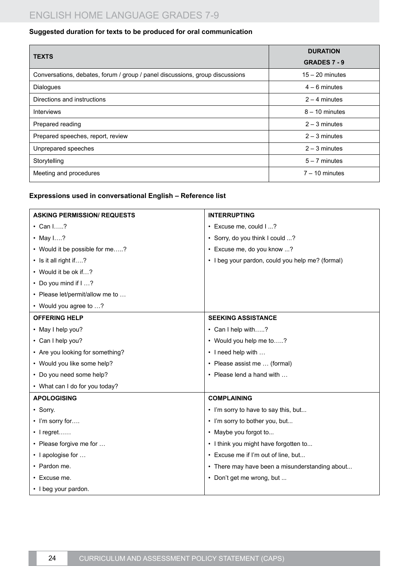## ENGLISH HOME LANGUAGE GRADES 7-9

## **Suggested duration for texts to be produced for oral communication**

| <b>TEXTS</b>                                                                 | <b>DURATION</b>     |
|------------------------------------------------------------------------------|---------------------|
|                                                                              | <b>GRADES 7 - 9</b> |
| Conversations, debates, forum / group / panel discussions, group discussions | $15 - 20$ minutes   |
| Dialogues                                                                    | $4 - 6$ minutes     |
| Directions and instructions                                                  | $2 - 4$ minutes     |
| <b>Interviews</b>                                                            | $8 - 10$ minutes    |
| Prepared reading                                                             | $2 - 3$ minutes     |
| Prepared speeches, report, review                                            | $2 - 3$ minutes     |
| Unprepared speeches                                                          | $2 - 3$ minutes     |
| Storytelling                                                                 | $5 - 7$ minutes     |
| Meeting and procedures                                                       | $7 - 10$ minutes    |

### **Expressions used in conversational English – Reference list**

| <b>ASKING PERMISSION/ REQUESTS</b> | <b>INTERRUPTING</b>                              |
|------------------------------------|--------------------------------------------------|
| $\cdot$ Can I?                     | • Excuse me, could I ?                           |
| $\cdot$ May I?                     | • Sorry, do you think I could ?                  |
| • Would it be possible for me?     | • Excuse me, do you know ?                       |
| • Is it all right if?              | • I beg your pardon, could you help me? (formal) |
| • Would it be ok if?               |                                                  |
| • Do you mind if I ?               |                                                  |
| • Please let/permit/allow me to    |                                                  |
| • Would you agree to ?             |                                                  |
| <b>OFFERING HELP</b>               | <b>SEEKING ASSISTANCE</b>                        |
| • May I help you?                  | • Can I help with?                               |
| • Can I help you?                  | • Would you help me to?                          |
| • Are you looking for something?   | • I need help with                               |
| • Would you like some help?        | • Please assist me  (formal)                     |
| • Do you need some help?           | • Please lend a hand with                        |
| • What can I do for you today?     |                                                  |
| <b>APOLOGISING</b>                 | <b>COMPLAINING</b>                               |
| • Sorry.                           | • I'm sorry to have to say this, but             |
| • I'm sorry for                    | • I'm sorry to bother you, but                   |
| $\cdot$   regret                   | • Maybe you forgot to                            |
| • Please forgive me for            | • I think you might have forgotten to            |
| • I apologise for                  | • Excuse me if I'm out of line, but              |
| • Pardon me.                       | • There may have been a misunderstanding about   |
| • Excuse me.                       | • Don't get me wrong, but                        |
| • I beg your pardon.               |                                                  |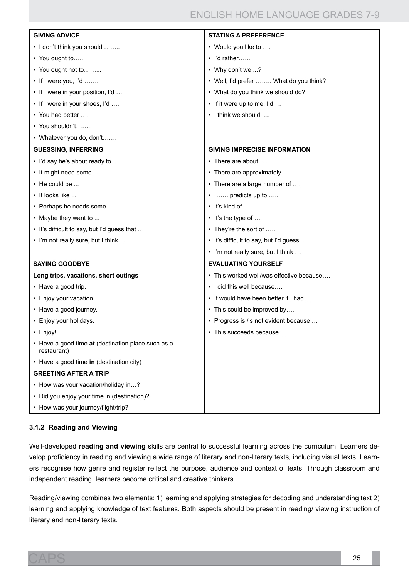| <b>GIVING ADVICE</b>                                              | <b>STATING A PREFERENCE</b>              |
|-------------------------------------------------------------------|------------------------------------------|
| • I don't think you should                                        | • Would you like to                      |
| • You ought to                                                    | • I'd rather                             |
| • You ought not to                                                | • Why don't we ?                         |
| $\cdot$ If I were you, I'd                                        | • Well, I'd prefer  What do you think?   |
| • If I were in your position, I'd                                 | • What do you think we should do?        |
| • If I were in your shoes, I'd                                    | • If it were up to me, I'd               |
| • You had better                                                  | • I think we should                      |
| • You shouldn't                                                   |                                          |
| • Whatever you do, don't                                          |                                          |
| <b>GUESSING, INFERRING</b>                                        | <b>GIVING IMPRECISE INFORMATION</b>      |
| · I'd say he's about ready to                                     | • There are about                        |
| • It might need some                                              | • There are approximately.               |
| $\cdot$ He could be                                               | • There are a large number of            |
| • It looks like                                                   | $\cdot$ predicts up to                   |
| • Perhaps he needs some                                           | • It's kind of                           |
| • Maybe they want to                                              | • It's the type of                       |
| • It's difficult to say, but I'd guess that                       | • They're the sort of                    |
| • I'm not really sure, but I think                                | • It's difficult to say, but I'd guess   |
|                                                                   | • I'm not really sure, but I think       |
| <b>SAYING GOODBYE</b>                                             | <b>EVALUATING YOURSELF</b>               |
| Long trips, vacations, short outings                              | • This worked well/was effective because |
| • Have a good trip.                                               | · I did this well because                |
| • Enjoy your vacation.                                            | • It would have been better if I had     |
| • Have a good journey.                                            | • This could be improved by              |
| • Enjoy your holidays.                                            | • Progress is /is not evident because    |
| $\cdot$ Enjoy!                                                    | • This succeeds because                  |
| • Have a good time at (destination place such as a<br>restaurant) |                                          |
| • Have a good time in (destination city)                          |                                          |
| <b>GREETING AFTER A TRIP</b>                                      |                                          |
| • How was your vacation/holiday in?                               |                                          |
| • Did you enjoy your time in (destination)?                       |                                          |
| • How was your journey/flight/trip?                               |                                          |

### **3.1.2 Reading and Viewing**

Well-developed **reading and viewing** skills are central to successful learning across the curriculum. Learners develop proficiency in reading and viewing a wide range of literary and non-literary texts, including visual texts. Learners recognise how genre and register reflect the purpose, audience and context of texts. Through classroom and independent reading, learners become critical and creative thinkers.

Reading/viewing combines two elements: 1) learning and applying strategies for decoding and understanding text 2) learning and applying knowledge of text features. Both aspects should be present in reading/ viewing instruction of literary and non-literary texts.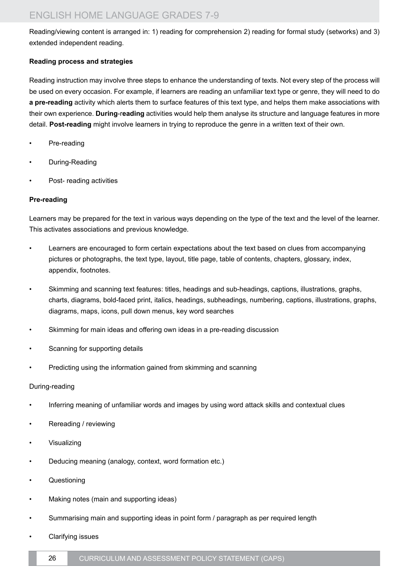Reading/viewing content is arranged in: 1) reading for comprehension 2) reading for formal study (setworks) and 3) extended independent reading.

### **Reading process and strategies**

Reading instruction may involve three steps to enhance the understanding of texts. Not every step of the process will be used on every occasion. For example, if learners are reading an unfamiliar text type or genre, they will need to do **a pre-reading** activity which alerts them to surface features of this text type, and helps them make associations with their own experience. **During**-r**eading** activities would help them analyse its structure and language features in more detail. **Post-reading** might involve learners in trying to reproduce the genre in a written text of their own.

- Pre-reading
- During-Reading
- Post- reading activities

## **Pre-reading**

Learners may be prepared for the text in various ways depending on the type of the text and the level of the learner. This activates associations and previous knowledge.

- Learners are encouraged to form certain expectations about the text based on clues from accompanying pictures or photographs, the text type, layout, title page, table of contents, chapters, glossary, index, appendix, footnotes.
- Skimming and scanning text features: titles, headings and sub-headings, captions, illustrations, graphs, charts, diagrams, bold-faced print, italics, headings, subheadings, numbering, captions, illustrations, graphs, diagrams, maps, icons, pull down menus, key word searches
- Skimming for main ideas and offering own ideas in a pre-reading discussion
- Scanning for supporting details
- Predicting using the information gained from skimming and scanning

### During-reading

- Inferring meaning of unfamiliar words and images by using word attack skills and contextual clues
- Rereading / reviewing
- **Visualizing**
- Deducing meaning (analogy, context, word formation etc.)
- Questioning
- Making notes (main and supporting ideas)
- Summarising main and supporting ideas in point form / paragraph as per required length
- Clarifying issues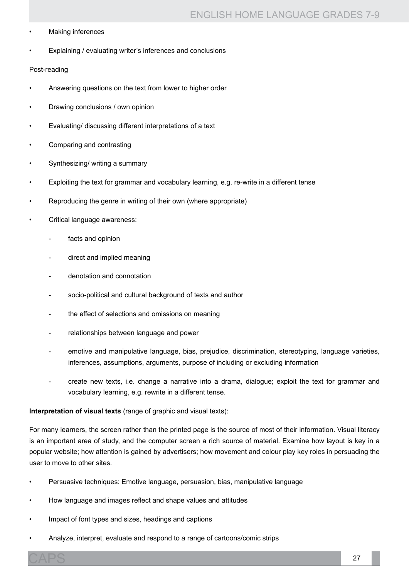- Making inferences
- Explaining / evaluating writer's inferences and conclusions

#### Post-reading

- Answering questions on the text from lower to higher order
- Drawing conclusions / own opinion
- Evaluating/ discussing different interpretations of a text
- Comparing and contrasting
- Synthesizing/ writing a summary
- Exploiting the text for grammar and vocabulary learning, e.g. re-write in a different tense
- Reproducing the genre in writing of their own (where appropriate)
- Critical language awareness:
	- facts and opinion
	- direct and implied meaning
	- denotation and connotation
	- socio-political and cultural background of texts and author
	- the effect of selections and omissions on meaning
	- relationships between language and power
	- emotive and manipulative language, bias, prejudice, discrimination, stereotyping, language varieties, inferences, assumptions, arguments, purpose of including or excluding information
	- create new texts, i.e. change a narrative into a drama, dialogue; exploit the text for grammar and vocabulary learning, e.g. rewrite in a different tense.

#### **Interpretation of visual texts** (range of graphic and visual texts):

For many learners, the screen rather than the printed page is the source of most of their information. Visual literacy is an important area of study, and the computer screen a rich source of material. Examine how layout is key in a popular website; how attention is gained by advertisers; how movement and colour play key roles in persuading the user to move to other sites.

- Persuasive techniques: Emotive language, persuasion, bias, manipulative language
- How language and images reflect and shape values and attitudes
- Impact of font types and sizes, headings and captions
- Analyze, interpret, evaluate and respond to a range of cartoons/comic strips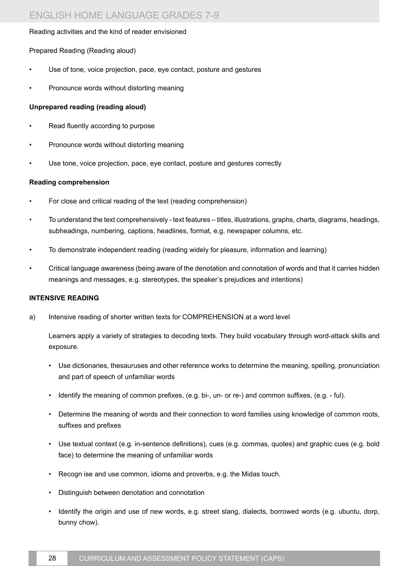#### Reading activities and the kind of reader envisioned

### Prepared Reading (Reading aloud)

- Use of tone, voice projection, pace, eye contact, posture and gestures
- Pronounce words without distorting meaning

#### **Unprepared reading (reading aloud)**

- Read fluently according to purpose
- Pronounce words without distorting meaning
- Use tone, voice projection, pace, eye contact, posture and gestures correctly

#### **Reading comprehension**

- For close and critical reading of the text (reading comprehension)
- To understand the text comprehensively text features titles, illustrations, graphs, charts, diagrams, headings, subheadings, numbering, captions, headlines, format, e.g. newspaper columns, etc.
- To demonstrate independent reading (reading widely for pleasure, information and learning)
- Critical language awareness (being aware of the denotation and connotation of words and that it carries hidden meanings and messages, e.g. stereotypes, the speaker's prejudices and intentions)

#### **INTENSIVE READING**

a) Intensive reading of shorter written texts for COMPREHENSION at a word level

Learners apply a variety of strategies to decoding texts. They build vocabulary through word-attack skills and exposure.

- Use dictionaries, thesauruses and other reference works to determine the meaning, spelling, pronunciation and part of speech of unfamiliar words
- Identify the meaning of common prefixes, (e.g. bi-, un- or re-) and common suffixes, (e.g. ful).
- Determine the meaning of words and their connection to word families using knowledge of common roots, suffixes and prefixes
- Use textual context (e.g. in-sentence definitions), cues (e.g. commas, quotes) and graphic cues (e.g. bold face) to determine the meaning of unfamiliar words
- Recogn ise and use common, idioms and proverbs, e.g. the Midas touch.
- Distinguish between denotation and connotation
- Identify the origin and use of new words, e.g. street slang, dialects, borrowed words (e.g. ubuntu, dorp, bunny chow).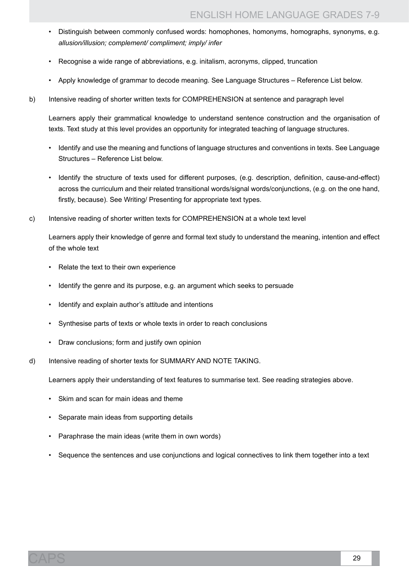- Distinguish between commonly confused words: homophones, homonyms, homographs, synonyms, e.g. *allusion/illusion; complement/ compliment; imply/ infer*
- Recognise a wide range of abbreviations, e.g. initalism, acronyms, clipped, truncation
- Apply knowledge of grammar to decode meaning. See Language Structures Reference List below.
- b) Intensive reading of shorter written texts for COMPREHENSION at sentence and paragraph level

Learners apply their grammatical knowledge to understand sentence construction and the organisation of texts. Text study at this level provides an opportunity for integrated teaching of language structures.

- Identify and use the meaning and functions of language structures and conventions in texts. See Language Structures – Reference List below.
- Identify the structure of texts used for different purposes, (e.g. description, definition, cause-and-effect) across the curriculum and their related transitional words/signal words/conjunctions, (e.g. on the one hand, firstly, because). See Writing/ Presenting for appropriate text types.
- c) Intensive reading of shorter written texts for COMPREHENSION at a whole text level

Learners apply their knowledge of genre and formal text study to understand the meaning, intention and effect of the whole text

- Relate the text to their own experience
- Identify the genre and its purpose, e.g. an argument which seeks to persuade
- Identify and explain author's attitude and intentions
- Synthesise parts of texts or whole texts in order to reach conclusions
- Draw conclusions; form and justify own opinion
- d) Intensive reading of shorter texts for SUMMARY AND NOTE TAKING.

Learners apply their understanding of text features to summarise text. See reading strategies above.

- Skim and scan for main ideas and theme
- Separate main ideas from supporting details
- Paraphrase the main ideas (write them in own words)
- Sequence the sentences and use conjunctions and logical connectives to link them together into a text

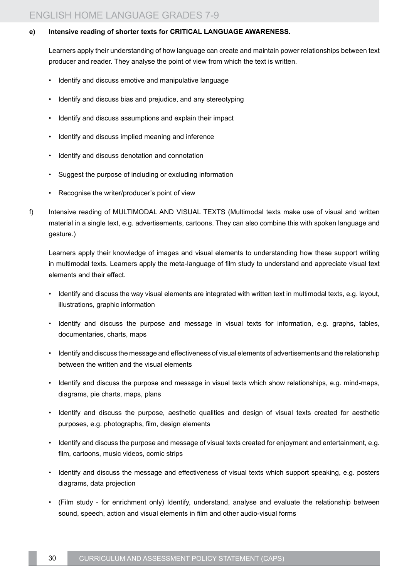#### **e) Intensive reading of shorter texts for CRITICAL LANGUAGE AWARENESS.**

Learners apply their understanding of how language can create and maintain power relationships between text producer and reader. They analyse the point of view from which the text is written.

- Identify and discuss emotive and manipulative language
- Identify and discuss bias and prejudice, and any stereotyping
- Identify and discuss assumptions and explain their impact
- Identify and discuss implied meaning and inference
- Identify and discuss denotation and connotation
- Suggest the purpose of including or excluding information
- Recognise the writer/producer's point of view
- f) Intensive reading of MULTIMODAL AND VISUAL TEXTS (Multimodal texts make use of visual and written material in a single text, e.g. advertisements, cartoons. They can also combine this with spoken language and gesture.)

Learners apply their knowledge of images and visual elements to understanding how these support writing in multimodal texts. Learners apply the meta-language of film study to understand and appreciate visual text elements and their effect.

- Identify and discuss the way visual elements are integrated with written text in multimodal texts, e.g. layout, illustrations, graphic information
- Identify and discuss the purpose and message in visual texts for information, e.g. graphs, tables, documentaries, charts, maps
- Identify and discuss the message and effectiveness of visual elements of advertisements and the relationship between the written and the visual elements
- Identify and discuss the purpose and message in visual texts which show relationships, e.g. mind-maps, diagrams, pie charts, maps, plans
- Identify and discuss the purpose, aesthetic qualities and design of visual texts created for aesthetic purposes, e.g. photographs, film, design elements
- Identify and discuss the purpose and message of visual texts created for enjoyment and entertainment, e.g. film, cartoons, music videos, comic strips
- Identify and discuss the message and effectiveness of visual texts which support speaking, e.g. posters diagrams, data projection
- (Film study for enrichment only) Identify, understand, analyse and evaluate the relationship between sound, speech, action and visual elements in film and other audio-visual forms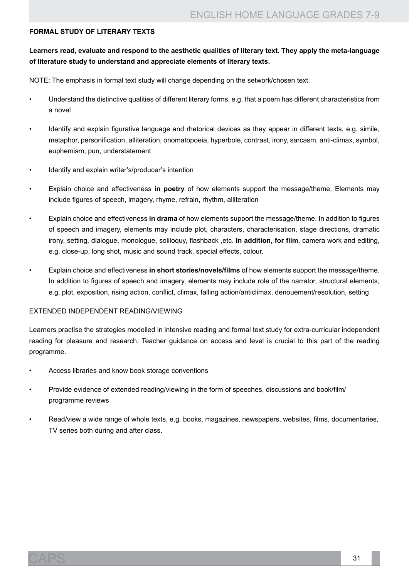#### **FORMAL STUDY OF LITERARY TEXTS**

## **Learners read, evaluate and respond to the aesthetic qualities of literary text. They apply the meta-language of literature study to understand and appreciate elements of literary texts.**

NOTE: The emphasis in formal text study will change depending on the setwork/chosen text.

- Understand the distinctive qualities of different literary forms, e.g. that a poem has different characteristics from a novel
- Identify and explain figurative language and rhetorical devices as they appear in different texts, e.g. simile, metaphor, personification, alliteration, onomatopoeia, hyperbole, contrast, irony, sarcasm, anti-climax, symbol, euphemism, pun, understatement
- Identify and explain writer's/producer's intention
- Explain choice and effectiveness **in poetry** of how elements support the message/theme. Elements may include figures of speech, imagery, rhyme, refrain, rhythm, alliteration
- Explain choice and effectiveness **in drama** of how elements support the message/theme. In addition to figures of speech and imagery, elements may include plot, characters, characterisation, stage directions, dramatic irony, setting, dialogue, monologue, soliloquy, flashback ,etc. **In addition, for film**, camera work and editing, e.g. close-up, long shot, music and sound track, special effects, colour.
- Explain choice and effectiveness **in short stories/novels/films** of how elements support the message/theme. In addition to figures of speech and imagery, elements may include role of the narrator, structural elements, e.g. plot, exposition, rising action, conflict, climax, falling action/anticlimax, denouement/resolution, setting

### EXTENDED INDEPENDENT READING/VIEWING

Learners practise the strategies modelled in intensive reading and formal text study for extra-curricular independent reading for pleasure and research. Teacher guidance on access and level is crucial to this part of the reading programme.

- Access libraries and know book storage conventions
- Provide evidence of extended reading/viewing in the form of speeches, discussions and book/film/ programme reviews
- Read/view a wide range of whole texts, e.g. books, magazines, newspapers, websites, films, documentaries, TV series both during and after class.

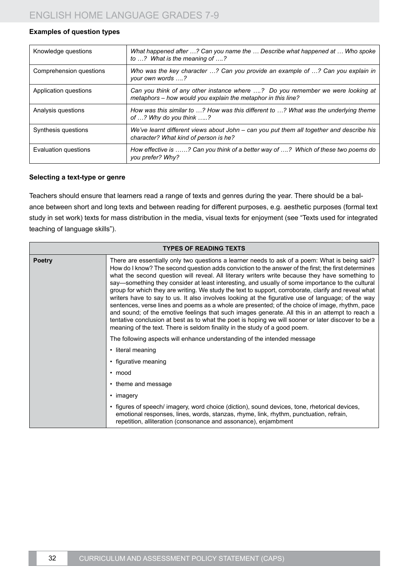#### **Examples of question types**

| Knowledge questions     | What happened after ? Can you name the  Describe what happened at  Who spoke<br>to ? What is the meaning of ?                                  |
|-------------------------|------------------------------------------------------------------------------------------------------------------------------------------------|
| Comprehension questions | Who was the key character ? Can you provide an example of ? Can you explain in<br>your own words ?                                             |
| Application questions   | Can you think of any other instance where ? Do you remember we were looking at<br>metaphors – how would you explain the metaphor in this line? |
| Analysis questions      | How was this similar to ? How was this different to ? What was the underlying theme<br>of $\ldots$ ? Why do you think $\ldots$ .?              |
| Synthesis questions     | We've learnt different views about John – can you put them all together and describe his<br>character? What kind of person is he?              |
| Evaluation questions    | How effective is ? Can you think of a better way of ? Which of these two poems do<br>you prefer? Why?                                          |

#### **Selecting a text-type or genre**

Teachers should ensure that learners read a range of texts and genres during the year. There should be a balance between short and long texts and between reading for different purposes, e.g. aesthetic purposes (formal text study in set work) texts for mass distribution in the media, visual texts for enjoyment (see "Texts used for integrated teaching of language skills").

| <b>TYPES OF READING TEXTS</b> |                                                                                                                                                                                                                                                                                                                                                                                                                                                                                                                                                                                                                                                                                                                                                                                                                                                                                                                                                                                                                      |  |
|-------------------------------|----------------------------------------------------------------------------------------------------------------------------------------------------------------------------------------------------------------------------------------------------------------------------------------------------------------------------------------------------------------------------------------------------------------------------------------------------------------------------------------------------------------------------------------------------------------------------------------------------------------------------------------------------------------------------------------------------------------------------------------------------------------------------------------------------------------------------------------------------------------------------------------------------------------------------------------------------------------------------------------------------------------------|--|
| <b>Poetry</b>                 | There are essentially only two questions a learner needs to ask of a poem: What is being said?<br>How do I know? The second question adds conviction to the answer of the first; the first determines<br>what the second question will reveal. All literary writers write because they have something to<br>say—something they consider at least interesting, and usually of some importance to the cultural<br>group for which they are writing. We study the text to support, corroborate, clarify and reveal what<br>writers have to say to us. It also involves looking at the figurative use of language; of the way<br>sentences, verse lines and poems as a whole are presented; of the choice of image, rhythm, pace<br>and sound; of the emotive feelings that such images generate. All this in an attempt to reach a<br>tentative conclusion at best as to what the poet is hoping we will sooner or later discover to be a<br>meaning of the text. There is seldom finality in the study of a good poem. |  |
|                               | The following aspects will enhance understanding of the intended message                                                                                                                                                                                                                                                                                                                                                                                                                                                                                                                                                                                                                                                                                                                                                                                                                                                                                                                                             |  |
|                               | • literal meaning                                                                                                                                                                                                                                                                                                                                                                                                                                                                                                                                                                                                                                                                                                                                                                                                                                                                                                                                                                                                    |  |
|                               | • figurative meaning                                                                                                                                                                                                                                                                                                                                                                                                                                                                                                                                                                                                                                                                                                                                                                                                                                                                                                                                                                                                 |  |
|                               | $\cdot$ mood                                                                                                                                                                                                                                                                                                                                                                                                                                                                                                                                                                                                                                                                                                                                                                                                                                                                                                                                                                                                         |  |
|                               | • theme and message                                                                                                                                                                                                                                                                                                                                                                                                                                                                                                                                                                                                                                                                                                                                                                                                                                                                                                                                                                                                  |  |
|                               | • imagery                                                                                                                                                                                                                                                                                                                                                                                                                                                                                                                                                                                                                                                                                                                                                                                                                                                                                                                                                                                                            |  |
|                               | • figures of speech/ imagery, word choice (diction), sound devices, tone, rhetorical devices,<br>emotional responses, lines, words, stanzas, rhyme, link, rhythm, punctuation, refrain,<br>repetition, alliteration (consonance and assonance), enjambment                                                                                                                                                                                                                                                                                                                                                                                                                                                                                                                                                                                                                                                                                                                                                           |  |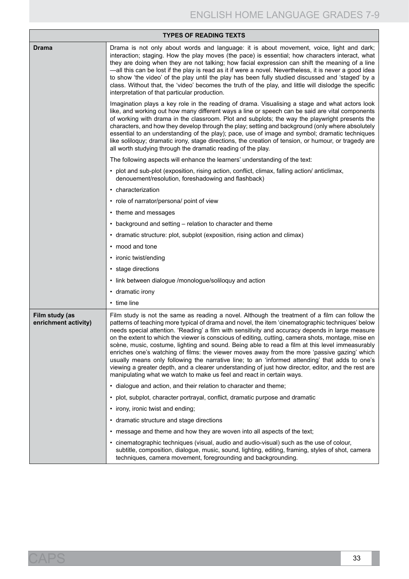| <b>TYPES OF READING TEXTS</b>          |                                                                                                                                                                                                                                                                                                                                                                                                                                                                                                                                                                                                                                                                                                                                                                                                                                                                                                    |  |
|----------------------------------------|----------------------------------------------------------------------------------------------------------------------------------------------------------------------------------------------------------------------------------------------------------------------------------------------------------------------------------------------------------------------------------------------------------------------------------------------------------------------------------------------------------------------------------------------------------------------------------------------------------------------------------------------------------------------------------------------------------------------------------------------------------------------------------------------------------------------------------------------------------------------------------------------------|--|
| Drama                                  | Drama is not only about words and language: it is about movement, voice, light and dark;<br>interaction; staging. How the play moves (the pace) is essential; how characters interact, what<br>they are doing when they are not talking; how facial expression can shift the meaning of a line<br>—all this can be lost if the play is read as it if were a novel. Nevertheless, it is never a good idea<br>to show 'the video' of the play until the play has been fully studied discussed and 'staged' by a<br>class. Without that, the 'video' becomes the truth of the play, and little will dislodge the specific<br>interpretation of that particular production.                                                                                                                                                                                                                            |  |
|                                        | Imagination plays a key role in the reading of drama. Visualising a stage and what actors look<br>like, and working out how many different ways a line or speech can be said are vital components<br>of working with drama in the classroom. Plot and subplots; the way the playwright presents the<br>characters, and how they develop through the play; setting and background (only where absolutely<br>essential to an understanding of the play); pace, use of image and symbol; dramatic techniques<br>like soliloquy; dramatic irony, stage directions, the creation of tension, or humour, or tragedy are<br>all worth studying through the dramatic reading of the play.                                                                                                                                                                                                                  |  |
|                                        | The following aspects will enhance the learners' understanding of the text:                                                                                                                                                                                                                                                                                                                                                                                                                                                                                                                                                                                                                                                                                                                                                                                                                        |  |
|                                        | • plot and sub-plot (exposition, rising action, conflict, climax, falling action/ anticlimax,<br>denouement/resolution, foreshadowing and flashback)                                                                                                                                                                                                                                                                                                                                                                                                                                                                                                                                                                                                                                                                                                                                               |  |
|                                        | • characterization                                                                                                                                                                                                                                                                                                                                                                                                                                                                                                                                                                                                                                                                                                                                                                                                                                                                                 |  |
|                                        | • role of narrator/persona/ point of view                                                                                                                                                                                                                                                                                                                                                                                                                                                                                                                                                                                                                                                                                                                                                                                                                                                          |  |
|                                        | • theme and messages                                                                                                                                                                                                                                                                                                                                                                                                                                                                                                                                                                                                                                                                                                                                                                                                                                                                               |  |
|                                        | • background and setting - relation to character and theme                                                                                                                                                                                                                                                                                                                                                                                                                                                                                                                                                                                                                                                                                                                                                                                                                                         |  |
|                                        | • dramatic structure: plot, subplot (exposition, rising action and climax)                                                                                                                                                                                                                                                                                                                                                                                                                                                                                                                                                                                                                                                                                                                                                                                                                         |  |
|                                        | • mood and tone                                                                                                                                                                                                                                                                                                                                                                                                                                                                                                                                                                                                                                                                                                                                                                                                                                                                                    |  |
|                                        | • ironic twist/ending                                                                                                                                                                                                                                                                                                                                                                                                                                                                                                                                                                                                                                                                                                                                                                                                                                                                              |  |
|                                        | • stage directions                                                                                                                                                                                                                                                                                                                                                                                                                                                                                                                                                                                                                                                                                                                                                                                                                                                                                 |  |
|                                        | • link between dialogue /monologue/soliloquy and action                                                                                                                                                                                                                                                                                                                                                                                                                                                                                                                                                                                                                                                                                                                                                                                                                                            |  |
|                                        | • dramatic irony                                                                                                                                                                                                                                                                                                                                                                                                                                                                                                                                                                                                                                                                                                                                                                                                                                                                                   |  |
|                                        | • time line                                                                                                                                                                                                                                                                                                                                                                                                                                                                                                                                                                                                                                                                                                                                                                                                                                                                                        |  |
| Film study (as<br>enrichment activity) | Film study is not the same as reading a novel. Although the treatment of a film can follow the<br>patterns of teaching more typical of drama and novel, the item 'cinematographic techniques' below<br>needs special attention. 'Reading' a film with sensitivity and accuracy depends in large measure<br>on the extent to which the viewer is conscious of editing, cutting, camera shots, montage, mise en<br>scène, music, costume, lighting and sound. Being able to read a film at this level immeasurably<br>enriches one's watching of films: the viewer moves away from the more 'passive gazing' which<br>usually means only following the narrative line; to an 'informed attending' that adds to one's<br>viewing a greater depth, and a clearer understanding of just how director, editor, and the rest are<br>manipulating what we watch to make us feel and react in certain ways. |  |
|                                        | · dialogue and action, and their relation to character and theme;                                                                                                                                                                                                                                                                                                                                                                                                                                                                                                                                                                                                                                                                                                                                                                                                                                  |  |
|                                        | • plot, subplot, character portrayal, conflict, dramatic purpose and dramatic                                                                                                                                                                                                                                                                                                                                                                                                                                                                                                                                                                                                                                                                                                                                                                                                                      |  |
|                                        | • irony, ironic twist and ending;                                                                                                                                                                                                                                                                                                                                                                                                                                                                                                                                                                                                                                                                                                                                                                                                                                                                  |  |
|                                        | • dramatic structure and stage directions                                                                                                                                                                                                                                                                                                                                                                                                                                                                                                                                                                                                                                                                                                                                                                                                                                                          |  |
|                                        | • message and theme and how they are woven into all aspects of the text;                                                                                                                                                                                                                                                                                                                                                                                                                                                                                                                                                                                                                                                                                                                                                                                                                           |  |
|                                        | • cinematographic techniques (visual, audio and audio-visual) such as the use of colour,<br>subtitle, composition, dialogue, music, sound, lighting, editing, framing, styles of shot, camera<br>techniques, camera movement, foregrounding and backgrounding.                                                                                                                                                                                                                                                                                                                                                                                                                                                                                                                                                                                                                                     |  |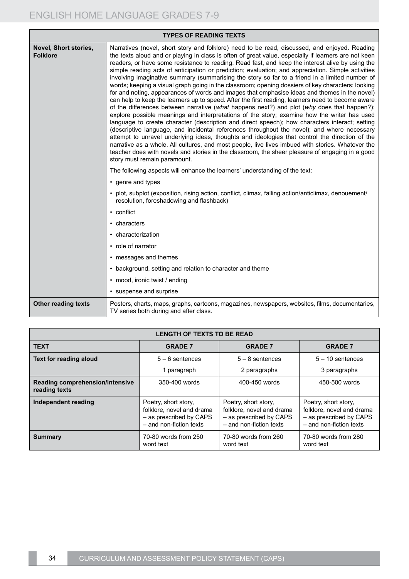|                                          | <b>TYPES OF READING TEXTS</b>                                                                                                                                                                                                                                                                                                                                                                                                                                                                                                                                                                                                                                                                                                                                                                                                                                                                                                                                                                                                                                                                                                                                                                                                                                                                                                                                                                                                                                                                                                                                         |
|------------------------------------------|-----------------------------------------------------------------------------------------------------------------------------------------------------------------------------------------------------------------------------------------------------------------------------------------------------------------------------------------------------------------------------------------------------------------------------------------------------------------------------------------------------------------------------------------------------------------------------------------------------------------------------------------------------------------------------------------------------------------------------------------------------------------------------------------------------------------------------------------------------------------------------------------------------------------------------------------------------------------------------------------------------------------------------------------------------------------------------------------------------------------------------------------------------------------------------------------------------------------------------------------------------------------------------------------------------------------------------------------------------------------------------------------------------------------------------------------------------------------------------------------------------------------------------------------------------------------------|
| Novel, Short stories,<br><b>Folklore</b> | Narratives (novel, short story and folklore) need to be read, discussed, and enjoyed. Reading<br>the texts aloud and or playing in class is often of great value, especially if learners are not keen<br>readers, or have some resistance to reading. Read fast, and keep the interest alive by using the<br>simple reading acts of anticipation or prediction; evaluation; and appreciation. Simple activities<br>involving imaginative summary (summarising the story so far to a friend in a limited number of<br>words; keeping a visual graph going in the classroom; opening dossiers of key characters; looking<br>for and noting, appearances of words and images that emphasise ideas and themes in the novel)<br>can help to keep the learners up to speed. After the first reading, learners need to become aware<br>of the differences between narrative (what happens next?) and plot (why does that happen?);<br>explore possible meanings and interpretations of the story; examine how the writer has used<br>language to create character (description and direct speech); how characters interact; setting<br>(descriptive language, and incidental references throughout the novel); and where necessary<br>attempt to unravel underlying ideas, thoughts and ideologies that control the direction of the<br>narrative as a whole. All cultures, and most people, live lives imbued with stories. Whatever the<br>teacher does with novels and stories in the classroom, the sheer pleasure of engaging in a good<br>story must remain paramount. |
|                                          | The following aspects will enhance the learners' understanding of the text:                                                                                                                                                                                                                                                                                                                                                                                                                                                                                                                                                                                                                                                                                                                                                                                                                                                                                                                                                                                                                                                                                                                                                                                                                                                                                                                                                                                                                                                                                           |
|                                          | • genre and types                                                                                                                                                                                                                                                                                                                                                                                                                                                                                                                                                                                                                                                                                                                                                                                                                                                                                                                                                                                                                                                                                                                                                                                                                                                                                                                                                                                                                                                                                                                                                     |
|                                          | • plot, subplot (exposition, rising action, conflict, climax, falling action/anticlimax, denouement/<br>resolution, foreshadowing and flashback)                                                                                                                                                                                                                                                                                                                                                                                                                                                                                                                                                                                                                                                                                                                                                                                                                                                                                                                                                                                                                                                                                                                                                                                                                                                                                                                                                                                                                      |
|                                          | • conflict                                                                                                                                                                                                                                                                                                                                                                                                                                                                                                                                                                                                                                                                                                                                                                                                                                                                                                                                                                                                                                                                                                                                                                                                                                                                                                                                                                                                                                                                                                                                                            |
|                                          | • characters                                                                                                                                                                                                                                                                                                                                                                                                                                                                                                                                                                                                                                                                                                                                                                                                                                                                                                                                                                                                                                                                                                                                                                                                                                                                                                                                                                                                                                                                                                                                                          |
|                                          | • characterization                                                                                                                                                                                                                                                                                                                                                                                                                                                                                                                                                                                                                                                                                                                                                                                                                                                                                                                                                                                                                                                                                                                                                                                                                                                                                                                                                                                                                                                                                                                                                    |
|                                          | • role of narrator                                                                                                                                                                                                                                                                                                                                                                                                                                                                                                                                                                                                                                                                                                                                                                                                                                                                                                                                                                                                                                                                                                                                                                                                                                                                                                                                                                                                                                                                                                                                                    |
|                                          | • messages and themes                                                                                                                                                                                                                                                                                                                                                                                                                                                                                                                                                                                                                                                                                                                                                                                                                                                                                                                                                                                                                                                                                                                                                                                                                                                                                                                                                                                                                                                                                                                                                 |
|                                          | • background, setting and relation to character and theme                                                                                                                                                                                                                                                                                                                                                                                                                                                                                                                                                                                                                                                                                                                                                                                                                                                                                                                                                                                                                                                                                                                                                                                                                                                                                                                                                                                                                                                                                                             |
|                                          | • mood, ironic twist / ending                                                                                                                                                                                                                                                                                                                                                                                                                                                                                                                                                                                                                                                                                                                                                                                                                                                                                                                                                                                                                                                                                                                                                                                                                                                                                                                                                                                                                                                                                                                                         |
|                                          | • suspense and surprise                                                                                                                                                                                                                                                                                                                                                                                                                                                                                                                                                                                                                                                                                                                                                                                                                                                                                                                                                                                                                                                                                                                                                                                                                                                                                                                                                                                                                                                                                                                                               |
| <b>Other reading texts</b>               | Posters, charts, maps, graphs, cartoons, magazines, newspapers, websites, films, documentaries,<br>TV series both during and after class.                                                                                                                                                                                                                                                                                                                                                                                                                                                                                                                                                                                                                                                                                                                                                                                                                                                                                                                                                                                                                                                                                                                                                                                                                                                                                                                                                                                                                             |

| <b>LENGTH OF TEXTS TO BE READ</b>                |                                                                                                         |                                                                                                         |                                                                                                         |
|--------------------------------------------------|---------------------------------------------------------------------------------------------------------|---------------------------------------------------------------------------------------------------------|---------------------------------------------------------------------------------------------------------|
| <b>TEXT</b>                                      | <b>GRADE 7</b>                                                                                          | <b>GRADE 7</b>                                                                                          | <b>GRADE 7</b>                                                                                          |
| Text for reading aloud                           | $5 - 6$ sentences                                                                                       | $5 - 8$ sentences                                                                                       | $5 - 10$ sentences                                                                                      |
|                                                  | 1 paragraph                                                                                             | 2 paragraphs                                                                                            | 3 paragraphs                                                                                            |
| Reading comprehension/intensive<br>reading texts | 350-400 words                                                                                           | 400-450 words                                                                                           | 450-500 words                                                                                           |
| <b>Independent reading</b>                       | Poetry, short story,<br>folklore, novel and drama<br>- as prescribed by CAPS<br>- and non-fiction texts | Poetry, short story,<br>folklore, novel and drama<br>- as prescribed by CAPS<br>- and non-fiction texts | Poetry, short story,<br>folklore, novel and drama<br>- as prescribed by CAPS<br>- and non-fiction texts |
| <b>Summary</b>                                   | 70-80 words from 250<br>word text                                                                       | 70-80 words from 260<br>word text                                                                       | 70-80 words from 280<br>word text                                                                       |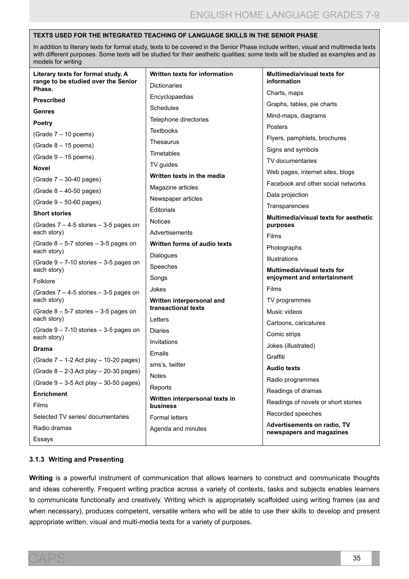#### **TEXTS USED FOR THE INTEGRATED TEACHING OF LANGUAGE SKILLS IN THE SENIOR PHASE**

In addition to literary texts for formal study, texts to be covered in the Senior Phase include written, visual and multimedia texts with different purposes. Some texts will be studied for their aesthetic qualities; some texts will be studied as examples and as models for writing

| Literary texts for formal study. A                           | Written texts for information                    | Multimedia/visual texts for           |
|--------------------------------------------------------------|--------------------------------------------------|---------------------------------------|
| range to be studied over the Senior<br>Phase.                | <b>Dictionaries</b>                              | information                           |
| <b>Prescribed</b>                                            | Encyclopaedias                                   | Charts, maps                          |
| Genres                                                       | <b>Schedules</b>                                 | Graphs, tables, pie charts            |
| <b>Poetry</b>                                                | Telephone directories                            | Mind-maps, diagrams                   |
| (Grade 7 - 10 poems)                                         | <b>Textbooks</b>                                 | Posters                               |
| (Grade 8 – 15 poems)                                         | Thesaurus                                        | Flyers, pamphlets, brochures          |
| $(Grade 9 - 15 poems)$                                       | Timetables                                       | Signs and symbols                     |
| <b>Novel</b>                                                 | TV guides                                        | TV documentaries                      |
|                                                              | Written texts in the media                       | Web pages, internet sites, blogs      |
| (Grade 7 – 30-40 pages)                                      | Magazine articles                                | Facebook and other social networks    |
| $(Grade 8 - 40-50 pages)$                                    | Newspaper articles                               | Data projection                       |
| (Grade 9 - 50-60 pages)                                      | Editorials                                       | Transparencies                        |
| <b>Short stories</b>                                         | <b>Notices</b>                                   | Multimedia/visual texts for aesthetic |
| (Grades $7 - 4 - 5$ stories $-3 - 5$ pages on<br>each story) | Advertisements                                   | purposes                              |
| (Grade $8 - 5-7$ stories $-3-5$ pages on                     | <b>Written forms of audio texts</b>              | Films                                 |
| each story)                                                  | <b>Dialogues</b>                                 | Photographs                           |
| (Grade $9 - 7 - 10$ stories $-3 - 5$ pages on                | Speeches                                         | Illustrations                         |
| each story)                                                  |                                                  | <b>Multimedia/visual texts for</b>    |
| Folklore                                                     | Songs                                            | enjoyment and entertainment<br>Films  |
| (Grades $7 - 4 - 5$ stories $-3 - 5$ pages on                | Jokes                                            |                                       |
| each story)                                                  | Written interpersonal and<br>transactional texts | TV programmes                         |
| (Grade $8 - 5-7$ stories $-3-5$ pages on<br>each story)      | Letters                                          | Music videos                          |
| (Grade $9 - 7 - 10$ stories $-3 - 5$ pages on                | <b>Diaries</b>                                   | Cartoons, caricatures                 |
| each story)                                                  | Invitations                                      | Comic strips                          |
| <b>Drama</b>                                                 | Emails                                           | Jokes (illustrated)                   |
| (Grade 7 - 1-2 Act play - 10-20 pages)                       | sms's, twitter                                   | Graffiti                              |
| (Grade $8 - 2 - 3$ Act play $- 20 - 30$ pages)               | <b>Notes</b>                                     | <b>Audio texts</b>                    |
| (Grade $9 - 3-5$ Act play $-30-50$ pages)                    | Reports                                          | Radio programmes                      |
| <b>Enrichment</b>                                            | Written interpersonal texts in                   | Readings of dramas                    |
| Films                                                        | <b>business</b>                                  | Readings of novels or short stories   |
| Selected TV series/ documentaries                            | <b>Formal letters</b>                            | Recorded speeches                     |
| Radio dramas                                                 | Agenda and minutes                               | Advertisements on radio, TV           |
| Essays                                                       |                                                  | newspapers and magazines              |

### **3.1.3 Writing and Presenting**

**Writing** is a powerful instrument of communication that allows learners to construct and communicate thoughts and ideas coherently. Frequent writing practice across a variety of contexts, tasks and subjects enables learners to communicate functionally and creatively. Writing which is appropriately scaffolded using writing frames (as and when necessary), produces competent, versatile writers who will be able to use their skills to develop and present appropriate written, visual and multi-media texts for a variety of purposes.

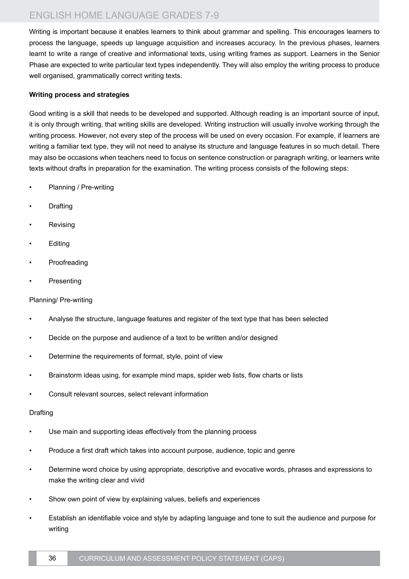Writing is important because it enables learners to think about grammar and spelling. This encourages learners to process the language, speeds up language acquisition and increases accuracy. In the previous phases, learners learnt to write a range of creative and informational texts, using writing frames as support. Learners in the Senior Phase are expected to write particular text types independently. They will also employ the writing process to produce well organised, grammatically correct writing texts.

#### **Writing process and strategies**

Good writing is a skill that needs to be developed and supported. Although reading is an important source of input, it is only through writing, that writing skills are developed. Writing instruction will usually involve working through the writing process. However, not every step of the process will be used on every occasion. For example, if learners are writing a familiar text type, they will not need to analyse its structure and language features in so much detail. There may also be occasions when teachers need to focus on sentence construction or paragraph writing, or learners write texts without drafts in preparation for the examination. The writing process consists of the following steps:

- Planning / Pre-writing
- **Drafting**
- **Revising**
- **Editing**
- **Proofreading**
- **Presenting**

#### Planning/ Pre-writing

- Analyse the structure, language features and register of the text type that has been selected
- Decide on the purpose and audience of a text to be written and/or designed
- Determine the requirements of format, style, point of view
- Brainstorm ideas using, for example mind maps, spider web lists, flow charts or lists
- Consult relevant sources, select relevant information

#### Drafting

- Use main and supporting ideas effectively from the planning process
- Produce a first draft which takes into account purpose, audience, topic and genre
- Determine word choice by using appropriate, descriptive and evocative words, phrases and expressions to make the writing clear and vivid
- Show own point of view by explaining values, beliefs and experiences
- Establish an identifiable voice and style by adapting language and tone to suit the audience and purpose for writing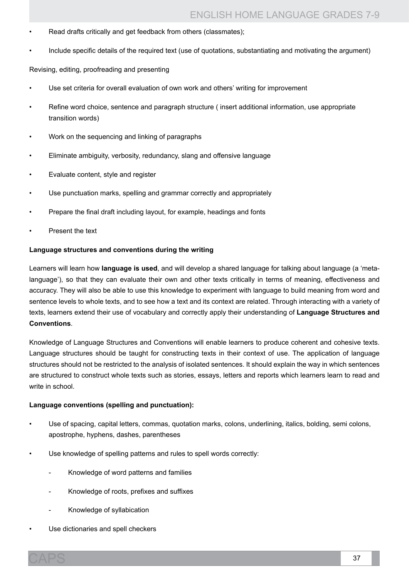- Read drafts critically and get feedback from others (classmates);
- Include specific details of the required text (use of quotations, substantiating and motivating the argument)

#### Revising, editing, proofreading and presenting

- Use set criteria for overall evaluation of own work and others' writing for improvement
- Refine word choice, sentence and paragraph structure ( insert additional information, use appropriate transition words)
- Work on the sequencing and linking of paragraphs
- Eliminate ambiguity, verbosity, redundancy, slang and offensive language
- Evaluate content, style and register
- Use punctuation marks, spelling and grammar correctly and appropriately
- Prepare the final draft including layout, for example, headings and fonts
- Present the text

#### **Language structures and conventions during the writing**

Learners will learn how **language is used**, and will develop a shared language for talking about language (a 'metalanguage'), so that they can evaluate their own and other texts critically in terms of meaning, effectiveness and accuracy. They will also be able to use this knowledge to experiment with language to build meaning from word and sentence levels to whole texts, and to see how a text and its context are related. Through interacting with a variety of texts, learners extend their use of vocabulary and correctly apply their understanding of **Language Structures and Conventions**.

Knowledge of Language Structures and Conventions will enable learners to produce coherent and cohesive texts. Language structures should be taught for constructing texts in their context of use. The application of language structures should not be restricted to the analysis of isolated sentences. It should explain the way in which sentences are structured to construct whole texts such as stories, essays, letters and reports which learners learn to read and write in school.

#### **Language conventions (spelling and punctuation):**

- Use of spacing, capital letters, commas, quotation marks, colons, underlining, italics, bolding, semi colons, apostrophe, hyphens, dashes, parentheses
- Use knowledge of spelling patterns and rules to spell words correctly:
	- Knowledge of word patterns and families
	- Knowledge of roots, prefixes and suffixes
	- Knowledge of syllabication
- Use dictionaries and spell checkers

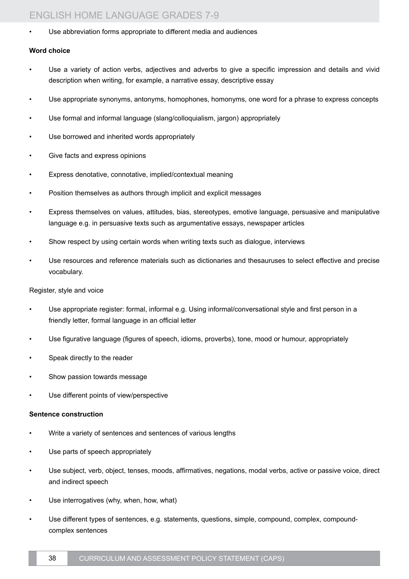Use abbreviation forms appropriate to different media and audiences

#### **Word choice**

- Use a variety of action verbs, adjectives and adverbs to give a specific impression and details and vivid description when writing, for example, a narrative essay, descriptive essay
- Use appropriate synonyms, antonyms, homophones, homonyms, one word for a phrase to express concepts
- Use formal and informal language (slang/colloquialism, jargon) appropriately
- Use borrowed and inherited words appropriately
- Give facts and express opinions
- Express denotative, connotative, implied/contextual meaning
- Position themselves as authors through implicit and explicit messages
- Express themselves on values, attitudes, bias, stereotypes, emotive language, persuasive and manipulative language e.g. in persuasive texts such as argumentative essays, newspaper articles
- Show respect by using certain words when writing texts such as dialogue, interviews
- Use resources and reference materials such as dictionaries and thesauruses to select effective and precise vocabulary.

#### Register, style and voice

- Use appropriate register: formal, informal e.g. Using informal/conversational style and first person in a friendly letter, formal language in an official letter
- Use figurative language (figures of speech, idioms, proverbs), tone, mood or humour, appropriately
- Speak directly to the reader
- Show passion towards message
- Use different points of view/perspective

#### **Sentence construction**

- Write a variety of sentences and sentences of various lengths
- Use parts of speech appropriately
- Use subject, verb, object, tenses, moods, affirmatives, negations, modal verbs, active or passive voice, direct and indirect speech
- Use interrogatives (why, when, how, what)
- Use different types of sentences, e.g. statements, questions, simple, compound, complex, compoundcomplex sentences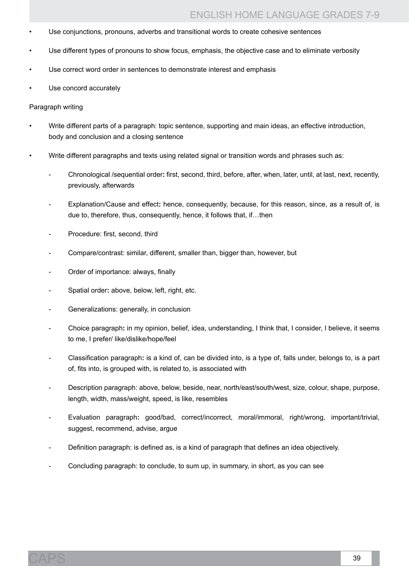- Use conjunctions, pronouns, adverbs and transitional words to create cohesive sentences
- Use different types of pronouns to show focus, emphasis, the objective case and to eliminate verbosity
- Use correct word order in sentences to demonstrate interest and emphasis
- Use concord accurately

#### Paragraph writing

- Write different parts of a paragraph: topic sentence, supporting and main ideas, an effective introduction, body and conclusion and a closing sentence
- Write different paragraphs and texts using related signal or transition words and phrases such as:
	- Chronological /sequential order**:** first, second, third, before, after, when, later, until, at last, next, recently, previously, afterwards
	- Explanation/Cause and effect**:** hence, consequently, because, for this reason, since, as a result of, is due to, therefore, thus, consequently, hence, it follows that, if…then
	- Procedure: first, second, third
	- Compare/contrast: similar, different, smaller than, bigger than, however, but
	- Order of importance: always, finally
	- Spatial order**:** above, below, left, right, etc.
	- Generalizations: generally, in conclusion
	- Choice paragraph**:** in my opinion, belief, idea, understanding, I think that, I consider, I believe, it seems to me, I prefer/ like/dislike/hope/feel
	- Classification paragraph**:** is a kind of, can be divided into, is a type of, falls under, belongs to, is a part of, fits into, is grouped with, is related to, is associated with
	- Description paragraph: above, below, beside, near, north/east/south/west, size, colour, shape, purpose, length, width, mass/weight, speed, is like, resembles
	- Evaluation paragraph**:** good/bad, correct/incorrect, moral/immoral, right/wrong, important/trivial, suggest, recommend, advise, argue
	- Definition paragraph: is defined as, is a kind of paragraph that defines an idea objectively.
	- Concluding paragraph: to conclude, to sum up, in summary, in short, as you can see

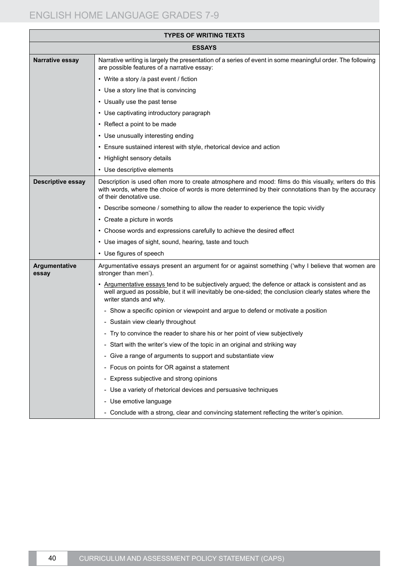|                          | <b>TYPES OF WRITING TEXTS</b>                                                                                                                                                                                                            |  |
|--------------------------|------------------------------------------------------------------------------------------------------------------------------------------------------------------------------------------------------------------------------------------|--|
| <b>ESSAYS</b>            |                                                                                                                                                                                                                                          |  |
| <b>Narrative essay</b>   | Narrative writing is largely the presentation of a series of event in some meaningful order. The following<br>are possible features of a narrative essay:                                                                                |  |
|                          | • Write a story /a past event / fiction                                                                                                                                                                                                  |  |
|                          | • Use a story line that is convincing                                                                                                                                                                                                    |  |
|                          | • Usually use the past tense                                                                                                                                                                                                             |  |
|                          | • Use captivating introductory paragraph                                                                                                                                                                                                 |  |
|                          | • Reflect a point to be made                                                                                                                                                                                                             |  |
|                          | • Use unusually interesting ending                                                                                                                                                                                                       |  |
|                          | • Ensure sustained interest with style, rhetorical device and action                                                                                                                                                                     |  |
|                          | • Highlight sensory details                                                                                                                                                                                                              |  |
|                          | • Use descriptive elements                                                                                                                                                                                                               |  |
| <b>Descriptive essay</b> | Description is used often more to create atmosphere and mood: films do this visually, writers do this<br>with words, where the choice of words is more determined by their connotations than by the accuracy<br>of their denotative use. |  |
|                          | • Describe someone / something to allow the reader to experience the topic vividly                                                                                                                                                       |  |
|                          | • Create a picture in words                                                                                                                                                                                                              |  |
|                          | • Choose words and expressions carefully to achieve the desired effect                                                                                                                                                                   |  |
|                          | • Use images of sight, sound, hearing, taste and touch                                                                                                                                                                                   |  |
|                          | • Use figures of speech                                                                                                                                                                                                                  |  |
| Argumentative<br>essay   | Argumentative essays present an argument for or against something ('why I believe that women are<br>stronger than men').                                                                                                                 |  |
|                          | • Argumentative essays tend to be subjectively argued; the defence or attack is consistent and as<br>well argued as possible, but it will inevitably be one-sided; the conclusion clearly states where the<br>writer stands and why.     |  |
|                          | - Show a specific opinion or viewpoint and argue to defend or motivate a position                                                                                                                                                        |  |
|                          | - Sustain view clearly throughout                                                                                                                                                                                                        |  |
|                          | - Try to convince the reader to share his or her point of view subjectively                                                                                                                                                              |  |
|                          | - Start with the writer's view of the topic in an original and striking way                                                                                                                                                              |  |
|                          | - Give a range of arguments to support and substantiate view                                                                                                                                                                             |  |
|                          | - Focus on points for OR against a statement                                                                                                                                                                                             |  |
|                          | - Express subjective and strong opinions                                                                                                                                                                                                 |  |
|                          | - Use a variety of rhetorical devices and persuasive techniques                                                                                                                                                                          |  |
|                          | - Use emotive language                                                                                                                                                                                                                   |  |
|                          | - Conclude with a strong, clear and convincing statement reflecting the writer's opinion.                                                                                                                                                |  |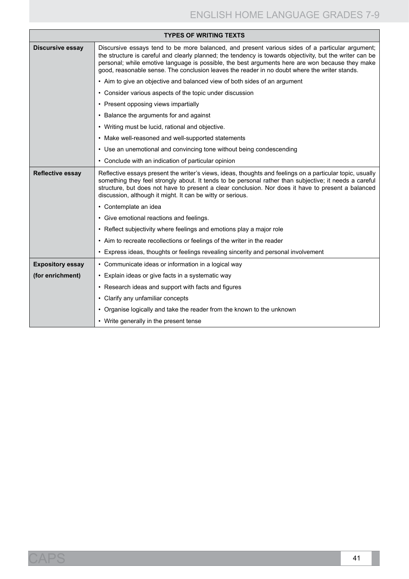| <b>TYPES OF WRITING TEXTS</b> |                                                                                                                                                                                                                                                                                                                                                                                                                 |  |
|-------------------------------|-----------------------------------------------------------------------------------------------------------------------------------------------------------------------------------------------------------------------------------------------------------------------------------------------------------------------------------------------------------------------------------------------------------------|--|
| <b>Discursive essay</b>       | Discursive essays tend to be more balanced, and present various sides of a particular argument;<br>the structure is careful and clearly planned; the tendency is towards objectivity, but the writer can be<br>personal; while emotive language is possible, the best arguments here are won because they make<br>good, reasonable sense. The conclusion leaves the reader in no doubt where the writer stands. |  |
|                               | • Aim to give an objective and balanced view of both sides of an argument                                                                                                                                                                                                                                                                                                                                       |  |
|                               | • Consider various aspects of the topic under discussion                                                                                                                                                                                                                                                                                                                                                        |  |
|                               | • Present opposing views impartially                                                                                                                                                                                                                                                                                                                                                                            |  |
|                               | • Balance the arguments for and against                                                                                                                                                                                                                                                                                                                                                                         |  |
|                               | • Writing must be lucid, rational and objective.                                                                                                                                                                                                                                                                                                                                                                |  |
|                               | • Make well-reasoned and well-supported statements                                                                                                                                                                                                                                                                                                                                                              |  |
|                               | • Use an unemotional and convincing tone without being condescending                                                                                                                                                                                                                                                                                                                                            |  |
|                               | • Conclude with an indication of particular opinion                                                                                                                                                                                                                                                                                                                                                             |  |
| <b>Reflective essay</b>       | Reflective essays present the writer's views, ideas, thoughts and feelings on a particular topic, usually<br>something they feel strongly about. It tends to be personal rather than subjective; it needs a careful<br>structure, but does not have to present a clear conclusion. Nor does it have to present a balanced<br>discussion, although it might. It can be witty or serious.                         |  |
|                               | • Contemplate an idea                                                                                                                                                                                                                                                                                                                                                                                           |  |
|                               | • Give emotional reactions and feelings.                                                                                                                                                                                                                                                                                                                                                                        |  |
|                               | • Reflect subjectivity where feelings and emotions play a major role                                                                                                                                                                                                                                                                                                                                            |  |
|                               | • Aim to recreate recollections or feelings of the writer in the reader                                                                                                                                                                                                                                                                                                                                         |  |
|                               | • Express ideas, thoughts or feelings revealing sincerity and personal involvement                                                                                                                                                                                                                                                                                                                              |  |
| <b>Expository essay</b>       | • Communicate ideas or information in a logical way                                                                                                                                                                                                                                                                                                                                                             |  |
| (for enrichment)              | • Explain ideas or give facts in a systematic way                                                                                                                                                                                                                                                                                                                                                               |  |
|                               | • Research ideas and support with facts and figures                                                                                                                                                                                                                                                                                                                                                             |  |
|                               | • Clarify any unfamiliar concepts                                                                                                                                                                                                                                                                                                                                                                               |  |
|                               | • Organise logically and take the reader from the known to the unknown                                                                                                                                                                                                                                                                                                                                          |  |
|                               | • Write generally in the present tense                                                                                                                                                                                                                                                                                                                                                                          |  |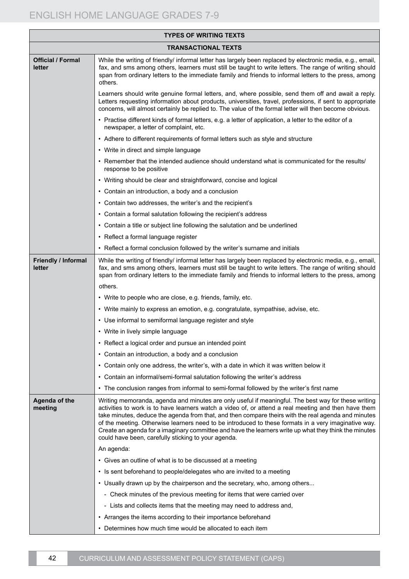| <b>TYPES OF WRITING TEXTS</b>      |                                                                                                                                                                                                                                                                                                                                                                                                                                                                                                                                                                                            |  |
|------------------------------------|--------------------------------------------------------------------------------------------------------------------------------------------------------------------------------------------------------------------------------------------------------------------------------------------------------------------------------------------------------------------------------------------------------------------------------------------------------------------------------------------------------------------------------------------------------------------------------------------|--|
| <b>TRANSACTIONAL TEXTS</b>         |                                                                                                                                                                                                                                                                                                                                                                                                                                                                                                                                                                                            |  |
| <b>Official / Formal</b><br>letter | While the writing of friendly/ informal letter has largely been replaced by electronic media, e.g., email,<br>fax, and sms among others, learners must still be taught to write letters. The range of writing should<br>span from ordinary letters to the immediate family and friends to informal letters to the press, among<br>others.                                                                                                                                                                                                                                                  |  |
|                                    | Learners should write genuine formal letters, and, where possible, send them off and await a reply.<br>Letters requesting information about products, universities, travel, professions, if sent to appropriate<br>concerns, will almost certainly be replied to. The value of the formal letter will then become obvious.                                                                                                                                                                                                                                                                 |  |
|                                    | • Practise different kinds of formal letters, e.g. a letter of application, a letter to the editor of a<br>newspaper, a letter of complaint, etc.                                                                                                                                                                                                                                                                                                                                                                                                                                          |  |
|                                    | • Adhere to different requirements of formal letters such as style and structure                                                                                                                                                                                                                                                                                                                                                                                                                                                                                                           |  |
|                                    | • Write in direct and simple language                                                                                                                                                                                                                                                                                                                                                                                                                                                                                                                                                      |  |
|                                    | • Remember that the intended audience should understand what is communicated for the results/<br>response to be positive                                                                                                                                                                                                                                                                                                                                                                                                                                                                   |  |
|                                    | • Writing should be clear and straightforward, concise and logical                                                                                                                                                                                                                                                                                                                                                                                                                                                                                                                         |  |
|                                    | • Contain an introduction, a body and a conclusion                                                                                                                                                                                                                                                                                                                                                                                                                                                                                                                                         |  |
|                                    | • Contain two addresses, the writer's and the recipient's                                                                                                                                                                                                                                                                                                                                                                                                                                                                                                                                  |  |
|                                    | • Contain a formal salutation following the recipient's address                                                                                                                                                                                                                                                                                                                                                                                                                                                                                                                            |  |
|                                    | • Contain a title or subject line following the salutation and be underlined                                                                                                                                                                                                                                                                                                                                                                                                                                                                                                               |  |
|                                    | • Reflect a formal language register                                                                                                                                                                                                                                                                                                                                                                                                                                                                                                                                                       |  |
|                                    | • Reflect a formal conclusion followed by the writer's surname and initials                                                                                                                                                                                                                                                                                                                                                                                                                                                                                                                |  |
| Friendly / Informal<br>letter      | While the writing of friendly/ informal letter has largely been replaced by electronic media, e.g., email,<br>fax, and sms among others, learners must still be taught to write letters. The range of writing should<br>span from ordinary letters to the immediate family and friends to informal letters to the press, among                                                                                                                                                                                                                                                             |  |
|                                    | others.                                                                                                                                                                                                                                                                                                                                                                                                                                                                                                                                                                                    |  |
|                                    | • Write to people who are close, e.g. friends, family, etc.                                                                                                                                                                                                                                                                                                                                                                                                                                                                                                                                |  |
|                                    | • Write mainly to express an emotion, e.g. congratulate, sympathise, advise, etc.                                                                                                                                                                                                                                                                                                                                                                                                                                                                                                          |  |
|                                    | • Use informal to semiformal language register and style                                                                                                                                                                                                                                                                                                                                                                                                                                                                                                                                   |  |
|                                    | • Write in lively simple language                                                                                                                                                                                                                                                                                                                                                                                                                                                                                                                                                          |  |
|                                    | • Reflect a logical order and pursue an intended point                                                                                                                                                                                                                                                                                                                                                                                                                                                                                                                                     |  |
|                                    | • Contain an introduction, a body and a conclusion                                                                                                                                                                                                                                                                                                                                                                                                                                                                                                                                         |  |
|                                    | • Contain only one address, the writer's, with a date in which it was written below it                                                                                                                                                                                                                                                                                                                                                                                                                                                                                                     |  |
|                                    | • Contain an informal/semi-formal salutation following the writer's address                                                                                                                                                                                                                                                                                                                                                                                                                                                                                                                |  |
|                                    | • The conclusion ranges from informal to semi-formal followed by the writer's first name                                                                                                                                                                                                                                                                                                                                                                                                                                                                                                   |  |
| Agenda of the<br>meeting           | Writing memoranda, agenda and minutes are only useful if meaningful. The best way for these writing<br>activities to work is to have learners watch a video of, or attend a real meeting and then have them<br>take minutes, deduce the agenda from that, and then compare theirs with the real agenda and minutes<br>of the meeting. Otherwise learners need to be introduced to these formats in a very imaginative way.<br>Create an agenda for a imaginary committee and have the learners write up what they think the minutes<br>could have been, carefully sticking to your agenda. |  |
|                                    | An agenda:                                                                                                                                                                                                                                                                                                                                                                                                                                                                                                                                                                                 |  |
|                                    | • Gives an outline of what is to be discussed at a meeting                                                                                                                                                                                                                                                                                                                                                                                                                                                                                                                                 |  |
|                                    | • Is sent beforehand to people/delegates who are invited to a meeting                                                                                                                                                                                                                                                                                                                                                                                                                                                                                                                      |  |
|                                    | • Usually drawn up by the chairperson and the secretary, who, among others                                                                                                                                                                                                                                                                                                                                                                                                                                                                                                                 |  |
|                                    | - Check minutes of the previous meeting for items that were carried over                                                                                                                                                                                                                                                                                                                                                                                                                                                                                                                   |  |
|                                    | - Lists and collects items that the meeting may need to address and,                                                                                                                                                                                                                                                                                                                                                                                                                                                                                                                       |  |
|                                    | • Arranges the items according to their importance beforehand                                                                                                                                                                                                                                                                                                                                                                                                                                                                                                                              |  |
|                                    | • Determines how much time would be allocated to each item                                                                                                                                                                                                                                                                                                                                                                                                                                                                                                                                 |  |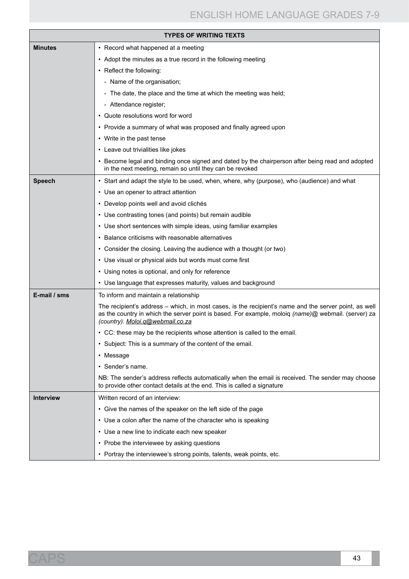| <b>TYPES OF WRITING TEXTS</b> |                                                                                                                                                                                                                                                  |  |
|-------------------------------|--------------------------------------------------------------------------------------------------------------------------------------------------------------------------------------------------------------------------------------------------|--|
| <b>Minutes</b>                | • Record what happened at a meeting                                                                                                                                                                                                              |  |
|                               | • Adopt the minutes as a true record in the following meeting                                                                                                                                                                                    |  |
|                               | • Reflect the following:                                                                                                                                                                                                                         |  |
|                               | - Name of the organisation;                                                                                                                                                                                                                      |  |
|                               | - The date, the place and the time at which the meeting was held;                                                                                                                                                                                |  |
|                               | - Attendance register;                                                                                                                                                                                                                           |  |
|                               | • Quote resolutions word for word                                                                                                                                                                                                                |  |
|                               | • Provide a summary of what was proposed and finally agreed upon                                                                                                                                                                                 |  |
|                               | • Write in the past tense                                                                                                                                                                                                                        |  |
|                               | • Leave out trivialities like jokes                                                                                                                                                                                                              |  |
|                               | • Become legal and binding once signed and dated by the chairperson after being read and adopted<br>in the next meeting, remain so until they can be revoked                                                                                     |  |
| <b>Speech</b>                 | • Start and adapt the style to be used, when, where, why (purpose), who (audience) and what                                                                                                                                                      |  |
|                               | • Use an opener to attract attention                                                                                                                                                                                                             |  |
|                               | • Develop points well and avoid clichés                                                                                                                                                                                                          |  |
|                               | • Use contrasting tones (and points) but remain audible                                                                                                                                                                                          |  |
|                               | • Use short sentences with simple ideas, using familiar examples                                                                                                                                                                                 |  |
|                               | • Balance criticisms with reasonable alternatives                                                                                                                                                                                                |  |
|                               | • Consider the closing. Leaving the audience with a thought (or two)                                                                                                                                                                             |  |
|                               | • Use visual or physical aids but words must come first                                                                                                                                                                                          |  |
|                               | • Using notes is optional, and only for reference                                                                                                                                                                                                |  |
|                               | • Use language that expresses maturity, values and background                                                                                                                                                                                    |  |
| E-mail / sms                  | To inform and maintain a relationship                                                                                                                                                                                                            |  |
|                               | The recipient's address – which, in most cases, is the recipient's name and the server point, as well<br>as the country in which the server point is based. For example, moloiq (name)@ webmail. (server) za<br>(country). Moloi.q@webmail.co.za |  |
|                               | • CC: these may be the recipients whose attention is called to the email.                                                                                                                                                                        |  |
|                               | • Subject: This is a summary of the content of the email.                                                                                                                                                                                        |  |
|                               | • Message                                                                                                                                                                                                                                        |  |
|                               | • Sender's name.                                                                                                                                                                                                                                 |  |
|                               | NB: The sender's address reflects automatically when the email is received. The sender may choose<br>to provide other contact details at the end. This is called a signature                                                                     |  |
| <b>Interview</b>              | Written record of an interview:                                                                                                                                                                                                                  |  |
|                               | • Give the names of the speaker on the left side of the page                                                                                                                                                                                     |  |
|                               | • Use a colon after the name of the character who is speaking                                                                                                                                                                                    |  |
|                               | • Use a new line to indicate each new speaker                                                                                                                                                                                                    |  |
|                               | • Probe the interviewee by asking questions                                                                                                                                                                                                      |  |
|                               | • Portray the interviewee's strong points, talents, weak points, etc.                                                                                                                                                                            |  |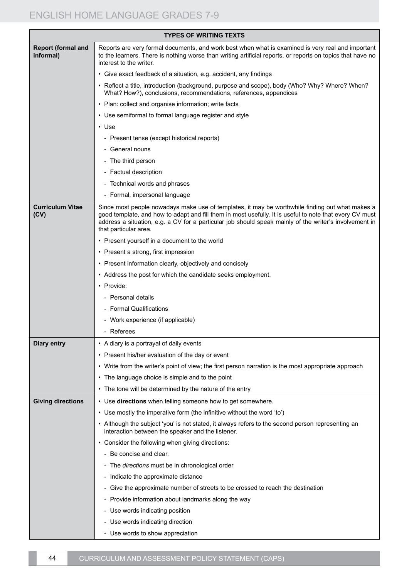| <b>TYPES OF WRITING TEXTS</b>          |                                                                                                                                                                                                                                                                                                                                               |  |
|----------------------------------------|-----------------------------------------------------------------------------------------------------------------------------------------------------------------------------------------------------------------------------------------------------------------------------------------------------------------------------------------------|--|
| <b>Report (formal and</b><br>informal) | Reports are very formal documents, and work best when what is examined is very real and important<br>to the learners. There is nothing worse than writing artificial reports, or reports on topics that have no<br>interest to the writer.                                                                                                    |  |
|                                        | • Give exact feedback of a situation, e.g. accident, any findings                                                                                                                                                                                                                                                                             |  |
|                                        | • Reflect a title, introduction (background, purpose and scope), body (Who? Why? Where? When?<br>What? How?), conclusions, recommendations, references, appendices                                                                                                                                                                            |  |
|                                        | • Plan: collect and organise information; write facts                                                                                                                                                                                                                                                                                         |  |
|                                        | • Use semiformal to formal language register and style                                                                                                                                                                                                                                                                                        |  |
|                                        | • Use                                                                                                                                                                                                                                                                                                                                         |  |
|                                        | - Present tense (except historical reports)                                                                                                                                                                                                                                                                                                   |  |
|                                        | - General nouns                                                                                                                                                                                                                                                                                                                               |  |
|                                        | - The third person                                                                                                                                                                                                                                                                                                                            |  |
|                                        | - Factual description                                                                                                                                                                                                                                                                                                                         |  |
|                                        | - Technical words and phrases                                                                                                                                                                                                                                                                                                                 |  |
|                                        | - Formal, impersonal language                                                                                                                                                                                                                                                                                                                 |  |
| <b>Curriculum Vitae</b><br>(CV)        | Since most people nowadays make use of templates, it may be worthwhile finding out what makes a<br>good template, and how to adapt and fill them in most usefully. It is useful to note that every CV must<br>address a situation, e.g. a CV for a particular job should speak mainly of the writer's involvement in<br>that particular area. |  |
|                                        | • Present yourself in a document to the world                                                                                                                                                                                                                                                                                                 |  |
|                                        | • Present a strong, first impression                                                                                                                                                                                                                                                                                                          |  |
|                                        | • Present information clearly, objectively and concisely                                                                                                                                                                                                                                                                                      |  |
|                                        | • Address the post for which the candidate seeks employment.                                                                                                                                                                                                                                                                                  |  |
|                                        | • Provide:                                                                                                                                                                                                                                                                                                                                    |  |
|                                        | - Personal details                                                                                                                                                                                                                                                                                                                            |  |
|                                        | - Formal Qualifications                                                                                                                                                                                                                                                                                                                       |  |
|                                        | - Work experience (if applicable)                                                                                                                                                                                                                                                                                                             |  |
|                                        | - Referees                                                                                                                                                                                                                                                                                                                                    |  |
| <b>Diary entry</b>                     | • A diary is a portrayal of daily events                                                                                                                                                                                                                                                                                                      |  |
|                                        | • Present his/her evaluation of the day or event                                                                                                                                                                                                                                                                                              |  |
|                                        | • Write from the writer's point of view; the first person narration is the most appropriate approach                                                                                                                                                                                                                                          |  |
|                                        | • The language choice is simple and to the point                                                                                                                                                                                                                                                                                              |  |
|                                        | • The tone will be determined by the nature of the entry                                                                                                                                                                                                                                                                                      |  |
| <b>Giving directions</b>               | • Use directions when telling someone how to get somewhere.                                                                                                                                                                                                                                                                                   |  |
|                                        | • Use mostly the imperative form (the infinitive without the word 'to')                                                                                                                                                                                                                                                                       |  |
|                                        | • Although the subject 'you' is not stated, it always refers to the second person representing an<br>interaction between the speaker and the listener.                                                                                                                                                                                        |  |
|                                        | • Consider the following when giving directions:                                                                                                                                                                                                                                                                                              |  |
|                                        | - Be concise and clear.                                                                                                                                                                                                                                                                                                                       |  |
|                                        | - The directions must be in chronological order                                                                                                                                                                                                                                                                                               |  |
|                                        | - Indicate the approximate distance                                                                                                                                                                                                                                                                                                           |  |
|                                        | - Give the approximate number of streets to be crossed to reach the destination                                                                                                                                                                                                                                                               |  |
|                                        | - Provide information about landmarks along the way                                                                                                                                                                                                                                                                                           |  |
|                                        | - Use words indicating position                                                                                                                                                                                                                                                                                                               |  |
|                                        | - Use words indicating direction                                                                                                                                                                                                                                                                                                              |  |
|                                        | - Use words to show appreciation                                                                                                                                                                                                                                                                                                              |  |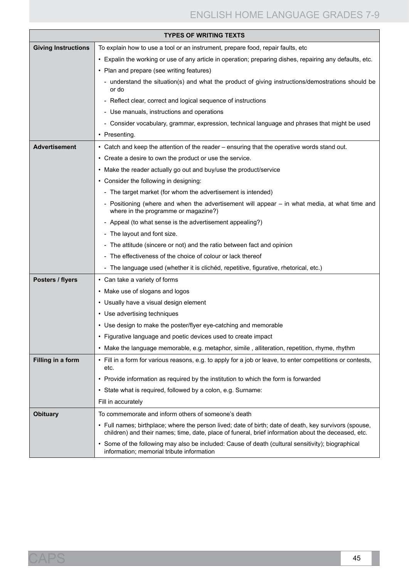| <b>TYPES OF WRITING TEXTS</b> |                                                                                                                                                                                                               |  |
|-------------------------------|---------------------------------------------------------------------------------------------------------------------------------------------------------------------------------------------------------------|--|
| <b>Giving Instructions</b>    | To explain how to use a tool or an instrument, prepare food, repair faults, etc.                                                                                                                              |  |
|                               | . Expalin the working or use of any article in operation; preparing dishes, repairing any defaults, etc.                                                                                                      |  |
|                               | • Plan and prepare (see writing features)                                                                                                                                                                     |  |
|                               | - understand the situation(s) and what the product of giving instructions/demostrations should be<br>or do                                                                                                    |  |
|                               | - Reflect clear, correct and logical sequence of instructions                                                                                                                                                 |  |
|                               | - Use manuals, instructions and operations                                                                                                                                                                    |  |
|                               | - Consider vocabulary, grammar, expression, technical language and phrases that might be used                                                                                                                 |  |
|                               | • Presenting.                                                                                                                                                                                                 |  |
| <b>Advertisement</b>          | • Catch and keep the attention of the reader – ensuring that the operative words stand out.                                                                                                                   |  |
|                               | • Create a desire to own the product or use the service.                                                                                                                                                      |  |
|                               | • Make the reader actually go out and buy/use the product/service                                                                                                                                             |  |
|                               | • Consider the following in designing:                                                                                                                                                                        |  |
|                               | - The target market (for whom the advertisement is intended)                                                                                                                                                  |  |
|                               | - Positioning (where and when the advertisement will appear – in what media, at what time and<br>where in the programme or magazine?)                                                                         |  |
|                               | - Appeal (to what sense is the advertisement appealing?)                                                                                                                                                      |  |
|                               | - The layout and font size.                                                                                                                                                                                   |  |
|                               | - The attitude (sincere or not) and the ratio between fact and opinion                                                                                                                                        |  |
|                               | - The effectiveness of the choice of colour or lack thereof                                                                                                                                                   |  |
|                               | - The language used (whether it is clichéd, repetitive, figurative, rhetorical, etc.)                                                                                                                         |  |
| Posters / flyers              | • Can take a variety of forms                                                                                                                                                                                 |  |
|                               | • Make use of slogans and logos                                                                                                                                                                               |  |
|                               | • Usually have a visual design element                                                                                                                                                                        |  |
|                               | • Use advertising techniques                                                                                                                                                                                  |  |
|                               | • Use design to make the poster/flyer eye-catching and memorable                                                                                                                                              |  |
|                               | • Figurative language and poetic devices used to create impact                                                                                                                                                |  |
|                               | • Make the language memorable, e.g. metaphor, simile, alliteration, repetition, rhyme, rhythm                                                                                                                 |  |
| Filling in a form             | • Fill in a form for various reasons, e.g. to apply for a job or leave, to enter competitions or contests,<br>etc.                                                                                            |  |
|                               | • Provide information as required by the institution to which the form is forwarded                                                                                                                           |  |
|                               | • State what is required, followed by a colon, e.g. Surname:                                                                                                                                                  |  |
|                               | Fill in accurately                                                                                                                                                                                            |  |
| <b>Obituary</b>               | To commemorate and inform others of someone's death                                                                                                                                                           |  |
|                               | • Full names; birthplace; where the person lived; date of birth; date of death, key survivors (spouse,<br>children) and their names; time, date, place of funeral, brief information about the deceased, etc. |  |
|                               | • Some of the following may also be included: Cause of death (cultural sensitivity); biographical<br>information; memorial tribute information                                                                |  |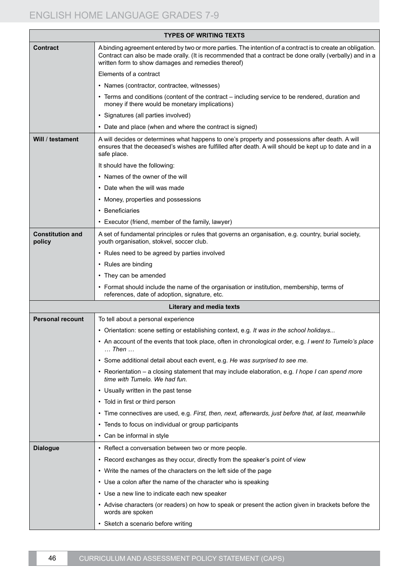| <b>TYPES OF WRITING TEXTS</b>     |                                                                                                                                                                                                                                                                              |  |  |  |
|-----------------------------------|------------------------------------------------------------------------------------------------------------------------------------------------------------------------------------------------------------------------------------------------------------------------------|--|--|--|
| <b>Contract</b>                   | A binding agreement entered by two or more parties. The intention of a contract is to create an obligation.<br>Contract can also be made orally. (It is recommended that a contract be done orally (verbally) and in a<br>written form to show damages and remedies thereof) |  |  |  |
|                                   | Elements of a contract                                                                                                                                                                                                                                                       |  |  |  |
|                                   | • Names (contractor, contractee, witnesses)                                                                                                                                                                                                                                  |  |  |  |
|                                   | • Terms and conditions (content of the contract – including service to be rendered, duration and<br>money if there would be monetary implications)                                                                                                                           |  |  |  |
|                                   | · Signatures (all parties involved)                                                                                                                                                                                                                                          |  |  |  |
|                                   | • Date and place (when and where the contract is signed)                                                                                                                                                                                                                     |  |  |  |
| Will / testament                  | A will decides or determines what happens to one's property and possessions after death. A will<br>ensures that the deceased's wishes are fulfilled after death. A will should be kept up to date and in a<br>safe place.                                                    |  |  |  |
|                                   | It should have the following:                                                                                                                                                                                                                                                |  |  |  |
|                                   | • Names of the owner of the will                                                                                                                                                                                                                                             |  |  |  |
|                                   | • Date when the will was made                                                                                                                                                                                                                                                |  |  |  |
|                                   | • Money, properties and possessions                                                                                                                                                                                                                                          |  |  |  |
|                                   | • Beneficiaries                                                                                                                                                                                                                                                              |  |  |  |
|                                   | • Executor (friend, member of the family, lawyer)                                                                                                                                                                                                                            |  |  |  |
| <b>Constitution and</b><br>policy | A set of fundamental principles or rules that governs an organisation, e.g. country, burial society,<br>youth organisation, stokvel, soccer club.                                                                                                                            |  |  |  |
|                                   | • Rules need to be agreed by parties involved                                                                                                                                                                                                                                |  |  |  |
|                                   | • Rules are binding                                                                                                                                                                                                                                                          |  |  |  |
|                                   | • They can be amended                                                                                                                                                                                                                                                        |  |  |  |
|                                   | • Format should include the name of the organisation or institution, membership, terms of<br>references, date of adoption, signature, etc.                                                                                                                                   |  |  |  |
|                                   | <b>Literary and media texts</b>                                                                                                                                                                                                                                              |  |  |  |
| <b>Personal recount</b>           | To tell about a personal experience                                                                                                                                                                                                                                          |  |  |  |
|                                   | • Orientation: scene setting or establishing context, e.g. It was in the school holidays                                                                                                                                                                                     |  |  |  |
|                                   | . An account of the events that took place, often in chronological order, e.g. I went to Tumelo's place<br>$\ldots$ Then $\ldots$                                                                                                                                            |  |  |  |
|                                   | • Some additional detail about each event, e.g. He was surprised to see me.                                                                                                                                                                                                  |  |  |  |
|                                   | • Reorientation - a closing statement that may include elaboration, e.g. I hope I can spend more<br>time with Tumelo. We had fun.                                                                                                                                            |  |  |  |
|                                   | • Usually written in the past tense                                                                                                                                                                                                                                          |  |  |  |
|                                   | • Told in first or third person                                                                                                                                                                                                                                              |  |  |  |
|                                   | · Time connectives are used, e.g. First, then, next, afterwards, just before that, at last, meanwhile                                                                                                                                                                        |  |  |  |
|                                   | • Tends to focus on individual or group participants                                                                                                                                                                                                                         |  |  |  |
|                                   | • Can be informal in style                                                                                                                                                                                                                                                   |  |  |  |
| <b>Dialogue</b>                   | • Reflect a conversation between two or more people.                                                                                                                                                                                                                         |  |  |  |
|                                   | • Record exchanges as they occur, directly from the speaker's point of view                                                                                                                                                                                                  |  |  |  |
|                                   | • Write the names of the characters on the left side of the page                                                                                                                                                                                                             |  |  |  |
|                                   | • Use a colon after the name of the character who is speaking                                                                                                                                                                                                                |  |  |  |
|                                   | • Use a new line to indicate each new speaker                                                                                                                                                                                                                                |  |  |  |
|                                   | • Advise characters (or readers) on how to speak or present the action given in brackets before the<br>words are spoken                                                                                                                                                      |  |  |  |
|                                   | • Sketch a scenario before writing                                                                                                                                                                                                                                           |  |  |  |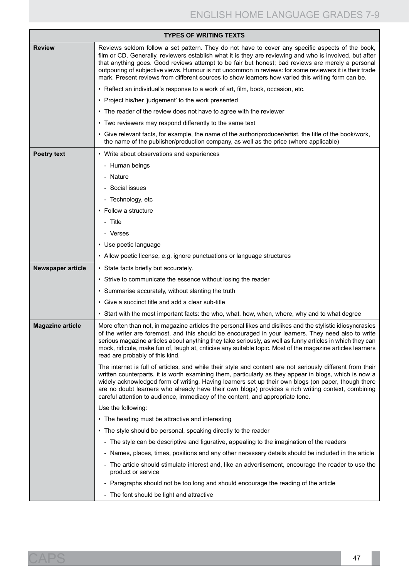| <b>TYPES OF WRITING TEXTS</b> |                                                                                                                                                                                                                                                                                                                                                                                                                                                                                                                                   |  |  |  |
|-------------------------------|-----------------------------------------------------------------------------------------------------------------------------------------------------------------------------------------------------------------------------------------------------------------------------------------------------------------------------------------------------------------------------------------------------------------------------------------------------------------------------------------------------------------------------------|--|--|--|
| <b>Review</b>                 | Reviews seldom follow a set pattern. They do not have to cover any specific aspects of the book,<br>film or CD. Generally, reviewers establish what it is they are reviewing and who is involved, but after<br>that anything goes. Good reviews attempt to be fair but honest; bad reviews are merely a personal<br>outpouring of subjective views. Humour is not uncommon in reviews: for some reviewers it is their trade<br>mark. Present reviews from different sources to show learners how varied this writing form can be. |  |  |  |
|                               | • Reflect an individual's response to a work of art, film, book, occasion, etc.                                                                                                                                                                                                                                                                                                                                                                                                                                                   |  |  |  |
|                               | • Project his/her 'judgement' to the work presented                                                                                                                                                                                                                                                                                                                                                                                                                                                                               |  |  |  |
|                               | • The reader of the review does not have to agree with the reviewer                                                                                                                                                                                                                                                                                                                                                                                                                                                               |  |  |  |
|                               | • Two reviewers may respond differently to the same text                                                                                                                                                                                                                                                                                                                                                                                                                                                                          |  |  |  |
|                               | • Give relevant facts, for example, the name of the author/producer/artist, the title of the book/work,<br>the name of the publisher/production company, as well as the price (where applicable)                                                                                                                                                                                                                                                                                                                                  |  |  |  |
| <b>Poetry text</b>            | • Write about observations and experiences                                                                                                                                                                                                                                                                                                                                                                                                                                                                                        |  |  |  |
|                               | - Human beings                                                                                                                                                                                                                                                                                                                                                                                                                                                                                                                    |  |  |  |
|                               | - Nature                                                                                                                                                                                                                                                                                                                                                                                                                                                                                                                          |  |  |  |
|                               | - Social issues                                                                                                                                                                                                                                                                                                                                                                                                                                                                                                                   |  |  |  |
|                               | - Technology, etc                                                                                                                                                                                                                                                                                                                                                                                                                                                                                                                 |  |  |  |
|                               | • Follow a structure                                                                                                                                                                                                                                                                                                                                                                                                                                                                                                              |  |  |  |
|                               | - Title                                                                                                                                                                                                                                                                                                                                                                                                                                                                                                                           |  |  |  |
|                               | - Verses                                                                                                                                                                                                                                                                                                                                                                                                                                                                                                                          |  |  |  |
|                               | • Use poetic language                                                                                                                                                                                                                                                                                                                                                                                                                                                                                                             |  |  |  |
|                               | • Allow poetic license, e.g. ignore punctuations or language structures                                                                                                                                                                                                                                                                                                                                                                                                                                                           |  |  |  |
| Newspaper article             | • State facts briefly but accurately.                                                                                                                                                                                                                                                                                                                                                                                                                                                                                             |  |  |  |
|                               | • Strive to communicate the essence without losing the reader                                                                                                                                                                                                                                                                                                                                                                                                                                                                     |  |  |  |
|                               | • Summarise accurately, without slanting the truth                                                                                                                                                                                                                                                                                                                                                                                                                                                                                |  |  |  |
|                               | • Give a succinct title and add a clear sub-title                                                                                                                                                                                                                                                                                                                                                                                                                                                                                 |  |  |  |
|                               | • Start with the most important facts: the who, what, how, when, where, why and to what degree                                                                                                                                                                                                                                                                                                                                                                                                                                    |  |  |  |
| <b>Magazine article</b>       | More often than not, in magazine articles the personal likes and dislikes and the stylistic idiosyncrasies<br>of the writer are foremost, and this should be encouraged in your learners. They need also to write<br>serious magazine articles about anything they take seriously, as well as funny articles in which they can<br>mock, ridicule, make fun of, laugh at, criticise any suitable topic. Most of the magazine articles learners<br>read are probably of this kind.                                                  |  |  |  |
|                               | The internet is full of articles, and while their style and content are not seriously different from their<br>written counterparts, it is worth examining them, particularly as they appear in blogs, which is now a<br>widely acknowledged form of writing. Having learners set up their own blogs (on paper, though there<br>are no doubt learners who already have their own blogs) provides a rich writing context, combining<br>careful attention to audience, immediacy of the content, and appropriate tone.               |  |  |  |
|                               | Use the following:                                                                                                                                                                                                                                                                                                                                                                                                                                                                                                                |  |  |  |
|                               | • The heading must be attractive and interesting                                                                                                                                                                                                                                                                                                                                                                                                                                                                                  |  |  |  |
|                               | • The style should be personal, speaking directly to the reader                                                                                                                                                                                                                                                                                                                                                                                                                                                                   |  |  |  |
|                               | - The style can be descriptive and figurative, appealing to the imagination of the readers                                                                                                                                                                                                                                                                                                                                                                                                                                        |  |  |  |
|                               | - Names, places, times, positions and any other necessary details should be included in the article                                                                                                                                                                                                                                                                                                                                                                                                                               |  |  |  |
|                               | - The article should stimulate interest and, like an advertisement, encourage the reader to use the<br>product or service                                                                                                                                                                                                                                                                                                                                                                                                         |  |  |  |
|                               | - Paragraphs should not be too long and should encourage the reading of the article                                                                                                                                                                                                                                                                                                                                                                                                                                               |  |  |  |
|                               | - The font should be light and attractive                                                                                                                                                                                                                                                                                                                                                                                                                                                                                         |  |  |  |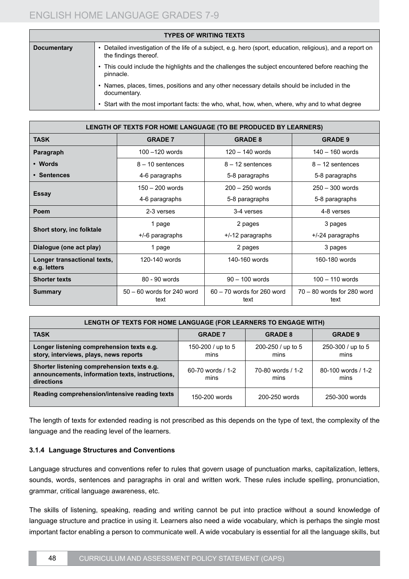| <b>TYPES OF WRITING TEXTS</b> |                                                                                                                                    |  |  |  |
|-------------------------------|------------------------------------------------------------------------------------------------------------------------------------|--|--|--|
| <b>Documentary</b>            | Detailed investigation of the life of a subject, e.g. hero (sport, education, religious), and a report on<br>the findings thereof. |  |  |  |
|                               | This could include the highlights and the challenges the subject encountered before reaching the<br>pinnacle.                      |  |  |  |
|                               | Names, places, times, positions and any other necessary details should be included in the<br>documentary.                          |  |  |  |
|                               | • Start with the most important facts: the who, what, how, when, where, why and to what degree                                     |  |  |  |

| LENGTH OF TEXTS FOR HOME LANGUAGE (TO BE PRODUCED BY LEARNERS) |                                      |                                    |                                    |  |  |
|----------------------------------------------------------------|--------------------------------------|------------------------------------|------------------------------------|--|--|
| <b>TASK</b>                                                    | <b>GRADE 7</b><br><b>GRADE 8</b>     |                                    | <b>GRADE 9</b>                     |  |  |
| Paragraph                                                      | $100 - 120$ words                    | $120 - 140$ words                  | $140 - 160$ words                  |  |  |
| • Words                                                        | $8 - 10$ sentences                   | $8 - 12$ sentences                 | $8 - 12$ sentences                 |  |  |
| • Sentences                                                    | 4-6 paragraphs                       | 5-8 paragraphs                     | 5-8 paragraphs                     |  |  |
|                                                                | $150 - 200$ words                    | $200 - 250$ words                  | $250 - 300$ words                  |  |  |
| <b>Essay</b>                                                   | 4-6 paragraphs                       | 5-8 paragraphs                     | 5-8 paragraphs                     |  |  |
| Poem                                                           | 2-3 verses                           | 3-4 verses                         |                                    |  |  |
|                                                                | 1 page                               | 2 pages                            | 3 pages                            |  |  |
| Short story, inc folktale                                      | +/-6 paragraphs                      | +/-12 paragraphs                   | +/-24 paragraphs                   |  |  |
| Dialogue (one act play)                                        | 1 page                               | 2 pages                            | 3 pages                            |  |  |
| Longer transactional texts,<br>e.g. letters                    | 120-140 words                        | 140-160 words                      | 160-180 words                      |  |  |
| <b>Shorter texts</b>                                           | 80 - 90 words                        | $90 - 100$ words                   | $100 - 110$ words                  |  |  |
| <b>Summary</b>                                                 | $50 - 60$ words for 240 word<br>text | 60 – 70 words for 260 word<br>text | 70 - 80 words for 280 word<br>text |  |  |

| LENGTH OF TEXTS FOR HOME LANGUAGE (FOR LEARNERS TO ENGAGE WITH)                                             |                           |                           |                            |  |
|-------------------------------------------------------------------------------------------------------------|---------------------------|---------------------------|----------------------------|--|
| <b>TASK</b>                                                                                                 | <b>GRADE 7</b>            | <b>GRADE 8</b>            | <b>GRADE 9</b>             |  |
| Longer listening comprehension texts e.g.<br>story, interviews, plays, news reports                         | 150-200 / up to 5<br>mins | 200-250 / up to 5<br>mins | 250-300 / up to 5<br>mins  |  |
| Shorter listening comprehension texts e.g.<br>announcements, information texts, instructions,<br>directions | 60-70 words / 1-2<br>mins | 70-80 words / 1-2<br>mins | 80-100 words / 1-2<br>mins |  |
| Reading comprehension/intensive reading texts                                                               | 150-200 words             | 200-250 words             | 250-300 words              |  |

The length of texts for extended reading is not prescribed as this depends on the type of text, the complexity of the language and the reading level of the learners.

### **3.1.4 Language Structures and Conventions**

Language structures and conventions refer to rules that govern usage of punctuation marks, capitalization, letters, sounds, words, sentences and paragraphs in oral and written work. These rules include spelling, pronunciation, grammar, critical language awareness, etc.

The skills of listening, speaking, reading and writing cannot be put into practice without a sound knowledge of language structure and practice in using it. Learners also need a wide vocabulary, which is perhaps the single most important factor enabling a person to communicate well. A wide vocabulary is essential for all the language skills, but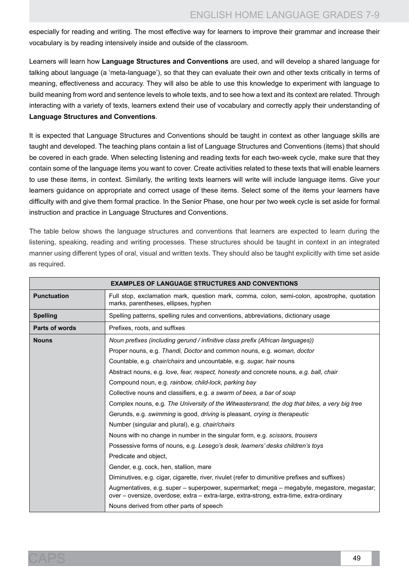especially for reading and writing. The most effective way for learners to improve their grammar and increase their vocabulary is by reading intensively inside and outside of the classroom.

Learners will learn how **Language Structures and Conventions** are used, and will develop a shared language for talking about language (a 'meta-language'), so that they can evaluate their own and other texts critically in terms of meaning, effectiveness and accuracy. They will also be able to use this knowledge to experiment with language to build meaning from word and sentence levels to whole texts, and to see how a text and its context are related. Through interacting with a variety of texts, learners extend their use of vocabulary and correctly apply their understanding of **Language Structures and Conventions**.

It is expected that Language Structures and Conventions should be taught in context as other language skills are taught and developed. The teaching plans contain a list of Language Structures and Conventions (items) that should be covered in each grade. When selecting listening and reading texts for each two-week cycle, make sure that they contain some of the language items you want to cover. Create activities related to these texts that will enable learners to use these items, in context. Similarly, the writing texts learners will write will include language items. Give your learners guidance on appropriate and correct usage of these items. Select some of the items your learners have difficulty with and give them formal practice. In the Senior Phase, one hour per two week cycle is set aside for formal instruction and practice in Language Structures and Conventions.

The table below shows the language structures and conventions that learners are expected to learn during the listening, speaking, reading and writing processes. These structures should be taught in context in an integrated manner using different types of oral, visual and written texts. They should also be taught explicitly with time set aside as required.

|                       | <b>EXAMPLES OF LANGUAGE STRUCTURES AND CONVENTIONS</b>                                                                                                                                 |  |
|-----------------------|----------------------------------------------------------------------------------------------------------------------------------------------------------------------------------------|--|
| <b>Punctuation</b>    | Full stop, exclamation mark, question mark, comma, colon, semi-colon, apostrophe, quotation<br>marks, parentheses, ellipses, hyphen                                                    |  |
| <b>Spelling</b>       | Spelling patterns, spelling rules and conventions, abbreviations, dictionary usage                                                                                                     |  |
| <b>Parts of words</b> | Prefixes, roots, and suffixes                                                                                                                                                          |  |
| <b>Nouns</b>          | Noun prefixes (including gerund / infinitive class prefix (African languages))                                                                                                         |  |
|                       | Proper nouns, e.g. Thandi, Doctor and common nouns, e.g. woman, doctor                                                                                                                 |  |
|                       | Countable, e.g. chair/chairs and uncountable, e.g. sugar, hair nouns                                                                                                                   |  |
|                       | Abstract nouns, e.g. love, fear, respect, honesty and concrete nouns, e.g. ball, chair                                                                                                 |  |
|                       | Compound noun, e.g. rainbow, child-lock, parking bay                                                                                                                                   |  |
|                       | Collective nouns and classifiers, e.g. a swarm of bees, a bar of soap                                                                                                                  |  |
|                       | Complex nouns, e.g. The University of the Witwastersrand, the dog that bites, a very big tree                                                                                          |  |
|                       | Gerunds, e.g. swimming is good, driving is pleasant, crying is therapeutic                                                                                                             |  |
|                       | Number (singular and plural), e.g. chair/chairs                                                                                                                                        |  |
|                       | Nouns with no change in number in the singular form, e.g. scissors, trousers                                                                                                           |  |
|                       | Possessive forms of nouns, e.g. Lesego's desk, learners' desks children's toys                                                                                                         |  |
|                       | Predicate and object.                                                                                                                                                                  |  |
|                       | Gender, e.g. cock, hen, stallion, mare                                                                                                                                                 |  |
|                       | Diminutives, e.g. cigar, cigarette, river, rivulet (refer to dimunitive prefixes and suffixes)                                                                                         |  |
|                       | Augmentatives, e.g. super – superpower, supermarket; mega – megabyte, megastore, megastar;<br>over – oversize, overdose; extra – extra-large, extra-strong, extra-time, extra-ordinary |  |
|                       | Nouns derived from other parts of speech                                                                                                                                               |  |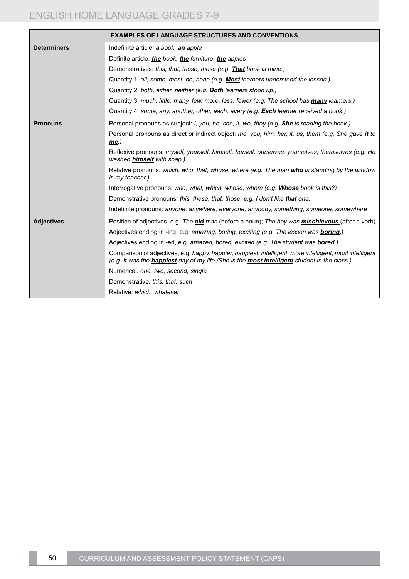|                    | <b>EXAMPLES OF LANGUAGE STRUCTURES AND CONVENTIONS</b>                                                                                                                                                                 |  |  |  |  |
|--------------------|------------------------------------------------------------------------------------------------------------------------------------------------------------------------------------------------------------------------|--|--|--|--|
| <b>Determiners</b> | Indefinite article: a book, an apple                                                                                                                                                                                   |  |  |  |  |
|                    | Definite article: the book, the furniture, the apples                                                                                                                                                                  |  |  |  |  |
|                    | Demonstratives: this, that, those, these (e.g. <b>That</b> book is mine.)                                                                                                                                              |  |  |  |  |
|                    | Quantity 1: all, some, most, no, none (e.g. <b>Most</b> learners understood the lesson.)                                                                                                                               |  |  |  |  |
|                    | Quantity 2: both, either, neither (e.g. <b>Both</b> learners stood up.)                                                                                                                                                |  |  |  |  |
|                    | Quantity 3: much, little, many, few, more, less, fewer (e.g. The school has many learners.)                                                                                                                            |  |  |  |  |
|                    | Quantity 4: some, any, another, other, each, every (e.g. <b>Each</b> learner received a book.)                                                                                                                         |  |  |  |  |
| <b>Pronouns</b>    | Personal pronouns as subject: I, you, he, she, it, we, they (e.g. She is reading the book.)                                                                                                                            |  |  |  |  |
|                    | Personal pronouns as direct or indirect object: me, you, him, her, it, us, them (e.g. She gave it to<br><u>me</u> .)                                                                                                   |  |  |  |  |
|                    | Reflexive pronouns: myself, yourself, himself, herself, ourselves, yourselves, themselves (e.g. He<br>washed <b>himself</b> with soap.)                                                                                |  |  |  |  |
|                    | Relative pronouns: which, who, that, whose, where (e.g. The man who is standing by the window<br>is my teacher.)                                                                                                       |  |  |  |  |
|                    | Interrogative pronouns: who, what, which, whose, whom (e.g. Whose book is this?)                                                                                                                                       |  |  |  |  |
|                    | Demonstrative pronouns: this, these, that, those, e.g. I don't like that one.                                                                                                                                          |  |  |  |  |
|                    | Indefinite pronouns: anyone, anywhere, everyone, anybody, something, someone, somewhere                                                                                                                                |  |  |  |  |
| <b>Adjectives</b>  | Position of adjectives, e.g. The <b>old</b> man (before a noun); The boy was <b>mischievous</b> (after a verb)                                                                                                         |  |  |  |  |
|                    | Adjectives ending in -ing, e.g. amazing, boring, exciting (e.g. The lesson was <b>boring.)</b>                                                                                                                         |  |  |  |  |
|                    | Adjectives ending in -ed, e.g. amazed, bored, excited (e.g. The student was <b>bored</b> .)                                                                                                                            |  |  |  |  |
|                    | Comparison of adjectives, e.g. happy, happier, happiest; intelligent, more intelligent, most intelligent<br>(e.g. It was the <b>happiest</b> day of my life./She is the <b>most intelligent</b> student in the class.) |  |  |  |  |
|                    | Numerical: one, two, second, single                                                                                                                                                                                    |  |  |  |  |
|                    | Demonstrative: this, that, such                                                                                                                                                                                        |  |  |  |  |
|                    | Relative: which, whatever                                                                                                                                                                                              |  |  |  |  |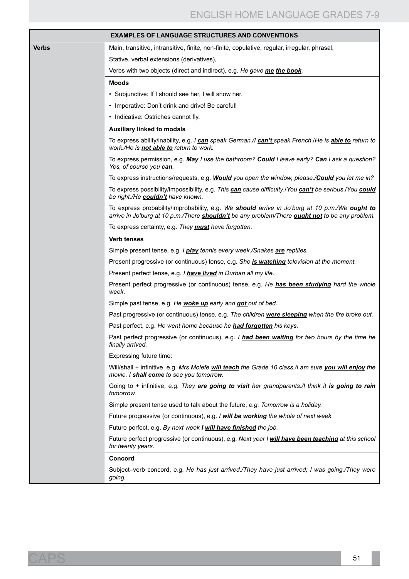| <b>EXAMPLES OF LANGUAGE STRUCTURES AND CONVENTIONS</b> |                                                                                                                                                                                                        |  |  |  |
|--------------------------------------------------------|--------------------------------------------------------------------------------------------------------------------------------------------------------------------------------------------------------|--|--|--|
| <b>Verbs</b>                                           | Main, transitive, intransitive, finite, non-finite, copulative, regular, irregular, phrasal,                                                                                                           |  |  |  |
|                                                        | Stative, verbal extensions (derivatives),                                                                                                                                                              |  |  |  |
|                                                        | Verbs with two objects (direct and indirect), e.g. He gave me the book.                                                                                                                                |  |  |  |
|                                                        | <b>Moods</b>                                                                                                                                                                                           |  |  |  |
|                                                        | • Subjunctive: If I should see her, I will show her.                                                                                                                                                   |  |  |  |
|                                                        | • Imperative: Don't drink and drive! Be careful!                                                                                                                                                       |  |  |  |
|                                                        | • Indicative: Ostriches cannot fly.                                                                                                                                                                    |  |  |  |
|                                                        | <b>Auxiliary linked to modals</b>                                                                                                                                                                      |  |  |  |
|                                                        | To express ability/inability, e.g. I can speak German./I can't speak French./He is able to return to<br>work./He is <b>not able to</b> return to work.                                                 |  |  |  |
|                                                        | To express permission, e.g. May I use the bathroom? Could I leave early? Can I ask a question?<br>Yes, of course you can.                                                                              |  |  |  |
|                                                        | To express instructions/requests, e.g. <b>Would</b> you open the window, please./ <b>Could</b> you let me in?                                                                                          |  |  |  |
|                                                        | To express possibility/impossibility, e.g. This can cause difficulty./You can't be serious./You could<br>be right./He couldn't have known.                                                             |  |  |  |
|                                                        | To express probability/improbability, e.g. We should arrive in Jo'burg at 10 p.m./We ought to<br>arrive in Jo'burg at 10 p.m./There shouldn't be any problem/There <i>ought not</i> to be any problem. |  |  |  |
|                                                        | To express certainty, e.g. They must have forgotten.                                                                                                                                                   |  |  |  |
|                                                        | <b>Verb tenses</b>                                                                                                                                                                                     |  |  |  |
|                                                        | Simple present tense, e.g. I play tennis every week./Snakes are reptiles.                                                                                                                              |  |  |  |
|                                                        | Present progressive (or continuous) tense, e.g. She is watching television at the moment.                                                                                                              |  |  |  |
|                                                        | Present perfect tense, e.g. I have lived in Durban all my life.                                                                                                                                        |  |  |  |
|                                                        | Present perfect progressive (or continuous) tense, e.g. He has been studying hard the whole<br>week.                                                                                                   |  |  |  |
|                                                        | Simple past tense, e.g. He woke up early and got out of bed.                                                                                                                                           |  |  |  |
|                                                        | Past progressive (or continuous) tense, e.g. The children were sleeping when the fire broke out.                                                                                                       |  |  |  |
|                                                        | Past perfect, e.g. He went home because he had forgotten his keys.                                                                                                                                     |  |  |  |
|                                                        | Past perfect progressive (or continuous), e.g. I had been waiting for two hours by the time he<br>finally arrived.                                                                                     |  |  |  |
|                                                        | Expressing future time:                                                                                                                                                                                |  |  |  |
|                                                        | Will/shall + infinitive, e.g. Mrs Molefe will teach the Grade 10 class./I am sure you will enjoy the<br>movie. I shall come to see you tomorrow.                                                       |  |  |  |
|                                                        | Going to + infinitive, e.g. They are going to visit her grandparents./I think it is going to rain<br>tomorrow.                                                                                         |  |  |  |
|                                                        | Simple present tense used to talk about the future, e.g. Tomorrow is a holiday.                                                                                                                        |  |  |  |
|                                                        | Future progressive (or continuous), e.g. <i>I will be working the whole of next week.</i>                                                                                                              |  |  |  |
|                                                        | Future perfect, e.g. By next week I will have finished the job.                                                                                                                                        |  |  |  |
|                                                        | Future perfect progressive (or continuous), e.g. Next year I will have been teaching at this school<br>for twenty years.                                                                               |  |  |  |
|                                                        | Concord                                                                                                                                                                                                |  |  |  |
|                                                        | Subject-verb concord, e.g. He has just arrived./They have just arrived; I was going./They were<br>going.                                                                                               |  |  |  |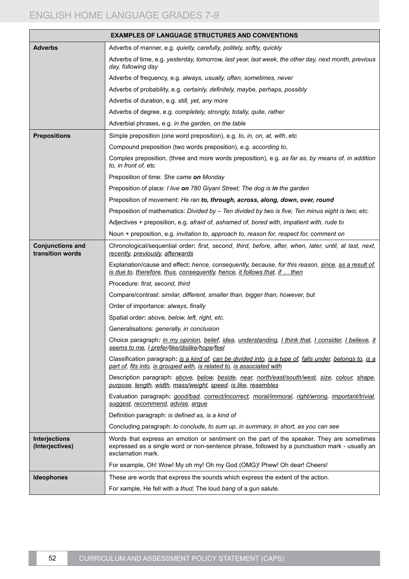|                                             | <b>EXAMPLES OF LANGUAGE STRUCTURES AND CONVENTIONS</b>                                                                                                                                                           |  |  |  |
|---------------------------------------------|------------------------------------------------------------------------------------------------------------------------------------------------------------------------------------------------------------------|--|--|--|
| <b>Adverbs</b>                              | Adverbs of manner, e.g. quietly, carefully, politely, softly, quickly                                                                                                                                            |  |  |  |
|                                             | Adverbs of time, e.g. yesterday, tomorrow, last year, last week, the other day, next month, previous<br>day, following day                                                                                       |  |  |  |
|                                             | Adverbs of frequency, e.g. always, usually, often, sometimes, never                                                                                                                                              |  |  |  |
|                                             | Adverbs of probability, e.g. certainly, definitely, maybe, perhaps, possibly                                                                                                                                     |  |  |  |
|                                             | Adverbs of duration, e.g. still, yet, any more                                                                                                                                                                   |  |  |  |
|                                             | Adverbs of degree, e.g. completely, strongly, totally, quite, rather                                                                                                                                             |  |  |  |
|                                             | Adverbial phrases, e.g. in the garden, on the table                                                                                                                                                              |  |  |  |
| <b>Prepositions</b>                         | Simple preposition (one word preposition), e.g. to, in, on, at, with, etc                                                                                                                                        |  |  |  |
|                                             | Compound preposition (two words preposition), e.g. according to,                                                                                                                                                 |  |  |  |
|                                             | Complex preposition, (three and more words preposition), e.g. as far as, by means of, in addition<br>to, in front of, etc                                                                                        |  |  |  |
|                                             | Preposition of time: She came on Monday                                                                                                                                                                          |  |  |  |
|                                             | Preposition of place: I live on 780 Giyani Street; The dog is in the garden                                                                                                                                      |  |  |  |
|                                             | Preposition of movement: He ran to, through, across, along, down, over, round                                                                                                                                    |  |  |  |
|                                             | Preposition of mathematics: Divided by - Ten divided by two is five; Ten minus eight is two; etc.                                                                                                                |  |  |  |
|                                             | Adjectives + preposition, e.g. afraid of, ashamed of, bored with, impatient with, rude to                                                                                                                        |  |  |  |
|                                             | Noun + preposition, e.g. <i>invitation to, approach to, reason for, respect for, comment on</i>                                                                                                                  |  |  |  |
| <b>Conjunctions and</b><br>transition words | Chronological/sequential order: first, second, third, before, after, when, later, until, at last, next,<br>recently, previously, afterwards                                                                      |  |  |  |
|                                             | Explanation/cause and effect: hence, consequently, because, for this reason, since, as a result of,<br>is due to, therefore, thus, consequently, hence, it follows that, if  then                                |  |  |  |
|                                             | Procedure: first, second, third                                                                                                                                                                                  |  |  |  |
|                                             | Compare/contrast: similar, different, smaller than, bigger than, however, but                                                                                                                                    |  |  |  |
|                                             | Order of importance: always, finally                                                                                                                                                                             |  |  |  |
|                                             | Spatial order: above, below, left, right, etc.                                                                                                                                                                   |  |  |  |
|                                             | Generalisations: generally, in conclusion                                                                                                                                                                        |  |  |  |
|                                             | Choice paragraph: in my opinion, belief, idea, understanding, I think that, I consider, I believe, it<br>seems to me, I prefer/like/dislike/hope/feel                                                            |  |  |  |
|                                             | Classification paragraph: is a kind of, can be divided into, is a type of, falls under, belongs to, is a<br>part of, fits into, is grouped with, is related to, is associated with                               |  |  |  |
|                                             | Description paragraph: <i>above</i> , below, beside, near, north/east/south/west, size, colour, shape,<br>purpose, length, width, mass/weight, speed, is like, resembles                                         |  |  |  |
|                                             | Evaluation paragraph: good/bad, correct/incorrect, moral/immoral, right/wrong, important/trivial,<br>suggest, recommend, advise, argue                                                                           |  |  |  |
|                                             | Definition paragraph: is defined as, is a kind of                                                                                                                                                                |  |  |  |
|                                             | Concluding paragraph: to conclude, to sum up, in summary, in short, as you can see                                                                                                                               |  |  |  |
| Interjections<br>(Interjectives)            | Words that express an emotion or sentiment on the part of the speaker. They are sometimes<br>expressed as a single word or non-sentence phrase, followed by a punctuation mark - usually an<br>exclamation mark. |  |  |  |
|                                             | For example, Oh! Wow! My oh my! Oh my God (OMG)! Phew! Oh dear! Cheers!                                                                                                                                          |  |  |  |
| <b>Ideophones</b>                           | These are words that express the sounds which express the extent of the action.                                                                                                                                  |  |  |  |
|                                             | For xample, He fell with a thud; The loud bang of a gun salute.                                                                                                                                                  |  |  |  |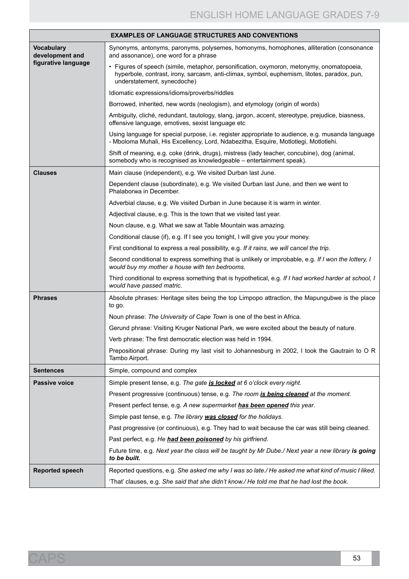|                                      | <b>EXAMPLES OF LANGUAGE STRUCTURES AND CONVENTIONS</b>                                                                                                                                                                  |  |  |  |
|--------------------------------------|-------------------------------------------------------------------------------------------------------------------------------------------------------------------------------------------------------------------------|--|--|--|
| <b>Vocabulary</b><br>development and | Synonyms, antonyms, paronyms, polysemes, homonyms, homophones, alliteration (consonance<br>and assonance), one word for a phrase                                                                                        |  |  |  |
| figurative language                  | • Figures of speech (simile, metaphor, personification, oxymoron, metonymy, onomatopoeia,<br>hyperbole, contrast, irony, sarcasm, anti-climax, symbol, euphemism, litotes, paradox, pun,<br>understatement, synecdoche) |  |  |  |
|                                      | Idiomatic expressions/idioms/proverbs/riddles                                                                                                                                                                           |  |  |  |
|                                      | Borrowed, inherited, new words (neologism), and etymology (origin of words)                                                                                                                                             |  |  |  |
|                                      | Ambiguity, cliché, redundant, tautology, slang, jargon, accent, stereotype, prejudice, biasness,<br>offensive language, emotives, sexist language etc                                                                   |  |  |  |
|                                      | Using language for special purpose, i.e. register appropriate to audience, e.g. musanda language<br>- Mboloma Muhali, His Excellency, Lord, Ndabezitha, Esquire, Motlotlegi, Motlotlehi.                                |  |  |  |
|                                      | Shift of meaning, e.g. coke (drink, drugs), mistress (lady teacher, concubine), dog (animal,<br>somebody who is recognised as knowledgeable - entertainment speak).                                                     |  |  |  |
| <b>Clauses</b>                       | Main clause (independent), e.g. We visited Durban last June.                                                                                                                                                            |  |  |  |
|                                      | Dependent clause (subordinate), e.g. We visited Durban last June, and then we went to<br>Phalaborwa in December.                                                                                                        |  |  |  |
|                                      | Adverbial clause, e.g. We visited Durban in June because it is warm in winter.                                                                                                                                          |  |  |  |
|                                      | Adjectival clause, e.g. This is the town that we visited last year.                                                                                                                                                     |  |  |  |
|                                      | Noun clause, e.g. What we saw at Table Mountain was amazing.                                                                                                                                                            |  |  |  |
|                                      | Conditional clause (if), e.g. If I see you tonight, I will give you your money.                                                                                                                                         |  |  |  |
|                                      | First conditional to express a real possibility, e.g. If it rains, we will cancel the trip.                                                                                                                             |  |  |  |
|                                      | Second conditional to express something that is unlikely or improbable, e.g. If I won the lottery, I<br>would buy my mother a house with ten bedrooms.                                                                  |  |  |  |
|                                      | Third conditional to express something that is hypothetical, e.g. If I had worked harder at school, I<br>would have passed matric.                                                                                      |  |  |  |
| <b>Phrases</b>                       | Absolute phrases: Heritage sites being the top Limpopo attraction, the Mapungubwe is the place<br>to go.                                                                                                                |  |  |  |
|                                      | Noun phrase: The University of Cape Town is one of the best in Africa.                                                                                                                                                  |  |  |  |
|                                      | Gerund phrase: Visiting Kruger National Park, we were excited about the beauty of nature.                                                                                                                               |  |  |  |
|                                      | Verb phrase: The first democratic election was held in 1994.                                                                                                                                                            |  |  |  |
|                                      | Prepositional phrase: During my last visit to Johannesburg in 2002, I took the Gautrain to O R<br>Tambo Airport.                                                                                                        |  |  |  |
| <b>Sentences</b>                     | Simple, compound and complex                                                                                                                                                                                            |  |  |  |
| <b>Passive voice</b>                 | Simple present tense, e.g. The gate is locked at 6 o'clock every night.                                                                                                                                                 |  |  |  |
|                                      | Present progressive (continuous) tense, e.g. The room is being cleaned at the moment.                                                                                                                                   |  |  |  |
|                                      | Present perfect tense, e.g. A new supermarket has been opened this year.                                                                                                                                                |  |  |  |
|                                      | Simple past tense, e.g. The library was closed for the holidays.                                                                                                                                                        |  |  |  |
|                                      | Past progressive (or continuous), e.g. They had to wait because the car was still being cleaned.                                                                                                                        |  |  |  |
|                                      | Past perfect, e.g. He had been poisoned by his girlfriend.                                                                                                                                                              |  |  |  |
|                                      | Future time, e.g. Next year the class will be taught by Mr Dube./ Next year a new library is going<br>to be built.                                                                                                      |  |  |  |
| <b>Reported speech</b>               | Reported questions, e.g. She asked me why I was so late./ He asked me what kind of music I liked.                                                                                                                       |  |  |  |
|                                      | 'That' clauses, e.g. She said that she didn't know./ He told me that he had lost the book.                                                                                                                              |  |  |  |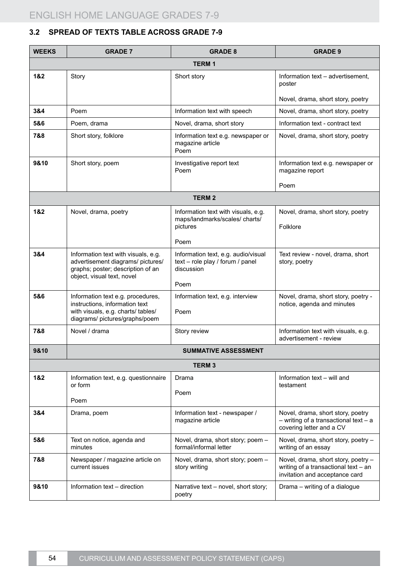## **3.2 Spread of texts table ACROSS GRADE 7-9**

| <b>WEEKS</b> | <b>GRADE 7</b>                                                                                                                              | <b>GRADE 8</b>                                                                        | <b>GRADE 9</b>                                                                                                |  |  |
|--------------|---------------------------------------------------------------------------------------------------------------------------------------------|---------------------------------------------------------------------------------------|---------------------------------------------------------------------------------------------------------------|--|--|
|              | <b>TERM1</b>                                                                                                                                |                                                                                       |                                                                                                               |  |  |
| 1&2          | Story                                                                                                                                       | Short story                                                                           | Information text - advertisement,<br>poster                                                                   |  |  |
|              |                                                                                                                                             |                                                                                       | Novel, drama, short story, poetry                                                                             |  |  |
| 3&4          | Poem                                                                                                                                        | Information text with speech                                                          | Novel, drama, short story, poetry                                                                             |  |  |
| 5&6          | Poem, drama                                                                                                                                 | Novel, drama, short story                                                             | Information text - contract text                                                                              |  |  |
| 7&8          | Short story, folklore                                                                                                                       | Information text e.g. newspaper or<br>magazine article<br>Poem                        | Novel, drama, short story, poetry                                                                             |  |  |
| 9&10         | Short story, poem                                                                                                                           | Investigative report text<br>Poem                                                     | Information text e.g. newspaper or<br>magazine report                                                         |  |  |
|              |                                                                                                                                             |                                                                                       | Poem                                                                                                          |  |  |
|              |                                                                                                                                             | <b>TERM2</b>                                                                          |                                                                                                               |  |  |
| 1&2          | Novel, drama, poetry                                                                                                                        | Information text with visuals, e.g.<br>maps/landmarks/scales/charts/                  | Novel, drama, short story, poetry                                                                             |  |  |
|              |                                                                                                                                             | pictures                                                                              | Folklore                                                                                                      |  |  |
|              |                                                                                                                                             | Poem                                                                                  |                                                                                                               |  |  |
| 3&4          | Information text with visuals, e.g.<br>advertisement diagrams/ pictures/<br>graphs; poster; description of an<br>object, visual text, novel | Information text, e.g. audio/visual<br>text - role play / forum / panel<br>discussion | Text review - novel, drama, short<br>story, poetry                                                            |  |  |
|              |                                                                                                                                             | Poem                                                                                  |                                                                                                               |  |  |
| 5&6          | Information text e.g. procedures,<br>instructions, information text<br>with visuals, e.g. charts/ tables/<br>diagrams/ pictures/graphs/poem | Information text, e.g. interview<br>Poem                                              | Novel, drama, short story, poetry -<br>notice, agenda and minutes                                             |  |  |
| 7&8          | Novel / drama                                                                                                                               | Story review                                                                          | Information text with visuals, e.g.<br>advertisement - review                                                 |  |  |
| 9&10         |                                                                                                                                             | <b>SUMMATIVE ASSESSMENT</b>                                                           |                                                                                                               |  |  |
|              |                                                                                                                                             | <b>TERM3</b>                                                                          |                                                                                                               |  |  |
| 1&2          | Information text, e.g. questionnaire<br>or form                                                                                             | Drama<br>Poem                                                                         | Information text - will and<br>testament                                                                      |  |  |
|              | Poem                                                                                                                                        |                                                                                       |                                                                                                               |  |  |
| 3&4          | Drama, poem                                                                                                                                 | Information text - newspaper /<br>magazine article                                    | Novel, drama, short story, poetry<br>$-$ writing of a transactional text $-$ a<br>covering letter and a CV    |  |  |
| 5&6          | Text on notice, agenda and<br>minutes                                                                                                       | Novel, drama, short story; poem -<br>formal/informal letter                           | Novel, drama, short story, poetry -<br>writing of an essay                                                    |  |  |
| 7&8          | Newspaper / magazine article on<br>current issues                                                                                           | Novel, drama, short story; poem -<br>story writing                                    | Novel, drama, short story, poetry -<br>writing of a transactional text - an<br>invitation and acceptance card |  |  |
| 9&10         | Information text - direction                                                                                                                | Narrative text - novel, short story;<br>poetry                                        | Drama - writing of a dialogue                                                                                 |  |  |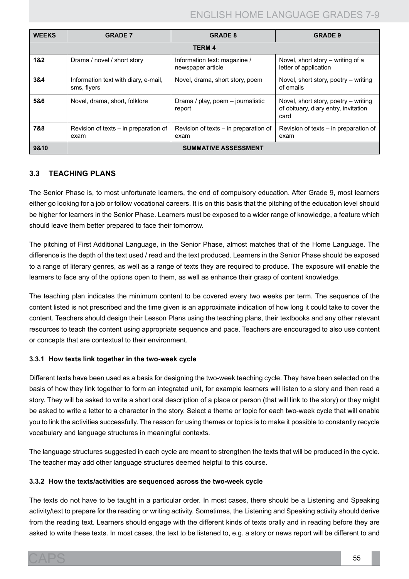| <b>WEEKS</b> | <b>GRADE 7</b>                                      | <b>GRADE 8</b>                                    | <b>GRADE 9</b>                                                                       |  |  |  |
|--------------|-----------------------------------------------------|---------------------------------------------------|--------------------------------------------------------------------------------------|--|--|--|
|              | <b>TERM4</b>                                        |                                                   |                                                                                      |  |  |  |
| 1&2          | Drama / novel / short story                         | Information text: magazine /<br>newspaper article | Novel, short story - writing of a<br>letter of application                           |  |  |  |
| 3&4          | Information text with diary, e-mail,<br>sms, flyers | Novel, drama, short story, poem                   | Novel, short story, poetry – writing<br>of emails                                    |  |  |  |
| 5&6          | Novel, drama, short, folklore                       | Drama / play, poem - journalistic<br>report       | Novel, short story, poetry – writing<br>of obituary, diary entry, invitation<br>card |  |  |  |
| 7&8          | Revision of texts – in preparation of<br>exam       | Revision of texts – in preparation of<br>exam     | Revision of texts - in preparation of<br>exam                                        |  |  |  |
| 9&10         | <b>SUMMATIVE ASSESSMENT</b>                         |                                                   |                                                                                      |  |  |  |

## **3.3 Teaching Plans**

The Senior Phase is, to most unfortunate learners, the end of compulsory education. After Grade 9, most learners either go looking for a job or follow vocational careers. It is on this basis that the pitching of the education level should be higher for learners in the Senior Phase. Learners must be exposed to a wider range of knowledge, a feature which should leave them better prepared to face their tomorrow.

The pitching of First Additional Language, in the Senior Phase, almost matches that of the Home Language. The difference is the depth of the text used / read and the text produced. Learners in the Senior Phase should be exposed to a range of literary genres, as well as a range of texts they are required to produce. The exposure will enable the learners to face any of the options open to them, as well as enhance their grasp of content knowledge.

The teaching plan indicates the minimum content to be covered every two weeks per term. The sequence of the content listed is not prescribed and the time given is an approximate indication of how long it could take to cover the content. Teachers should design their Lesson Plans using the teaching plans, their textbooks and any other relevant resources to teach the content using appropriate sequence and pace. Teachers are encouraged to also use content or concepts that are contextual to their environment.

### **3.3.1 How texts link together in the two-week cycle**

Different texts have been used as a basis for designing the two-week teaching cycle. They have been selected on the basis of how they link together to form an integrated unit, for example learners will listen to a story and then read a story. They will be asked to write a short oral description of a place or person (that will link to the story) or they might be asked to write a letter to a character in the story. Select a theme or topic for each two-week cycle that will enable you to link the activities successfully. The reason for using themes or topics is to make it possible to constantly recycle vocabulary and language structures in meaningful contexts.

The language structures suggested in each cycle are meant to strengthen the texts that will be produced in the cycle. The teacher may add other language structures deemed helpful to this course.

### **3.3.2 How the texts/activities are sequenced across the two-week cycle**

The texts do not have to be taught in a particular order. In most cases, there should be a Listening and Speaking activity/text to prepare for the reading or writing activity. Sometimes, the Listening and Speaking activity should derive from the reading text. Learners should engage with the different kinds of texts orally and in reading before they are asked to write these texts. In most cases, the text to be listened to, e.g. a story or news report will be different to and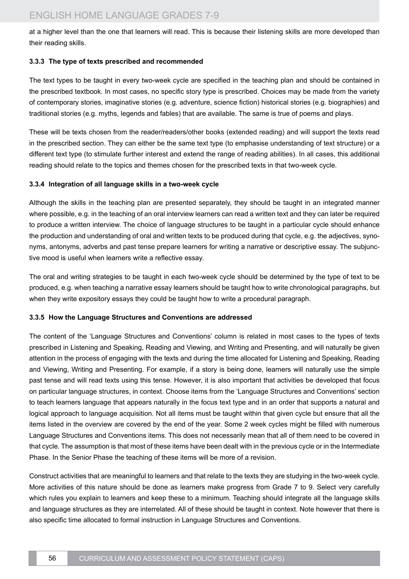at a higher level than the one that learners will read. This is because their listening skills are more developed than their reading skills.

#### **3.3.3 The type of texts prescribed and recommended**

The text types to be taught in every two-week cycle are specified in the teaching plan and should be contained in the prescribed textbook. In most cases, no specific story type is prescribed. Choices may be made from the variety of contemporary stories, imaginative stories (e.g. adventure, science fiction) historical stories (e.g. biographies) and traditional stories (e.g. myths, legends and fables) that are available. The same is true of poems and plays.

These will be texts chosen from the reader/readers/other books (extended reading) and will support the texts read in the prescribed section. They can either be the same text type (to emphasise understanding of text structure) or a different text type (to stimulate further interest and extend the range of reading abilities). In all cases, this additional reading should relate to the topics and themes chosen for the prescribed texts in that two-week cycle.

#### **3.3.4 Integration of all language skills in a two-week cycle**

Although the skills in the teaching plan are presented separately, they should be taught in an integrated manner where possible, e.g. in the teaching of an oral interview learners can read a written text and they can later be required to produce a written interview. The choice of language structures to be taught in a particular cycle should enhance the production and understanding of oral and written texts to be produced during that cycle, e.g. the adjectives, synonyms, antonyms, adverbs and past tense prepare learners for writing a narrative or descriptive essay. The subjunctive mood is useful when learners write a reflective essay.

The oral and writing strategies to be taught in each two-week cycle should be determined by the type of text to be produced, e.g. when teaching a narrative essay learners should be taught how to write chronological paragraphs, but when they write expository essays they could be taught how to write a procedural paragraph.

#### **3.3.5 How the Language Structures and Conventions are addressed**

The content of the 'Language Structures and Conventions' column is related in most cases to the types of texts prescribed in Listening and Speaking, Reading and Viewing, and Writing and Presenting, and will naturally be given attention in the process of engaging with the texts and during the time allocated for Listening and Speaking, Reading and Viewing, Writing and Presenting. For example, if a story is being done, learners will naturally use the simple past tense and will read texts using this tense. However, it is also important that activities be developed that focus on particular language structures, in context. Choose items from the 'Language Structures and Conventions' section to teach learners language that appears naturally in the focus text type and in an order that supports a natural and logical approach to language acquisition. Not all items must be taught within that given cycle but ensure that all the items listed in the overview are covered by the end of the year. Some 2 week cycles might be filled with numerous Language Structures and Conventions items. This does not necessarily mean that all of them need to be covered in that cycle. The assumption is that most of these items have been dealt with in the previous cycle or in the Intermediate Phase. In the Senior Phase the teaching of these items will be more of a revision.

Construct activities that are meaningful to learners and that relate to the texts they are studying in the two-week cycle. More activities of this nature should be done as learners make progress from Grade 7 to 9. Select very carefully which rules you explain to learners and keep these to a minimum. Teaching should integrate all the language skills and language structures as they are interrelated. All of these should be taught in context. Note however that there is also specific time allocated to formal instruction in Language Structures and Conventions.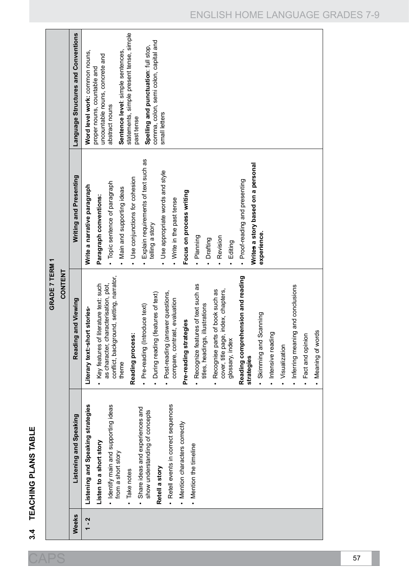| r<br>ı<br>i<br>l<br>ř<br>ı<br>I<br>I<br>ı<br>ı<br>֠<br>ı |  |
|----------------------------------------------------------|--|
|                                                          |  |
|                                                          |  |
|                                                          |  |
|                                                          |  |
|                                                          |  |
|                                                          |  |
|                                                          |  |
|                                                          |  |
|                                                          |  |
|                                                          |  |
|                                                          |  |
|                                                          |  |
|                                                          |  |
|                                                          |  |
|                                                          |  |
|                                                          |  |
|                                                          |  |
|                                                          |  |
|                                                          |  |
|                                                          |  |
|                                                          |  |
|                                                          |  |
|                                                          |  |
|                                                          |  |
| l                                                        |  |

|         |                                                                     | <b>GRADE 7 TERM 1</b><br><b>CONTENT</b>                                           |                                      |                                                                |
|---------|---------------------------------------------------------------------|-----------------------------------------------------------------------------------|--------------------------------------|----------------------------------------------------------------|
| Weeks   | Listening and Speaking                                              | and Viewing<br>Reading                                                            | Writing and Presenting               | Language Structures and Conventions                            |
| $1 - 2$ | Listening and Speaking strategies                                   | Literary text:-short stories-                                                     | Write a narrative paragraph          | Word level work: common nouns,                                 |
|         | Listen to a short story                                             | • Key features of literature text: such                                           | Paragraph conventions:               | uncountable nouns, concrete and<br>proper nouns, countable and |
|         | · Identify main and supporting ideas                                | conflict, background, setting, narrator,<br>as character, characterisation, plot, | · Topic sentence of paragraph        | abstract nouns                                                 |
|         | from a short story                                                  | theme                                                                             | . Main and supporting ideas          | Sentence level: simple sentences,                              |
|         | Take notes                                                          | Reading process:                                                                  | Use conjunctions for cohesion        | statements, simple present tense, simple<br>past tense         |
|         | • Share ideas and experiences and<br>show understanding of concepts | · Pre-reading (Introduce text)                                                    | Explain requirements of text such as | Spelling and punctuation: full stop,                           |
|         | Retell a story                                                      | (features of text)<br>During reading                                              | telling a story                      | comma, colon, semi colon, capital and                          |
|         |                                                                     | · Post-reading (answer questions,                                                 | · Use appropriate words and style    | small letters                                                  |
|         | · Retell events in correct sequences                                | compare, contrast, evaluation                                                     | • Write in the past tense            |                                                                |
|         | • Mention characters correctly                                      | Pre-reading strategies                                                            | Focus on process writing             |                                                                |
|         | • Mention the timeline                                              | · Recognize features of text such as                                              | · Planning                           |                                                                |
|         |                                                                     | titles, headings, illustrations                                                   | Drafting                             |                                                                |
|         |                                                                     | cover, title page, index, chapters,<br>· Recognise parts of book such as          | Revision                             |                                                                |
|         |                                                                     | glossary, index                                                                   | Editing                              |                                                                |
|         |                                                                     | Reading comprehension and reading                                                 | Proof-reading and presenting         |                                                                |
|         |                                                                     | strategies                                                                        | Writes a story based on a personal   |                                                                |
|         |                                                                     | Skimming and Scanning                                                             | experience.                          |                                                                |
|         |                                                                     | · Intensive reading                                                               |                                      |                                                                |
|         |                                                                     | · Visualization                                                                   |                                      |                                                                |
|         |                                                                     | . Inferring meaning and conclusions                                               |                                      |                                                                |
|         |                                                                     | · Fact and opinion                                                                |                                      |                                                                |
|         |                                                                     | Meaning of words                                                                  |                                      |                                                                |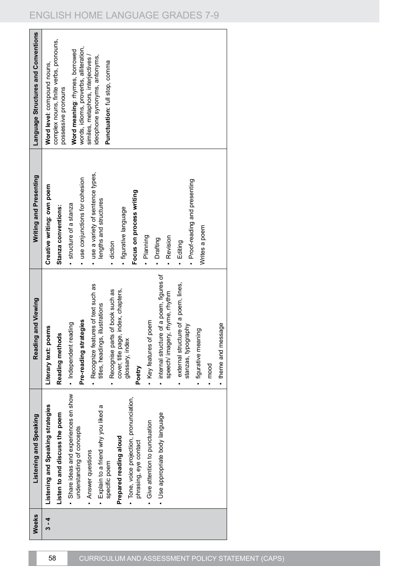| Weeks   | Listening and Speaking                                            | Reading and Viewing                                                         | Writing and Presenting                          | Language Structures and Conventions                           |
|---------|-------------------------------------------------------------------|-----------------------------------------------------------------------------|-------------------------------------------------|---------------------------------------------------------------|
| $3 - 4$ | Listening and Speaking strategies                                 | Literary text: poems                                                        | Creative writing: own poem                      | Word level: compound nouns,                                   |
|         | Listen to and discuss the poem                                    | <u>ທ</u><br>Reading method                                                  | Stanza conventions:                             | complex nouns, finite verbs, pronouns,<br>possessive pronouns |
|         | Share ideas and experiences en show                               | · Independent reading                                                       | · structure of a stanza                         | Word meaning: rhymes, borrowed                                |
|         | understanding of concepts                                         | Pre-reading strategies                                                      | • use conjunctions for cohesion                 | words, idioms, proverbs, alliteration,                        |
|         | • Answer questions                                                | · Recognize features of text such as                                        | · use a variety of sentence types,              | similes, metaphors, interjectives,                            |
|         | • Explain to a friend why you liked a                             | titles, headings, illustrations                                             | lengths and structures                          | ideophone synonyms, antonyms,                                 |
|         | specific poem                                                     | • Recognise parts of book such as                                           | · diction                                       | Punctuation: full stop, comma                                 |
|         | Prepared reading aloud                                            | cover, title page, index, chapters,<br>glossary, index                      | · figurative language                           |                                                               |
|         | · Tone, voice projection, pronunciation,<br>phrasing, eye contact | Poetry                                                                      | Focus on process writing                        |                                                               |
|         | • Give attention to punctuation                                   | poem<br>• Key features of                                                   | · Planning                                      |                                                               |
|         | Use appropriate body language                                     | · internal structure of a poem, figures of<br>speech/imagery, rhyme, rhythm | · Revision<br>· Drafting                        |                                                               |
|         |                                                                   | · external structure of a poem, lines,<br>stanzas, typography               | · Editing                                       |                                                               |
|         |                                                                   | · figurative meaning                                                        | · Proof-reading and presenting<br>Writes a poem |                                                               |
|         |                                                                   | · mood                                                                      |                                                 |                                                               |
|         |                                                                   | seage<br>• theme and mes                                                    |                                                 |                                                               |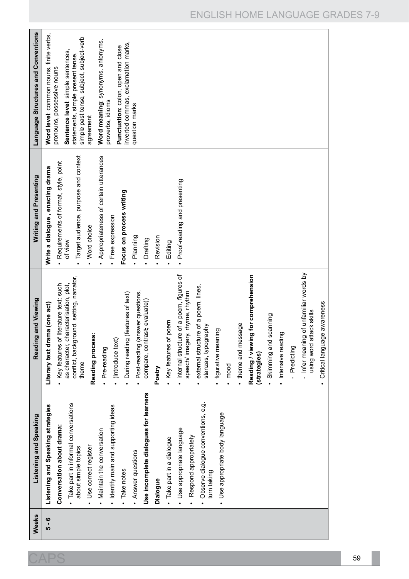| Language Structures and Conventions | Word level: common nouns, finite verbs,<br>simple past tense, subject, subject-verb<br>Word meaning: synonyms, antonyms,<br>inverted commas, exclamation marks,<br>Punctuation: colon, open and close<br>Sentence level: simple sentences,<br>statements, simple present tense,<br>pronouns, possessive nouns<br>proverbs, idioms<br>question marks<br>agreement                                                                                                                                                                                                                                                                                                                                                                                                                                              |                                          |
|-------------------------------------|---------------------------------------------------------------------------------------------------------------------------------------------------------------------------------------------------------------------------------------------------------------------------------------------------------------------------------------------------------------------------------------------------------------------------------------------------------------------------------------------------------------------------------------------------------------------------------------------------------------------------------------------------------------------------------------------------------------------------------------------------------------------------------------------------------------|------------------------------------------|
| Writing and Presenting              | Target audience, purpose and context<br>• Appropriateness of certain utterances<br>· Requirements of format, style, point<br>Write a dialogue , enacting drama<br>· Proof-reading and presenting<br>Focus on process writing<br>· Free expression<br>• Word choice<br>· Planning<br>Revision<br>· Drafting<br>of view<br>Editing                                                                                                                                                                                                                                                                                                                                                                                                                                                                              |                                          |
| and Viewing<br>Reading              | of unfamiliar words by<br>· internal structure of a poem, figures of<br>Reading / viewing for comprehension<br>conflict, background, setting, narrator,<br>literature text: such<br>as character, characterisation, plot,<br>external structure of a poem, lines,<br>Post-reading (answer questions,<br>speech/ imagery, rhyme, rhythm<br>(features of text)<br>compare, contrast, evaluate))<br>Literary text drama (one act)<br>using word attack skills<br>Skimming and scanning<br>• Key features of poem<br>• theme and message<br>stanzas, typography<br>· figurative meaning<br>Ō<br>Reading process:<br>· Intensive readin<br>- Infer meaning<br>• Key features of<br>(Introduce text)<br>· During reading<br>- Predicting<br>· Pre-reading<br>(strategies)<br>theme<br>· mood<br>Poetry<br>$\bullet$ | Critical language awareness<br>$\bullet$ |
| Listening and Speaking              | Use incomplete dialogues for learners<br>Observe dialogue conventions, e.g.<br>· Take part in informal conversations<br>Listening and Speaking strategies<br>· Identify main and supporting ideas<br>Use appropriate body language<br>Conversation about drama:<br>· Use appropriate language<br>• Maintain the conversation<br>Respond appropriately<br>· Take part in a dialogue<br>· Use correct register<br>about simple topics<br>• Answer questions<br>· Take notes<br>turn taking<br>Dialogue<br>$\bullet$<br>$\bullet$<br>$\bullet$                                                                                                                                                                                                                                                                   |                                          |
| Weeks                               | 9 - 6                                                                                                                                                                                                                                                                                                                                                                                                                                                                                                                                                                                                                                                                                                                                                                                                         |                                          |
|                                     |                                                                                                                                                                                                                                                                                                                                                                                                                                                                                                                                                                                                                                                                                                                                                                                                               |                                          |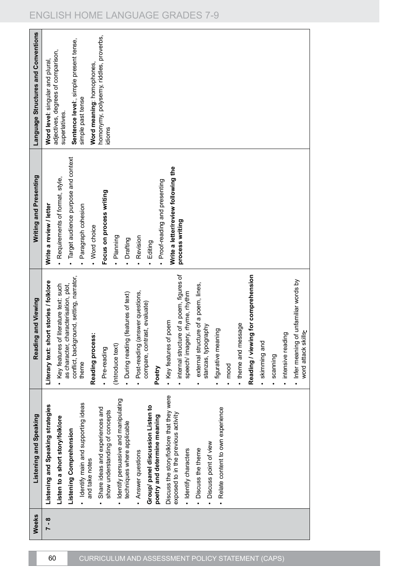| Weeks   | Listening and Speaking                                            | Reading and Viewing                                                              | Writing and Presenting                | Language Structures and Conventions                 |
|---------|-------------------------------------------------------------------|----------------------------------------------------------------------------------|---------------------------------------|-----------------------------------------------------|
| $7 - 8$ | Listening and Speaking strategies                                 | Literary text: short stories / folklore                                          | Write a review / letter               | Word level: singular and plural,                    |
|         | Listen to a short story/folklore                                  | • Key features of literature text: such<br>as character, characterisation, plot, | · Requirements of format, style,      | adjectives, degrees of comparison,<br>superlatives. |
|         | Listening Comprehension                                           | conflict, background, setting, narrator,                                         | · Target audience purpose and context | Sentence level:, simple present tense,              |
|         | · Identify main and supporting ideas                              | theme                                                                            | Paragraph cohesion                    | simple past tense                                   |
|         | and take notes                                                    | Reading process:                                                                 | • Word choice                         | Word meaning: homophones,                           |
|         | Share ideas and experiences and<br>show understanding of concepts | · Pre-reading                                                                    | Focus on process writing              | homonymy, polysemy, riddles, proverbs,<br>idioms    |
|         | Identify persuasive and manipulating<br>$\bullet$                 | (Introduce text)                                                                 | · Planning                            |                                                     |
|         | techniques where applicable                                       | · During reading (features of text)                                              | · Drafting                            |                                                     |
|         | • Answer questions                                                | Post-reading (answer questions,                                                  | Revision                              |                                                     |
|         | Group/ panel discussion Listen to                                 | compare, contrast, evaluate)                                                     | · Editing                             |                                                     |
|         | poetry and determine meaning                                      | Poetry                                                                           | · Proof-reading and presenting        |                                                     |
|         | Discuss the story/folklore that they were                         | • Key features of poem                                                           | Write a letter/review following the   |                                                     |
|         | exposed to in the previous activity<br>· Identify characters      | of a poem, figures of<br>speech/imagery, rhyme, rhythm<br>· internal structure   | process writing                       |                                                     |
|         |                                                                   |                                                                                  |                                       |                                                     |
|         | · Discuss the theme                                               | external structure of a poem, lines,                                             |                                       |                                                     |
|         | · Discuss point of view                                           | stanzas, typography                                                              |                                       |                                                     |
|         | • Relate content to own experience                                | $\overline{Q}$<br>· figurative meanin                                            |                                       |                                                     |
|         |                                                                   | · mood                                                                           |                                       |                                                     |
|         |                                                                   | • theme and message                                                              |                                       |                                                     |
|         |                                                                   | for comprehension<br>Reading / viewing                                           |                                       |                                                     |
|         |                                                                   | · skimming and                                                                   |                                       |                                                     |
|         |                                                                   | · scanning                                                                       |                                       |                                                     |
|         |                                                                   | · intensive reading                                                              |                                       |                                                     |
|         |                                                                   | unfamiliar words by<br>word attack skills-<br>• Infer meaning of                 |                                       |                                                     |
|         |                                                                   |                                                                                  |                                       |                                                     |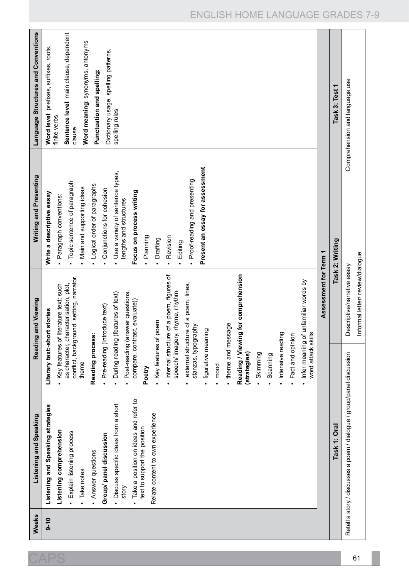|    | Weeks    | Listening and Speaking                                                | Reading and Viewing                                                               | Writing and Presenting                                   | Language Structures and Conventions              |
|----|----------|-----------------------------------------------------------------------|-----------------------------------------------------------------------------------|----------------------------------------------------------|--------------------------------------------------|
|    | $9 - 10$ | Listening and Speaking strategies                                     | Literary text:-short stories                                                      | Write a descriptive essay                                | Word level: prefixes, suffixes, roots,           |
|    |          | Listening comprehension                                               | • Key features of literature text: such                                           | Paragraph conventions:                                   | finite verbs                                     |
|    |          | Explain listening process                                             | conflict, background, setting, narrator,<br>as character, characterisation, plot, | · Topic sentence of paragraph                            | Sentence level: main clause, dependent<br>clause |
|    |          | · Take notes                                                          | theme                                                                             | Main and supporting ideas                                | Word meaning: synonyms, antonyms                 |
|    |          | Answer questions                                                      | Reading process:                                                                  | Logical order of paragraphs                              | Punctuation and spelling:                        |
|    |          | Group/ panel discussion                                               | · Pre-reading (Introduce text)                                                    | Conjunctions for cohesion<br>$\bullet$                   | Dictionary usage, spelling patterns,             |
|    |          | · Discuss specific ideas from a short                                 | · During reading (features of text)                                               | Use a variety of sentence types,<br>$\ddot{\phantom{0}}$ | spelling rules                                   |
|    |          | story                                                                 | Post-reading (answer questions,                                                   | lengths and structures                                   |                                                  |
|    |          | · Take a position on ideas and refer to                               | compare, contrast, evaluate))                                                     | Focus on process writing                                 |                                                  |
|    |          | text to support the position                                          | Poetry                                                                            | · Planning                                               |                                                  |
|    |          | Relate content to own experience                                      | • Key features of poem                                                            | Drafting<br>$\bullet$                                    |                                                  |
|    |          |                                                                       | · internal structure of a poem, figures of                                        | Revision<br>$\bullet$                                    |                                                  |
|    |          |                                                                       | speech/imagery, rhyme, rhythm                                                     | Editing                                                  |                                                  |
|    |          |                                                                       | external structure of a poem, lines,<br>stanzas, typography<br>$\bullet$          | Proof-reading and presenting                             |                                                  |
|    |          |                                                                       |                                                                                   |                                                          |                                                  |
|    |          |                                                                       | figurative meaning                                                                | Present an essay for assessment                          |                                                  |
|    |          |                                                                       | · mood                                                                            |                                                          |                                                  |
|    |          |                                                                       | • theme and message                                                               |                                                          |                                                  |
|    |          |                                                                       | for comprehension<br>Reading / Viewing                                            |                                                          |                                                  |
|    |          |                                                                       | (strategies)                                                                      |                                                          |                                                  |
|    |          |                                                                       | · Skimming                                                                        |                                                          |                                                  |
|    |          |                                                                       | · Scanning                                                                        |                                                          |                                                  |
|    |          |                                                                       | · Intensive reading                                                               |                                                          |                                                  |
|    |          |                                                                       | · Fact and opinion                                                                |                                                          |                                                  |
|    |          |                                                                       | unfamiliar words by<br>word attack skills<br>• Infer meaning of                   |                                                          |                                                  |
|    |          |                                                                       | Assessment for Term 1                                                             |                                                          |                                                  |
|    |          | Task 1: Oral                                                          |                                                                                   | Task 2: Writing                                          | Task 3: Test 1                                   |
|    |          | Retell a story / discusses a poem / dialogue / group/panel discussion | escriptive/narrative essay<br>$\Omega$                                            |                                                          | Comprehension and language use                   |
| 61 |          |                                                                       | Informal letter/ review/dialogue                                                  |                                                          |                                                  |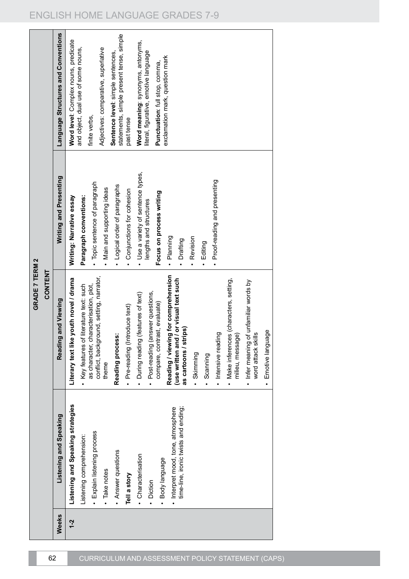| statements, simple present tense, simple<br>Word level: Complex nouns, predicate<br>Word meaning: synonyms, antonyms,<br>and object, dual use of some nouns,<br>Adjectives: comparative, superlative<br>literal, figurative, emotive language<br>Sentence level: simple sentences,<br>exclamation mark, question mark<br>Punctuation: full stop, comma,<br>finite verbs,<br>past tense<br>• Use a variety of sentence types,<br>Writing and Presenting<br>Proof-reading and presenting<br>· Topic sentence of paragraph<br>• Logical order of paragraphs<br>. Main and supporting ideas<br>• Conjunctions for cohesion<br>Focus on process writing<br>Writing: Narrative essay<br>Paragraph conventions:<br>lengths and structures<br>· Planning<br>Revision<br>· Drafting<br>· Editing<br><b>CONTENT</b><br>Reading / viewing for comprehension<br>conflict, background, setting, narrator,<br>Literary text like youth novel / drama<br>(use written and / or visual text such<br>· Make inferences (characters, setting,<br>• Infer meaning of unfamiliar words by<br>• Key features of literature text: such<br>as character, characterisation, plot,<br>· Post-reading (answer questions,<br>features of text)<br>Reading and Viewing<br>compare, contrast, evaluate)<br>· Pre-reading (Introduce text)<br>as cartoons / strips)<br>Emotive language<br>Reading process:<br>· During reading (f<br>· Intensive reading<br>milieu, message)<br>word attack skills<br>· Skimming<br>· Scanning<br>theme<br>Listening and Speaking strategies<br>time-line, ironic twists and ending;<br>· Interpret mood, tone, atmosphere<br>Listening and Speaking<br>· Explain listening process<br>Listening comprehension:<br>• Answer questions<br>· Characterisation<br>· Body language<br>· Take notes<br>Tell a story<br>· Diction<br>$1 - 2$ |  | <b>GRADE 7 TERM 2</b> |                                     |
|-------------------------------------------------------------------------------------------------------------------------------------------------------------------------------------------------------------------------------------------------------------------------------------------------------------------------------------------------------------------------------------------------------------------------------------------------------------------------------------------------------------------------------------------------------------------------------------------------------------------------------------------------------------------------------------------------------------------------------------------------------------------------------------------------------------------------------------------------------------------------------------------------------------------------------------------------------------------------------------------------------------------------------------------------------------------------------------------------------------------------------------------------------------------------------------------------------------------------------------------------------------------------------------------------------------------------------------------------------------------------------------------------------------------------------------------------------------------------------------------------------------------------------------------------------------------------------------------------------------------------------------------------------------------------------------------------------------------------------------------------------------------------------------------------------------------------------------------|--|-----------------------|-------------------------------------|
| Weeks                                                                                                                                                                                                                                                                                                                                                                                                                                                                                                                                                                                                                                                                                                                                                                                                                                                                                                                                                                                                                                                                                                                                                                                                                                                                                                                                                                                                                                                                                                                                                                                                                                                                                                                                                                                                                                     |  |                       |                                     |
|                                                                                                                                                                                                                                                                                                                                                                                                                                                                                                                                                                                                                                                                                                                                                                                                                                                                                                                                                                                                                                                                                                                                                                                                                                                                                                                                                                                                                                                                                                                                                                                                                                                                                                                                                                                                                                           |  |                       | Language Structures and Conventions |
|                                                                                                                                                                                                                                                                                                                                                                                                                                                                                                                                                                                                                                                                                                                                                                                                                                                                                                                                                                                                                                                                                                                                                                                                                                                                                                                                                                                                                                                                                                                                                                                                                                                                                                                                                                                                                                           |  |                       |                                     |
|                                                                                                                                                                                                                                                                                                                                                                                                                                                                                                                                                                                                                                                                                                                                                                                                                                                                                                                                                                                                                                                                                                                                                                                                                                                                                                                                                                                                                                                                                                                                                                                                                                                                                                                                                                                                                                           |  |                       |                                     |
|                                                                                                                                                                                                                                                                                                                                                                                                                                                                                                                                                                                                                                                                                                                                                                                                                                                                                                                                                                                                                                                                                                                                                                                                                                                                                                                                                                                                                                                                                                                                                                                                                                                                                                                                                                                                                                           |  |                       |                                     |
|                                                                                                                                                                                                                                                                                                                                                                                                                                                                                                                                                                                                                                                                                                                                                                                                                                                                                                                                                                                                                                                                                                                                                                                                                                                                                                                                                                                                                                                                                                                                                                                                                                                                                                                                                                                                                                           |  |                       |                                     |
|                                                                                                                                                                                                                                                                                                                                                                                                                                                                                                                                                                                                                                                                                                                                                                                                                                                                                                                                                                                                                                                                                                                                                                                                                                                                                                                                                                                                                                                                                                                                                                                                                                                                                                                                                                                                                                           |  |                       |                                     |
|                                                                                                                                                                                                                                                                                                                                                                                                                                                                                                                                                                                                                                                                                                                                                                                                                                                                                                                                                                                                                                                                                                                                                                                                                                                                                                                                                                                                                                                                                                                                                                                                                                                                                                                                                                                                                                           |  |                       |                                     |
|                                                                                                                                                                                                                                                                                                                                                                                                                                                                                                                                                                                                                                                                                                                                                                                                                                                                                                                                                                                                                                                                                                                                                                                                                                                                                                                                                                                                                                                                                                                                                                                                                                                                                                                                                                                                                                           |  |                       |                                     |
|                                                                                                                                                                                                                                                                                                                                                                                                                                                                                                                                                                                                                                                                                                                                                                                                                                                                                                                                                                                                                                                                                                                                                                                                                                                                                                                                                                                                                                                                                                                                                                                                                                                                                                                                                                                                                                           |  |                       |                                     |
|                                                                                                                                                                                                                                                                                                                                                                                                                                                                                                                                                                                                                                                                                                                                                                                                                                                                                                                                                                                                                                                                                                                                                                                                                                                                                                                                                                                                                                                                                                                                                                                                                                                                                                                                                                                                                                           |  |                       |                                     |
|                                                                                                                                                                                                                                                                                                                                                                                                                                                                                                                                                                                                                                                                                                                                                                                                                                                                                                                                                                                                                                                                                                                                                                                                                                                                                                                                                                                                                                                                                                                                                                                                                                                                                                                                                                                                                                           |  |                       |                                     |
|                                                                                                                                                                                                                                                                                                                                                                                                                                                                                                                                                                                                                                                                                                                                                                                                                                                                                                                                                                                                                                                                                                                                                                                                                                                                                                                                                                                                                                                                                                                                                                                                                                                                                                                                                                                                                                           |  |                       |                                     |
|                                                                                                                                                                                                                                                                                                                                                                                                                                                                                                                                                                                                                                                                                                                                                                                                                                                                                                                                                                                                                                                                                                                                                                                                                                                                                                                                                                                                                                                                                                                                                                                                                                                                                                                                                                                                                                           |  |                       |                                     |
|                                                                                                                                                                                                                                                                                                                                                                                                                                                                                                                                                                                                                                                                                                                                                                                                                                                                                                                                                                                                                                                                                                                                                                                                                                                                                                                                                                                                                                                                                                                                                                                                                                                                                                                                                                                                                                           |  |                       |                                     |
|                                                                                                                                                                                                                                                                                                                                                                                                                                                                                                                                                                                                                                                                                                                                                                                                                                                                                                                                                                                                                                                                                                                                                                                                                                                                                                                                                                                                                                                                                                                                                                                                                                                                                                                                                                                                                                           |  |                       |                                     |
|                                                                                                                                                                                                                                                                                                                                                                                                                                                                                                                                                                                                                                                                                                                                                                                                                                                                                                                                                                                                                                                                                                                                                                                                                                                                                                                                                                                                                                                                                                                                                                                                                                                                                                                                                                                                                                           |  |                       |                                     |
|                                                                                                                                                                                                                                                                                                                                                                                                                                                                                                                                                                                                                                                                                                                                                                                                                                                                                                                                                                                                                                                                                                                                                                                                                                                                                                                                                                                                                                                                                                                                                                                                                                                                                                                                                                                                                                           |  |                       |                                     |
|                                                                                                                                                                                                                                                                                                                                                                                                                                                                                                                                                                                                                                                                                                                                                                                                                                                                                                                                                                                                                                                                                                                                                                                                                                                                                                                                                                                                                                                                                                                                                                                                                                                                                                                                                                                                                                           |  |                       |                                     |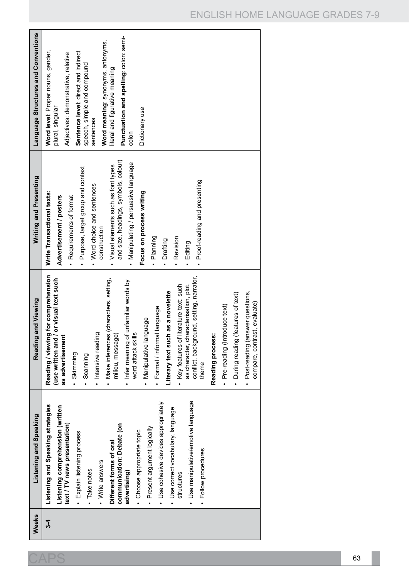| Language Structures and Conventions<br>Writing and Presenting | Punctuation and spelling: colon; semi-<br>Word meaning: synonyms, antonyms,<br>Sentence level: direct and indirect<br>Word level: Proper nouns, gender,<br>Adjectives: demonstrative, relative<br>speech, simple and compound<br>literal and figurative meaning<br>plural, singular<br>Dictionary use<br>sentences<br>colon<br>and size, headings, symbols, colour)<br>Manipulating / persuasive language<br>Visual elements such as font types<br>Purpose, target group and context<br>Proof-reading and presenting<br>• Word choice and sentences<br>Focus on process writing<br>Write Transactional texts:<br>· Requirements of format<br>Advertisement / posters                                                                                                     |
|---------------------------------------------------------------|--------------------------------------------------------------------------------------------------------------------------------------------------------------------------------------------------------------------------------------------------------------------------------------------------------------------------------------------------------------------------------------------------------------------------------------------------------------------------------------------------------------------------------------------------------------------------------------------------------------------------------------------------------------------------------------------------------------------------------------------------------------------------|
| and Viewing<br>Reading                                        | construction<br>· Planning<br>Revision<br>Drafting<br>Editing<br>Reading / viewing for comprehension<br>conflict, background, setting, narrator,<br>or visual text such<br>• Make inferences (characters, setting,<br>milieu, message)<br>· Infer meaning of unfamiliar words by<br>iterature text: such<br>as character, characterisation, plot,<br>as a novelette<br>iswer questions,<br>· During reading (features of text)<br>compare, contrast, evaluate)<br>· Pre-reading (Introduce text)<br>· Formal / informal language<br>· Manipulative language<br>word attack skills<br>· Intensive reading<br>as advertisement<br>Literary text such<br>Reading process:<br>• Key features of I<br>(use written and<br>· Post-reading (ar<br>Skimming<br>Scanning<br>theme |
| Listening and Speaking                                        | Use manipulative/emotive language<br>Use cohesive devices appropriately<br>Listening and Speaking strategies<br>Listening comprehension (written<br>· Use correct vocabulary, language<br>text / TV news presentation)<br>communication: Debate (on<br>Present argument logically<br>· Choose appropriate topic<br>· Explain listening process<br>Different forms of oral<br>Follow procedures<br>• Write answers<br>advertising)-<br>· Take notes<br>structures<br>$\bullet$<br>$\bullet$                                                                                                                                                                                                                                                                               |
| Weeks                                                         | $3-4$                                                                                                                                                                                                                                                                                                                                                                                                                                                                                                                                                                                                                                                                                                                                                                    |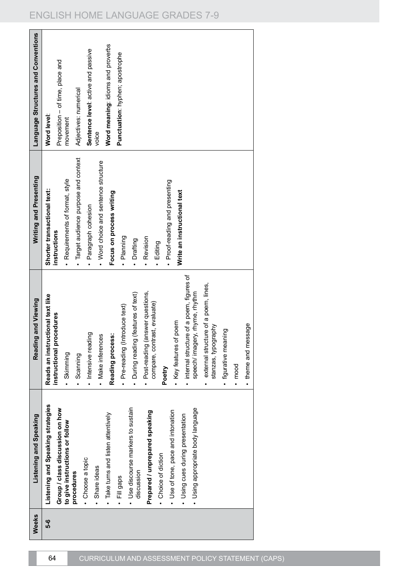| Weeks | Listening and Speaking                                                | Reading and Viewing                                                                 | Writing and Presenting                                      | Language Structures and Conventions             |
|-------|-----------------------------------------------------------------------|-------------------------------------------------------------------------------------|-------------------------------------------------------------|-------------------------------------------------|
| 5-6   | Listening and Speaking strategies<br>Group / class discussion on how  | Reads an instructional text like<br>instructional procedures                        | Shorter transactional text:<br>instructions                 | Preposition - of time, place and<br>Word level: |
|       | to give instructions or follow                                        | · Skimming                                                                          | · Requirements of format, style                             | movement                                        |
|       | procedures                                                            | · Scanning                                                                          | · Target audience purpose and context                       | Adjectives: numerical                           |
|       | • Choose a topic                                                      | · Intensive reading                                                                 | · Paragraph cohesion                                        | Sentence level: active and passive              |
|       | · Share ideas                                                         | · Make inferences                                                                   | • Word choice and sentence structure                        | voice                                           |
|       | • Take turns and listen attentively                                   | Reading process:                                                                    | Focus on process writing                                    | Word meaning: idioms and proverbs               |
|       | · Fill gaps                                                           | · Pre-reading (Introduce text)                                                      | · Planning                                                  | Punctuation: hyphen; apostrophe                 |
|       | • Use discourse markers to sustain<br>discussion                      | · During reading (features of text)                                                 | Drafting                                                    |                                                 |
|       | Prepared / unprepared speaking                                        | answer questions,<br>compare, contrast, evaluate)<br>· Post-reading                 | · Revision                                                  |                                                 |
|       | • Choice of diction                                                   | Poetry                                                                              | · Editing                                                   |                                                 |
|       | • Use of tone, pace and intonation                                    | • Key features of poem                                                              | Proof-reading and presenting<br>Write an instructional text |                                                 |
|       | · Using appropriate body language<br>· Using cues during presentation | · internal structure of a poem, figures of<br>speech/imagery, rhyme, rhythm         |                                                             |                                                 |
|       |                                                                       | external structure of a poem, lines,<br>stanzas, typography<br>$\ddot{\phantom{0}}$ |                                                             |                                                 |
|       |                                                                       | · figurative meaning                                                                |                                                             |                                                 |
|       |                                                                       | · mood                                                                              |                                                             |                                                 |
|       |                                                                       | • theme and message                                                                 |                                                             |                                                 |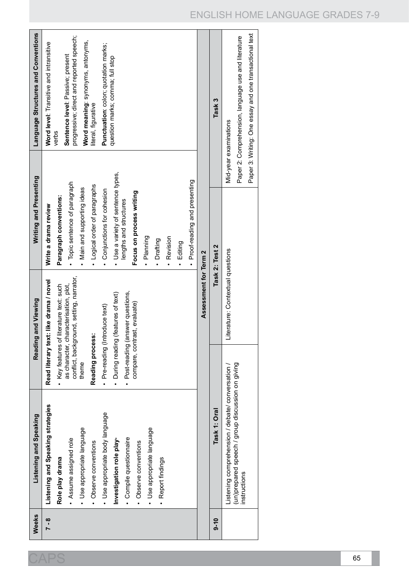| Weeks    | Listening and Speaking                           | and Viewing<br>Reading                     | Writing and Presenting                    | Language Structures and Conventions                    |
|----------|--------------------------------------------------|--------------------------------------------|-------------------------------------------|--------------------------------------------------------|
|          |                                                  |                                            |                                           |                                                        |
| $7 - 8$  | Listening and Speaking strategies                | Read literary text: like drama / novel     | Write a drama review                      | Word level: Transitive and intransitive                |
|          | Role play drama                                  | literature text: such<br>• Key features of | Paragraph conventions:                    | verbs                                                  |
|          | Assume assigned role                             | as character, characterisation, plot,      | · Topic sentence of paragraph             | Sentence level: Passive; present                       |
|          |                                                  | conflict, background, setting, narrator,   |                                           | progressive; direct and reported speech;               |
|          | · Use appropriate language                       | theme                                      | . Main and supporting ideas               | Word meaning: synonyms, antonyms,                      |
|          | Observe conventions<br>$\ddot{\phantom{0}}$      | Reading process:                           | • Logical order of paragraphs             | literal, figurative                                    |
|          | · Use appropriate body language                  | · Pre-reading (Introduce text)             | Conjunctions for cohesion                 | Punctuation: colon; quotation marks;                   |
|          | Investigation role play-                         | · During reading (features of text)        | • Use a variety of sentence types,        | question marks; comma; full stop                       |
|          |                                                  |                                            | lengths and structures                    |                                                        |
|          | · Compile questionnaire                          | · Post-reading (answer questions,          |                                           |                                                        |
|          | Observe conventions                              | compare, contrast, evaluate)               | Focus on process writing                  |                                                        |
|          | · Use appropriate language                       |                                            | · Planning                                |                                                        |
|          | · Report findings                                |                                            | · Drafting                                |                                                        |
|          |                                                  |                                            | · Revision                                |                                                        |
|          |                                                  |                                            | Editing<br>$\ddot{\phantom{0}}$           |                                                        |
|          |                                                  |                                            |                                           |                                                        |
|          |                                                  |                                            | Proof-reading and presenting<br>$\bullet$ |                                                        |
|          |                                                  | Assessment for Term 2                      |                                           |                                                        |
| $9 - 10$ | Task 1: Oral                                     |                                            | Task 2: Test 2                            | Task 3                                                 |
|          | Listening comprehension / debate/ conversation / | Literature: Contextual questions           |                                           | Mid-year examinations                                  |
|          | (un)prepared speech / group discussion on giving |                                            |                                           | Paper 2: Comprehension, language use and literature    |
|          | instructions                                     |                                            |                                           |                                                        |
|          |                                                  |                                            |                                           | Paper 3: Writing: One essay and one transactional text |
|          |                                                  |                                            |                                           |                                                        |
|          |                                                  |                                            |                                           |                                                        |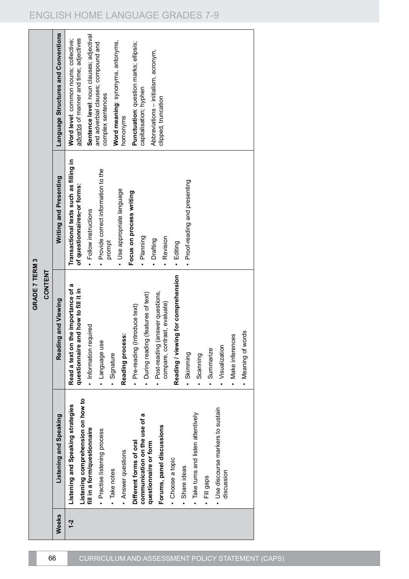|         |                                                                        | <b>GRADE 7 TERM 3</b>                                                     |                                                                       |                                                                                 |
|---------|------------------------------------------------------------------------|---------------------------------------------------------------------------|-----------------------------------------------------------------------|---------------------------------------------------------------------------------|
|         |                                                                        | CONTENT                                                                   |                                                                       |                                                                                 |
| Weeks   | Listening and Speaking                                                 | Reading and Viewing                                                       | Writing and Presenting                                                | <b>Language Structures and Conventions</b>                                      |
| $1 - 2$ | Listening comprehension on how to<br>Listening and Speaking strategies | Read a text on the importance of a<br>questionnaire and how to fill it in | Transactional texts such as filling in<br>of questionnaires-or forms: | adverbs of manner and time; adjectives<br>Word level: common nouns; collective; |
|         | fill in a form/questionnaire                                           | · Information required                                                    | · Follow instructions                                                 | Sentence level: noun clauses; adjectival                                        |
|         | · Practise listening process                                           | · Language use                                                            | Provide correct information to the                                    | and adverbial clauses; compound and<br>complex sentences                        |
|         | · Take notes                                                           | · Signature                                                               | prompt                                                                | Word meaning: synonyms, antonyms,                                               |
|         | • Answer questions                                                     | Reading process:                                                          | · Use appropriate language                                            | homonyms                                                                        |
|         | Different forms of oral                                                | · Pre-reading (Introduce text)                                            | Focus on process writing                                              | Punctuation: question marks; ellipsis;                                          |
|         | communication on the use of a<br>questionnaire or form                 | • During reading (features of text)                                       | · Planning                                                            | capitalisation; hyphen                                                          |
|         | Forums, panel discussions                                              | · Post-reading (answer questions,<br>compare, contrast, evaluate)         | Revision<br>· Drafting<br>$\bullet$                                   | Abbreviations - initialism, acronym,<br>clipped, truncation                     |
|         | • Choose a topic                                                       | ig for comprehension<br>Reading / viewin                                  | · Editing                                                             |                                                                                 |
|         | · Share ideas                                                          | · Skimming                                                                | Proof-reading and presenting                                          |                                                                                 |
|         | · Take turns and listen attentively                                    | · Scanning                                                                |                                                                       |                                                                                 |
|         | · Fill gaps                                                            | Summarize                                                                 |                                                                       |                                                                                 |
|         | • Use discourse markers to sustain<br>discussion                       | • Visualization                                                           |                                                                       |                                                                                 |
|         |                                                                        | · Make inferences                                                         |                                                                       |                                                                                 |
|         |                                                                        | • Meaning of words                                                        |                                                                       |                                                                                 |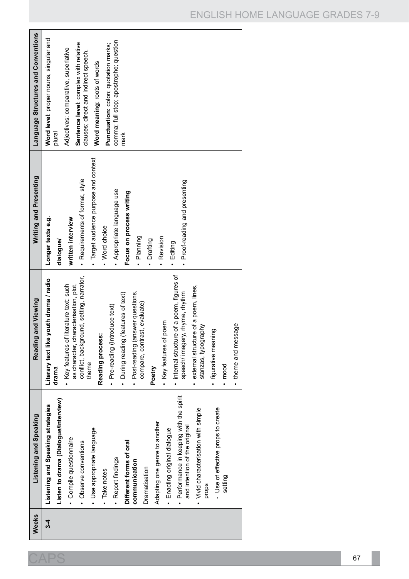|    | Weeks | Listening and Speaking                                                                                                                                                                                                                                                                                                                                                                                                                                                                                                   | and Viewing<br>Reading                                                                                                                                                                                                                                                                                                                                                                                                                                                                                                                                                                                         | Writing and Presenting                                                                                                                                                                                                                                                                                                  | Language Structures and Conventions                                                                                                                                                                                                                                                                 |
|----|-------|--------------------------------------------------------------------------------------------------------------------------------------------------------------------------------------------------------------------------------------------------------------------------------------------------------------------------------------------------------------------------------------------------------------------------------------------------------------------------------------------------------------------------|----------------------------------------------------------------------------------------------------------------------------------------------------------------------------------------------------------------------------------------------------------------------------------------------------------------------------------------------------------------------------------------------------------------------------------------------------------------------------------------------------------------------------------------------------------------------------------------------------------------|-------------------------------------------------------------------------------------------------------------------------------------------------------------------------------------------------------------------------------------------------------------------------------------------------------------------------|-----------------------------------------------------------------------------------------------------------------------------------------------------------------------------------------------------------------------------------------------------------------------------------------------------|
|    | $3-4$ | · Performance in keeping with the spirit<br>Listen to drama (Dialogue/Interview)<br>Listening and Speaking strategies<br>- Use of effective props to create<br>Vivid characterisation with simple<br>Adapting one genre to another<br>and intention of the original<br>· Use appropriate language<br>· Enacting original dialogue<br>· Compile questionnaire<br>Different forms of oral<br>· Observe conventions<br>· Report findings<br>communication<br>Dramatisation<br>· Take notes<br>setting<br>props<br>$\bullet$ | · internal structure of a poem, figures of<br>conflict, background, setting, narrator,<br>Literary text like youth drama / radio<br>literature text: such<br>as character, characterisation, plot,<br>external structure of a poem, lines,<br>· Post-reading (answer questions,<br>speech/imagery, rhyme, rhythm<br>(features of text)<br>compare, contrast, evaluate)<br>· Pre-reading (Introduce text)<br>poem<br>stanzas, typography<br>. theme and message<br>· figurative meaning<br>Reading process:<br>• Key features of<br>• Key features of<br>· During reading<br>theme<br>· mood<br>Poetry<br>drama | · Target audience purpose and context<br>· Requirements of format, style<br>· Proof-reading and presenting<br>- Appropriate language use<br>Focus on process writing<br>written interview<br>Longer texts e.g.<br>• Word choice<br>· Planning<br>Revision<br>· Drafting<br>dialogue/<br>Editing<br>$\ddot{\phantom{0}}$ | Word level: proper nouns, singular and<br>comma; full stop; apostrophe; question<br>Sentence level: complex with relative<br>Punctuation: colon; quotation marks;<br>Adjectives: comparative, superlative<br>clauses; direct and indirect speech.<br>Word meaning: roots of words<br>plural<br>mark |
| 67 |       |                                                                                                                                                                                                                                                                                                                                                                                                                                                                                                                          |                                                                                                                                                                                                                                                                                                                                                                                                                                                                                                                                                                                                                |                                                                                                                                                                                                                                                                                                                         |                                                                                                                                                                                                                                                                                                     |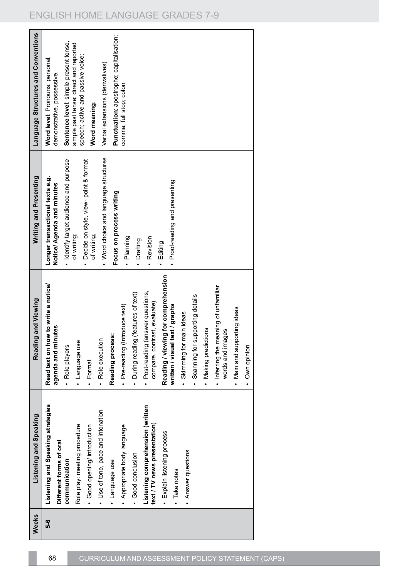| Weeks | Listening and Speaking                                           | and Viewing<br>Reading                                            | Writing and Presenting                                        | Language Structures and Conventions                                         |
|-------|------------------------------------------------------------------|-------------------------------------------------------------------|---------------------------------------------------------------|-----------------------------------------------------------------------------|
| 5-6   | Listening and Speaking strategies<br>Different forms of oral     | Read text on how to write a notice/<br>agenda and minutes         | Longer transactional texts e.g.<br>Notice/ Agenda and minutes | Word level: Pronouns: personal,<br>demonstrative, possessive.               |
|       | communication                                                    | · Role players                                                    | · Identify target audience and purpose                        | Sentence level: simple present tense,                                       |
|       | Role play: meeting procedure                                     | · Language use                                                    | of writing;                                                   | simple past tense; direct and reported<br>speech; active and passive voice; |
|       | Good opening/ introduction                                       | • Format                                                          | • Decide on style, view- point & format<br>of writing;        | Word meaning:                                                               |
|       | • Use of tone, pace and intonation                               | • Role execution                                                  | • Word choice and language structures                         | Verbal extensions (derivatives)                                             |
|       | · Language use                                                   | Reading process:                                                  | Focus on process writing                                      | Punctuation: apostrophe; capitalisation;                                    |
|       | • Appropriate body language                                      | · Pre-reading (Introduce text)                                    | · Planning                                                    | comma; full stop; colon                                                     |
|       | · Good conclusion                                                | • During reading (features of text)                               | · Drafting                                                    |                                                                             |
|       | Listening comprehension (written<br>text / TV news presentation) | · Post-reading (answer questions,<br>compare, contrast, evaluate) | · Revision                                                    |                                                                             |
|       | · Explain listening process                                      | Reading / viewing for comprehension                               | · Editing                                                     |                                                                             |
|       | · Take notes                                                     | written / visual text / graphs                                    | Proof-reading and presenting                                  |                                                                             |
|       | · Answer questions                                               | · Skimming for main ideas                                         |                                                               |                                                                             |
|       |                                                                  | · Scanning for supporting details                                 |                                                               |                                                                             |
|       |                                                                  | • Making predictions                                              |                                                               |                                                                             |
|       |                                                                  | • Inferring the meaning of unfamiliar<br>89<br>words and imag     |                                                               |                                                                             |
|       |                                                                  | . Main and supporting ideas                                       |                                                               |                                                                             |
|       |                                                                  | · Own opinion                                                     |                                                               |                                                                             |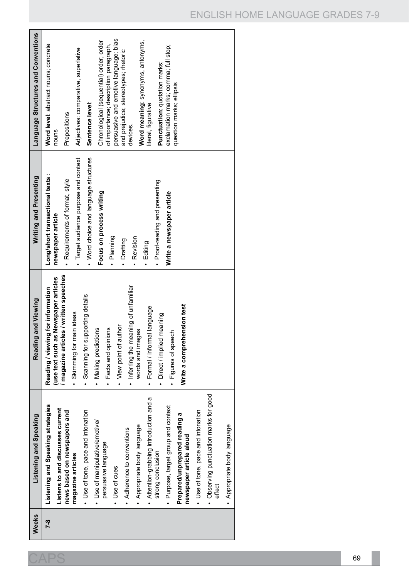|    | Weeks<br>$7 - 8$ | Listening and Speaking strategies<br>Listens to and discusses current<br>• Use of tone, pace and intonation<br>news based on newspapers and<br>Listening and Speaking<br>· Use of manipulative/emotive/<br>persuasive language<br>magazine articles                                                                                                                                                                                                          | / magazine articles / written speeches<br>(use text such as Newspaper articles<br>g for information<br>Scanning for supporting details<br>and Viewing<br>Skimming for main ideas<br>Facts and opinions<br>Making predictions<br>Reading<br>Reading / viewin | . Word choice and language structures<br>· Target audience purpose and context<br>Long/short transactional texts:<br>Writing and Presenting<br>· Requirements of format, style<br>Focus on process writing<br>newspaper article<br>· Planning | Language Structures and Conventions<br>Chronological (sequential) order; order<br>of importance; description paragraph,<br>Word level: abstract nouns; concrete<br>Adjectives: comparative, superlative<br>Sentence level:<br>Prepositions<br>nouns        |
|----|------------------|--------------------------------------------------------------------------------------------------------------------------------------------------------------------------------------------------------------------------------------------------------------------------------------------------------------------------------------------------------------------------------------------------------------------------------------------------------------|-------------------------------------------------------------------------------------------------------------------------------------------------------------------------------------------------------------------------------------------------------------|-----------------------------------------------------------------------------------------------------------------------------------------------------------------------------------------------------------------------------------------------|------------------------------------------------------------------------------------------------------------------------------------------------------------------------------------------------------------------------------------------------------------|
|    |                  | Observing punctuation marks for good<br>Attention-grabbing introduction and a<br>Purpose, target group and context<br>• Use of tone, pace and intonation<br>Prepared/unprepared reading a<br>Appropriate body language<br>Appropriate body language<br>Adherence to conventions<br>newspaper article aloud<br>strong conclusion<br>Use of cues<br>effect<br>$\ddot{\phantom{0}}$<br>$\bullet$<br>$\ddot{\phantom{0}}$<br>$\bullet$<br>$\bullet$<br>$\bullet$ | · Inferring the meaning of unfamiliar<br>Write a comprehension test<br>Formal / informal language<br>meaning<br>View point of author<br>words and images<br>· Figures of speech<br>Direct / implied<br>$\bullet$                                            | Proof-reading and presenting<br>Write a newspaper article<br>Revision<br>· Drafting<br>Editing                                                                                                                                                | persuasive and emotive language; bias<br>Word meaning: synonyms, antonyms,<br>exclamation marks; comma; full stop;<br>and prejudice; stereotypes; rhetoric<br>Punctuation: quotation marks;<br>question marks; ellipsis<br>literal, figurative<br>devices. |
| 69 |                  |                                                                                                                                                                                                                                                                                                                                                                                                                                                              |                                                                                                                                                                                                                                                             |                                                                                                                                                                                                                                               |                                                                                                                                                                                                                                                            |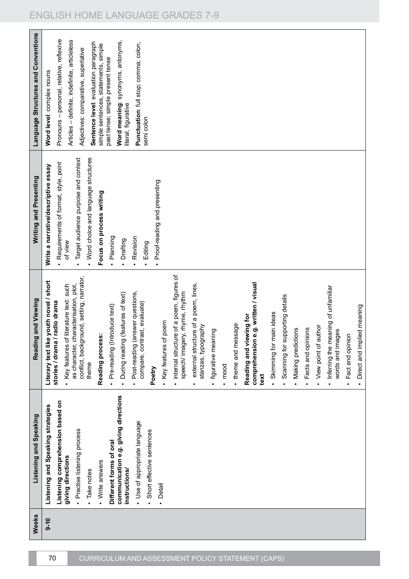| Weeks    | Listening and Speaking                                | and Viewing<br>Reading                                                              | Writing and Presenting                 | <b>Language Structures and Conventions</b>               |
|----------|-------------------------------------------------------|-------------------------------------------------------------------------------------|----------------------------------------|----------------------------------------------------------|
| $9 - 10$ | Listening and Speaking strategies                     | youth novel / short<br>Literary text like                                           | Write a narrative/descriptive essay    | Word level: complex nouns                                |
|          | Listening comprehension based on                      | radio drama<br>stories / drama /                                                    | · Requirements of format, style, point | Pronouns - personal, relative, reflexive                 |
|          | giving directions                                     | literature text: such<br>as character, characterisation, plot,<br>• Key features of | of view                                | Articles - definite, indefinite, articleless             |
|          | · Practise listening process                          | conflict, background, setting, narrator,                                            | Target audience purpose and context    | Adjectives: comparative, superlative                     |
|          | · Take notes                                          | theme                                                                               | • Word choice and language structures  | Sentence level: evaluation paragraph                     |
|          | • Write answers                                       | Reading process:                                                                    | Focus on process writing               | simple sentences, statements, simple                     |
|          | Different forms of oral                               | Pre-reading (Introduce text)                                                        | Planning                               | past tense; simple present tense                         |
|          | communication e.g. giving directions<br>instructions/ | (features of text)<br>During reading                                                | Drafting                               | Word meaning: synonyms, antonyms,<br>literal, figurative |
|          | · Use of appropriate language                         | · Post-reading (answer questions,<br>compare, contrast, evaluate)                   | Revision<br>Editing                    | Punctuation: full stop; comma; colon,<br>semi colon      |
|          | Short effective sentences                             | Poetry                                                                              | $\ddot{\phantom{0}}$                   |                                                          |
|          | Detail<br>$\ddot{\phantom{0}}$                        | poem<br>• Key features of                                                           | Proof-reading and presenting           |                                                          |
|          |                                                       | • internal structure of a poem, figures of<br>speech/imagery, rhyme, rhythm         |                                        |                                                          |
|          |                                                       | external structure of a poem, lines,<br>stanzas, typography                         |                                        |                                                          |
|          |                                                       | · figurative meaning                                                                |                                        |                                                          |
|          |                                                       | · mood                                                                              |                                        |                                                          |
|          |                                                       | • theme and message                                                                 |                                        |                                                          |
|          |                                                       | comprehension e.g. written / visual<br>Reading and viewing for<br>text              |                                        |                                                          |
|          |                                                       | · Skimming for main ideas                                                           |                                        |                                                          |
|          |                                                       | Scanning for supporting details                                                     |                                        |                                                          |
|          |                                                       | . Making predictions                                                                |                                        |                                                          |
|          |                                                       | Facts and opinions                                                                  |                                        |                                                          |
|          |                                                       | • View point of author                                                              |                                        |                                                          |
|          |                                                       | · Inferring the meaning of unfamiliar<br>words and images                           |                                        |                                                          |
|          |                                                       | Fact and opinion                                                                    |                                        |                                                          |
|          |                                                       | • Direct and implied meaning                                                        |                                        |                                                          |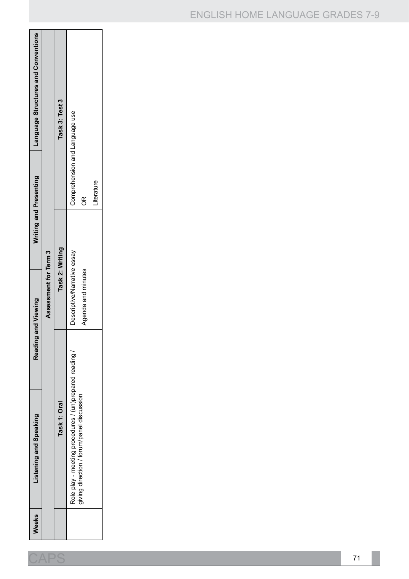|                                              | <b>CAPS</b>     |                                                                                                      |
|----------------------------------------------|-----------------|------------------------------------------------------------------------------------------------------|
|                                              |                 |                                                                                                      |
|                                              | Task 1: Oral    | Role play - meeting procedures / (un)prepared reading /<br>giving direction / forum/panel discussion |
|                                              |                 |                                                                                                      |
| Assessment for Term 3<br>Reading and Viewing |                 | Descriptive/Narrative essay<br>Agenda and minutes                                                    |
|                                              | Task 2: Writing |                                                                                                      |
| Writing and Presenting                       |                 | Comprehension and Language use<br>Literature<br>$\sigma$                                             |
| Language Structures and Conventions          | Task 3: Test 3  |                                                                                                      |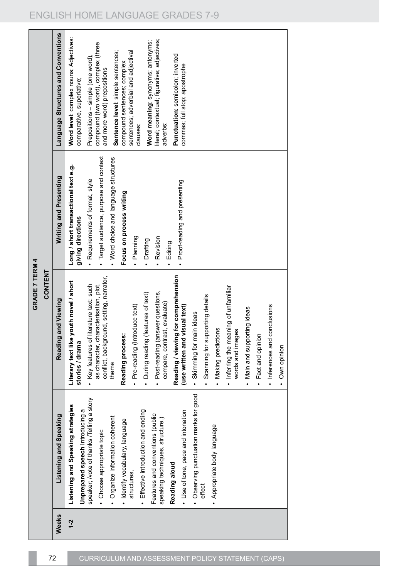| Reading / viewing for comprehension<br>conflict, background, setting, narrator,<br>youth novel / short<br>• Key features of literature text: such<br>as character, characterisation, plot,<br>• Inferring the meaning of unfamiliar<br>· Post-reading (answer questions,<br>(features of text)<br>· Scanning for supporting details<br>and Viewing<br>compare, contrast, evaluate)<br>· Pre-reading (Introduce text)<br>(use written and visual text)<br>• Main and supporting ideas<br>· Skimming for main ideas<br>· Making predictions<br>words and images<br>Reading<br>Reading process<br>• Fact and opinior<br>Literary text like<br>· During reading (<br>stories / drama<br>theme<br>· Observing punctuation marks for good<br>speaker; /vote of thanks /Telling a story<br>Listening and Speaking strategies<br>Unprepared speech Introducing a<br>• Use of tone, pace and intonation<br>• Effective introduction and ending<br>Features and conventions (public<br>Listening and Speaking<br>· Organize information coherent<br>speaking techniques, structure.)<br>· Identify vocabulary, language<br>+ Appropriate body language<br>· Choose appropriate topic<br>Reading aloud<br>structures,<br>effect<br>Weeks<br>$1 - 2$ | · Target audience, purpose and context<br>• Word choice and language structures<br>Long / short transactional text e.g-<br>Writing and Presenting<br>· Requirements of format, style<br>Proof-reading and presenting<br>Focus on process writing<br>giving directions<br>· Planning<br>Revision<br>· Drafting<br>Editing<br><b>GRADE 7 TERM 4</b><br><b>CONTENT</b> | Language Structures and Conventions<br>Word level: complex nouns; Adjectives:<br>literal; contextual; figurative; adjectives;<br>Word meaning: synonyms; antonyms;<br>compound (two word), complex (three<br>Sentence level: simple sentences;<br>sentences; adverbial and adjectival<br>Punctuation: semicolon; inverted<br>Prepositions – simple (one word),<br>compound sentences; complex<br>commas; full stop; apostrophe<br>and more word) prepositions<br>comparative, superlative;<br>adverbs;<br>clauses; |
|------------------------------------------------------------------------------------------------------------------------------------------------------------------------------------------------------------------------------------------------------------------------------------------------------------------------------------------------------------------------------------------------------------------------------------------------------------------------------------------------------------------------------------------------------------------------------------------------------------------------------------------------------------------------------------------------------------------------------------------------------------------------------------------------------------------------------------------------------------------------------------------------------------------------------------------------------------------------------------------------------------------------------------------------------------------------------------------------------------------------------------------------------------------------------------------------------------------------------------------|---------------------------------------------------------------------------------------------------------------------------------------------------------------------------------------------------------------------------------------------------------------------------------------------------------------------------------------------------------------------|--------------------------------------------------------------------------------------------------------------------------------------------------------------------------------------------------------------------------------------------------------------------------------------------------------------------------------------------------------------------------------------------------------------------------------------------------------------------------------------------------------------------|
| conclusions<br>· Inferences and<br>· Own opinion                                                                                                                                                                                                                                                                                                                                                                                                                                                                                                                                                                                                                                                                                                                                                                                                                                                                                                                                                                                                                                                                                                                                                                                         |                                                                                                                                                                                                                                                                                                                                                                     |                                                                                                                                                                                                                                                                                                                                                                                                                                                                                                                    |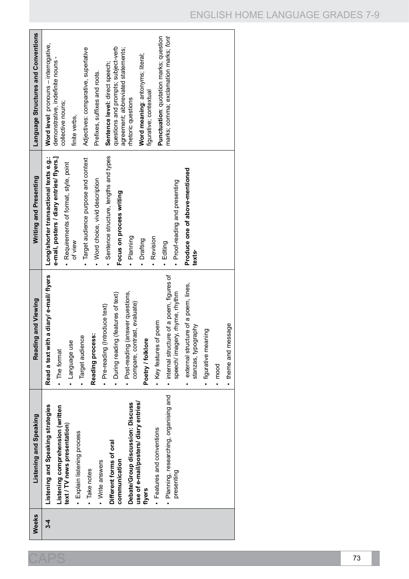| Language Structures and Conventions | Punctuation: quotation marks; question<br>marks; comma; exclamation marks; font<br>Word level: pronouns - interrogative,<br>questions and prompts; subject-verb<br>Adjectives: comparative, superlative<br>agreement; abbreviated statements;<br>Word meaning: antonyms; literal;<br>demonstrative, indefinite nouns<br>Sentence level: direct speech;<br>Prefixes, suffixes and roots<br>figurative; contextual<br>rhetoric questions<br>collective nouns;<br>finite verbs,                                                |
|-------------------------------------|-----------------------------------------------------------------------------------------------------------------------------------------------------------------------------------------------------------------------------------------------------------------------------------------------------------------------------------------------------------------------------------------------------------------------------------------------------------------------------------------------------------------------------|
| Writing and Presenting              | Sentence structure, lengths and types<br>Long/shorter transactional texts e.g.:<br>e-mail, posters / diary entries/ flyers.]<br>Target audience purpose and context<br>Requirements of format, style, point<br>Produce one of above-mentioned<br>Word choice, vivid description<br>Proof-reading and presenting<br>Focus on process writing<br>Planning<br>Revision<br>Drafting<br>of view<br>Editing<br>texts-                                                                                                             |
| and Viewing<br>Reading              | • internal structure of a poem, figures of<br>speech/imagery, rhyme, rhythm<br>a diary/ e-mail/ flyers<br>external structure of a poem, lines,<br>· Post-reading (answer questions,<br>(features of text)<br>compare, contrast, evaluate)<br>· Pre-reading (Introduce text)<br>poem<br>• theme and message<br>stanzas, typography<br>· figurative meaning<br>· Target audience<br>Reading process<br>· During reading<br>• Key features of<br>Read a text with<br>Poetry / folklore<br>Language use<br>The format<br>· mood |
| Listening and Speaking              | Planning, researching, organising and<br>use of e-mail/posters/ diary entries/<br>Debate/Group discussion: Discuss<br>Listening and Speaking strategies<br>Listening comprehension (written<br>text / TV news presentation)<br>Features and conventions<br>· Explain listening process<br>Different forms of oral<br>communication<br>• Write answers<br>· Take notes<br>presenting<br>flyers<br>$\ddot{\phantom{0}}$                                                                                                       |
| Weeks                               | $3-4$                                                                                                                                                                                                                                                                                                                                                                                                                                                                                                                       |
|                                     |                                                                                                                                                                                                                                                                                                                                                                                                                                                                                                                             |

## ENGLISH HOME LANGUAGE GRADES 7-9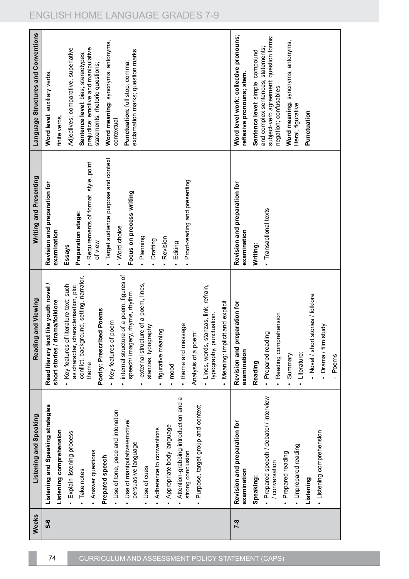| Weeks   | Listening and Speaking                                                                                                                                                                                                                                                                                                                                                                                                                                                           | and Viewing<br>Reading                                                                                                                                                                                                                                                                                                                                                                                                                                                                                                                                                                                             | Writing and Presenting                                                                                                                                                                                                                                                                                               | Language Structures and Conventions                                                                                                                                                                                                                                                                                             |
|---------|----------------------------------------------------------------------------------------------------------------------------------------------------------------------------------------------------------------------------------------------------------------------------------------------------------------------------------------------------------------------------------------------------------------------------------------------------------------------------------|--------------------------------------------------------------------------------------------------------------------------------------------------------------------------------------------------------------------------------------------------------------------------------------------------------------------------------------------------------------------------------------------------------------------------------------------------------------------------------------------------------------------------------------------------------------------------------------------------------------------|----------------------------------------------------------------------------------------------------------------------------------------------------------------------------------------------------------------------------------------------------------------------------------------------------------------------|---------------------------------------------------------------------------------------------------------------------------------------------------------------------------------------------------------------------------------------------------------------------------------------------------------------------------------|
| 5-6     | Attention-grabbing introduction and a<br>Listening and Speaking strategies<br>Purpose, target group and context<br>• Use of tone, pace and intonation<br>· Use of manipulative/emotive/<br>Appropriate body language<br>• Adherence to conventions<br>Listening comprehension<br>· Explain listening process<br>persuasive language<br>Answer questions<br>strong conclusion<br>Prepared speech<br>Use of cues<br>· Take notes<br>$\ddot{\phantom{0}}$<br>$\bullet$<br>$\bullet$ | • internal structure of a poem, figures of<br>speech/ imagery, rhyme, rhythm<br>conflict, background, setting, narrator,<br>external structure of a poem, lines,<br>Read literary text like youth novel /<br>literature text: such<br>· Lines, words, stanzas, link, refrain,<br>as character, characterisation, plot,<br>short stories / drama/folklore<br>• Meaning: implicit and explicit<br>Poetry: Prescribed Poems<br>typography, punctuation.<br>poem<br>theme and message<br>stanzas, typography<br>· figurative meaning<br>Analysis of a poem:<br>. Key features of<br>• Key features of<br>theme<br>mood | · Target audience purpose and context<br>· Requirements of format, style, point<br>· Proof-reading and presenting<br>Revision and preparation for<br>Focus on process writing<br>Preparation stage:<br>• Word choice<br>examination<br>Planning<br>Revision<br>Drafting<br>of view<br>Editing<br>Essays<br>$\bullet$ | Word meaning: synonyms, antonyms,<br>Adjectives: comparative, superlative<br>prejudice; emotive and manipulative<br>exclamation marks; question marks<br>Sentence level: bias; stereotypes;<br>Punctuation: full stop; comma;<br>statements; rhetoric questions;<br>Word level: auxiliary verbs;<br>finite verbs,<br>contextual |
| $7 - 8$ | · Prepared speech / debate/ / interview<br>Revision and preparation for<br>Listening comprehension<br>· Unprepared reading<br>Prepared reading<br>/ conversation<br>examination<br>Speaking:<br>Listening                                                                                                                                                                                                                                                                        | - Novel / short stories / folklore<br>Revision and preparation for<br>· Reading comprehension<br>- Drama / film study<br>· Prepared reading<br>examination<br>· Literature:<br>Summary<br>Poems<br>Reading                                                                                                                                                                                                                                                                                                                                                                                                         | Revision and preparation for<br>· Transactional texts<br>examination<br>Writing:                                                                                                                                                                                                                                     | Word level work: collective pronouns;<br>subject-verb agreement; question forms;<br>Word meaning: synonyms, antonyms,<br>and complex sentences; statements;<br>Sentence level: simple, compound<br>reflexive pronouns; stem.<br>negation; confusables<br>literal, figurative<br>Punctuation                                     |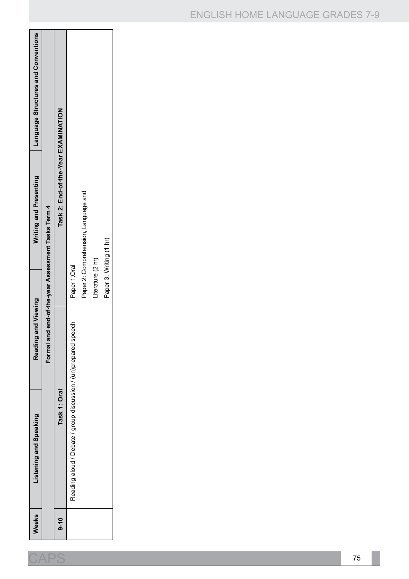|                                     | P                                                  | S                                   |                                                                 |                                      |                         | 75 |
|-------------------------------------|----------------------------------------------------|-------------------------------------|-----------------------------------------------------------------|--------------------------------------|-------------------------|----|
| Weeks                               |                                                    | $9 - 10$                            |                                                                 |                                      |                         |    |
| Listening and Speaking              |                                                    | Task 1: Oral                        | Reading aloud / Debate / group discussion / (un)prepared speech |                                      |                         |    |
| Reading and Viewing                 | Formal and end-of-the-year Assessment Tasks Term 4 |                                     |                                                                 |                                      |                         |    |
|                                     |                                                    |                                     | Paper 1:Oral                                                    | Literature (2 hr)                    | Paper 3: Writing (1 hr) |    |
| Writing and Presenting              |                                                    | Task 2: End-of-the-Year EXAMINATION |                                                                 | Paper 2: Comprehension, Language and |                         |    |
| Language Structures and Conventions |                                                    |                                     |                                                                 |                                      |                         |    |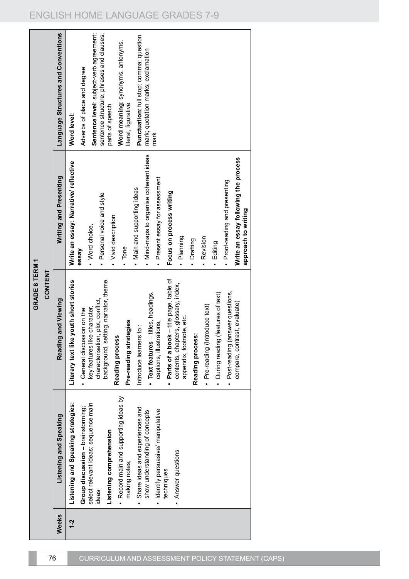|                |                | Language Structures and Conventions | Sentence level: subject-verb agreement;<br>sentence structure; phrases and clauses;<br>Punctuation: full stop; comma; question<br>Word meaning: synonyms, antonyms,<br>mark; quotation marks; exclamation<br>Adverbs of place and degree<br>literal, figurative<br>parts of speech<br>Word level:<br>mark                                                                                                                                                                                                                                                                                                      |
|----------------|----------------|-------------------------------------|----------------------------------------------------------------------------------------------------------------------------------------------------------------------------------------------------------------------------------------------------------------------------------------------------------------------------------------------------------------------------------------------------------------------------------------------------------------------------------------------------------------------------------------------------------------------------------------------------------------|
|                |                | Writing and Presenting              | • Mind-maps to organise coherent ideas<br>Write an essay following the process<br>Write an essay: Narrative/ reflective<br>· Present essay for assessment<br>· Proof-reading and presenting<br>• Main and supporting ideas<br>Focus on process writing<br>· Personal voice and style<br>approach to writing<br>• Vivid description<br>• Word choice,<br>· Planning<br>· Revision<br>· Drafting<br>· Editing<br>Tone<br>essay                                                                                                                                                                                   |
| GRADE 8 TERM 1 | <b>CONTENT</b> | and Viewing<br>Reading              | · Parts of a book - title page, table of<br>background, setting, narrator, theme<br>Literary text like youth short stories<br>contents, chapters, glossary, index,<br>· Post-reading (answer questions,<br>• Text features - titles, headings,<br>• During reading (features of text)<br>characterisation, plot, conflict,<br>compare, contrast, evaluate)<br>· Pre-reading (Introduce text)<br>key features like character,<br>• General discussion on the<br>appendix, footnote, etc.<br>captions, illustrations,<br>Pre-reading strategies<br>Introduce learners to:<br>Reading process:<br>Reading process |
|                |                | Listening and Speaking              | · Record main and supporting ideas by<br>Listening and Speaking strategies:<br>select relevant ideas; sequence main<br>Group discussion - brainstorming;<br>Share ideas and experiences and<br>· Identify persuasive/ manipulative<br>show understanding of concepts<br>Listening comprehension<br>• Answer questions<br>making notes,<br>techniques<br>ideas                                                                                                                                                                                                                                                  |
|                |                | Weeks                               | $1 - 2$                                                                                                                                                                                                                                                                                                                                                                                                                                                                                                                                                                                                        |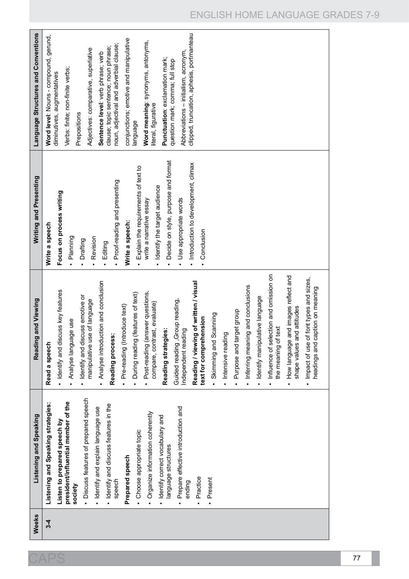|    | Weeks | Listening and Speaking                          | and Viewing<br>Reading                                                                 | Writing and Presenting                | Language Structures and Conventions       |
|----|-------|-------------------------------------------------|----------------------------------------------------------------------------------------|---------------------------------------|-------------------------------------------|
|    | $3-4$ | Listening and Speaking strategies:              | Read a speech                                                                          | Write a speech                        | Word level: Nouns - compound, gerund,     |
|    |       | Listen to prepared speech by                    | · Identify and discuss key features                                                    | Focus on process writing              | diminutives, augmentatives                |
|    |       | president/influential member of the             | · Analyse language use                                                                 | · Planning                            | Verbs: finite; non-finite verbs;          |
|    |       | society                                         |                                                                                        |                                       | Prepositions                              |
|    |       | · Discuss features of prepared speech           | · Identify and discuss emotive or                                                      | Drafting<br>$\bullet$                 |                                           |
|    |       | · Identify and explain language use             | manipulative use of language                                                           | Revision                              | Adjectives: comparative, superlative      |
|    |       |                                                 | Analyse introduction and conclusion                                                    | Editing                               | Sentence level: verb phrase; verb         |
|    |       | · Identify and discuss features in the          | Reading process:                                                                       |                                       | clause; topic sentence; noun phrase;      |
|    |       | speech                                          |                                                                                        | Proof-reading and presenting          | noun, adjectival and adverbial clause;    |
|    |       | Prepared speech                                 | · Pre-reading (Introduce text)                                                         | Write a speech:                       | conjunctions; emotive and manipulative    |
|    |       |                                                 | · During reading (features of text)                                                    |                                       | language                                  |
|    |       | · Choose appropriate topic                      |                                                                                        | • Explain the requirements of text to |                                           |
|    |       | · Organize information coherently               | · Post-reading (answer questions,                                                      | write a narrative essay               | Word meaning: synonyms, antonyms,         |
|    |       |                                                 | compare, contrast, evaluate)                                                           | Identify the target audience          | literal, figurative                       |
|    |       | · Identify correct vocabulary and               | Reading strategies:                                                                    |                                       | Punctuation: exclamation mark;            |
|    |       | language structures                             |                                                                                        | Decide on style, purpose and format   | question mark; comma; full stop           |
|    |       | Prepare effective introduction and<br>$\bullet$ | Guided reading, Group reading,<br>Independent reading                                  | Use appropriate words                 | Abbreviations - initialism, acronym,      |
|    |       | ending                                          |                                                                                        | · Introduction to development, climax | clipped, truncation, aphesis, portmanteau |
|    |       | Practice<br>$\bullet$                           | of written / visual<br>Reading / viewing                                               |                                       |                                           |
|    |       |                                                 | text for comprehension                                                                 | Conclusion                            |                                           |
|    |       | · Present                                       | · Skimming and Scanning                                                                |                                       |                                           |
|    |       |                                                 | · Intensive reading                                                                    |                                       |                                           |
|    |       |                                                 | Purpose and target group                                                               |                                       |                                           |
|    |       |                                                 |                                                                                        |                                       |                                           |
|    |       |                                                 | . Inferring meaning and conclusions                                                    |                                       |                                           |
|    |       |                                                 | · Identify manipulative language                                                       |                                       |                                           |
|    |       |                                                 | . Influence of selection and omission on                                               |                                       |                                           |
|    |       |                                                 | the meaning of text                                                                    |                                       |                                           |
|    |       |                                                 | How language and images reflect and<br>shape values and attitudes<br>$\bullet$         |                                       |                                           |
|    |       |                                                 |                                                                                        |                                       |                                           |
|    |       |                                                 | Impact of use of font types and sizes,<br>headings and caption on meaning<br>$\bullet$ |                                       |                                           |
|    |       |                                                 |                                                                                        |                                       |                                           |
|    |       |                                                 |                                                                                        |                                       |                                           |
| 77 |       |                                                 |                                                                                        |                                       |                                           |

## ENGLISH HOME LANGUAGE GRADES 7-9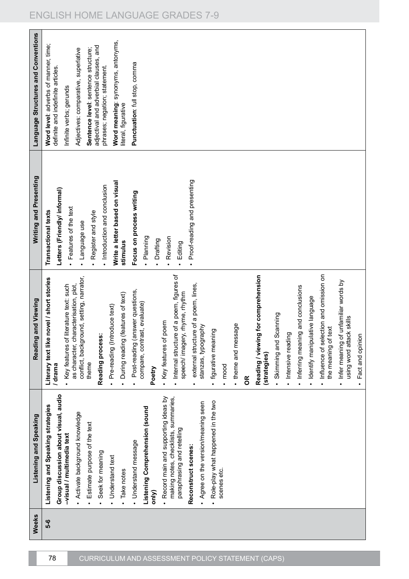| Weeks | Listening and Speaking                                                    | Reading and Viewing                                                              | Writing and Presenting                              | Language Structures and Conventions                                      |
|-------|---------------------------------------------------------------------------|----------------------------------------------------------------------------------|-----------------------------------------------------|--------------------------------------------------------------------------|
| 5-6   | Group discussion about visual, audio<br>Listening and Speaking strategies | Literary text like novel / short stories<br>/ drama                              | Letters (Friendly/ informal)<br>Transactional texts | Word level: adverbs of manner, time;<br>definite and indefinite articles |
|       | -visual / multimedia text                                                 | • Key features of literature text: such                                          | · Features of the text                              | Infinite verbs; gerunds                                                  |
|       | Activate background knowledge                                             | conflict, background, setting, narrator,<br>as character, characterisation, plot | · Language use                                      | Adjectives: comparative, superlative                                     |
|       | · Estimate purpose of the text                                            | theme                                                                            | Register and style                                  | Sentence level: sentence structure;                                      |
|       | Seek for meaning                                                          | Reading process:                                                                 | • Introduction and conclusion                       | adjectival and adverbial clauses, and<br>phrases; negation; statement.   |
|       | · Understand text                                                         | · Pre-reading (Introduce text)                                                   | Write a letter based on visual                      | Word meaning: synonyms, antonyms,                                        |
|       | · Take notes                                                              | · During reading (features of text)                                              | stimulus                                            | literal, figurative                                                      |
|       | · Understand message                                                      | Post-reading (answer questions,<br>compare, contrast, evaluate)                  | Focus on process writing                            | Punctuation: full stop, comma                                            |
|       | Listening Comprehension (sound<br>only)                                   | Poetry                                                                           | · Planning<br>Drafting                              |                                                                          |
|       | · Record main and supporting ideas by                                     | • Key features of poem                                                           | Revision                                            |                                                                          |
|       | making notes, checklists, summaries,<br>paraphrasing and retelling        | · Internal structure of a poem, figures of<br>rhyme, rhythm<br>speech/ imagery,  | Editing                                             |                                                                          |
|       | Reconstruct scenes:                                                       | external structure of a poem, lines,                                             | Proof-reading and presenting                        |                                                                          |
|       | Agree on the version/meaning seen                                         | stanzas, typography                                                              |                                                     |                                                                          |
|       | Role-play what happened in the two                                        | · figurative meaning                                                             |                                                     |                                                                          |
|       | scenes etc.                                                               | · mood                                                                           |                                                     |                                                                          |
|       |                                                                           | . theme and message                                                              |                                                     |                                                                          |
|       |                                                                           | $\frac{R}{C}$                                                                    |                                                     |                                                                          |
|       |                                                                           | for comprehension<br>Reading / viewing<br>(strategies)                           |                                                     |                                                                          |
|       |                                                                           | · Skimming and Scanning                                                          |                                                     |                                                                          |
|       |                                                                           | · Intensive reading                                                              |                                                     |                                                                          |
|       |                                                                           | and conclusions<br>· Inferring meaning                                           |                                                     |                                                                          |
|       |                                                                           | · Identify manipulative language                                                 |                                                     |                                                                          |
|       |                                                                           | . Influence of selection and omission on<br>the meaning of text                  |                                                     |                                                                          |
|       |                                                                           | • Infer meaning of unfamiliar words by<br>skills<br>using word attack            |                                                     |                                                                          |
|       |                                                                           | • Fact and opinion                                                               |                                                     |                                                                          |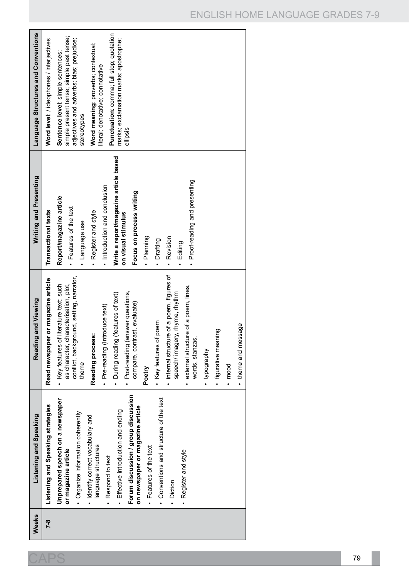## ENGLISH HOME LANGUAGE GRADES 7-9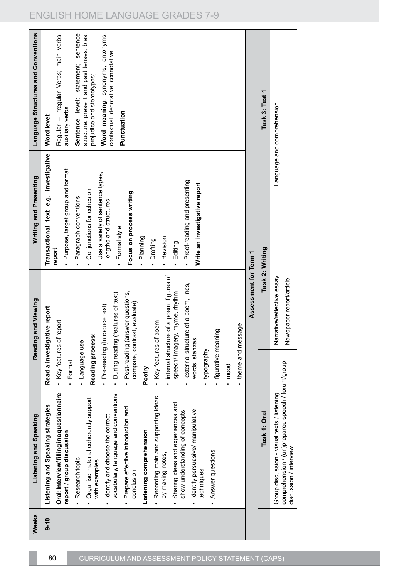| Weeks    | Listening and Speaking                                                                                                                                                                                                                                                                                                                                                                                                                                                                                                                                             | Reading and Viewing                                                                                                                                                                                                                                                                                                                                                                                                                                                                                               | Writing and Presenting                                                                                                                                                                                                                                                                                                                                                        | Language Structures and Conventions                                                                                                                                                                                                                                                   |
|----------|--------------------------------------------------------------------------------------------------------------------------------------------------------------------------------------------------------------------------------------------------------------------------------------------------------------------------------------------------------------------------------------------------------------------------------------------------------------------------------------------------------------------------------------------------------------------|-------------------------------------------------------------------------------------------------------------------------------------------------------------------------------------------------------------------------------------------------------------------------------------------------------------------------------------------------------------------------------------------------------------------------------------------------------------------------------------------------------------------|-------------------------------------------------------------------------------------------------------------------------------------------------------------------------------------------------------------------------------------------------------------------------------------------------------------------------------------------------------------------------------|---------------------------------------------------------------------------------------------------------------------------------------------------------------------------------------------------------------------------------------------------------------------------------------|
| $9 - 10$ | Oral: Interview/fillinginaquestionnaire<br>vocabulary, language and conventions<br>· Recording main and supporting ideas<br>Organise material coherently-support<br>Sharing ideas and experiences and<br>Listening and Speaking strategies<br>Prepare effective introduction and<br>· Identify persuasive/ manipulative<br>show understanding of concepts<br>· Identify and choose the correct<br>Listening comprehension<br>report / group discussion<br>• Answer questions<br>by making notes,<br>· Research topic<br>with examples.<br>techniques<br>conclusion | · internal structure of a poem, figures of<br>external structure of a poem, lines,<br>· Post-reading (answer questions,<br>speech/imagery, rhyme, rhythm<br>· During reading (features of text)<br>compare, contrast, evaluate)<br>· Pre-reading (Introduce text)<br>ive report<br>• Key features of report<br>• Key features of poem<br>. theme and message<br>· figurative meaning<br>Reading process:<br>Read a investigati<br>words, stanzas,<br>· Language use<br>thelendar,<br>· Format<br>· mood<br>Poetry | Transactional text e.g. investigative<br>· Purpose, target group and format<br>Use a variety of sentence types,<br>Proof-reading and presenting<br>Write an investigative report<br>Conjunctions for cohesion<br>Focus on process writing<br>Paragraph conventions<br>lengths and structures<br>· Formal style<br>· Planning<br>· Revision<br>· Drafting<br>Editing<br>report | Regular - irregular Verbs; main verbs;<br>structure; present and past tenses; bias;<br>Sentence level: statement; sentence<br>Word meaning: synonyms, antonyms,<br>contextual; denotative; connotative<br>prejudice and stereotypes;<br>auxiliary verbs<br>Punctuation<br>Word level: |
|          |                                                                                                                                                                                                                                                                                                                                                                                                                                                                                                                                                                    | Assessment for Term 1                                                                                                                                                                                                                                                                                                                                                                                                                                                                                             |                                                                                                                                                                                                                                                                                                                                                                               |                                                                                                                                                                                                                                                                                       |
|          | Task 1: Oral                                                                                                                                                                                                                                                                                                                                                                                                                                                                                                                                                       |                                                                                                                                                                                                                                                                                                                                                                                                                                                                                                                   | Task 2: Writing                                                                                                                                                                                                                                                                                                                                                               | Task 3: Test 1                                                                                                                                                                                                                                                                        |
|          | comprehension / (un)prepared speech / forum/group<br>Group discussion - visual texts / listening<br>discussion / interview                                                                                                                                                                                                                                                                                                                                                                                                                                         | Narrative/reflective essay<br>Newspaper report/article                                                                                                                                                                                                                                                                                                                                                                                                                                                            |                                                                                                                                                                                                                                                                                                                                                                               | Language and comprehension                                                                                                                                                                                                                                                            |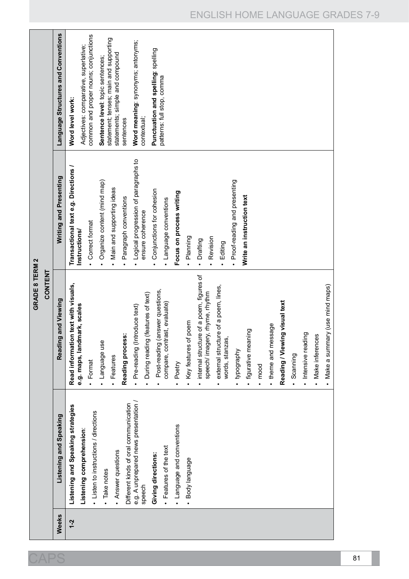| contextual;<br>• Logical progression of paragraphs to<br>Transactional text e.g. Directions /<br>Writing and Presenting<br>Organize content (mind map)<br>· Proof-reading and presenting<br>. Main and supporting ideas<br>Conjunctions for cohesion<br>Focus on process writing<br>Write an instruction text<br>Paragraph conventions<br>· Language conventions<br>ensure coherence<br>• Correct format<br>Instructions/<br>· Planning<br>Revision<br>· Drafting<br>· Editing<br>$\bullet$<br>$\bullet$<br>CONTENT<br>of a poem, figures of<br>Read information text with visuals,<br>Make a summary (use mind maps)<br>external structure of a poem, lines,<br>Post-reading (answer questions,<br>speech/imagery, rhyme, rhythm<br>During reading (features of text)<br>Reading and Viewing<br>visual text<br>compare, contrast, evaluate)<br>e.g. maps, landmark, scales<br>· Pre-reading (Introduce text)<br>• Key features of poem<br>. theme and message<br>· figurative meaning<br>Reading process:<br>· internal structure<br>Reading / Viewing<br>· Intensive reading<br>· Make inferences<br>words, stanzas,<br>- Language use<br>typography<br>· Scanning<br>· Features<br>· Format<br>Poetry<br>· mood<br>$\bullet$<br>$\bullet$<br>e.g. A unprepared news presentation /<br>Different kinds of oral communication<br>Listening and Speaking strategies<br>• Listen to instructions / directions<br>Listening and Speaking<br>· Language and conventions<br>Listening comprehension:<br>· Features of the text<br>• Answer questions<br>Giving directions:<br>- Body language<br>· Take notes<br>speech<br>Weeks<br>$1 - 2$ |    |  | <b>GRADE 8 TERM 2</b> |                                                                           |
|-----------------------------------------------------------------------------------------------------------------------------------------------------------------------------------------------------------------------------------------------------------------------------------------------------------------------------------------------------------------------------------------------------------------------------------------------------------------------------------------------------------------------------------------------------------------------------------------------------------------------------------------------------------------------------------------------------------------------------------------------------------------------------------------------------------------------------------------------------------------------------------------------------------------------------------------------------------------------------------------------------------------------------------------------------------------------------------------------------------------------------------------------------------------------------------------------------------------------------------------------------------------------------------------------------------------------------------------------------------------------------------------------------------------------------------------------------------------------------------------------------------------------------------------------------------------------------------------------------------------------------------------|----|--|-----------------------|---------------------------------------------------------------------------|
|                                                                                                                                                                                                                                                                                                                                                                                                                                                                                                                                                                                                                                                                                                                                                                                                                                                                                                                                                                                                                                                                                                                                                                                                                                                                                                                                                                                                                                                                                                                                                                                                                                         |    |  |                       |                                                                           |
|                                                                                                                                                                                                                                                                                                                                                                                                                                                                                                                                                                                                                                                                                                                                                                                                                                                                                                                                                                                                                                                                                                                                                                                                                                                                                                                                                                                                                                                                                                                                                                                                                                         |    |  |                       | Language Structures and Conventions                                       |
|                                                                                                                                                                                                                                                                                                                                                                                                                                                                                                                                                                                                                                                                                                                                                                                                                                                                                                                                                                                                                                                                                                                                                                                                                                                                                                                                                                                                                                                                                                                                                                                                                                         |    |  |                       | Word level work:                                                          |
|                                                                                                                                                                                                                                                                                                                                                                                                                                                                                                                                                                                                                                                                                                                                                                                                                                                                                                                                                                                                                                                                                                                                                                                                                                                                                                                                                                                                                                                                                                                                                                                                                                         |    |  |                       | Adjectives: comparative, superlative;                                     |
|                                                                                                                                                                                                                                                                                                                                                                                                                                                                                                                                                                                                                                                                                                                                                                                                                                                                                                                                                                                                                                                                                                                                                                                                                                                                                                                                                                                                                                                                                                                                                                                                                                         |    |  |                       | common and proper nouns; conjunctions                                     |
|                                                                                                                                                                                                                                                                                                                                                                                                                                                                                                                                                                                                                                                                                                                                                                                                                                                                                                                                                                                                                                                                                                                                                                                                                                                                                                                                                                                                                                                                                                                                                                                                                                         |    |  |                       | Sentence level: topic sentences;                                          |
|                                                                                                                                                                                                                                                                                                                                                                                                                                                                                                                                                                                                                                                                                                                                                                                                                                                                                                                                                                                                                                                                                                                                                                                                                                                                                                                                                                                                                                                                                                                                                                                                                                         |    |  |                       | statement; tenses; main and supporting<br>statements; simple and compound |
|                                                                                                                                                                                                                                                                                                                                                                                                                                                                                                                                                                                                                                                                                                                                                                                                                                                                                                                                                                                                                                                                                                                                                                                                                                                                                                                                                                                                                                                                                                                                                                                                                                         |    |  |                       | sentences                                                                 |
|                                                                                                                                                                                                                                                                                                                                                                                                                                                                                                                                                                                                                                                                                                                                                                                                                                                                                                                                                                                                                                                                                                                                                                                                                                                                                                                                                                                                                                                                                                                                                                                                                                         |    |  |                       | Word meaning: synonyms; antonyms;                                         |
|                                                                                                                                                                                                                                                                                                                                                                                                                                                                                                                                                                                                                                                                                                                                                                                                                                                                                                                                                                                                                                                                                                                                                                                                                                                                                                                                                                                                                                                                                                                                                                                                                                         |    |  |                       |                                                                           |
|                                                                                                                                                                                                                                                                                                                                                                                                                                                                                                                                                                                                                                                                                                                                                                                                                                                                                                                                                                                                                                                                                                                                                                                                                                                                                                                                                                                                                                                                                                                                                                                                                                         |    |  |                       | Punctuation and spelling: spelling                                        |
|                                                                                                                                                                                                                                                                                                                                                                                                                                                                                                                                                                                                                                                                                                                                                                                                                                                                                                                                                                                                                                                                                                                                                                                                                                                                                                                                                                                                                                                                                                                                                                                                                                         |    |  |                       | patterns: full stop, comma                                                |
|                                                                                                                                                                                                                                                                                                                                                                                                                                                                                                                                                                                                                                                                                                                                                                                                                                                                                                                                                                                                                                                                                                                                                                                                                                                                                                                                                                                                                                                                                                                                                                                                                                         |    |  |                       |                                                                           |
|                                                                                                                                                                                                                                                                                                                                                                                                                                                                                                                                                                                                                                                                                                                                                                                                                                                                                                                                                                                                                                                                                                                                                                                                                                                                                                                                                                                                                                                                                                                                                                                                                                         |    |  |                       |                                                                           |
|                                                                                                                                                                                                                                                                                                                                                                                                                                                                                                                                                                                                                                                                                                                                                                                                                                                                                                                                                                                                                                                                                                                                                                                                                                                                                                                                                                                                                                                                                                                                                                                                                                         |    |  |                       |                                                                           |
|                                                                                                                                                                                                                                                                                                                                                                                                                                                                                                                                                                                                                                                                                                                                                                                                                                                                                                                                                                                                                                                                                                                                                                                                                                                                                                                                                                                                                                                                                                                                                                                                                                         |    |  |                       |                                                                           |
|                                                                                                                                                                                                                                                                                                                                                                                                                                                                                                                                                                                                                                                                                                                                                                                                                                                                                                                                                                                                                                                                                                                                                                                                                                                                                                                                                                                                                                                                                                                                                                                                                                         |    |  |                       |                                                                           |
|                                                                                                                                                                                                                                                                                                                                                                                                                                                                                                                                                                                                                                                                                                                                                                                                                                                                                                                                                                                                                                                                                                                                                                                                                                                                                                                                                                                                                                                                                                                                                                                                                                         |    |  |                       |                                                                           |
|                                                                                                                                                                                                                                                                                                                                                                                                                                                                                                                                                                                                                                                                                                                                                                                                                                                                                                                                                                                                                                                                                                                                                                                                                                                                                                                                                                                                                                                                                                                                                                                                                                         |    |  |                       |                                                                           |
|                                                                                                                                                                                                                                                                                                                                                                                                                                                                                                                                                                                                                                                                                                                                                                                                                                                                                                                                                                                                                                                                                                                                                                                                                                                                                                                                                                                                                                                                                                                                                                                                                                         |    |  |                       |                                                                           |
|                                                                                                                                                                                                                                                                                                                                                                                                                                                                                                                                                                                                                                                                                                                                                                                                                                                                                                                                                                                                                                                                                                                                                                                                                                                                                                                                                                                                                                                                                                                                                                                                                                         |    |  |                       |                                                                           |
|                                                                                                                                                                                                                                                                                                                                                                                                                                                                                                                                                                                                                                                                                                                                                                                                                                                                                                                                                                                                                                                                                                                                                                                                                                                                                                                                                                                                                                                                                                                                                                                                                                         |    |  |                       |                                                                           |
|                                                                                                                                                                                                                                                                                                                                                                                                                                                                                                                                                                                                                                                                                                                                                                                                                                                                                                                                                                                                                                                                                                                                                                                                                                                                                                                                                                                                                                                                                                                                                                                                                                         |    |  |                       |                                                                           |
|                                                                                                                                                                                                                                                                                                                                                                                                                                                                                                                                                                                                                                                                                                                                                                                                                                                                                                                                                                                                                                                                                                                                                                                                                                                                                                                                                                                                                                                                                                                                                                                                                                         |    |  |                       |                                                                           |
|                                                                                                                                                                                                                                                                                                                                                                                                                                                                                                                                                                                                                                                                                                                                                                                                                                                                                                                                                                                                                                                                                                                                                                                                                                                                                                                                                                                                                                                                                                                                                                                                                                         |    |  |                       |                                                                           |
|                                                                                                                                                                                                                                                                                                                                                                                                                                                                                                                                                                                                                                                                                                                                                                                                                                                                                                                                                                                                                                                                                                                                                                                                                                                                                                                                                                                                                                                                                                                                                                                                                                         |    |  |                       |                                                                           |
|                                                                                                                                                                                                                                                                                                                                                                                                                                                                                                                                                                                                                                                                                                                                                                                                                                                                                                                                                                                                                                                                                                                                                                                                                                                                                                                                                                                                                                                                                                                                                                                                                                         |    |  |                       |                                                                           |
|                                                                                                                                                                                                                                                                                                                                                                                                                                                                                                                                                                                                                                                                                                                                                                                                                                                                                                                                                                                                                                                                                                                                                                                                                                                                                                                                                                                                                                                                                                                                                                                                                                         | 81 |  |                       |                                                                           |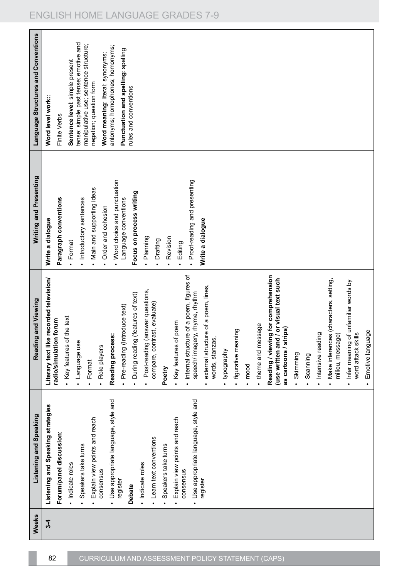| Weeks | Listening and Speaking                          | Reading and Viewing                                                                                       | Writing and Presenting        | Language Structures and Conventions                                            |
|-------|-------------------------------------------------|-----------------------------------------------------------------------------------------------------------|-------------------------------|--------------------------------------------------------------------------------|
| $3-4$ | Listening and Speaking strategies               | corded television/<br>Literary text like re                                                               | Write a dialogue              | Word level work:                                                               |
|       | Forum/panel discussion:                         | radio/simulation forum                                                                                    | Paragraph conventions         | Finite Verbs                                                                   |
|       | · Indicate roles                                | • Key features of the text                                                                                | · Format                      | Sentence level: simple present                                                 |
|       | Speakers take turns                             | · Language use                                                                                            | · Introductory sentences      | tense; simple past tense; emotive and<br>manipulative use; sentence structure; |
|       | Explain view points and reach<br>$\bullet$      | · Format                                                                                                  | . Main and supporting ideas   | negation; question form                                                        |
|       | consensus                                       | · Role players                                                                                            | Order and cohesion            | Word meaning: literal; synonyms;                                               |
|       | · Use appropriate language, style and           | Reading process:                                                                                          | • Word choice and punctuation | antonyms; homophones; homonyms;                                                |
|       | register                                        | · Pre-reading (Introduce text)                                                                            | Language conventions          | Punctuation and spelling: spelling                                             |
|       | <b>Debate</b>                                   | During reading (features of text)                                                                         | Focus on process writing      | rules and conventions                                                          |
|       | · Indicate roles                                | Post-reading (answer questions,                                                                           | · Planning                    |                                                                                |
|       | · Learn text conventions                        | compare, contrast, evaluate)                                                                              | Drafting                      |                                                                                |
|       | Speakers take turns                             | Poetry                                                                                                    | Revision                      |                                                                                |
|       | Explain view points and reach<br>$\bullet$      | • Key features of poem                                                                                    | Editing                       |                                                                                |
|       | consensus<br>$\bullet$                          | · internal structure of a poem, figures of                                                                | Proof-reading and presenting  |                                                                                |
|       | Use appropriate language, style and<br>register | rhyme, rhythm<br>speech/imagery,                                                                          | Write a dialogue              |                                                                                |
|       |                                                 | of a poem, lines,<br>· external structure<br>words, stanzas,                                              |                               |                                                                                |
|       |                                                 | typography                                                                                                |                               |                                                                                |
|       |                                                 | · figurative meaning                                                                                      |                               |                                                                                |
|       |                                                 | · mood                                                                                                    |                               |                                                                                |
|       |                                                 | . theme and message                                                                                       |                               |                                                                                |
|       |                                                 | for comprehension<br>(use written and / or visual text such<br>as cartoons / strips)<br>Reading / viewing |                               |                                                                                |
|       |                                                 | Skimming                                                                                                  |                               |                                                                                |
|       |                                                 | Scanning                                                                                                  |                               |                                                                                |
|       |                                                 | · Intensive reading                                                                                       |                               |                                                                                |
|       |                                                 | characters, setting,<br>Make inferences<br>milieu, message)<br>$\bullet$                                  |                               |                                                                                |
|       |                                                 | · Infer meaning of unfamiliar words by<br>word attack skills                                              |                               |                                                                                |
|       |                                                 | · Emotive language                                                                                        |                               |                                                                                |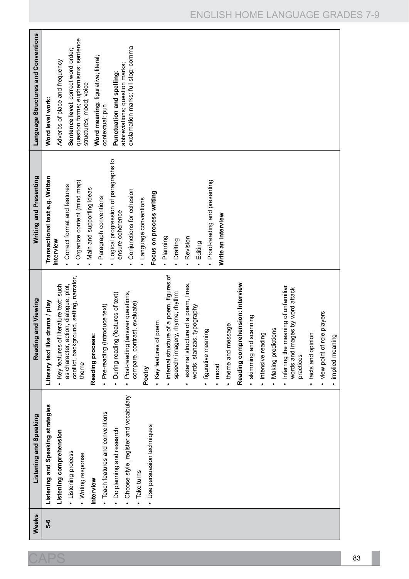| Adverbs of place and frequency<br>abbreviations; question marks;<br>Punctuation and spelling:<br>structures; mood; voice<br>Word level work:<br>contextual; pun<br>• Logical progression of paragraphs to<br>Transactional text e.g. Written<br>Organize content (mind map)<br>· Proof-reading and presenting<br>Correct format and features<br>Main and supporting ideas<br>Conjunctions for cohesion<br>Focus on process writing<br>Paragraph conventions<br>· Language conventions<br>ensure coherence<br>Write an interview<br>· Planning<br>Revision<br>Drafting<br>interview<br>Editing<br>$\bullet$<br>· internal structure of a poem, figures of<br>conflict, background, setting, narrator,<br>Reading comprehension: Interview<br>external structure of a poem, lines,<br>iterature text: such<br>as character, action, dialogue, plot,<br>· Inferring the meaning of unfamiliar<br>words and images by word attack<br>iswer questions,<br>speech/imagery, rhyme, rhythm<br>features of text)<br>drama / play<br>compare, contrast, evaluate)<br>· Pre-reading (Introduce text)<br>typography<br>· skimming and scanning<br>• Key features of poem<br>. theme and message<br>Making predictions<br>· figurative meaning<br>· intensive reading<br>Reading process:<br>· During reading (<br>· facts and opinior<br>• Key features of I<br>· Post-reading (ar<br>words, stanzas,<br>Literary text like<br>practices<br>theme<br>· mood<br>Poetry<br>$\bullet$<br>· Choose style, register and vocabulary<br>Listening and Speaking strategies<br>• Teach features and conventions<br>· Use persuasion techniques<br>• Do planning and research<br>Listening comprehension<br>· Listening process<br>• Writing response<br>Take turns<br>Interview<br>5-6 | Listening and Speaking<br>Weeks | and Viewing<br>Reading       | Writing and Presenting | Language Structures and Conventions                                                                                                                      |
|-------------------------------------------------------------------------------------------------------------------------------------------------------------------------------------------------------------------------------------------------------------------------------------------------------------------------------------------------------------------------------------------------------------------------------------------------------------------------------------------------------------------------------------------------------------------------------------------------------------------------------------------------------------------------------------------------------------------------------------------------------------------------------------------------------------------------------------------------------------------------------------------------------------------------------------------------------------------------------------------------------------------------------------------------------------------------------------------------------------------------------------------------------------------------------------------------------------------------------------------------------------------------------------------------------------------------------------------------------------------------------------------------------------------------------------------------------------------------------------------------------------------------------------------------------------------------------------------------------------------------------------------------------------------------------------------------------------------------------------------------------------------|---------------------------------|------------------------------|------------------------|----------------------------------------------------------------------------------------------------------------------------------------------------------|
| implied meaning                                                                                                                                                                                                                                                                                                                                                                                                                                                                                                                                                                                                                                                                                                                                                                                                                                                                                                                                                                                                                                                                                                                                                                                                                                                                                                                                                                                                                                                                                                                                                                                                                                                                                                                                                   |                                 | • view point of role players |                        | question forms; euphemisms; sentence<br>exclamation marks; full stop; comma<br>Sentence level: correct word order;<br>Word meaning: figurative; literal; |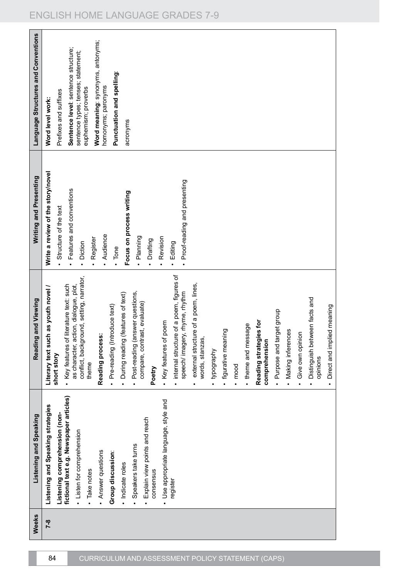| Weeks   | Listening and Speaking                                      | Reading and Viewing                                                               | Writing and Presenting            | Language Structures and Conventions                     |
|---------|-------------------------------------------------------------|-----------------------------------------------------------------------------------|-----------------------------------|---------------------------------------------------------|
| $7 - 8$ | Listening and Speaking strategies                           | as youth novel<br>Literary text such                                              | Write a review of the story/novel | Word level work:                                        |
|         | Listening comprehension (non-                               | short story                                                                       | Structure of the text             | Prefixes and suffixes                                   |
|         | fictional text e.g. Newspaper articles)                     | • Key features of literature text: such                                           | Features and conventions          | Sentence level: sentence structure;                     |
|         | • Listen for comprehension                                  | conflict, background, setting, narrator,<br>as character, action, dialogue, plot, | · Diction                         | sentence types; tenses; statement;                      |
|         | · Take notes                                                | theme                                                                             | Register                          | euphemism; proverbs                                     |
|         | • Answer questions                                          | Reading process:                                                                  | · Audience                        | Word meaning: synonyms, antonyms;<br>homonyms; paronyms |
|         | Group discussion:                                           | · Pre-reading (Introduce text)                                                    | • Tone                            | Punctuation and spelling:                               |
|         | · Indicate roles                                            | • During reading (features of text)                                               | Focus on process writing          | acronyms                                                |
|         | · Speakers take turns                                       | Post-reading (answer questions,<br>$\ddot{\phantom{0}}$                           | · Planning                        |                                                         |
|         | Explain view points and reach<br>consensus<br>$\bullet$     | compare, contrast, evaluate)<br>Poetry                                            | · Drafting                        |                                                         |
|         |                                                             |                                                                                   | Revision                          |                                                         |
|         | Use appropriate language, style and<br>$\ddot{\phantom{0}}$ | • Key features of poem                                                            |                                   |                                                         |
|         | register                                                    | · internal structure of a poem, figures of                                        | · Editing                         |                                                         |
|         |                                                             | speech/imagery, rhyme, rhythm                                                     | Proof-reading and presenting      |                                                         |
|         |                                                             | external structure of a poem, lines,<br>words, stanzas,<br>$\bullet$              |                                   |                                                         |
|         |                                                             | the abodity                                                                       |                                   |                                                         |
|         |                                                             | · figurative meaning                                                              |                                   |                                                         |
|         |                                                             | · mood                                                                            |                                   |                                                         |
|         |                                                             | . theme and message                                                               |                                   |                                                         |
|         |                                                             | Reading strategies for<br>comprehension                                           |                                   |                                                         |
|         |                                                             | · Purpose and target group                                                        |                                   |                                                         |
|         |                                                             | · Making inferences                                                               |                                   |                                                         |
|         |                                                             | · Give own opinion                                                                |                                   |                                                         |
|         |                                                             | en facts and<br>Distinguish betwe<br>opinions<br>$\bullet$                        |                                   |                                                         |
|         |                                                             | Direct and implied meaning<br>$\bullet$                                           |                                   |                                                         |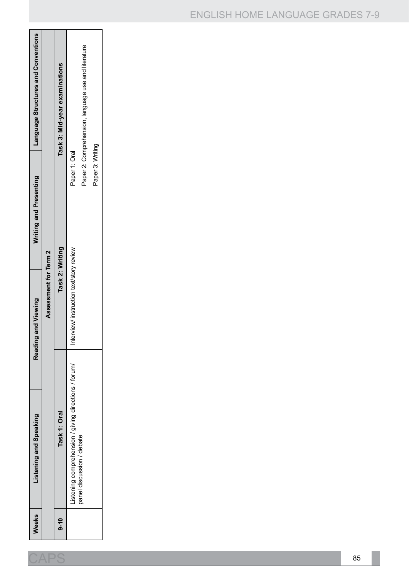| Language Structures and Conventions |                       | Task 3: Mid-year examinations | Paper 2: Comprehension, language use and literature                               |  |
|-------------------------------------|-----------------------|-------------------------------|-----------------------------------------------------------------------------------|--|
|                                     |                       |                               | Paper 3: Writing<br>Paper 1: Oral                                                 |  |
| Writing and Presenting              |                       |                               |                                                                                   |  |
| Reading and Viewing                 | Assessment for Term 2 | Task 2: Writing               | Interview/ instruction text/story review                                          |  |
|                                     |                       |                               |                                                                                   |  |
| Listening and Speaking              |                       | Task 1: Oral                  | Listening comprehension / giving directions / forum/<br>panel discussion / debate |  |
| Weeks                               |                       | $9 - 10$                      |                                                                                   |  |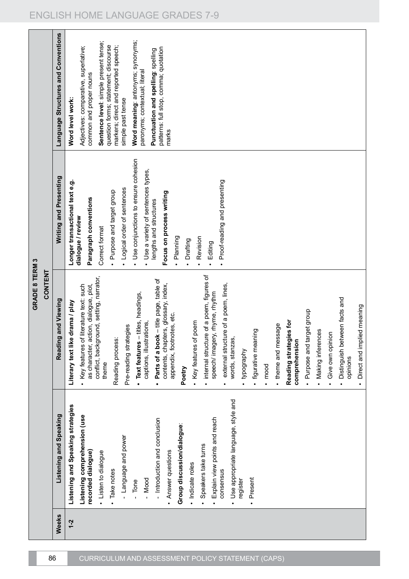|       |                                                                                                                                                                                                                                                                                                                                                                                                                                                                  | <b>GRADE 8 TERM 3</b>                                                                                                                                                                                                                                                                                                                                                                                                                                                                                                                                                                                                                                                                                                                                                                                                                                                      |                                                                                                                                                                                                                                                                                                                                                                                              |                                                                                                                                                                                                                                                                                                                                                                                                  |
|-------|------------------------------------------------------------------------------------------------------------------------------------------------------------------------------------------------------------------------------------------------------------------------------------------------------------------------------------------------------------------------------------------------------------------------------------------------------------------|----------------------------------------------------------------------------------------------------------------------------------------------------------------------------------------------------------------------------------------------------------------------------------------------------------------------------------------------------------------------------------------------------------------------------------------------------------------------------------------------------------------------------------------------------------------------------------------------------------------------------------------------------------------------------------------------------------------------------------------------------------------------------------------------------------------------------------------------------------------------------|----------------------------------------------------------------------------------------------------------------------------------------------------------------------------------------------------------------------------------------------------------------------------------------------------------------------------------------------------------------------------------------------|--------------------------------------------------------------------------------------------------------------------------------------------------------------------------------------------------------------------------------------------------------------------------------------------------------------------------------------------------------------------------------------------------|
|       |                                                                                                                                                                                                                                                                                                                                                                                                                                                                  | CONTENT                                                                                                                                                                                                                                                                                                                                                                                                                                                                                                                                                                                                                                                                                                                                                                                                                                                                    |                                                                                                                                                                                                                                                                                                                                                                                              |                                                                                                                                                                                                                                                                                                                                                                                                  |
| Weeks | Listening and Speaking                                                                                                                                                                                                                                                                                                                                                                                                                                           | Reading and Viewing                                                                                                                                                                                                                                                                                                                                                                                                                                                                                                                                                                                                                                                                                                                                                                                                                                                        | Writing and Presenting                                                                                                                                                                                                                                                                                                                                                                       | Language Structures and Conventions                                                                                                                                                                                                                                                                                                                                                              |
| $1-2$ | Use appropriate language, style and<br>Listening and Speaking strategies<br>Listening comprehension (use<br>Explain view points and reach<br>- Introduction and conclusion<br>Group discussion/dialogue:<br>- Language and power<br>Speakers take turns<br>recorded dialogue)<br>· Listen to dialogue<br>• Answer questions<br>· Indicate roles<br>· Take notes<br>consensus<br>Present<br>- Mood<br>register<br>$-$ Tone<br>$\bullet$<br>$\bullet$<br>$\bullet$ | internal structure of a poem, figures of<br>conflict, background, setting, narrator,<br>· Parts of a book - title page, table of<br>contents, chapters, glossary, index,<br>of a poem, lines,<br>• Key features of literature text: such<br>as character, action, dialogue, plot,<br>rhyme, rhythm<br>· Text features - titles, headings,<br>· Distinguish between facts and<br>Literary text like drama / play<br>meaning<br>· Purpose and target group<br>appendix, footnotes, etc.<br>for<br>• Key features of poem<br>captions, illustrations,<br>. theme and message<br>Pre-reading strategies<br>external structure<br>figurative meaning<br>Reading strategies<br>· Making inferences<br>· Give own opinion<br>Direct and implied<br>speech/imagery,<br>words, stanzas,<br>Reading process:<br>comprehension<br>typography<br>opinions<br>theme<br>· mood<br>Poetry | • Use conjunctions to ensure cohesion<br>• Use a variety of sentences types,<br>Proof-reading and presenting<br>Longer transactional text e.g.<br>Logical order of sentences<br>· Purpose and target group<br>Focus on process writing<br>Paragraph conventions<br>lengths and structures<br>dialogue / review<br>Correct format<br>Planning<br>Revision<br>Drafting<br>Editing<br>$\bullet$ | Word meaning: antonyms; synonyms;<br>Sentence level: simple present tense;<br>question forms; statement; discourse<br>markers; direct and reported speech;<br>Adjectives: comparative, superlative;<br>patterns: full stop, comma; quotation<br>Punctuation and spelling: spelling<br>paronyms; contextual; literal<br>common and proper nouns<br>simple past tense<br>Word level work:<br>marks |
|       |                                                                                                                                                                                                                                                                                                                                                                                                                                                                  |                                                                                                                                                                                                                                                                                                                                                                                                                                                                                                                                                                                                                                                                                                                                                                                                                                                                            |                                                                                                                                                                                                                                                                                                                                                                                              |                                                                                                                                                                                                                                                                                                                                                                                                  |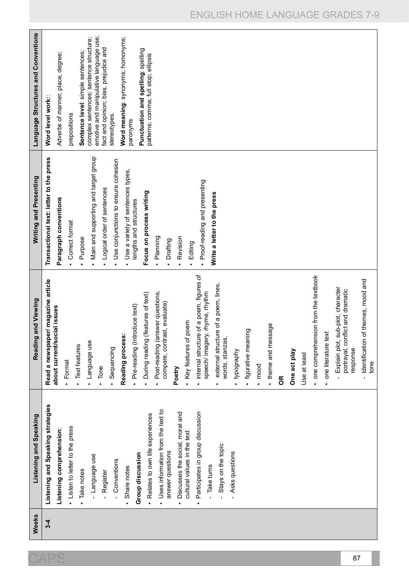|    | Weeks | Listening and Speaking                        | Reading and Viewing                                                                        | Writing and Presenting                           | Language Structures and Conventions                                              |
|----|-------|-----------------------------------------------|--------------------------------------------------------------------------------------------|--------------------------------------------------|----------------------------------------------------------------------------------|
|    | $3-4$ | Listening and Speaking strategies             | Read a newspaper/ magazine article                                                         | Transactional text: letter to the press          | Word level work:                                                                 |
|    |       | Listening comprehension:                      | about current/social issues                                                                | Paragraph conventions                            | Adverbs of manner, place, degree;                                                |
|    |       | . Listen to letter to the press               | · Format                                                                                   | Correct format                                   | prepositions                                                                     |
|    |       | · Take notes                                  | · Text features                                                                            | Purpose                                          | Sentence level: simple sentences;                                                |
|    |       | - Language use                                | · Language use                                                                             | Main and supporting and target group             | emotive and manipulative language use;<br>complex sentences; sentence structure; |
|    |       | Register                                      | • Tone                                                                                     | Logical order of sentences<br>$\bullet$          | fact and opinion; bias, prejudice and                                            |
|    |       | Conventions                                   | · Sequencing                                                                               | Use conjunctions to ensure cohesion<br>$\bullet$ | stereotypes.                                                                     |
|    |       | · Share notes                                 | Reading process:                                                                           | Use a variety of sentences types,<br>$\bullet$   | Word meaning: synonyms; homonyms;                                                |
|    |       | Group discussion                              | · Pre-reading (Introduce text)                                                             | lengths and structures                           | paronyms                                                                         |
|    |       | · Relates to own life experiences             | · During reading (features of text)                                                        | Focus on process writing                         | Punctuation and spelling: spelling<br>patterns; comma; full stop; ellipsis       |
|    |       | • Uses information from the text to           | · Post-reading (answer questions,                                                          | · Planning                                       |                                                                                  |
|    |       | answer questions                              | compare, contrast, evaluate)                                                               | Drafting<br>$\bullet$                            |                                                                                  |
|    |       | Discusses the social, moral and<br>$\bullet$  | Poetry                                                                                     | Revision                                         |                                                                                  |
|    |       | cultural values in the text                   | • Key features of poem                                                                     | Editing                                          |                                                                                  |
|    |       | Participates in group discussion<br>$\bullet$ | of a poem, figures of<br>· internal structure                                              | Proof-reading and presenting                     |                                                                                  |
|    |       | - Take turns                                  | rhyme, rhythm<br>speech/imagery,                                                           |                                                  |                                                                                  |
|    |       | Stays on the topic                            | external structure of a poem, lines,<br>words, stanzas,                                    | Write a letter to the press                      |                                                                                  |
|    |       | Asks questions<br>$\mathbf{I}$                | videnbodA <sub>1</sub> .                                                                   |                                                  |                                                                                  |
|    |       |                                               | Ō<br>· figurative meanin                                                                   |                                                  |                                                                                  |
|    |       |                                               | · mood                                                                                     |                                                  |                                                                                  |
|    |       |                                               | . theme and message                                                                        |                                                  |                                                                                  |
|    |       |                                               | ΘŔ                                                                                         |                                                  |                                                                                  |
|    |       |                                               | One act play                                                                               |                                                  |                                                                                  |
|    |       |                                               | Use at least                                                                               |                                                  |                                                                                  |
|    |       |                                               | • one comprehension from the textbook                                                      |                                                  |                                                                                  |
|    |       |                                               | · one literature tex                                                                       |                                                  |                                                                                  |
|    |       |                                               | ub-plot, character<br>portrayal, conflict and dramatic<br>Explain plot, su<br>$\mathbf{r}$ |                                                  |                                                                                  |
| 87 |       |                                               | response                                                                                   |                                                  |                                                                                  |
|    |       |                                               | Identification of themes, mood and<br>tone<br>ï                                            |                                                  |                                                                                  |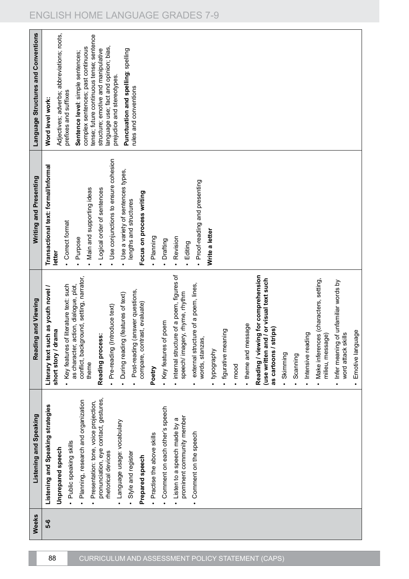| Weeks     | Listening and Speaking                                     | Reading and Viewing                                                                                       | Writing and Presenting                        | <b>Language Structures and Conventions</b>                              |
|-----------|------------------------------------------------------------|-----------------------------------------------------------------------------------------------------------|-----------------------------------------------|-------------------------------------------------------------------------|
| <b>გ.</b> | Listening and Speaking strategies                          | as youth novel<br>short story / drama<br>Literary text such                                               | Transactional text: formal/Informal<br>letter | Word level work:                                                        |
|           | Public speaking skills<br>Unprepared speech                | • Key features of literature text: such                                                                   | • Correct format                              | Adjectives; adverbs; abbreviations; roots,<br>prefixes and suffixes     |
|           | Planning, research and organization                        | conflict, background, setting, narrator,<br>as character, action, dialogue, plot,                         | Purpose                                       | complex sentences; past continuous<br>Sentence level: simple sentences; |
|           | Presentation: tone, voice projection,                      | theme                                                                                                     | • Main and supporting ideas                   | tense; future continuous tense; sentence                                |
|           | pronunciation, eye contact, gestures,                      | Reading process:                                                                                          | • Logical order of sentences                  | structure; emotive and manipulative                                     |
|           | rhetorical devices                                         | · Pre-reading (Introduce text)                                                                            | • Use conjunctions to ensure cohesion         | language use; fact and opinion; bias,<br>prejudice and stereotypes.     |
|           | · Language usage: vocabulary                               | During reading (features of text)                                                                         | · Use a variety of sentences types,           | Punctuation and spelling: spelling                                      |
|           | Style and register                                         | Post-reading (answer questions,                                                                           | lengths and structures                        | rules and conventions                                                   |
|           | Prepared speech                                            | compare, contrast, evaluate)                                                                              | Focus on process writing                      |                                                                         |
|           | Practise the above skills                                  | Poetry                                                                                                    | Planning                                      |                                                                         |
|           | • Comment on each other's speech                           | • Key features of poem                                                                                    | Drafting                                      |                                                                         |
|           | prominent community member<br>Listen to a speech made by a | · internal structure of a poem, figures of<br>speech/imagery, rhyme, rhythm                               | Revision                                      |                                                                         |
|           |                                                            |                                                                                                           | Editing                                       |                                                                         |
|           | Comment on the speech<br>$\bullet$                         | external structure of a poem, lines,<br>words, stanzas,                                                   | Proof-reading and presenting                  |                                                                         |
|           |                                                            | vide.food.                                                                                                | Write a letter                                |                                                                         |
|           |                                                            | figurative meaning                                                                                        |                                               |                                                                         |
|           |                                                            | · mood                                                                                                    |                                               |                                                                         |
|           |                                                            | . theme and message                                                                                       |                                               |                                                                         |
|           |                                                            | for comprehension<br>(use written and / or visual text such<br>as cartoons / strips)<br>Reading / viewing |                                               |                                                                         |
|           |                                                            | Skimming                                                                                                  |                                               |                                                                         |
|           |                                                            | Scanning                                                                                                  |                                               |                                                                         |
|           |                                                            | · Intensive reading                                                                                       |                                               |                                                                         |
|           |                                                            | characters, setting,<br>milieu, message)<br>· Make inferences                                             |                                               |                                                                         |
|           |                                                            | · Infer meaning of unfamiliar words by<br>word attack skills                                              |                                               |                                                                         |
|           |                                                            | Emotive language                                                                                          |                                               |                                                                         |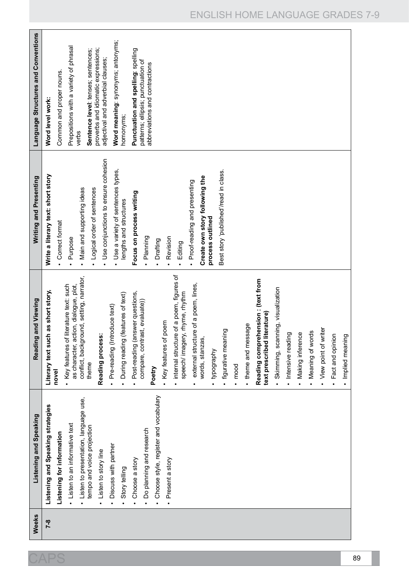|    | Weeks   | Listening and Speaking                  | and Viewing<br>Reading                                                           | Writing and Presenting                | Language Structures and Conventions                                       |  |
|----|---------|-----------------------------------------|----------------------------------------------------------------------------------|---------------------------------------|---------------------------------------------------------------------------|--|
|    | $7 - 8$ | Listening and Speaking strategies       | as short story,<br>Literary text such                                            | Write a literary text: short story    | Word level work:                                                          |  |
|    |         | Listening for information               | novel                                                                            | • Correct format                      | Common and proper nouns.                                                  |  |
|    |         | Listen to an informative text           | • Key features of literature text: such<br>as character, action, dialogue, plot, | Purpose                               | Prepositions with a variety of phrasal                                    |  |
|    |         | · Listen to presentation, language use, | conflict, background, setting, narrator,                                         | . Main and supporting ideas           | verbs                                                                     |  |
|    |         | tempo and voice projection              | theme                                                                            | Logical order of sentences            | proverbs and idiomatic expressions;<br>Sentence level: tenses; sentences; |  |
|    |         | • Listen to story line                  | Reading process:                                                                 | • Use conjunctions to ensure cohesion | adjectival and adverbial clauses;                                         |  |
|    |         | Discuss with partner                    | · Pre-reading (Introduce text)                                                   | • Use a variety of sentences types,   | Word meaning: synonyms; antonyms;                                         |  |
|    |         | Story telling                           | · During reading (features of text)                                              | lengths and structures                | homonyms;                                                                 |  |
|    |         | Choose a story                          | · Post-reading (answer questions,                                                | Focus on process writing              | Punctuation and spelling: spelling                                        |  |
|    |         | Do planning and research<br>$\bullet$   | compare, contrast, evaluate))                                                    | · Planning                            | patterns; ellipsis; punctuation of<br>abbreviations and contractions      |  |
|    |         | Choose style, register and vocabulary   | Poetry                                                                           | Drafting                              |                                                                           |  |
|    |         |                                         | • Key features of poem                                                           | Revision                              |                                                                           |  |
|    |         | Present a story                         | · internal structure of a poem, figures of                                       | $\bullet$                             |                                                                           |  |
|    |         |                                         | speech/imagery, rhyme, rhythm                                                    | Editing                               |                                                                           |  |
|    |         |                                         | e of a poem, lines,<br>· external structur                                       | Proof-reading and presenting          |                                                                           |  |
|    |         |                                         | words, stanzas,                                                                  | Create own story following the        |                                                                           |  |
|    |         |                                         | the abodit .                                                                     | process outlined                      |                                                                           |  |
|    |         |                                         | · figurative meaning                                                             | Best story 'published'/read in class. |                                                                           |  |
|    |         |                                         |                                                                                  |                                       |                                                                           |  |
|    |         |                                         | · mood                                                                           |                                       |                                                                           |  |
|    |         |                                         | theme and message                                                                |                                       |                                                                           |  |
|    |         |                                         | Reading comprehension: (text from<br>text prescribed literature)                 |                                       |                                                                           |  |
|    |         |                                         | · Skimming, scanning, visualization                                              |                                       |                                                                           |  |
|    |         |                                         | · Intensive reading                                                              |                                       |                                                                           |  |
|    |         |                                         | · Making inference                                                               |                                       |                                                                           |  |
|    |         |                                         | • Meaning of words                                                               |                                       |                                                                           |  |
|    |         |                                         | • View point of writer                                                           |                                       |                                                                           |  |
|    |         |                                         | Fact and opinion                                                                 |                                       |                                                                           |  |
|    |         |                                         | Implied meaning                                                                  |                                       |                                                                           |  |
| 89 |         |                                         |                                                                                  |                                       |                                                                           |  |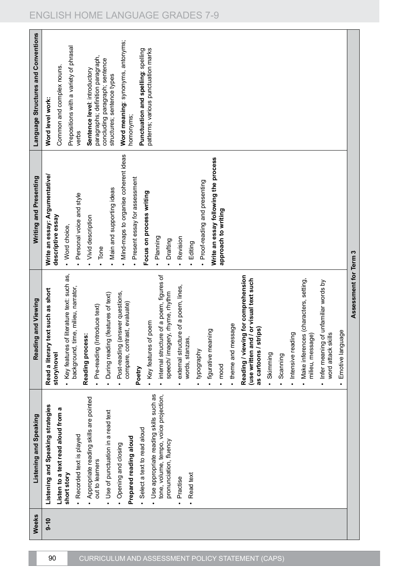| Weeks    | Listening and Speaking                                                                                                                                                                                                                                                                                                                                                                                                                                                     | Reading and Viewing                                                                                                                                                                                                                                                                                                                                                                                                                                                                                                                                                                                                                                                                                                                                                                                                                                                                         | Writing and Presenting                                                                                                                                                                                                                                                                                                                                                                                                         | <b>Language Structures and Conventions</b>                                                                                                                                                                                                                                                                                                                          |  |
|----------|----------------------------------------------------------------------------------------------------------------------------------------------------------------------------------------------------------------------------------------------------------------------------------------------------------------------------------------------------------------------------------------------------------------------------------------------------------------------------|---------------------------------------------------------------------------------------------------------------------------------------------------------------------------------------------------------------------------------------------------------------------------------------------------------------------------------------------------------------------------------------------------------------------------------------------------------------------------------------------------------------------------------------------------------------------------------------------------------------------------------------------------------------------------------------------------------------------------------------------------------------------------------------------------------------------------------------------------------------------------------------------|--------------------------------------------------------------------------------------------------------------------------------------------------------------------------------------------------------------------------------------------------------------------------------------------------------------------------------------------------------------------------------------------------------------------------------|---------------------------------------------------------------------------------------------------------------------------------------------------------------------------------------------------------------------------------------------------------------------------------------------------------------------------------------------------------------------|--|
| $9 - 10$ | • Use appropriate reading skills such as<br>tone, volume, tempo, voice projection,<br>Appropriate reading skills are pointed<br>Listening and Speaking strategies<br>Listen to a text read aloud from a<br>Use of punctuation in a read text<br>Select a text to read aloud<br>· Recorded text is played<br>Prepared reading aloud<br>pronunciation, fluency<br>· Opening and closing<br>out to learners<br>· Read text<br>short story<br>Practise<br>$\ddot{\phantom{0}}$ | . Key features of literature text: such as,<br>of a poem, figures of<br>for comprehension<br>(characters, setting,<br>(use written and / or visual text such<br>unfamiliar words by<br>external structure of a poem, lines,<br>background, time, milieu, narrator,<br>Read a literary text such as short<br>· Post-reading (answer questions,<br>rhyme, rhythm<br>· During reading (features of text)<br>compare, contrast, evaluate)<br>· Pre-reading (Introduce text)<br>• Key features of poem<br>theme and message<br>as cartoons / strips)<br>· figurative meaning<br>Reading process:<br>· internal structure<br>speech/imagery,<br>Reading / viewing<br>· Intensive reading<br>• Make inferences<br>milieu, message)<br>word attack skills<br>Infer meaning of<br>words, stanzas,<br>the dealod .<br>story/novel<br>Skimming<br>Scanning<br>· mood<br>Poetry<br>$\ddot{\phantom{0}}$ | Mind-maps to organise coherent ideas<br>Write an essay following the process<br>Write an essay: Argumentative/<br>· Present essay for assessment<br>Proof-reading and presenting<br>Main and supporting ideas<br>Focus on process writing<br>Personal voice and style<br>approach to writing<br>descriptive essay<br>Vivid description<br>• Word choice,<br>· Planning<br>Revision<br>Drafting<br>Editing<br>Tone<br>$\bullet$ | Word meaning: synonyms, antonyms;<br>Prepositions with a variety of phrasal<br>patterns; various punctuation marks<br>Punctuation and spelling: spelling<br>paragraphs; definition paragraph,<br>concluding paragraph; sentence<br>Common and complex nouns.<br>Sentence level: introductory<br>structures; sentence types<br>Word level work<br>homonyms;<br>verbs |  |
|          |                                                                                                                                                                                                                                                                                                                                                                                                                                                                            | Emotive language                                                                                                                                                                                                                                                                                                                                                                                                                                                                                                                                                                                                                                                                                                                                                                                                                                                                            |                                                                                                                                                                                                                                                                                                                                                                                                                                |                                                                                                                                                                                                                                                                                                                                                                     |  |
|          |                                                                                                                                                                                                                                                                                                                                                                                                                                                                            | Assessment for Term 3                                                                                                                                                                                                                                                                                                                                                                                                                                                                                                                                                                                                                                                                                                                                                                                                                                                                       |                                                                                                                                                                                                                                                                                                                                                                                                                                |                                                                                                                                                                                                                                                                                                                                                                     |  |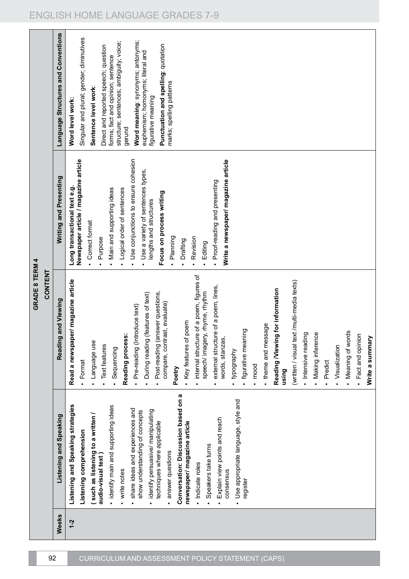|         |                                                                                                                                                                                                                                                                                                                                                                                                                                                                                                                                                                                                                       | GRADE 8 TERM 4                                                                                                                                                                                                                                                                                                                                                                                                                                                                                                                                                                                                                                                                                                                                                              |                                                                                                                                                                                                                                                                                                                                                                                                                         |                                                                                                                                                                                                                                                                                                                                                                                          |
|---------|-----------------------------------------------------------------------------------------------------------------------------------------------------------------------------------------------------------------------------------------------------------------------------------------------------------------------------------------------------------------------------------------------------------------------------------------------------------------------------------------------------------------------------------------------------------------------------------------------------------------------|-----------------------------------------------------------------------------------------------------------------------------------------------------------------------------------------------------------------------------------------------------------------------------------------------------------------------------------------------------------------------------------------------------------------------------------------------------------------------------------------------------------------------------------------------------------------------------------------------------------------------------------------------------------------------------------------------------------------------------------------------------------------------------|-------------------------------------------------------------------------------------------------------------------------------------------------------------------------------------------------------------------------------------------------------------------------------------------------------------------------------------------------------------------------------------------------------------------------|------------------------------------------------------------------------------------------------------------------------------------------------------------------------------------------------------------------------------------------------------------------------------------------------------------------------------------------------------------------------------------------|
|         |                                                                                                                                                                                                                                                                                                                                                                                                                                                                                                                                                                                                                       | CONTENT                                                                                                                                                                                                                                                                                                                                                                                                                                                                                                                                                                                                                                                                                                                                                                     |                                                                                                                                                                                                                                                                                                                                                                                                                         |                                                                                                                                                                                                                                                                                                                                                                                          |
| Weeks   | Listening and Speaking                                                                                                                                                                                                                                                                                                                                                                                                                                                                                                                                                                                                | d Viewing<br>Reading ar                                                                                                                                                                                                                                                                                                                                                                                                                                                                                                                                                                                                                                                                                                                                                     | Writing and Presenting                                                                                                                                                                                                                                                                                                                                                                                                  | Language Structures and Conventions                                                                                                                                                                                                                                                                                                                                                      |
| $1 - 2$ | Conversation: Discussion based on a<br>Use appropriate language, style and<br>Listening and Speaking strategies<br>· identify main and supporting ideas<br>share ideas and experiences and<br>identify persuasive/ manipulating<br>show understanding of concepts<br>(such as listening to a written /<br>Explain view points and reach<br>techniques where applicable<br>newspaper/ magazine article<br>Listening comprehension<br>Speakers take turns<br>· answer questions<br>audio-visual text)<br>· Indicate roles<br>• write notes<br>consensus<br>register<br>$\bullet$<br>$\bullet$<br>$\bullet$<br>$\bullet$ | · internal structure of a poem, figures of<br>magazine article<br>(written / visual text /multi-media texts)<br>external structure of a poem, lines,<br>Reading Wiewing for information<br>· Post-reading (answer questions,<br>speech/ imagery, rhyme, rhythm<br>· During reading (features of text)<br>evaluate)<br>Pre-reading (Introduce text)<br>• Key features of poem<br>. theme and message<br>compare, contrast,<br>figurative meaning<br>Read a newspaper/<br>• Meaning of words<br>· Making inference<br>· Intensive reading<br>Reading process:<br>· Fact and opinion<br>Write a summary<br>words, stanzas,<br>· Language use<br>· Text features<br>• Visualization<br>Sequencing<br>the dealers<br>Format<br>· Predict<br>mood<br>Poetry<br>using<br>$\bullet$ | • Use conjunctions to ensure cohesion<br>Newspaper article / magazine article<br>Write a newspaper/ magazine article<br>Use a variety of sentences types,<br>Proof-reading and presenting<br>Long transactional text e.g<br>Main and supporting ideas<br>• Logical order of sentences<br>Focus on process writing<br>lengths and structures<br>Correct format<br>Planning<br>Revision<br>Purpose<br>Drafting<br>Editing | Singular and plural; gender; diminutives<br>Word meaning: synonyms; antonyms;<br>structure; sentences; ambiguity; voice;<br>Punctuation and spelling: quotation<br>Direct and reported speech; question<br>euphemism; homonyms; literal and<br>forms; fact and opinion; sentence<br>marks; spelling patterns<br>Sentence level work:<br>figurative meaning<br>Word level work:<br>gerund |
|         |                                                                                                                                                                                                                                                                                                                                                                                                                                                                                                                                                                                                                       |                                                                                                                                                                                                                                                                                                                                                                                                                                                                                                                                                                                                                                                                                                                                                                             |                                                                                                                                                                                                                                                                                                                                                                                                                         |                                                                                                                                                                                                                                                                                                                                                                                          |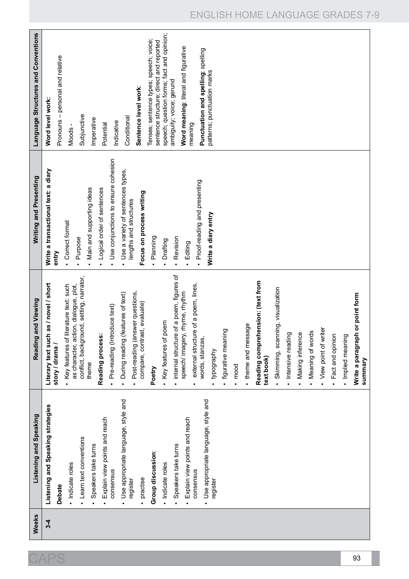|    | Weeks | Listening and Speaking                     | and Viewing<br>Reading                                                            | Writing and Presenting                | Language Structures and Conventions                                               |
|----|-------|--------------------------------------------|-----------------------------------------------------------------------------------|---------------------------------------|-----------------------------------------------------------------------------------|
|    | $3-4$ | Listening and Speaking strategies          | as / novel / short<br>Literary text such                                          | Write a transactional text: a diary   | Word level work:                                                                  |
|    |       | <b>Debate</b>                              | story / drama /                                                                   | entry                                 | Pronouns - personal and relative                                                  |
|    |       | · Indicate roles                           | • Key features of literature text: such                                           | • Correct format                      | Moods-                                                                            |
|    |       | · Learn text conventions                   | conflict, background, setting, narrator,<br>as character, action, dialogue, plot, | Purpose                               | Subjunctive                                                                       |
|    |       | Speakers take turns<br>$\bullet$           | theme                                                                             | Main and supporting ideas             | Imperative                                                                        |
|    |       | Explain view points and reach<br>$\bullet$ | Reading process:                                                                  | Logical order of sentences            | Potential                                                                         |
|    |       | consensus                                  | · Pre-reading (Introduce text)                                                    | • Use conjunctions to ensure cohesion | Indicative                                                                        |
|    |       | · Use appropriate language, style and      | eatures of text)<br>During reading (f                                             | · Use a variety of sentences types,   | Conditional                                                                       |
|    |       | register                                   | · Post-reading (answer questions,                                                 | lengths and structures                | Sentence level work:                                                              |
|    |       | · practise                                 | compare, contrast, evaluate)                                                      | Focus on process writing              |                                                                                   |
|    |       | Group discussion:                          | Poetry                                                                            | Planning                              | Tenses; sentence types; speech; voice;<br>sentence structure; direct and reported |
|    |       | · Indicate roles                           | • Key features of poem                                                            | Drafting                              | speech; question forms; fact and opinion;                                         |
|    |       | · Speakers take turns                      | · internal structure of a poem, figures of                                        | Revision<br>$\bullet$                 | ambiguity; voice; gerund                                                          |
|    |       | Explain view points and reach<br>$\bullet$ | speech/imagery, rhyme, rhythm                                                     | Editing                               | Word meaning: literal and figurative                                              |
|    |       | consensus                                  | e of a poem, lines,<br>external structur                                          | Proof-reading and presenting          | meaning                                                                           |
|    |       | · Use appropriate language, style and      | words, stanzas,                                                                   |                                       | Punctuation and spelling: spelling                                                |
|    |       | register                                   | typography                                                                        | Write a diary entry                   | patterns; punctuation marks                                                       |
|    |       |                                            | · figurative meaning                                                              |                                       |                                                                                   |
|    |       |                                            | mood                                                                              |                                       |                                                                                   |
|    |       |                                            | . theme and message                                                               |                                       |                                                                                   |
|    |       |                                            | Reading comprehension: (text from<br>text book)                                   |                                       |                                                                                   |
|    |       |                                            | Skimming, scanning, visualization                                                 |                                       |                                                                                   |
|    |       |                                            | · Intensive reading                                                               |                                       |                                                                                   |
|    |       |                                            | · Making inference                                                                |                                       |                                                                                   |
|    |       |                                            | • Meaning of words                                                                |                                       |                                                                                   |
|    |       |                                            | • View point of writer                                                            |                                       |                                                                                   |
|    |       |                                            | · Fact and opinion                                                                |                                       |                                                                                   |
|    |       |                                            | · Implied meaning                                                                 |                                       |                                                                                   |
| 93 |       |                                            | Write a paragraph or point form<br>summary                                        |                                       |                                                                                   |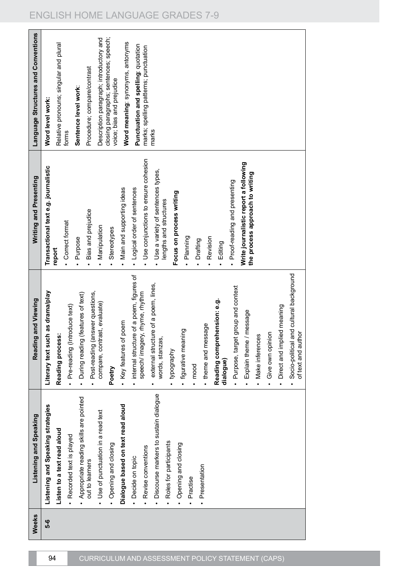| Weeks     | Listening and Speaking                   | Reading and Viewing                                           | Writing and Presenting                                                   | Language Structures and Conventions                                 |
|-----------|------------------------------------------|---------------------------------------------------------------|--------------------------------------------------------------------------|---------------------------------------------------------------------|
| <b>გ.</b> | Listening and Speaking strategies        | Literary text such as drama/play                              | Transactional text e.g. journalistic                                     | Word level work:                                                    |
|           | Listen to a text read aloud              | Reading process:                                              | report                                                                   | Relative pronouns; singular and plural                              |
|           | · Recorded text is played                | · Pre-reading (Introduce text)                                | • Correct format                                                         | forms                                                               |
|           | • Appropriate reading skills are pointed | · During reading (features of text)                           | Purpose                                                                  | Sentence level work:                                                |
|           | out to learners                          | · Post-reading (answer questions,                             | Bias and prejudice                                                       | Procedure; compare/contrast                                         |
|           | · Use of punctuation in a read text      | compare, contrast, evaluate)                                  | Manipulation<br>$\ddot{\phantom{0}}$                                     | Description paragraph; introductory and                             |
|           | · Opening and closing                    | Poetry                                                        | Stereotypes                                                              | closing paragraphs; sentences; speech;<br>voice; bias and prejudice |
|           | Dialogue based on text read aloud        | poem<br>• Key features of                                     | . Main and supporting ideas                                              | Word meaning: synonyms, antonyms                                    |
|           | • Decide on topic                        | · internal structure of a poem, figures of                    | · Logical order of sentences                                             | Punctuation and spelling: quotation                                 |
|           | · Revise conventions                     | speech/imagery, rhyme, rhythm                                 | • Use conjunctions to ensure cohesion                                    | marks; spelling patterns; punctuation                               |
|           | · Discourse markers to sustain dialogue  | · external structure of a poem, lines,<br>words, stanzas      | • Use a variety of sentences types,                                      | marks                                                               |
|           | · Roles for participants                 | the abodit .                                                  | lengths and structures                                                   |                                                                     |
|           | • Opening and closing                    | · figurative meaning                                          | Focus on process writing                                                 |                                                                     |
|           | · Practise                               | · mood                                                        | · Planning                                                               |                                                                     |
|           | · Presentation                           | theme and message                                             | · Revision<br>· Drafting                                                 |                                                                     |
|           |                                          | Reading comprehension: e.g.<br>dialogue)                      | · Editing                                                                |                                                                     |
|           |                                          | t group and context<br>· Purpose, target                      | · Proof-reading and presenting                                           |                                                                     |
|           |                                          | · Explain theme / message                                     | Write journalistic report a following<br>the process approach to writing |                                                                     |
|           |                                          | • Make inferences                                             |                                                                          |                                                                     |
|           |                                          | · Give own opinion                                            |                                                                          |                                                                     |
|           |                                          | • Direct and implied meaning                                  |                                                                          |                                                                     |
|           |                                          | Socio-political and cultural background<br>of text and author |                                                                          |                                                                     |

 $\blacksquare$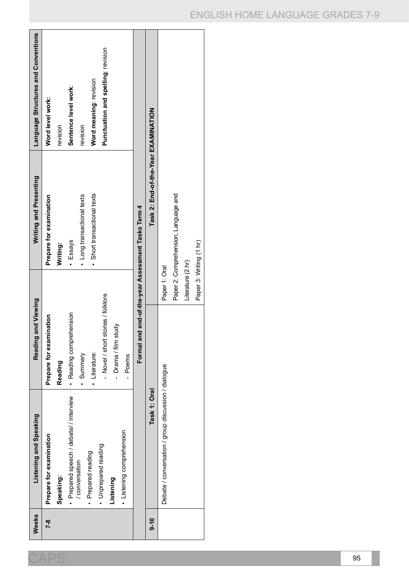| Weeks                               | $7 - 8$                      |           |                                         |                            |                             |                                       |                         |                           |                                                    | $9 - 10$                            |                                                     |                                      |                   |                         |
|-------------------------------------|------------------------------|-----------|-----------------------------------------|----------------------------|-----------------------------|---------------------------------------|-------------------------|---------------------------|----------------------------------------------------|-------------------------------------|-----------------------------------------------------|--------------------------------------|-------------------|-------------------------|
| Listening and Speaking              | Prepare for examination      | Speaking: | · Prepared speech / debate/ / interview | / conversation             | · Prepared reading          | · Unprepared reading                  | Listening               | • Listening comprehension |                                                    | Task 1: Oral                        | Debate / conversation / group discussion / dialogue |                                      |                   |                         |
| Reading and Viewing                 | mination<br>Prepare for exar | Reading   | · Reading comprehension                 | Summary<br>$\bullet$       | · Literature:               | stories / folklore<br>- Novel / short | study<br>- Drama / film | Poems<br>$\mathbf{I}$     |                                                    |                                     |                                                     |                                      |                   |                         |
| Writing and Presenting              | Prepare for examination      | Writing:  | · Essays                                | · Long transactional texts | · Short transactional texts |                                       |                         |                           | Formal and end-of-the-year Assessment Tasks Term 4 | Task 2: End-of-the-Year EXAMINATION | Paper 1: Oral                                       | Paper 2: Comprehension, Language and | Literature (2 hr) | Paper 3: Writing (1 hr) |
| Language Structures and Conventions | Word level work:             | revision  | Sentence level work:                    | revision                   | Word meaning: revision      | Punctuation and spelling: revision    |                         |                           |                                                    |                                     |                                                     |                                      |                   |                         |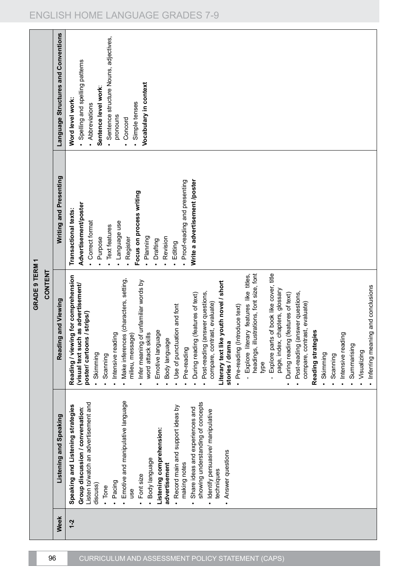|         |                                                                                                                                                                                                                                                                                                                                                                                                                                                                                                         | <b>GRADE 9 TERM 1</b><br>CONTENT                                                                                                                                                                                                                                                                                                                                                                                                                                                                                                                                                                                                                                                                                                                                                                                                                                                                                                                                                                                                         |                                                                                                                                                                                                                                                                    |                                                                                                                                                                                                           |
|---------|---------------------------------------------------------------------------------------------------------------------------------------------------------------------------------------------------------------------------------------------------------------------------------------------------------------------------------------------------------------------------------------------------------------------------------------------------------------------------------------------------------|------------------------------------------------------------------------------------------------------------------------------------------------------------------------------------------------------------------------------------------------------------------------------------------------------------------------------------------------------------------------------------------------------------------------------------------------------------------------------------------------------------------------------------------------------------------------------------------------------------------------------------------------------------------------------------------------------------------------------------------------------------------------------------------------------------------------------------------------------------------------------------------------------------------------------------------------------------------------------------------------------------------------------------------|--------------------------------------------------------------------------------------------------------------------------------------------------------------------------------------------------------------------------------------------------------------------|-----------------------------------------------------------------------------------------------------------------------------------------------------------------------------------------------------------|
| Week    | Listening and Speaking                                                                                                                                                                                                                                                                                                                                                                                                                                                                                  | d Viewing<br>Reading an                                                                                                                                                                                                                                                                                                                                                                                                                                                                                                                                                                                                                                                                                                                                                                                                                                                                                                                                                                                                                  | Writing and Presenting                                                                                                                                                                                                                                             | Language Structures and Conventions                                                                                                                                                                       |
| $1 - 2$ | Emotive and manipulative language<br>showing understanding of concepts<br>Listen to/watch an advertisement and<br>Speaking and Listening strategies<br>Record main and support ideas by<br>Share ideas and experiences and<br>Group discussion / conversation:<br>Identify persuasive/ manipulative<br>Listening comprehension:<br>Answer questions<br>Body language<br>making notes<br>advertisement<br>techniques<br>Font size<br>Pacing<br>discuss)<br>$\cdot$ Tone<br>use<br>$\bullet$<br>$\bullet$ | book like cover, title<br>headings, illustrations, font size, font<br>features like titles,<br>Reading / viewing for comprehension<br>Make inferences (characters, setting,<br>nfamiliar words by<br>Literary text like youth novel / short<br>(visual text such as advertisement/<br>· Inferring meaning and conclusions<br>page, index, chapters, glossary<br>Post-reading (answer questions,<br>· Post-reading (answer questions,<br>During reading (features of text)<br>During reading (features of text)<br>evaluate)<br>evaluate)<br>and font<br>Pre-reading (Introduce text)<br>poster/cartoons/strips/)<br>Use of punctuation<br>compare, contrast,<br>compare, contrast,<br>Infer meaning of un<br>Explore parts of<br>Emotive language<br>Explore literary<br>Reading strategies<br>Intensive reading<br>word attack skills<br>Intensive reading<br>milieu, message)<br>Body language<br>stories / drama<br>Summarising<br>Pre-reading<br>Visualizing<br>Skimming<br>Skimming<br>Scanning<br>Scanning<br>type<br>$\mathbf{I}$ | Write a advertisement /poster<br>Proof-reading and presenting<br>Focus on process writing<br>Advertisement/poster<br>Transactional texts:<br>Correct format<br>Language use<br>Text features<br>Planning<br>Purpose<br>Revision<br>Register<br>Drafting<br>Editing | Sentence structure Nouns, adjectives,<br>· Spelling and spelling patterns<br>Vocabulary in context<br>Sentence level work:<br>Word level work:<br>Simple tenses<br>• Abbreviations<br>pronouns<br>Concord |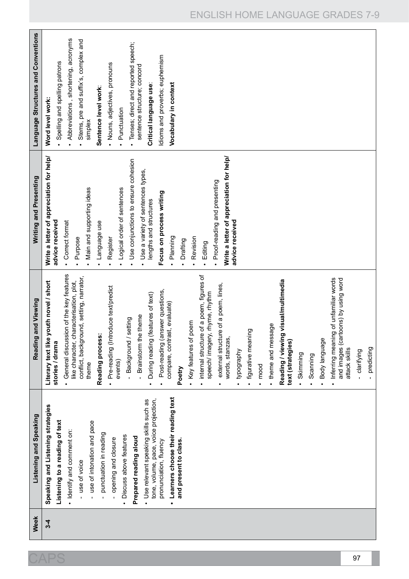|    | <b>Week</b> | Listening and Speaking                                              | Reading and Viewing                                                                 | Writing and Presenting                                      | Language Structures and Conventions               |
|----|-------------|---------------------------------------------------------------------|-------------------------------------------------------------------------------------|-------------------------------------------------------------|---------------------------------------------------|
|    | $3-4$       | Speaking and Listening strategies<br>Listening to a reading of text | outh novel / short<br>Literary text like y<br>stories / drama                       | Write a letter of appreciation for help/<br>advice received | Spelling and spelling patrons<br>Word level work: |
|    |             | · Identify and comment on:                                          | General discussion of the key features                                              | Correct format<br>$\ddot{\phantom{0}}$                      | Abbreviations, shortening, acronyms               |
|    |             | - use of voice                                                      | conflict, background, setting, narrator,<br>like character, characterisation, plot, | Purpose                                                     | Stems, pre and suffix's, complex and              |
|    |             | - use of intonation and pace                                        | theme                                                                               | Main and supporting ideas                                   | simplex                                           |
|    |             | punctuation in reading                                              | Reading process:                                                                    | Language use                                                | Sentence level work:                              |
|    |             | opening and closure                                                 | · Pre-reading (Introduce text/predict                                               | Register<br>$\bullet$                                       | • Nouns, adjectives, pronouns                     |
|    |             | · Discuss above features                                            | events)                                                                             | Logical order of sentences                                  | · Punctuation                                     |
|    |             | Prepared reading aloud                                              | Background / setting                                                                | Use conjunctions to ensure cohesion<br>$\ddot{\phantom{0}}$ | · Tenses; direct and reported speech;             |
|    |             | • Use relevant speaking skills such as                              | - Brainstorm the theme                                                              | · Use a variety of sentences types,                         | sentence structure; concord                       |
|    |             | tone, volume, pace, voice projection,                               | · During reading (features of text)                                                 | lengths and structures                                      | Critical language use:                            |
|    |             | pronunciation, fluency                                              | Post-reading (answer questions,                                                     | Focus on process writing                                    | Idioms and proverbs; euphemism                    |
|    |             | Learners choose their reading text<br>$\bullet$                     | compare, contrast, evaluate)                                                        | · Planning                                                  | Vocabulary in context                             |
|    |             | and present to class.                                               | Poetry                                                                              | Drafting<br>$\bullet$                                       |                                                   |
|    |             |                                                                     | • Key features of poem                                                              | Revision<br>$\bullet$                                       |                                                   |
|    |             |                                                                     | of a poem, figures of<br>speech/imagery, rhyme, rhythm<br>· internal structure      | Editing                                                     |                                                   |
|    |             |                                                                     |                                                                                     | Proof-reading and presenting                                |                                                   |
|    |             |                                                                     | e of a poem, lines,<br>external structur<br>words, stanzas,                         | Write a letter of appreciation for help/                    |                                                   |
|    |             |                                                                     | typography<br>                                                                      | advice received                                             |                                                   |
|    |             |                                                                     | figurative meaning                                                                  |                                                             |                                                   |
|    |             |                                                                     | · mood                                                                              |                                                             |                                                   |
|    |             |                                                                     | • theme and message                                                                 |                                                             |                                                   |
|    |             |                                                                     | visual/multimedia<br>Reading / viewing<br>text (strategies)                         |                                                             |                                                   |
|    |             |                                                                     | Skimming                                                                            |                                                             |                                                   |
|    |             |                                                                     | Scanning                                                                            |                                                             |                                                   |
|    |             |                                                                     | Body language<br>$\bullet$                                                          |                                                             |                                                   |
|    |             |                                                                     | · Inferring meaning of unfamiliar words                                             |                                                             |                                                   |
|    |             |                                                                     | and images (cartoons) by using word<br>attack skills                                |                                                             |                                                   |
| 97 |             |                                                                     | - clarifying                                                                        |                                                             |                                                   |
|    |             |                                                                     | predicting<br>$\bar{\mathbf{r}}$                                                    |                                                             |                                                   |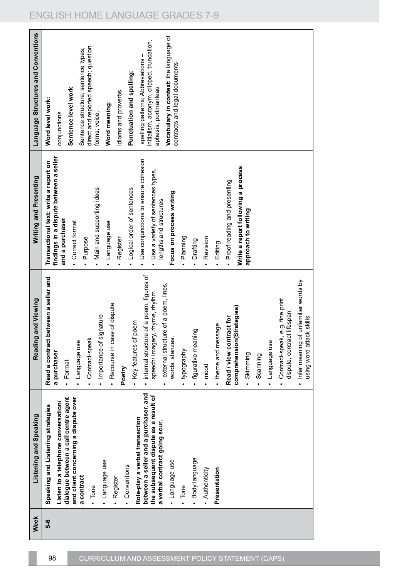| <b>Week</b> | Listening and Speaking                                                       | and Viewing<br>Reading                                                      | Writing and Presenting                                    | Language Structures and Conventions                               |
|-------------|------------------------------------------------------------------------------|-----------------------------------------------------------------------------|-----------------------------------------------------------|-------------------------------------------------------------------|
| 5-6         | Speaking and Listening strategies                                            | Read a contract between a seller and                                        | Transactional text: write a report on                     | Word level work:                                                  |
|             | Listen to a telephone conversation/                                          | a purchaser                                                                 | findings in a dispute between a seller<br>and a purchaser | conjunctions                                                      |
|             | dialogue between a call centre agent<br>and client concerning a dispute over | · Format                                                                    | • Correct format                                          | Sentence level work:                                              |
|             | a contract                                                                   | - Language use                                                              | · Purpose                                                 | Sentence structure; sentence types;                               |
|             | $\cdot$ Tone                                                                 | · Contract-speak                                                            | . Main and supporting ideas                               | direct and reported speech; question                              |
|             | · Language use                                                               | · Importance of signature                                                   |                                                           | forms; voice;                                                     |
|             | · Register                                                                   | · Recourse in case of dispute                                               | · Language use                                            | Word meaning:                                                     |
|             |                                                                              | Poetry                                                                      | · Register                                                | Idioms and proverbs                                               |
|             | • Conventions                                                                | • Key features of poem                                                      | • Logical order of sentences                              | Punctuation and spelling:                                         |
|             | between a seller and a purchaser, and<br>Role-play a verbal transaction      |                                                                             | • Use conjunctions to ensure cohesion                     | spelling patterns; Abbreviations -                                |
|             | the subsequent dispute as a result of                                        | • internal structure of a poem, figures of<br>speech/imagery, rhyme, rhythm | • Use a variety of sentences types,                       | initialism, acronym, clipped, truncation,<br>aphesis, portmanteau |
|             | a verbal contract going sour.                                                | re of a poem, lines,<br>· external structur                                 | lengths and structures                                    | Vocabulary in context: the language of                            |
|             | · Language use                                                               | words, stanzas,                                                             | Focus on process writing                                  | contracts and legal documents                                     |
|             | $\cdot$ Tone                                                                 | videJodA <sub>1</sub> .                                                     | · Planning                                                |                                                                   |
|             | - Body language                                                              | · figurative meaning                                                        | · Drafting                                                |                                                                   |
|             | · Authenticity                                                               | · mood                                                                      | · Revision                                                |                                                                   |
|             | Presentation                                                                 | . theme and message                                                         | · Editing                                                 |                                                                   |
|             |                                                                              | Read / view contract for                                                    | · Proof-reading and presenting                            |                                                                   |
|             |                                                                              | comprehension(Strategies)                                                   | Write a report following a process                        |                                                                   |
|             |                                                                              | · Skimming                                                                  | approach to writing                                       |                                                                   |
|             |                                                                              | · Scanning                                                                  |                                                           |                                                                   |
|             |                                                                              | · Language use                                                              |                                                           |                                                                   |
|             |                                                                              | e.g. fine print,<br>dispute, contract lifespan<br>· Contract-speak,         |                                                           |                                                                   |
|             |                                                                              | · Infer meaning of unfamiliar words by<br>using word attack skills          |                                                           |                                                                   |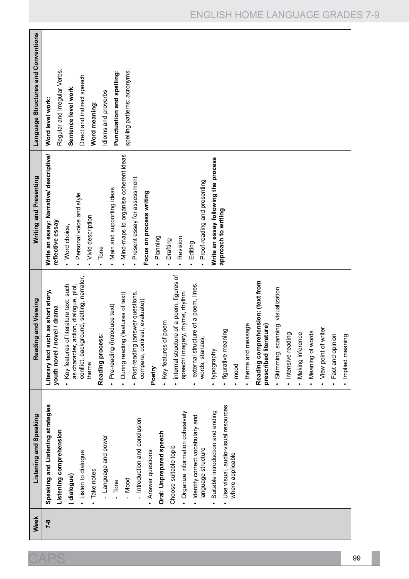| Language Structures and Conventions | Regular and irregular Verbs.<br>spelling patterns; acronyms.<br>Punctuation and spelling:<br>Direct and indirect speech<br>Sentence level work:<br>Idioms and proverbs<br>Word level work:<br>Word meaning:                                                                                                                                                                                                                                                                                                                                                                                                                                                                                                                                                                                                                                                              |                 |
|-------------------------------------|--------------------------------------------------------------------------------------------------------------------------------------------------------------------------------------------------------------------------------------------------------------------------------------------------------------------------------------------------------------------------------------------------------------------------------------------------------------------------------------------------------------------------------------------------------------------------------------------------------------------------------------------------------------------------------------------------------------------------------------------------------------------------------------------------------------------------------------------------------------------------|-----------------|
| Writing and Presenting              | Write an essay: Narrative/ descriptive/<br>Mind-maps to organise coherent ideas<br>Write an essay following the process<br>Present essay for assessment<br>Proof-reading and presenting<br>Main and supporting ideas<br>Focus on process writing<br>Personal voice and style<br>approach to writing<br>• Vivid description<br>reflective essay<br>• Word choice,<br>Planning<br>Revision<br>Drafting<br>Editing<br>Tone                                                                                                                                                                                                                                                                                                                                                                                                                                                  |                 |
| and Viewing<br>Reading              | · internal structure of a poem, figures of<br>conflict, background, setting, narrator,<br>hension: (text from<br>· external structure of a poem, lines,<br>• Key features of literature text: such<br>as character, action, dialogue, plot,<br>· Skimming, scanning, visualization<br>Literary text such as short story,<br>nswer questions,<br>speech/imagery, rhyme, rhythm<br>· During reading (features of text)<br>st, evaluate))<br>· Pre-reading (Introduce text)<br>youth novel / novel / drama<br>• Key features of poem<br>. theme and message<br>prescribed literature)<br>• View point of writer<br>· figurative meaning<br>• Meaning of words<br>· Making inference<br>· Intensive reading<br>Reading process<br>compare, contra<br>Fact and opinion<br>Reading compreh<br>· Post-reading (ar<br>words, stanzas,<br>the dealer<br>theme<br>· mood<br>Poetry | Implied meaning |
| Listening and Speaking              | Speaking and Listening strategies<br>Use visual, audio-visual resources<br>Suitable introduction and ending<br>· Organize information cohesively<br>· Identify correct vocabulary and<br>- Introduction and conclusion<br>Listening comprehension<br>Oral: Unprepared speech<br>- Language and power<br>Choose suitable topic<br>language structure<br>• Answer questions<br>· Listen to dialogue<br>where applicable<br>· Take notes<br>(dialogue)<br>- Mood<br>- Tone<br>$\bullet$<br>$\bullet$                                                                                                                                                                                                                                                                                                                                                                        |                 |
| <b>Week</b>                         | $7 - 8$                                                                                                                                                                                                                                                                                                                                                                                                                                                                                                                                                                                                                                                                                                                                                                                                                                                                  |                 |
|                                     |                                                                                                                                                                                                                                                                                                                                                                                                                                                                                                                                                                                                                                                                                                                                                                                                                                                                          | 99              |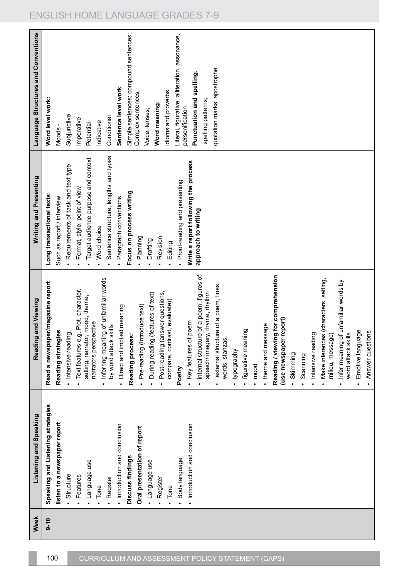| <b>Week</b> | Listening and Speaking            | Reading and Viewing                                                            | Writing and Presenting                | Language Structures and Conventions                              |  |
|-------------|-----------------------------------|--------------------------------------------------------------------------------|---------------------------------------|------------------------------------------------------------------|--|
| $9 - 10$    | Speaking and Listening strategies | Read a newspaper/magazine report                                               | Long transactional texts              | Word level work:                                                 |  |
|             | listen to a newspaper report      | Reading strategies                                                             | Such as report / interview            | Moods                                                            |  |
|             | Structure                         | · Intensive reading                                                            | Requirements of task and text type    | Subjunctive                                                      |  |
|             | · Features                        | · Text features e.g. Plot, character,                                          | Format, style, point of view          | Imperative                                                       |  |
|             | · Language use                    | setting, narrator, mood, theme,<br>narrators perspective                       | Target audience purpose and context   | Potential                                                        |  |
|             | Tone                              |                                                                                | Word choice                           | Indicative                                                       |  |
|             | Register                          | • Inferring meaning of unfamiliar words<br>by word attack skills               | Sentence structure, lengths and types | Conditional                                                      |  |
|             | • Introduction and conclusion     | Direct and implied meaning                                                     | Paragraph conventions                 | Sentence level work:                                             |  |
|             | Discuss findings                  | Reading process:                                                               | Focus on process writing              | Simple sentences; compound sentences;                            |  |
|             | Oral presentation of report       | Pre-reading (Introduce text)                                                   | Planning                              | Complex sentences;                                               |  |
|             | - Language use                    | · During reading (features of text)                                            | Drafting                              | Voice; tenses;                                                   |  |
|             | · Register                        | Post-reading (answer questions,                                                | Revision                              | Word meaning:                                                    |  |
|             | $\cdot$ Tone                      | evaluate))<br>compare, contrast,                                               | Editing                               | Idioms and proverbs                                              |  |
|             | Body language                     | Poetry                                                                         | Proof-reading and presenting          | Literal, figurative, alliteration, assonance,<br>personification |  |
|             | . Introduction and conclusion     | • Key features of poem                                                         | Write a report following the process  |                                                                  |  |
|             |                                   | a poem, figures of<br>speech/imagery, rhyme, rhythm<br>· internal structure of | approach to writing                   | Punctuation and spelling:<br>spelling patterns;                  |  |
|             |                                   |                                                                                |                                       |                                                                  |  |
|             |                                   | of a poem, lines,<br>external structure<br>words, stanzas,                     |                                       | quotation marks; apostrophe                                      |  |
|             |                                   | typography                                                                     |                                       |                                                                  |  |
|             |                                   | · figurative meaning                                                           |                                       |                                                                  |  |
|             |                                   | · mood                                                                         |                                       |                                                                  |  |
|             |                                   | • theme and message                                                            |                                       |                                                                  |  |
|             |                                   | Reading / viewing for comprehension<br>(use newspaper report)                  |                                       |                                                                  |  |
|             |                                   | Skimming                                                                       |                                       |                                                                  |  |
|             |                                   | Scanning                                                                       |                                       |                                                                  |  |
|             |                                   | · Intensive reading                                                            |                                       |                                                                  |  |
|             |                                   | · Make inferences (characters, setting,<br>milieu, message)                    |                                       |                                                                  |  |
|             |                                   | · Infer meaning of unfamiliar words by<br>word attack skills                   |                                       |                                                                  |  |
|             |                                   | Emotive language                                                               |                                       |                                                                  |  |
|             |                                   | Answer questions                                                               |                                       |                                                                  |  |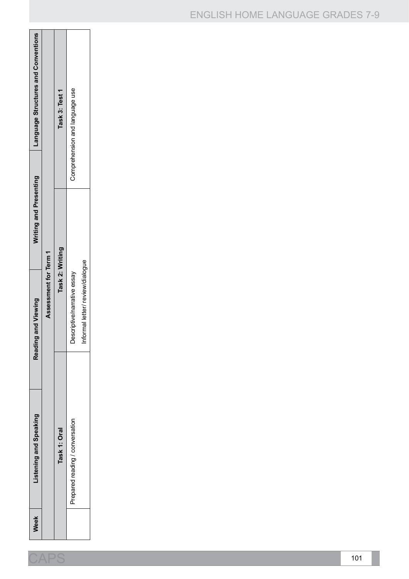| Comprehension and language use<br>Task 2: Writing<br>Assessment for Term 1<br>Informal letter/ review/dialogue<br>Descriptive/narrative essay<br>Prepared reading / conversation<br>Task 1: Oral | Language Structures and Conventions | Task 3: Test 1 |  |  |
|--------------------------------------------------------------------------------------------------------------------------------------------------------------------------------------------------|-------------------------------------|----------------|--|--|
| Writing and Presenting<br>Reading and Viewing<br>Listening and Speaking                                                                                                                          |                                     |                |  |  |
|                                                                                                                                                                                                  |                                     |                |  |  |
|                                                                                                                                                                                                  |                                     |                |  |  |
| Week                                                                                                                                                                                             |                                     |                |  |  |
|                                                                                                                                                                                                  |                                     |                |  |  |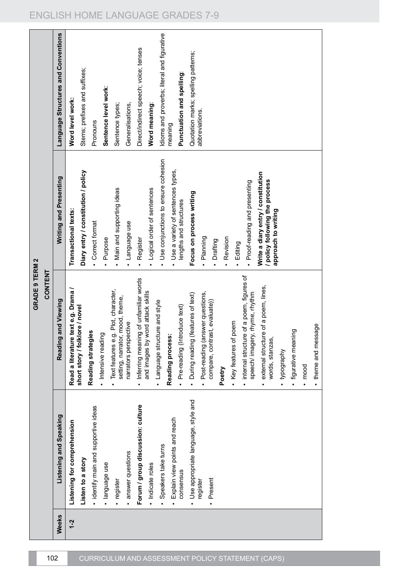| Listen to a story<br>Weeks<br>$1 - 2$                    |                                                        | CONTENT                                                                                                                                                                                                                                                                                                                                                                            |                                                                                                                                                                                                                                               |                                                                                     |
|----------------------------------------------------------|--------------------------------------------------------|------------------------------------------------------------------------------------------------------------------------------------------------------------------------------------------------------------------------------------------------------------------------------------------------------------------------------------------------------------------------------------|-----------------------------------------------------------------------------------------------------------------------------------------------------------------------------------------------------------------------------------------------|-------------------------------------------------------------------------------------|
|                                                          |                                                        |                                                                                                                                                                                                                                                                                                                                                                                    |                                                                                                                                                                                                                                               |                                                                                     |
|                                                          | Listening and Speaking                                 | Reading and Viewing                                                                                                                                                                                                                                                                                                                                                                | Writing and Presenting                                                                                                                                                                                                                        | Language Structures and Conventions                                                 |
|                                                          | Listening for comprehension                            | ext e.g. Drama<br>short story / folklore / novel<br>Read a literature                                                                                                                                                                                                                                                                                                              | Diary entry / constitution / policy<br>Transactional texts:                                                                                                                                                                                   | Stems; prefixes and suffixes;<br>Word level work:                                   |
| · language use                                           | • identify main and supportive ideas                   | Reading strategies<br>· Intensive reading                                                                                                                                                                                                                                                                                                                                          | • Correct format<br>Purpose                                                                                                                                                                                                                   | Sentence level work:<br>Pronouns                                                    |
| · register                                               | · answer questions                                     | · Text features e.g. Plot, character,<br>setting, narrator, mood, theme,<br>narrators perspective                                                                                                                                                                                                                                                                                  | Main and supporting ideas<br>Language use                                                                                                                                                                                                     | Sentence types;<br>Generalisations,                                                 |
| · Indicate roles                                         | Forum / group discussion: culture                      | · Inferring meaning of unfamiliar words<br>and images by word attack skills                                                                                                                                                                                                                                                                                                        | · Logical order of sentences<br>Register                                                                                                                                                                                                      | Direct/indirect speech; voice; tenses<br>Word meaning:                              |
| consensus                                                | Explain view points and reach<br>· Speakers take turns | · Language structure and style<br>· Pre-reading (Introduce text)<br>Reading process:                                                                                                                                                                                                                                                                                               | Use conjunctions to ensure cohesion<br>• Use a variety of sentences types,<br>lengths and structures                                                                                                                                          | Idioms and proverbs; literal and figurative<br>Punctuation and spelling:<br>meaning |
| Present<br>register<br>$\ddot{\phantom{0}}$<br>$\bullet$ | Use appropriate language, style and                    | · internal structure of a poem, figures of<br>external structure of a poem, lines,<br>Post-reading (answer questions,<br>speech/ imagery, rhyme, rhythm<br>· During reading (features of text)<br>compare, contrast, evaluate))<br>• Key features of poem<br>• theme and message<br>ഊ<br>· figurative meanin<br>words, stanzas,<br>typography<br><br>· mood<br>Poetry<br>$\bullet$ | Write a diary entry / constitution<br>/ policy following the process<br>Proof-reading and presenting<br>Focus on process writing<br>approach to writing<br>· Planning<br>Revision<br>Drafting<br>Editing<br>$\ddot{\phantom{0}}$<br>$\bullet$ | Quotation marks; spelling patterns;<br>abbreviations.                               |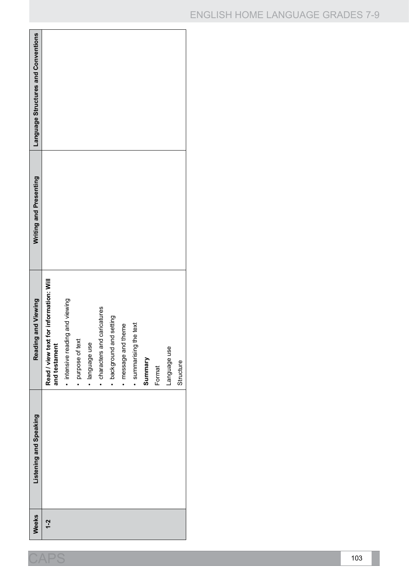| Weeks<br>$1 - 2$                                                               |                                 |                   |                |                              |                          |                     |                        |         |        |              |           |
|--------------------------------------------------------------------------------|---------------------------------|-------------------|----------------|------------------------------|--------------------------|---------------------|------------------------|---------|--------|--------------|-----------|
| Listening and Speaking                                                         |                                 |                   |                |                              |                          |                     |                        |         |        |              |           |
| Read / view text for information: Will<br>Reading and Viewing<br>and testament | · intensive reading and viewing | • purpose of text | · language use | · characters and caricatures | · background and setting | . message and theme | • summarising the text | Summary | Format | Language use | Structure |
| Writing and Presenting                                                         |                                 |                   |                |                              |                          |                     |                        |         |        |              |           |
| Language Structures and Conventions                                            |                                 |                   |                |                              |                          |                     |                        |         |        |              |           |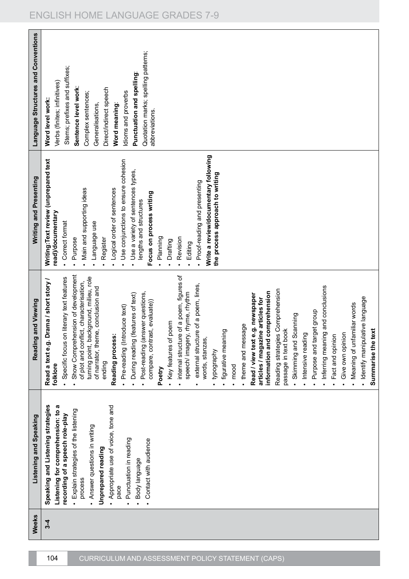| Weeks | Listening and Speaking                                                                                                                                                                                                                                                                                                                                       | Reading and Viewing                                                                                                                                                                                                                                                                                                                                                                                                                                                                 | Writing and Presenting                                                                                                                                                                                                                                                                                                                  | Language Structures and Conventions                                                                                                                                                                                                                                                                         |
|-------|--------------------------------------------------------------------------------------------------------------------------------------------------------------------------------------------------------------------------------------------------------------------------------------------------------------------------------------------------------------|-------------------------------------------------------------------------------------------------------------------------------------------------------------------------------------------------------------------------------------------------------------------------------------------------------------------------------------------------------------------------------------------------------------------------------------------------------------------------------------|-----------------------------------------------------------------------------------------------------------------------------------------------------------------------------------------------------------------------------------------------------------------------------------------------------------------------------------------|-------------------------------------------------------------------------------------------------------------------------------------------------------------------------------------------------------------------------------------------------------------------------------------------------------------|
| $3-4$ | Speaking and Listening strategies<br>Appropriate use of voice, tone and<br>Listening for comprehension: to a<br>Explain strategies of the listening<br>recording of a speech role-play<br>Answer questions in writing<br>Punctuation in reading<br>Contact with audience<br>Unprepared reading<br>Body language<br>process<br>pace<br>$\bullet$<br>$\bullet$ | Show Comprehension of development<br>turning point, background, milieu, role<br>literary text features<br>ama / short story /<br>of plot and conflict, characterisation,<br>of narrator, theme, conclusion and<br>Post-reading (answer questions,<br>During reading (features of text)<br>compare, contrast, evaluate))<br>· Pre-reading (Introduce text)<br>Specific focus on<br>Read a text e.g. Dr<br>Reading process:<br>ending<br>folklore<br>Poetry<br>$\bullet$<br>$\bullet$ | Writing:Text review (unprepared text<br>Use conjunctions to ensure cohesion<br>Use a variety of sentences types<br>Logical order of sentences<br>Main and supporting ideas<br>Focus on process writing<br>lengths and structures<br>read)/documentary<br>Correct format<br>Language use<br>Planning<br>Purpose<br>Register<br>$\bullet$ | Quotation marks; spelling patterns;<br>Stems; prefixes and suffixes;<br>Punctuation and spelling:<br>Verbs (finites; infinitives)<br>Sentence level work:<br>Direct/indirect speech<br>Idioms and proverbs<br>Complex sentences;<br>Word level work:<br>Word meaning:<br>Generalisations,<br>abbreviations. |
|       |                                                                                                                                                                                                                                                                                                                                                              | · internal structure of a poem, figures of<br>external structure of a poem, lines,<br>rhyme, rhythm<br>• Key features of poem<br>ge<br>· figurative meaning<br>• theme and messa<br>speech/ imagery,<br>words, stanzas,<br>Woography<br>· mood                                                                                                                                                                                                                                      | Write a review/documentary following<br>the process approach to writing<br>· Proof-reading and presenting<br>Revision<br>Drafting<br>Editing                                                                                                                                                                                            |                                                                                                                                                                                                                                                                                                             |
|       |                                                                                                                                                                                                                                                                                                                                                              | and conclusions<br>Reading strategies Comprehension<br>information and comprehension<br>Read / view text e.g. newspaper<br>articles for<br>Purpose and target group<br>Skimming and Scanning<br>passage in text book<br>articles / magazine<br>Inferring meaning<br>Intensive reading<br>$\bullet$<br>$\bullet$                                                                                                                                                                     |                                                                                                                                                                                                                                                                                                                                         |                                                                                                                                                                                                                                                                                                             |
|       |                                                                                                                                                                                                                                                                                                                                                              | · Identify manipulative language<br>Meaning of unfamiliar words<br>Summarise the text<br>Give own opinion<br>Fact and opinion<br>$\bullet$                                                                                                                                                                                                                                                                                                                                          |                                                                                                                                                                                                                                                                                                                                         |                                                                                                                                                                                                                                                                                                             |

104 CURRICULUM AND ASSESSMENT POLICY STATEMENT (CAPS)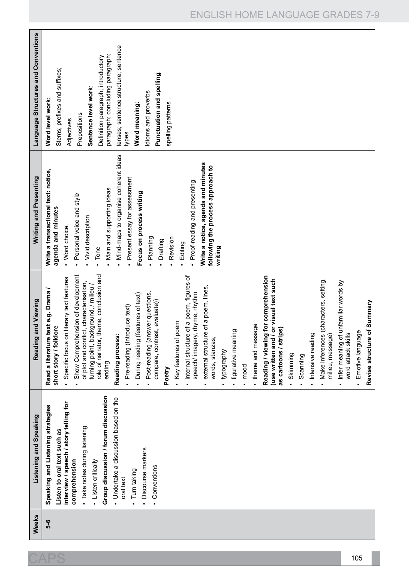|     | Weeks | Listening and Speaking                                                                                                                                                                                                                                                                                                                             | and Viewing<br>Reading                                                                                                                                                                                                                                                                                                                                                                                                                                                                                                                                                                                                                                                                                                                                                                                                                                                                                                                                                                                                                                          | Writing and Presenting                                                                                                                                                                                                                                                                                                                                                                                                                                            | Language Structures and Conventions                                                                                                                                                                                                                                                                                          |
|-----|-------|----------------------------------------------------------------------------------------------------------------------------------------------------------------------------------------------------------------------------------------------------------------------------------------------------------------------------------------------------|-----------------------------------------------------------------------------------------------------------------------------------------------------------------------------------------------------------------------------------------------------------------------------------------------------------------------------------------------------------------------------------------------------------------------------------------------------------------------------------------------------------------------------------------------------------------------------------------------------------------------------------------------------------------------------------------------------------------------------------------------------------------------------------------------------------------------------------------------------------------------------------------------------------------------------------------------------------------------------------------------------------------------------------------------------------------|-------------------------------------------------------------------------------------------------------------------------------------------------------------------------------------------------------------------------------------------------------------------------------------------------------------------------------------------------------------------------------------------------------------------------------------------------------------------|------------------------------------------------------------------------------------------------------------------------------------------------------------------------------------------------------------------------------------------------------------------------------------------------------------------------------|
|     | 5-6   | Group discussion / forum discussion<br>• Undertake a discussion based on the<br>interview / speech / story telling for<br>Speaking and Listening strategies<br>· Take notes during listening<br>Listen to oral text such as<br>· Discourse markers<br>comprehension<br>· Listen critically<br>Conventions<br>Turn taking<br>oral text<br>$\bullet$ | role of narrator, theme, conclusion and<br>Show Comprehension of development<br>of a poem, figures of<br>Reading / viewing for comprehension<br>Specific focus on literary text features<br>(use written and / or visual text such<br>(characters, setting,<br>of plot and conflict, characterisation,<br>turning point, background, / milieu /<br>external structure of a poem, lines,<br>Read a literature text e.g. Drama /<br>Post-reading (answer questions,<br>rhyme, rhythm<br>During reading (features of text)<br>compare, contrast, evaluate))<br>Pre-reading (Introduce text)<br>• Key features of poem<br>• theme and message<br>short story / folklore<br>$\overline{9}$<br>σ<br>Reading process:<br>· internal structure<br>speech/ imagery,<br>figurative meanin<br>as cartoons / strip<br>Intensive reading<br>milieu, message)<br>Make inferences<br>words, stanzas,<br>typography<br>Skimming<br>Scanning<br>ending<br>· mood<br>Poetry<br>$\bullet$<br>$\ddot{\phantom{0}}$<br>$\bullet$<br>$\bullet$<br>$\bullet$<br>$\bullet$<br>$\bullet$ | Mind-maps to organise coherent ideas<br>Write a notice, agenda and minutes<br>following the process approach to<br>Write a transactional text: notice,<br>· Present essay for assessment<br>Proof-reading and presenting<br>. Main and supporting ideas<br>Focus on process writing<br>Personal voice and style<br>agenda and minutes<br>• Vivid description<br>• Word choice,<br>· Planning<br>Revision<br>Drafting<br>· Editing<br>writing<br>Tone<br>$\bullet$ | tenses; sentence structure; sentence<br>paragraph; concluding paragraph;<br>Definition paragraph; introductory<br>Stems; prefixes and suffixes;<br>Punctuation and spelling:<br>Sentence level work:<br>Idioms and proverbs<br>Word level work:<br>spelling patterns<br>Word meaning:<br>Prepositions<br>Adjectives<br>types |
| 105 |       |                                                                                                                                                                                                                                                                                                                                                    | unfamiliar words by<br>Revise structure of Summary<br>Emotive language<br>word attack skills<br>Infer meaning of<br>$\ddot{\phantom{0}}$                                                                                                                                                                                                                                                                                                                                                                                                                                                                                                                                                                                                                                                                                                                                                                                                                                                                                                                        |                                                                                                                                                                                                                                                                                                                                                                                                                                                                   |                                                                                                                                                                                                                                                                                                                              |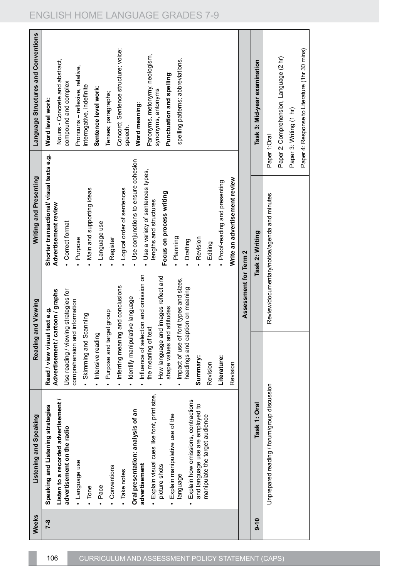| Weeks    | Listening and Speaking                                                                                                                                                                                                                                                                                                                                                                                                                                                                            | and Viewing<br>Reading                                                                                                                                                                                                                                                                                                                                                                                                                                                                                                                                                               | Writing and Presenting                                                                                                                                                                                                                                                                                                                                                                                                                                          | Language Structures and Conventions                                                                                                                                                                                                                                                                                                                                                    |
|----------|---------------------------------------------------------------------------------------------------------------------------------------------------------------------------------------------------------------------------------------------------------------------------------------------------------------------------------------------------------------------------------------------------------------------------------------------------------------------------------------------------|--------------------------------------------------------------------------------------------------------------------------------------------------------------------------------------------------------------------------------------------------------------------------------------------------------------------------------------------------------------------------------------------------------------------------------------------------------------------------------------------------------------------------------------------------------------------------------------|-----------------------------------------------------------------------------------------------------------------------------------------------------------------------------------------------------------------------------------------------------------------------------------------------------------------------------------------------------------------------------------------------------------------------------------------------------------------|----------------------------------------------------------------------------------------------------------------------------------------------------------------------------------------------------------------------------------------------------------------------------------------------------------------------------------------------------------------------------------------|
| $7 - 8$  | · Explain visual cues like font, print size,<br>Listen to a recorded advertisement /<br>Explain how omissions, contractions<br>and language use are employed to<br>Speaking and Listening strategies<br>Oral presentation: analysis of an<br>Explain manipulative use of the<br>manipulate the target audience<br>advertisement on the radio<br>· Language use<br>advertisement<br>picture shots<br>• Conventions<br>· Take notes<br>language<br>· Pace<br>$\cdot$ Tone<br>$\bullet$<br>$\bullet$ | · Influence of selection and omission on<br>How language and images reflect and<br>· Impact of use of font types and sizes,<br>. Inferring meaning and conclusions<br>headings and caption on meaning<br>Advertisement / cartoon / graphs<br>Use reading / viewing strategies for<br>· Identify manipulative language<br>comprehension and information<br>shape values and attitudes<br>al text e.g<br>· Purpose and target group<br>· Skimming and Scanning<br>text<br>· Intensive reading<br>Read / view visu<br>the meaning of<br>Summary:<br>Literature:<br>Revision<br>Revision | Shorter transactional/visual texts e.g.<br>• Use conjunctions to ensure cohesion<br>• Use a variety of sentences types,<br>Write an advertisement review<br>· Proof-reading and presenting<br>. Main and supporting ideas<br>· Logical order of sentences<br>Focus on process writing<br>lengths and structures<br>Advertisement review<br>• Correct format<br>· Language use<br>· Planning<br>· Revision<br>· Purpose<br>· Register<br>· Drafting<br>· Editing | Concord; Sentence structure; voice;<br>Paronyms, metonymy, neologism,<br>spelling patterns; abbreviations.<br>Nouns - Concrete and abstract,<br>Pronouns – reflexive, relative,<br>Punctuation and spelling:<br>compound and complex<br>interrogative, indefinite<br>Sentence level work:<br>synonyms, antonyms<br>Tenses; paragraphs;<br>Word level work:<br>Word meaning:<br>speech. |
|          |                                                                                                                                                                                                                                                                                                                                                                                                                                                                                                   | Assessment for Term 2                                                                                                                                                                                                                                                                                                                                                                                                                                                                                                                                                                |                                                                                                                                                                                                                                                                                                                                                                                                                                                                 |                                                                                                                                                                                                                                                                                                                                                                                        |
| $0 - 10$ | Task 1: Oral                                                                                                                                                                                                                                                                                                                                                                                                                                                                                      |                                                                                                                                                                                                                                                                                                                                                                                                                                                                                                                                                                                      | Task 2: Writing                                                                                                                                                                                                                                                                                                                                                                                                                                                 | Task 3: Mid-year examination                                                                                                                                                                                                                                                                                                                                                           |
|          | Unprepared reading / forum/group discussion                                                                                                                                                                                                                                                                                                                                                                                                                                                       |                                                                                                                                                                                                                                                                                                                                                                                                                                                                                                                                                                                      | Review/documentary/notice/agenda and minutes                                                                                                                                                                                                                                                                                                                                                                                                                    | Paper 4: Response to Literature (1hr 30 mins)<br>Paper 2: Comprehension, Language (2 hr)<br>Paper 3: Writing (1 hr)<br>Paper 1: Oral                                                                                                                                                                                                                                                   |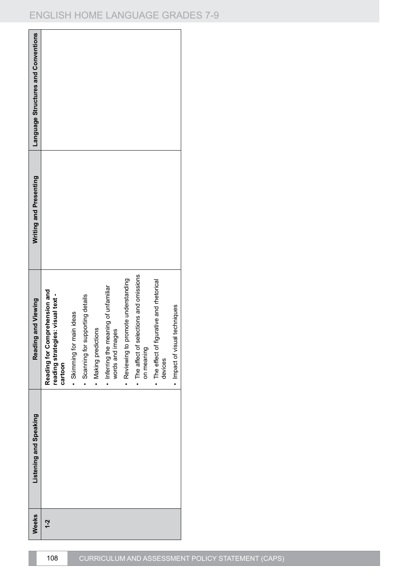| Language Structures and Conventions |                                                                               |                           |                                   |                      |                                                           |                                      |                                                        |                                                      |                               |
|-------------------------------------|-------------------------------------------------------------------------------|---------------------------|-----------------------------------|----------------------|-----------------------------------------------------------|--------------------------------------|--------------------------------------------------------|------------------------------------------------------|-------------------------------|
| Writing and Presenting              |                                                                               |                           |                                   |                      |                                                           |                                      |                                                        |                                                      |                               |
| Reading and Viewing                 | Reading for Comprehension and<br>reading strategies: visual text -<br>cartoon | · Skimming for main ideas | · Scanning for supporting details | . Making predictions | · Inferring the meaning of unfamiliar<br>words and images | · Reviewing to promote understanding | • The affect of selections and omissions<br>on meaning | • The effect of figurative and rhetorical<br>devices | · Impact of visual techniques |
| <b>Listening and Speaking</b>       |                                                                               |                           |                                   |                      |                                                           |                                      |                                                        |                                                      |                               |
| Weeks                               | $1 - 2$                                                                       |                           |                                   |                      |                                                           |                                      |                                                        |                                                      |                               |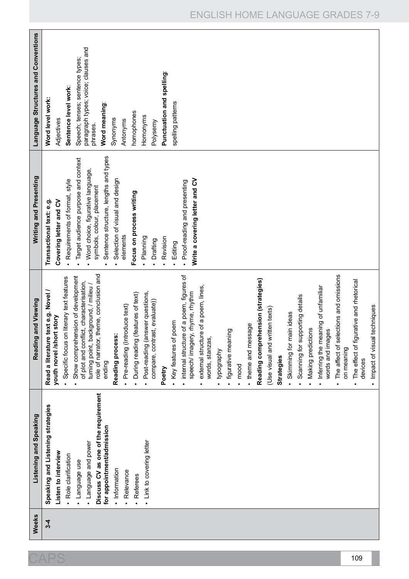|     | Weeks | Listening and Speaking                          | and Viewing<br>Reading                                                           | Writing and Presenting                | Language Structures and Conventions             |
|-----|-------|-------------------------------------------------|----------------------------------------------------------------------------------|---------------------------------------|-------------------------------------------------|
|     | $3-4$ | Speaking and Listening strategies               | text e.g. Novel<br>Read a literature                                             | Transactional text: e.g               | Word level work:                                |
|     |       | Listen to interview                             | youth novel /short story                                                         | Covering letter and CV                | Adjectives                                      |
|     |       | Role clarification                              | Specific focus on literary text features                                         | Requirements of format, style         | Sentence level work:                            |
|     |       | - Language use                                  | Show comprehension of development                                                | Target audience purpose and context   | Speech; tenses; sentence types;                 |
|     |       | · Language and power                            | of plot and conflict, characterisation,<br>turning point, background, / milieu / | Word choice, figurative language,     | paragraph types; voice; clauses and<br>phrases. |
|     |       | Discuss CV as one of the requirement            | theme, conclusion and<br>role of narrator,                                       | symbols, colour, placement            |                                                 |
|     |       | for appointment/admission                       | ending                                                                           | Sentence structure, lengths and types | Word meaning:                                   |
|     |       | · Information                                   | Reading process                                                                  | Selection of visual and design        | Synonyms                                        |
|     |       | Relevance                                       | Pre-reading (Introduce text)                                                     | elements                              | Antonyms                                        |
|     |       | Referees<br>$\bullet$                           | features of text)<br>During reading                                              | Focus on process writing              | homophones                                      |
|     |       | Link to covering letter<br>$\ddot{\phantom{0}}$ | Post-reading (answer questions,                                                  | Planning                              | Homonyms                                        |
|     |       |                                                 | st, evaluate))<br>compare, contra                                                | Drafting                              | Polysemy                                        |
|     |       |                                                 | Poetry                                                                           | Revision                              | Punctuation and spelling:                       |
|     |       |                                                 | • Key features of poem                                                           | Editing                               | spelling patterns                               |
|     |       |                                                 | · internal structure of a poem, figures of                                       | Proof-reading and presenting          |                                                 |
|     |       |                                                 | speech/imagery, rhyme, rhythm                                                    | Write a covering letter and CV        |                                                 |
|     |       |                                                 | e of a poem, lines,<br>external structur<br>words, stanzas,                      |                                       |                                                 |
|     |       |                                                 | the abodit .                                                                     |                                       |                                                 |
|     |       |                                                 | · figurative meaning                                                             |                                       |                                                 |
|     |       |                                                 | · mood                                                                           |                                       |                                                 |
|     |       |                                                 | . theme and message                                                              |                                       |                                                 |
|     |       |                                                 | hension (strategies)<br>Reading comprel                                          |                                       |                                                 |
|     |       |                                                 | (Use visual and written texts)                                                   |                                       |                                                 |
|     |       |                                                 | Strategies                                                                       |                                       |                                                 |
|     |       |                                                 | Skimming for main ideas                                                          |                                       |                                                 |
|     |       |                                                 | Scanning for supporting details                                                  |                                       |                                                 |
|     |       |                                                 | . Making predictions                                                             |                                       |                                                 |
|     |       |                                                 | · Inferring the meaning of unfamiliar<br>words and images                        |                                       |                                                 |
|     |       |                                                 | The affect of selections and omissions<br>on meaning<br>$\bullet$                |                                       |                                                 |
| 109 |       |                                                 | • The effect of figurative and rhetorical                                        |                                       |                                                 |
|     |       |                                                 | techniques<br>• Impact of visual<br>devices                                      |                                       |                                                 |
|     |       |                                                 |                                                                                  |                                       |                                                 |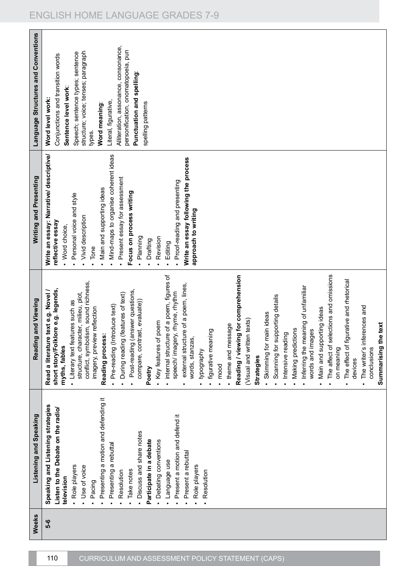| Weeks    | Listening and Speaking               | Reading and Viewing                                                         | Writing and Presenting                  | <b>Language Structures and Conventions</b> |
|----------|--------------------------------------|-----------------------------------------------------------------------------|-----------------------------------------|--------------------------------------------|
| <b>ფ</b> | Speaking and Listening strategies    | Read a literature text e.g. Novel                                           | Write an essay: Narrative/ descriptive/ | Word level work:                           |
|          | Listen to the Debate on the radio/   | e e.g. legends,<br>short story/Folklor                                      | reflective essay                        | Conjunctions and transition words          |
|          | television                           | myths, fables                                                               | • Word choice,                          | Sentence level work                        |
|          | Role players                         | • Literary text features such as                                            | Personal voice and style                | Speech; sentence types; sentence           |
|          | Use of voice                         | conflict, symbolism, sound richness,<br>structure, character, milieu, plot, | Vivid description                       | structure; voice; tenses; paragraph        |
|          | Pacing                               | imagery, preview reflection                                                 | Tone                                    | types.                                     |
|          | Presenting a motion and defending it | Reading process:                                                            | Main and supporting ideas               | Word meaning:                              |
|          | Presenting a rebuttal                | Pre-reading (Introduce text)                                                | Mind-maps to organise coherent ideas    | Literal, figurative,                       |
|          | Resolution                           | During reading (features of text)                                           | Present essay for assessment            | Alliteration, assonance, consonance,       |
|          | Take notes                           | Post-reading (answer questions,                                             | Focus on process writing                | personification, onomatopoeia, pun         |
|          | Discuss and share notes              | compare, contrast, evaluate))                                               | Planning                                | Punctuation and spelling:                  |
|          | Participate in a debate              | Poetry                                                                      | Drafting                                | spelling patterns                          |
|          | Debating conventions                 | • Key features of poem                                                      | Revision                                |                                            |
|          | Language use                         | of a poem, figures of<br>· internal structure                               | Editing                                 |                                            |
|          | Present a motion and defend it       | rhyme, rhythm<br>speech/imagery,                                            | Proof-reading and presenting            |                                            |
|          | Present a rebuttal                   | external structure of a poem, lines,                                        | Write an essay following the process    |                                            |
|          | Role players                         | words, stanzas,                                                             | approach to writing                     |                                            |
|          | Resolution<br>$\bullet$              | typography                                                                  |                                         |                                            |
|          |                                      | · figurative meaning                                                        |                                         |                                            |
|          |                                      | · mood                                                                      |                                         |                                            |
|          |                                      | . theme and message                                                         |                                         |                                            |
|          |                                      | for comprehension<br>Reading / viewing                                      |                                         |                                            |
|          |                                      | (Visual and written texts)                                                  |                                         |                                            |
|          |                                      | Strategies                                                                  |                                         |                                            |
|          |                                      | Skimming for main ideas                                                     |                                         |                                            |
|          |                                      | Scanning for supporting details                                             |                                         |                                            |
|          |                                      | Intensive reading                                                           |                                         |                                            |
|          |                                      | Making predictions                                                          |                                         |                                            |
|          |                                      | Inferring the meaning of unfamiliar<br>words and images<br>$\bullet$        |                                         |                                            |
|          |                                      | Main and supporting ideas<br>$\bullet$                                      |                                         |                                            |
|          |                                      | The affect of selections and omissions<br>on meaning<br>$\bullet$           |                                         |                                            |
|          |                                      |                                                                             |                                         |                                            |
|          |                                      | The effect of figurative and rhetorical<br>devices<br>$\bullet$             |                                         |                                            |
|          |                                      | The writer's inferences and<br>$\bullet$                                    |                                         |                                            |
|          |                                      | conclusions                                                                 |                                         |                                            |
|          |                                      | text<br>Summarising the f                                                   |                                         |                                            |

110 CURRICULUM AND ASSESSMENT POLICY STATEMENT (CAPS)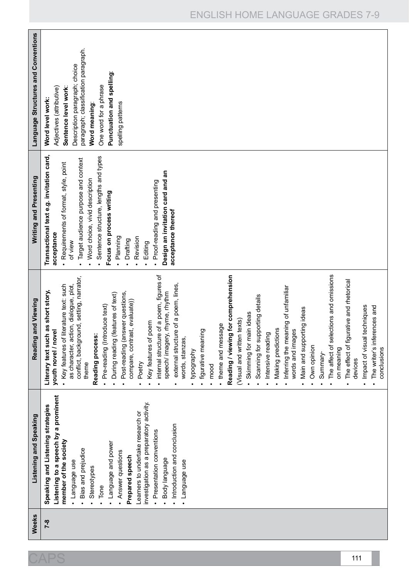| Language Structures and Conventions | paragraph; classification paragraph.<br>Description paragraph; choice<br>Punctuation and spelling:<br>One word for a phrase<br>Adjectives (attributive)<br>Sentence level work:<br>Word level work:<br>spelling patterns<br>Word meaning:                                                                                                                                                                                                                                                                                                                                                                                                                                                                                                                                                                                                                                                                                                                                                                                                                                                                                                                                            |
|-------------------------------------|--------------------------------------------------------------------------------------------------------------------------------------------------------------------------------------------------------------------------------------------------------------------------------------------------------------------------------------------------------------------------------------------------------------------------------------------------------------------------------------------------------------------------------------------------------------------------------------------------------------------------------------------------------------------------------------------------------------------------------------------------------------------------------------------------------------------------------------------------------------------------------------------------------------------------------------------------------------------------------------------------------------------------------------------------------------------------------------------------------------------------------------------------------------------------------------|
| Writing and Presenting              | Transactional text e.g. invitation card,<br>Sentence structure, lengths and types<br>Target audience purpose and context<br>Requirements of format, style, point<br>Design an invitation card and an<br>Word choice, vivid description<br>Proof-reading and presenting<br>Focus on process writing<br>acceptance thereof<br>acceptance<br>Planning<br>Revision<br>Drafting<br>of view<br>Editing                                                                                                                                                                                                                                                                                                                                                                                                                                                                                                                                                                                                                                                                                                                                                                                     |
| and Viewing<br>Reading              | ections and omissions<br>· internal structure of a poem, figures of<br>Reading / viewing for comprehension<br>conflict, background, setting, narrator,<br>The effect of figurative and rhetorical<br>external structure of a poem, lines,<br>literature text: such<br>as character, action, dialogue, plot,<br>Inferring the meaning of unfamiliar<br>Literary text such as short story,<br>speech/imagery, rhyme, rhythm<br>Post-reading (answer questions,<br>(features of text)<br>Scanning for supporting details<br>ist, evaluate))<br>Pre-reading (Introduce text)<br>techniques<br>· The writer's inferences and<br>Main and supporting ideas<br>Skimming for main ideas<br>(Visual and written texts)<br>poem<br>. theme and message<br>Making predictions<br>youth novel / novel<br>words and images<br>· figurative meaning<br>Intensive reading<br>Reading process:<br>compare, contra<br>words, stanzas,<br>The affect of sel<br>• Impact of visual<br>. Key features of<br>During reading<br>• Key features of<br>Own opinion<br>conclusions<br>on meaning<br>typography<br><br>Summary-<br>devices<br>theme<br>Poetry<br>· mood<br>$\bullet$<br>$\bullet$<br>$\bullet$ |
| Listening and Speaking              | Listening to a speech by a prominent<br>investigation as a preparatory activity.<br>Speaking and Listening strategies<br>Learners to undertake research or<br>• Introduction and conclusion<br>Presentation conventions<br>member of the society<br>Language and power<br>Bias and prejudice<br>Answer questions<br>Prepared speech<br>Body language<br>- Language use<br>Language use<br>Stereotypes<br>Tone<br>$\bullet$<br>$\bullet$                                                                                                                                                                                                                                                                                                                                                                                                                                                                                                                                                                                                                                                                                                                                              |
| Weeks                               | $7 - 8$                                                                                                                                                                                                                                                                                                                                                                                                                                                                                                                                                                                                                                                                                                                                                                                                                                                                                                                                                                                                                                                                                                                                                                              |
|                                     | 111                                                                                                                                                                                                                                                                                                                                                                                                                                                                                                                                                                                                                                                                                                                                                                                                                                                                                                                                                                                                                                                                                                                                                                                  |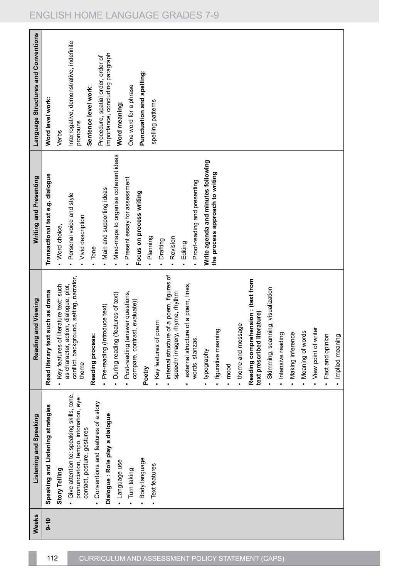| Weeks    | Listening and Speaking                                                                                             | Reading and Viewing                                                                        | Writing and Presenting                          | <b>Language Structures and Conventions</b>                             |
|----------|--------------------------------------------------------------------------------------------------------------------|--------------------------------------------------------------------------------------------|-------------------------------------------------|------------------------------------------------------------------------|
| $9 - 10$ | Speaking and Listening strategies                                                                                  | such as drama<br>Read literary text                                                        | Transactional text e.g. dialogue                | Word level work:                                                       |
|          | Story Telling                                                                                                      | • Key features of literature text: such                                                    | • Word choice,                                  | Verbs                                                                  |
|          | · Give attention to: speaking skills, tone,<br>pronunciation, tempo, intonation, eye<br>contact, posture, gestures | conflict, background, setting, narrator,<br>as character, action, dialogue, plot,<br>theme | Personal voice and style<br>• Vivid description | Interrogative, demonstrative, indefinite<br>pronouns                   |
|          | Conventions and features of a story                                                                                | Reading process:                                                                           | $\cdot$ Tone                                    | Sentence level work:                                                   |
|          | Dialogue : Role play a dialogue                                                                                    | · Pre-reading (Introduce text)                                                             | Main and supporting ideas                       | importance, concluding paragraph<br>Procedure, spatial order, order of |
|          | · Language use                                                                                                     | During reading (features of text)                                                          | • Mind-maps to organise coherent ideas          | Word meaning:                                                          |
|          | · Turn taking                                                                                                      | Post-reading (answer questions,<br>compare, contrast, evaluate))                           | · Present essay for assessment                  | One word for a phrase                                                  |
|          | · Body language                                                                                                    | Poetry                                                                                     | Focus on process writing                        | Punctuation and spelling:                                              |
|          | • Text features                                                                                                    | • Key features of poem                                                                     | · Planning<br>Drafting                          | spelling patterns                                                      |
|          |                                                                                                                    | of a poem, figures of<br>rhyme, rhythm<br>· internal structure<br>speech/imagery,          | Revision                                        |                                                                        |
|          |                                                                                                                    | external structure of a poem, lines,<br>words, stanzas,<br>$\bullet$                       | Proof-reading and presenting<br>Editing         |                                                                        |
|          |                                                                                                                    | vide.food.                                                                                 | Write agenda and minutes following              |                                                                        |
|          |                                                                                                                    | · figurative meaning                                                                       | the process approach to writing                 |                                                                        |
|          |                                                                                                                    | · mood                                                                                     |                                                 |                                                                        |
|          |                                                                                                                    | . theme and message                                                                        |                                                 |                                                                        |
|          |                                                                                                                    | Reading comprehension: (text from<br>text prescribed literature)                           |                                                 |                                                                        |
|          |                                                                                                                    | Skimming, scanning, visualization                                                          |                                                 |                                                                        |
|          |                                                                                                                    | · Intensive reading                                                                        |                                                 |                                                                        |
|          |                                                                                                                    | · Making inference                                                                         |                                                 |                                                                        |
|          |                                                                                                                    | • Meaning of words                                                                         |                                                 |                                                                        |
|          |                                                                                                                    | • View point of writer                                                                     |                                                 |                                                                        |
|          |                                                                                                                    | · Fact and opinion                                                                         |                                                 |                                                                        |
|          |                                                                                                                    | · Implied meaning                                                                          |                                                 |                                                                        |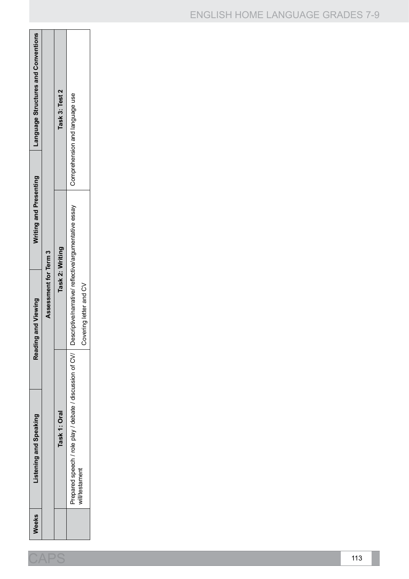| Language Structures and Conventions |                       | Task 3: Test 2  |                                                                                 |
|-------------------------------------|-----------------------|-----------------|---------------------------------------------------------------------------------|
|                                     |                       |                 | Comprehension and language use                                                  |
| Writing and Presenting              |                       |                 |                                                                                 |
| Reading and Viewing                 | Assessment for Term 3 | Task 2: Writing | Descriptive/narrative/ reflective/argumentative essay<br>Covering letter and CV |
|                                     |                       |                 |                                                                                 |
| Listening and Speaking              |                       | Task 1: Oral    | Prepared speech / role play / debate / discussion of CV/<br>will/testament      |
| Weeks                               |                       |                 |                                                                                 |
| СA                                  | P                     | S               |                                                                                 |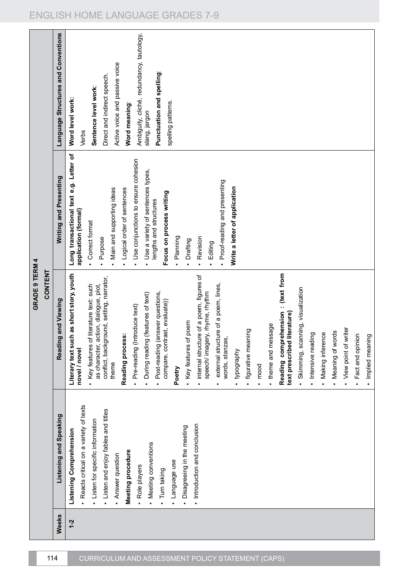|         |                                                                    | <b>GRADE 9 TERM 4</b>                                                            |                                                                |                                                 |
|---------|--------------------------------------------------------------------|----------------------------------------------------------------------------------|----------------------------------------------------------------|-------------------------------------------------|
|         |                                                                    | <b>CONTENT</b>                                                                   |                                                                |                                                 |
| Weeks   | Listening and Speaking                                             | id Viewing<br>Reading ar                                                         | Writing and Presenting                                         | Language Structures and Conventions             |
| $1 - 2$ | · Reacts critical on a variety of texts<br>Listening Comprehension | Literary text such as short story, youth<br>novel / novel                        | Long transactional text e.g. Letter of<br>application (formal) | Word level work:<br>Verbs                       |
|         | · Listen for specific information                                  | · Key features of literature text: such<br>as character, action, dialogue, plot, | Correct format                                                 | Sentence level work:                            |
|         | • Listen and enjoy fables and titles                               | conflict, background, setting, narrator,<br>theme                                | . Main and supporting ideas<br>· Purpose                       | Direct and indirect speech.                     |
|         | • Answer question                                                  |                                                                                  |                                                                | Active voice and passive voice                  |
|         | Meeting procedure                                                  | Reading process:                                                                 | Logical order of sentences                                     | Word meaning                                    |
|         | · Role players                                                     | · Pre-reading (Introduce text)                                                   | • Use conjunctions to ensure cohesion                          | Ambiguity, cliché, redundancy, tautology,       |
|         | • Meeting conventions                                              | During reading (features of text)                                                | · Use a variety of sentences types,<br>lengths and structures  | slang, jargon                                   |
|         | · Turn taking                                                      | · Post-reading (answer questions,<br>evaluate))<br>compare, contrast,            | Focus on process writing                                       | Punctuation and spelling:<br>spelling patterns. |
|         | · Language use                                                     | Poetry                                                                           | Planning                                                       |                                                 |
|         | Disagreeing in the meeting                                         | • Key features of poem                                                           | Drafting                                                       |                                                 |
|         | • Introduction and conclusion                                      | · internal structure of a poem, figures of<br>speech/imagery, rhyme, rhythm      | Revision                                                       |                                                 |
|         |                                                                    | of a poem, lines,<br>external structure                                          | Proof-reading and presenting<br>Editing                        |                                                 |
|         |                                                                    | words, stanzas,                                                                  |                                                                |                                                 |
|         |                                                                    | the abodit .                                                                     | Write a letter of application                                  |                                                 |
|         |                                                                    | · figurative meaning                                                             |                                                                |                                                 |
|         |                                                                    | · mood                                                                           |                                                                |                                                 |
|         |                                                                    | . theme and message                                                              |                                                                |                                                 |
|         |                                                                    | Reading comprehension: (text from<br>text prescribed literature)                 |                                                                |                                                 |
|         |                                                                    | g, visualization<br>Skimming, scannin                                            |                                                                |                                                 |
|         |                                                                    | · Intensive reading                                                              |                                                                |                                                 |
|         |                                                                    | · Making inference                                                               |                                                                |                                                 |
|         |                                                                    | • Meaning of words                                                               |                                                                |                                                 |
|         |                                                                    | • View point of writer                                                           |                                                                |                                                 |
|         |                                                                    | · Fact and opinion                                                               |                                                                |                                                 |
|         |                                                                    | · Implied meaning                                                                |                                                                |                                                 |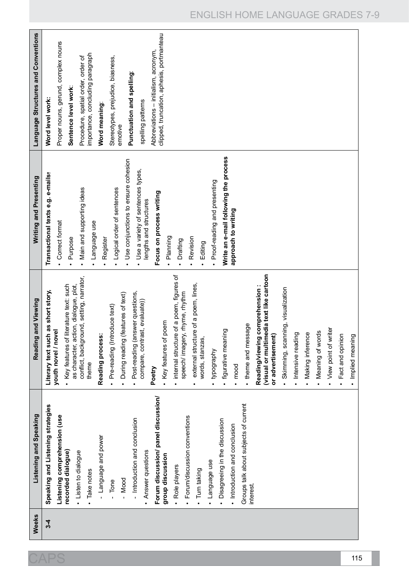| Weeks | Listening and Speaking                | and Viewing<br>Reading                                                    | Writing and Presenting                            | Language Structures and Conventions       |
|-------|---------------------------------------|---------------------------------------------------------------------------|---------------------------------------------------|-------------------------------------------|
| $3-4$ | Speaking and Listening strategies     | as short story,<br>Literary text such                                     | Transactional texts e.g. e-mails-                 | Word level work:                          |
|       | Listening comprehension (use          | youth novel / novel                                                       | Correct format                                    | Proper nouns, gerund, complex nouns       |
|       | recorded dialogue)                    | • Key features of literature text: such                                   | Purpose                                           | Sentence level work:                      |
|       | · Listen to dialogue                  | as character, action, dialogue, plot,                                     |                                                   |                                           |
|       |                                       | conflict, background, setting, narrator,                                  | Main and supporting ideas<br>$\ddot{\phantom{0}}$ | Procedure, spatial order, order of        |
|       | · Take notes                          | theme                                                                     | Language use<br>$\bullet$                         | importance, concluding paragraph          |
|       | - Language and power                  | Reading process:                                                          | Register<br>$\ddot{\phantom{0}}$                  | Word meaning:                             |
|       | - Tone                                | · Pre-reading (Introduce text)                                            | Logical order of sentences                        | Stereotypes, prejudice, biasness,         |
|       | - Mood                                | During reading (features of text)                                         | • Use conjunctions to ensure cohesion             | emotive                                   |
|       | - Introduction and conclusion         | Post-reading (answer questions,                                           | • Use a variety of sentences types,               | Punctuation and spelling:                 |
|       | Answer questions                      | compare, contrast, evaluate))                                             | lengths and structures                            | spelling patterns                         |
|       | Forum discussion/ panel discussion/   | Poetry                                                                    | Focus on process writing                          | Abbreviations - initialism, acronym,      |
|       | group discussion                      | • Key features of poem                                                    | · Planning                                        | clipped, truncation, aphesis, portmanteau |
|       | · Role players                        | of a poem, figures of<br>· internal structure                             | $\ddot{\phantom{0}}$                              |                                           |
|       | · Forum/discussion conventions        | speech/imagery, rhyme, rhythm                                             | Drafting                                          |                                           |
|       | · Turn taking                         | external structure of a poem, lines,<br>$\ddot{\phantom{0}}$              | Revision<br>$\bullet$                             |                                           |
|       |                                       | words, stanzas,                                                           | Editing<br>$\bullet$                              |                                           |
|       | · Language use                        | videJabodA <sub>1</sub> .                                                 | Proof-reading and presenting                      |                                           |
|       | · Disagreeing in the discussion       | · figurative meaning                                                      | Write an e-mail following the process             |                                           |
|       | • Introduction and conclusion         | · mood                                                                    | approach to writing                               |                                           |
|       | Groups talk about subjects of current | . theme and message                                                       |                                                   |                                           |
|       | interest.                             | (visual or multimedia text like cartoon<br>Reading/viewing comprehension: |                                                   |                                           |
|       |                                       | or advertisement)                                                         |                                                   |                                           |
|       |                                       | · Skimming, scanning, visualization                                       |                                                   |                                           |
|       |                                       | · Intensive reading                                                       |                                                   |                                           |
|       |                                       | · Making inference                                                        |                                                   |                                           |
|       |                                       | • Meaning of words                                                        |                                                   |                                           |
|       |                                       | • View point of writer                                                    |                                                   |                                           |
|       |                                       | Fact and opinion<br>$\ddot{\phantom{0}}$                                  |                                                   |                                           |
|       |                                       | · Implied meaning                                                         |                                                   |                                           |
|       |                                       |                                                                           |                                                   |                                           |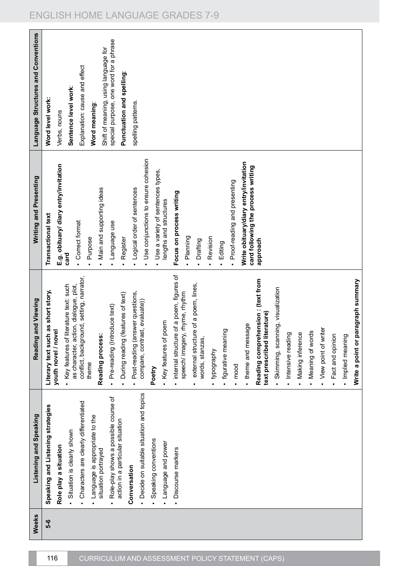| Weeks   | Listening and Speaking                  | Reading and Viewing                                                              | Writing and Presenting                                                      | Language Structures and Conventions    |
|---------|-----------------------------------------|----------------------------------------------------------------------------------|-----------------------------------------------------------------------------|----------------------------------------|
| გ.<br>ნ | Speaking and Listening strategies       | Literary text such as short story,                                               | <b>Transactional text</b>                                                   | Word level work:                       |
|         | Role play a situation                   | youth novel / nove                                                               | E.g. obituary/ diary entry/invitation                                       | Verbs, nouns                           |
|         | Situation is clearly shown              | • Key features of literature text: such<br>as character, action, dialogue, plot, | card                                                                        | Sentence level work:                   |
|         | Characters are clearly differentiated   | conflict, background, setting, narrator,                                         | • Correct format                                                            | Explanation: cause and effect          |
|         | · Language is appropriate to the        | theme                                                                            | · Purpose                                                                   | Word meaning:                          |
|         | situation portrayed                     | Reading process:                                                                 | . Main and supporting ideas                                                 | Shift of meaning, using language for   |
|         | • Role-play shows a possible course of  | · Pre-reading (Introduce text)                                                   | - Language use                                                              | special purpose, one word for a phrase |
|         | action in a particular situation        | · During reading (features of text)                                              | Register                                                                    | Punctuation and spelling:              |
|         | Conversation                            | · Post-reading (answer questions,                                                | • Logical order of sentences                                                | spelling patterns.                     |
|         | Decide on suitable situation and topics | compare, contrast, evaluate))                                                    | Use conjunctions to ensure cohesion                                         |                                        |
|         | Speaking conventions                    | Poetry                                                                           | · Use a variety of sentences types,                                         |                                        |
|         | Language and power                      | • Key features of poem                                                           | lengths and structures                                                      |                                        |
|         | · Discourse markers                     | · internal structure of a poem, figures of<br>speech/imagery, rhyme, rhythm      | Focus on process writing                                                    |                                        |
|         |                                         |                                                                                  | · Planning                                                                  |                                        |
|         |                                         | external structure of a poem, lines,<br>words, stanzas,                          | · Drafting                                                                  |                                        |
|         |                                         | typography                                                                       | Revision                                                                    |                                        |
|         |                                         | · figurative meaning                                                             | Editing                                                                     |                                        |
|         |                                         | · mood                                                                           | · Proof-reading and presenting                                              |                                        |
|         |                                         | . theme and message                                                              | Write obituary/diary entry/invitation<br>card following the process writing |                                        |
|         |                                         | Reading comprehension: (text from<br>text prescribed literature)                 | approach                                                                    |                                        |
|         |                                         | · Skimming, scanning, visualization                                              |                                                                             |                                        |
|         |                                         | · Intensive reading                                                              |                                                                             |                                        |
|         |                                         | • Making inference                                                               |                                                                             |                                        |
|         |                                         | • Meaning of words                                                               |                                                                             |                                        |
|         |                                         | • View point of writer                                                           |                                                                             |                                        |
|         |                                         | · Fact and opinion                                                               |                                                                             |                                        |
|         |                                         | · Implied meaning                                                                |                                                                             |                                        |
|         |                                         | Write a point or paragraph summary                                               |                                                                             |                                        |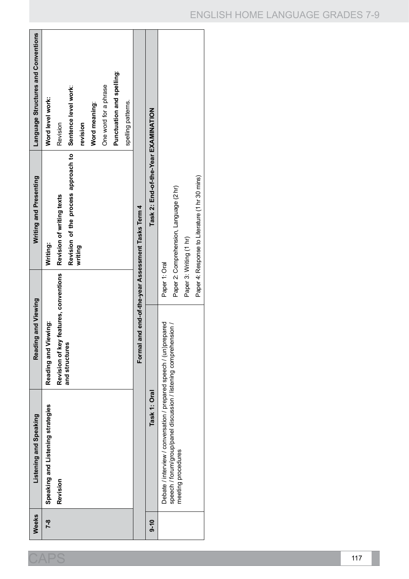| Language Structures and Conventions | Word level work:                  | Revision                              | Sentence level work:                | revision | Word meaning: | One word for a phrase | Punctuation and spelling: | spelling patterns. |                                                    |                                     |                                                                    |                                                                                         |                         |                                                |       |
|-------------------------------------|-----------------------------------|---------------------------------------|-------------------------------------|----------|---------------|-----------------------|---------------------------|--------------------|----------------------------------------------------|-------------------------------------|--------------------------------------------------------------------|-----------------------------------------------------------------------------------------|-------------------------|------------------------------------------------|-------|
| Writing and Presenting              | Writing:                          | Revision of writing texts             | Revision of the process approach to | writing  |               |                       |                           |                    | Formal and end-of-the-year Assessment Tasks Term 4 | Task 2: End-of-the-Year EXAMINATION |                                                                    | Paper 2: Comprehension, Language (2 hr)                                                 | Paper 3: Writing (1 hr) | Paper 4: Response to Literature (1 hr 30 mins) |       |
|                                     |                                   |                                       |                                     |          |               |                       |                           |                    |                                                    |                                     | Paper 1: Oral                                                      |                                                                                         |                         |                                                |       |
| Reading and Viewing                 | Reading and Viewing:              | Revision of key features, conventions | and structures                      |          |               |                       |                           |                    |                                                    |                                     |                                                                    |                                                                                         |                         |                                                |       |
| Listening and Speaking              | Speaking and Listening strategies | Revision                              |                                     |          |               |                       |                           |                    |                                                    | Task 1: Oral                        | Debate / interview / conversation / prepared speech / (un)prepared | speech / forum/group/panel discussion / listening comprehension /<br>meeting procedures |                         |                                                |       |
| Weeks                               | $7 - 8$                           |                                       |                                     |          |               |                       |                           |                    |                                                    | $9 - 10$                            |                                                                    |                                                                                         |                         |                                                |       |
|                                     |                                   |                                       |                                     |          |               |                       |                           |                    |                                                    |                                     |                                                                    |                                                                                         |                         |                                                | $117$ |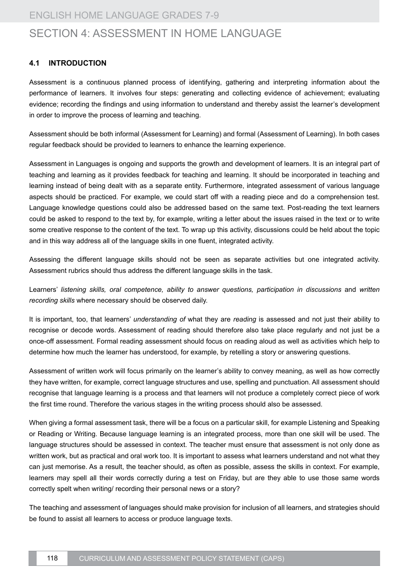## **4.1 INTRODUCTION**

Assessment is a continuous planned process of identifying, gathering and interpreting information about the performance of learners. It involves four steps: generating and collecting evidence of achievement; evaluating evidence; recording the findings and using information to understand and thereby assist the learner's development in order to improve the process of learning and teaching.

Assessment should be both informal (Assessment for Learning) and formal (Assessment of Learning). In both cases regular feedback should be provided to learners to enhance the learning experience.

Assessment in Languages is ongoing and supports the growth and development of learners. It is an integral part of teaching and learning as it provides feedback for teaching and learning. It should be incorporated in teaching and learning instead of being dealt with as a separate entity. Furthermore, integrated assessment of various language aspects should be practiced. For example, we could start off with a reading piece and do a comprehension test. Language knowledge questions could also be addressed based on the same text. Post-reading the text learners could be asked to respond to the text by, for example, writing a letter about the issues raised in the text or to write some creative response to the content of the text. To wrap up this activity, discussions could be held about the topic and in this way address all of the language skills in one fluent, integrated activity.

Assessing the different language skills should not be seen as separate activities but one integrated activity. Assessment rubrics should thus address the different language skills in the task.

Learners' *listening skills, oral competence, ability to answer questions, participation in discussions* and *written recording skills* where necessary should be observed daily.

It is important, too, that learners' *understanding of* what they are *reading* is assessed and not just their ability to recognise or decode words. Assessment of reading should therefore also take place regularly and not just be a once-off assessment. Formal reading assessment should focus on reading aloud as well as activities which help to determine how much the learner has understood, for example, by retelling a story or answering questions.

Assessment of written work will focus primarily on the learner's ability to convey meaning, as well as how correctly they have written, for example, correct language structures and use, spelling and punctuation. All assessment should recognise that language learning is a process and that learners will not produce a completely correct piece of work the first time round. Therefore the various stages in the writing process should also be assessed.

When giving a formal assessment task, there will be a focus on a particular skill, for example Listening and Speaking or Reading or Writing. Because language learning is an integrated process, more than one skill will be used. The language structures should be assessed in context. The teacher must ensure that assessment is not only done as written work, but as practical and oral work too. It is important to assess what learners understand and not what they can just memorise. As a result, the teacher should, as often as possible, assess the skills in context. For example, learners may spell all their words correctly during a test on Friday, but are they able to use those same words correctly spelt when writing/ recording their personal news or a story?

The teaching and assessment of languages should make provision for inclusion of all learners, and strategies should be found to assist all learners to access or produce language texts.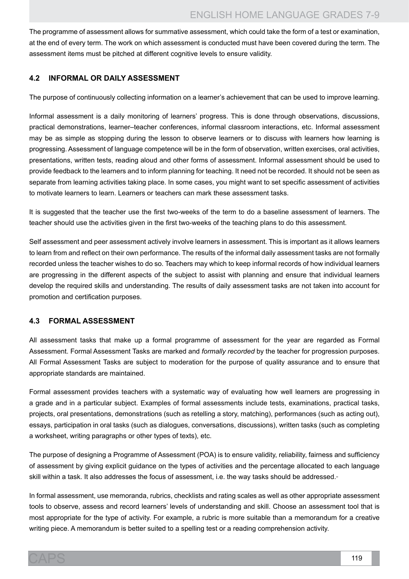The programme of assessment allows for summative assessment, which could take the form of a test or examination, at the end of every term. The work on which assessment is conducted must have been covered during the term. The assessment items must be pitched at different cognitive levels to ensure validity.

## **4.2 Informal or daily assessment**

The purpose of continuously collecting information on a learner's achievement that can be used to improve learning.

Informal assessment is a daily monitoring of learners' progress. This is done through observations, discussions, practical demonstrations, learner–teacher conferences, informal classroom interactions, etc. Informal assessment may be as simple as stopping during the lesson to observe learners or to discuss with learners how learning is progressing. Assessment of language competence will be in the form of observation, written exercises, oral activities, presentations, written tests, reading aloud and other forms of assessment. Informal assessment should be used to provide feedback to the learners and to inform planning for teaching. It need not be recorded. It should not be seen as separate from learning activities taking place. In some cases, you might want to set specific assessment of activities to motivate learners to learn. Learners or teachers can mark these assessment tasks.

It is suggested that the teacher use the first two-weeks of the term to do a baseline assessment of learners. The teacher should use the activities given in the first two-weeks of the teaching plans to do this assessment.

Self assessment and peer assessment actively involve learners in assessment. This is important as it allows learners to learn from and reflect on their own performance. The results of the informal daily assessment tasks are not formally recorded unless the teacher wishes to do so. Teachers may which to keep informal records of how individual learners are progressing in the different aspects of the subject to assist with planning and ensure that individual learners develop the required skills and understanding. The results of daily assessment tasks are not taken into account for promotion and certification purposes.

## **4.3 Formal assessment**

All assessment tasks that make up a formal programme of assessment for the year are regarded as Formal Assessment. Formal Assessment Tasks are marked and *formally recorded* by the teacher for progression purposes. All Formal Assessment Tasks are subject to moderation for the purpose of quality assurance and to ensure that appropriate standards are maintained.

Formal assessment provides teachers with a systematic way of evaluating how well learners are progressing in a grade and in a particular subject. Examples of formal assessments include tests, examinations, practical tasks, projects, oral presentations, demonstrations (such as retelling a story, matching), performances (such as acting out), essays, participation in oral tasks (such as dialogues, conversations, discussions), written tasks (such as completing a worksheet, writing paragraphs or other types of texts), etc.

The purpose of designing a Programme of Assessment (POA) is to ensure validity, reliability, fairness and sufficiency of assessment by giving explicit guidance on the types of activities and the percentage allocated to each language skill within a task. It also addresses the focus of assessment, i.e. the way tasks should be addressed.-

In formal assessment, use memoranda, rubrics, checklists and rating scales as well as other appropriate assessment tools to observe, assess and record learners' levels of understanding and skill. Choose an assessment tool that is most appropriate for the type of activity. For example, a rubric is more suitable than a memorandum for a creative writing piece. A memorandum is better suited to a spelling test or a reading comprehension activity.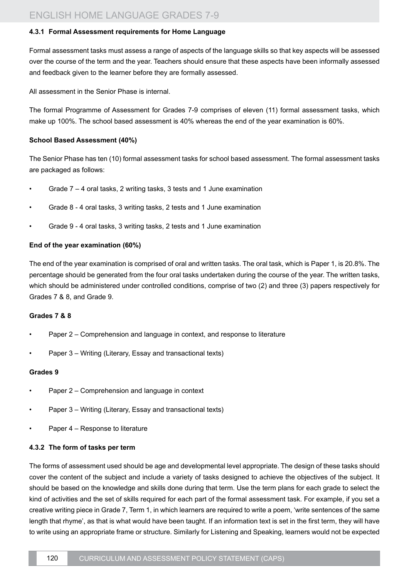#### **4.3.1 Formal Assessment requirements for Home Language**

Formal assessment tasks must assess a range of aspects of the language skills so that key aspects will be assessed over the course of the term and the year. Teachers should ensure that these aspects have been informally assessed and feedback given to the learner before they are formally assessed.

All assessment in the Senior Phase is internal.

The formal Programme of Assessment for Grades 7-9 comprises of eleven (11) formal assessment tasks, which make up 100%. The school based assessment is 40% whereas the end of the year examination is 60%.

#### **School Based Assessment (40%)**

The Senior Phase has ten (10) formal assessment tasks for school based assessment. The formal assessment tasks are packaged as follows:

- Grade 7 4 oral tasks, 2 writing tasks, 3 tests and 1 June examination
- Grade 8 4 oral tasks, 3 writing tasks, 2 tests and 1 June examination
- Grade 9 4 oral tasks, 3 writing tasks, 2 tests and 1 June examination

#### **End of the year examination (60%)**

The end of the year examination is comprised of oral and written tasks. The oral task, which is Paper 1, is 20.8%. The percentage should be generated from the four oral tasks undertaken during the course of the year. The written tasks, which should be administered under controlled conditions, comprise of two (2) and three (3) papers respectively for Grades 7 & 8, and Grade 9.

#### **Grades 7 & 8**

- Paper 2 Comprehension and language in context, and response to literature
- Paper 3 Writing (Literary, Essay and transactional texts)

#### **Grades 9**

- Paper 2 Comprehension and language in context
- Paper 3 Writing (Literary, Essay and transactional texts)
- Paper 4 Response to literature

#### **4.3.2 The form of tasks per term**

The forms of assessment used should be age and developmental level appropriate. The design of these tasks should cover the content of the subject and include a variety of tasks designed to achieve the objectives of the subject. It should be based on the knowledge and skills done during that term. Use the term plans for each grade to select the kind of activities and the set of skills required for each part of the formal assessment task. For example, if you set a creative writing piece in Grade 7, Term 1, in which learners are required to write a poem, 'write sentences of the same length that rhyme', as that is what would have been taught. If an information text is set in the first term, they will have to write using an appropriate frame or structure. Similarly for Listening and Speaking, learners would not be expected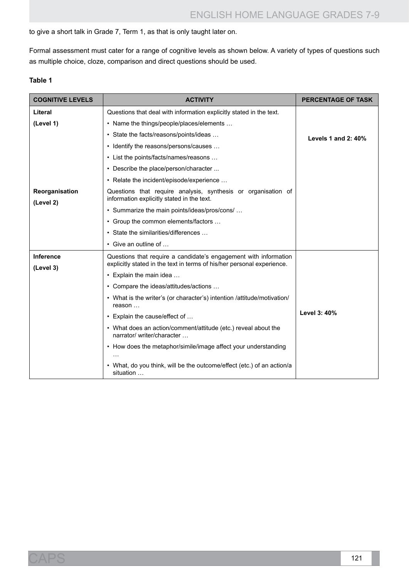to give a short talk in Grade 7, Term 1, as that is only taught later on.

Formal assessment must cater for a range of cognitive levels as shown below. A variety of types of questions such as multiple choice, cloze, comparison and direct questions should be used.

## **Table 1**

| <b>COGNITIVE LEVELS</b>     | <b>ACTIVITY</b>                                                                                                                            | <b>PERCENTAGE OF TASK</b> |
|-----------------------------|--------------------------------------------------------------------------------------------------------------------------------------------|---------------------------|
| Literal                     | Questions that deal with information explicitly stated in the text.                                                                        |                           |
| (Level 1)                   | • Name the things/people/places/elements                                                                                                   |                           |
|                             | • State the facts/reasons/points/ideas                                                                                                     | Levels 1 and 2: $40\%$    |
|                             | • Identify the reasons/persons/causes                                                                                                      |                           |
|                             | • List the points/facts/names/reasons                                                                                                      |                           |
|                             | • Describe the place/person/character                                                                                                      |                           |
|                             | • Relate the incident/episode/experience                                                                                                   |                           |
| Reorganisation<br>(Level 2) | Questions that require analysis, synthesis or organisation of<br>information explicitly stated in the text.                                |                           |
|                             | • Summarize the main points/ideas/pros/cons/                                                                                               |                           |
|                             | • Group the common elements/factors                                                                                                        |                           |
|                             | • State the similarities/differences                                                                                                       |                           |
|                             | • Give an outline of                                                                                                                       |                           |
| Inference<br>(Level 3)      | Questions that require a candidate's engagement with information<br>explicitly stated in the text in terms of his/her personal experience. |                           |
|                             | • Explain the main idea                                                                                                                    |                           |
|                             | • Compare the ideas/attitudes/actions                                                                                                      |                           |
|                             | • What is the writer's (or character's) intention /attitude/motivation/<br>reason                                                          |                           |
|                             | • Explain the cause/effect of                                                                                                              | Level 3: 40%              |
|                             | • What does an action/comment/attitude (etc.) reveal about the<br>narrator/writer/character                                                |                           |
|                             | • How does the metaphor/simile/image affect your understanding                                                                             |                           |
|                             | • What, do you think, will be the outcome/effect (etc.) of an action/a<br>situation                                                        |                           |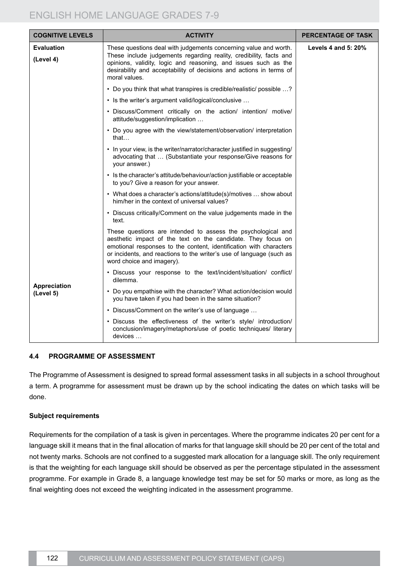| <b>COGNITIVE LEVELS</b>        | <b>ACTIVITY</b>                                                                                                                                                                                                                                                                                         | PERCENTAGE OF TASK  |
|--------------------------------|---------------------------------------------------------------------------------------------------------------------------------------------------------------------------------------------------------------------------------------------------------------------------------------------------------|---------------------|
| <b>Evaluation</b><br>(Level 4) | These questions deal with judgements concerning value and worth.<br>These include judgements regarding reality, credibility, facts and<br>opinions, validity, logic and reasoning, and issues such as the<br>desirability and acceptability of decisions and actions in terms of<br>moral values.       | Levels 4 and 5: 20% |
|                                | • Do you think that what transpires is credible/realistic/ possible ?                                                                                                                                                                                                                                   |                     |
|                                | . Is the writer's argument valid/logical/conclusive                                                                                                                                                                                                                                                     |                     |
|                                | . Discuss/Comment critically on the action/ intention/ motive/<br>attitude/suggestion/implication                                                                                                                                                                                                       |                     |
|                                | • Do you agree with the view/statement/observation/ interpretation<br>that                                                                                                                                                                                                                              |                     |
|                                | • In your view, is the writer/narrator/character justified in suggesting/<br>advocating that  (Substantiate your response/Give reasons for<br>your answer.)                                                                                                                                             |                     |
|                                | • Is the character's attitude/behaviour/action justifiable or acceptable<br>to you? Give a reason for your answer.                                                                                                                                                                                      |                     |
|                                | • What does a character's actions/attitude(s)/motives  show about<br>him/her in the context of universal values?                                                                                                                                                                                        |                     |
|                                | • Discuss critically/Comment on the value judgements made in the<br>text.                                                                                                                                                                                                                               |                     |
|                                | These questions are intended to assess the psychological and<br>aesthetic impact of the text on the candidate. They focus on<br>emotional responses to the content, identification with characters<br>or incidents, and reactions to the writer's use of language (such as<br>word choice and imagery). |                     |
|                                | · Discuss your response to the text/incident/situation/ conflict/<br>dilemma.                                                                                                                                                                                                                           |                     |
| Appreciation<br>(Level 5)      | • Do you empathise with the character? What action/decision would<br>you have taken if you had been in the same situation?                                                                                                                                                                              |                     |
|                                | • Discuss/Comment on the writer's use of language                                                                                                                                                                                                                                                       |                     |
|                                | . Discuss the effectiveness of the writer's style/ introduction/<br>conclusion/imagery/metaphors/use of poetic techniques/ literary<br>devices                                                                                                                                                          |                     |

## **4.4 Programme of Assessment**

The Programme of Assessment is designed to spread formal assessment tasks in all subjects in a school throughout a term. A programme for assessment must be drawn up by the school indicating the dates on which tasks will be done.

#### **Subject requirements**

Requirements for the compilation of a task is given in percentages. Where the programme indicates 20 per cent for a language skill it means that in the final allocation of marks for that language skill should be 20 per cent of the total and not twenty marks. Schools are not confined to a suggested mark allocation for a language skill. The only requirement is that the weighting for each language skill should be observed as per the percentage stipulated in the assessment programme. For example in Grade 8, a language knowledge test may be set for 50 marks or more, as long as the final weighting does not exceed the weighting indicated in the assessment programme.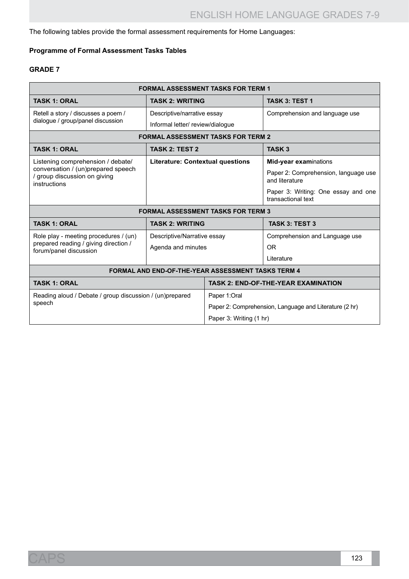The following tables provide the formal assessment requirements for Home Languages:

## **Programme of Formal Assessment Tasks Tables**

# **GRADE 7**

| <b>FORMAL ASSESSMENT TASKS FOR TERM 1</b>                                          |                                                           |                                            |                                                           |  |  |  |
|------------------------------------------------------------------------------------|-----------------------------------------------------------|--------------------------------------------|-----------------------------------------------------------|--|--|--|
| <b>TASK 1: ORAL</b>                                                                | <b>TASK 2: WRITING</b>                                    |                                            | <b>TASK 3: TEST 1</b>                                     |  |  |  |
| Retell a story / discusses a poem /                                                | Descriptive/narrative essay                               |                                            | Comprehension and language use                            |  |  |  |
| dialogue / group/panel discussion                                                  | Informal letter/ review/dialogue                          |                                            |                                                           |  |  |  |
|                                                                                    | <b>FORMAL ASSESSMENT TASKS FOR TERM 2</b>                 |                                            |                                                           |  |  |  |
| <b>TASK 1: ORAL</b>                                                                | <b>TASK 2: TEST 2</b>                                     |                                            | <b>TASK3</b>                                              |  |  |  |
| Listening comprehension / debate/                                                  | <b>Literature: Contextual questions</b>                   |                                            | Mid-year examinations                                     |  |  |  |
| conversation / (un)prepared speech<br>/ group discussion on giving<br>instructions |                                                           |                                            | Paper 2: Comprehension, language use<br>and literature    |  |  |  |
|                                                                                    |                                                           |                                            | Paper 3: Writing: One essay and one<br>transactional text |  |  |  |
|                                                                                    | <b>FORMAL ASSESSMENT TASKS FOR TERM 3</b>                 |                                            |                                                           |  |  |  |
| <b>TASK 1: ORAL</b>                                                                | <b>TASK 2: WRITING</b>                                    |                                            | <b>TASK 3: TEST 3</b>                                     |  |  |  |
| Role play - meeting procedures / (un)                                              | Descriptive/Narrative essay                               |                                            | Comprehension and Language use                            |  |  |  |
| prepared reading / giving direction /<br>forum/panel discussion                    | Agenda and minutes                                        |                                            | 0 <sub>R</sub>                                            |  |  |  |
|                                                                                    |                                                           |                                            | Literature                                                |  |  |  |
|                                                                                    | <b>FORMAL AND END-OF-THE-YEAR ASSESSMENT TASKS TERM 4</b> |                                            |                                                           |  |  |  |
| <b>TASK 1: ORAL</b>                                                                |                                                           | <b>TASK 2: END-OF-THE-YEAR EXAMINATION</b> |                                                           |  |  |  |
| Reading aloud / Debate / group discussion / (un)prepared                           |                                                           | Paper 1: Oral                              |                                                           |  |  |  |
| speech                                                                             |                                                           |                                            | Paper 2: Comprehension, Language and Literature (2 hr)    |  |  |  |
|                                                                                    |                                                           | Paper 3: Writing (1 hr)                    |                                                           |  |  |  |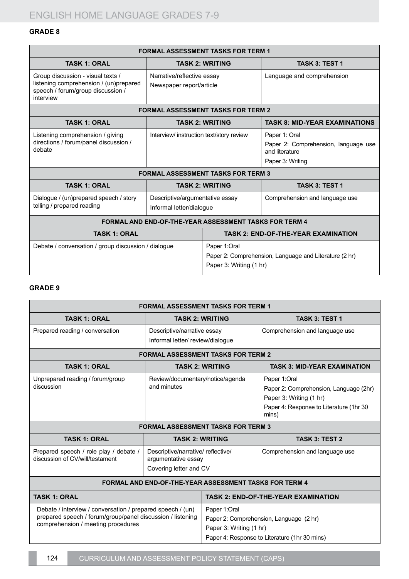## **GRADE 8**

| <b>FORMAL ASSESSMENT TASKS FOR TERM 1</b>                                                                                     |                                                               |                                            |                                                                                             |  |  |
|-------------------------------------------------------------------------------------------------------------------------------|---------------------------------------------------------------|--------------------------------------------|---------------------------------------------------------------------------------------------|--|--|
| <b>TASK 1: ORAL</b>                                                                                                           |                                                               | <b>TASK 2: WRITING</b>                     | <b>TASK 3: TEST 1</b>                                                                       |  |  |
| Group discussion - visual texts /<br>listening comprehension / (un)prepared<br>speech / forum/group discussion /<br>interview | Narrative/reflective essay<br>Newspaper report/article        |                                            | Language and comprehension                                                                  |  |  |
|                                                                                                                               |                                                               | <b>FORMAL ASSESSMENT TASKS FOR TERM 2</b>  |                                                                                             |  |  |
| <b>TASK 1: ORAL</b>                                                                                                           |                                                               | <b>TASK 2: WRITING</b>                     | <b>TASK 8: MID-YEAR EXAMINATIONS</b>                                                        |  |  |
| Listening comprehension / giving<br>directions / forum/panel discussion /<br>debate                                           | Interview/ instruction text/story review                      |                                            | Paper 1: Oral<br>Paper 2: Comprehension, language use<br>and literature<br>Paper 3: Writing |  |  |
|                                                                                                                               |                                                               | <b>FORMAL ASSESSMENT TASKS FOR TERM 3</b>  |                                                                                             |  |  |
| <b>TASK 1: ORAL</b>                                                                                                           |                                                               | <b>TASK 2: WRITING</b>                     | <b>TASK 3: TEST 1</b>                                                                       |  |  |
| Dialogue / (un)prepared speech / story<br>telling / prepared reading                                                          | Descriptive/argumentative essay<br>Informal letter/dialogue   |                                            | Comprehension and language use                                                              |  |  |
|                                                                                                                               | <b>FORMAL AND END-OF-THE-YEAR ASSESSMENT TASKS FOR TERM 4</b> |                                            |                                                                                             |  |  |
| <b>TASK 1: ORAL</b>                                                                                                           |                                                               | <b>TASK 2: END-OF-THE-YEAR EXAMINATION</b> |                                                                                             |  |  |
| Debate / conversation / group discussion / dialogue                                                                           |                                                               | Paper 1: Oral<br>Paper 3: Writing (1 hr)   | Paper 2: Comprehension, Language and Literature (2 hr)                                      |  |  |

#### **GRADE 9**

| <b>FORMAL ASSESSMENT TASKS FOR TERM 1</b>                                                                                                                      |                                                                                     |                                            |                                                                                                                                       |  |  |  |  |
|----------------------------------------------------------------------------------------------------------------------------------------------------------------|-------------------------------------------------------------------------------------|--------------------------------------------|---------------------------------------------------------------------------------------------------------------------------------------|--|--|--|--|
| <b>TASK 1: ORAL</b>                                                                                                                                            |                                                                                     | <b>TASK 2: WRITING</b>                     | <b>TASK 3: TEST 1</b>                                                                                                                 |  |  |  |  |
| Prepared reading / conversation                                                                                                                                | Descriptive/narrative essay<br>Informal letter/ review/dialogue                     |                                            | Comprehension and language use                                                                                                        |  |  |  |  |
|                                                                                                                                                                | <b>FORMAL ASSESSMENT TASKS FOR TERM 2</b>                                           |                                            |                                                                                                                                       |  |  |  |  |
| <b>TASK 1: ORAL</b>                                                                                                                                            |                                                                                     | <b>TASK 2: WRITING</b>                     | <b>TASK 3: MID-YEAR EXAMINATION</b>                                                                                                   |  |  |  |  |
| Unprepared reading / forum/group<br>discussion                                                                                                                 | Review/documentary/notice/agenda<br>and minutes                                     |                                            | Paper 1:Oral<br>Paper 2: Comprehension, Language (2hr)<br>Paper 3: Writing (1 hr)<br>Paper 4: Response to Literature (1hr 30<br>mins) |  |  |  |  |
|                                                                                                                                                                | <b>FORMAL ASSESSMENT TASKS FOR TERM 3</b>                                           |                                            |                                                                                                                                       |  |  |  |  |
| <b>TASK 1: ORAL</b>                                                                                                                                            | <b>TASK 2: WRITING</b>                                                              |                                            | <b>TASK 3: TEST 2</b>                                                                                                                 |  |  |  |  |
| Prepared speech / role play / debate /<br>discussion of CV/will/testament                                                                                      | Descriptive/narrative/ reflective/<br>argumentative essay<br>Covering letter and CV |                                            | Comprehension and language use                                                                                                        |  |  |  |  |
| <b>FORMAL AND END-OF-THE-YEAR ASSESSMENT TASKS FOR TERM 4</b>                                                                                                  |                                                                                     |                                            |                                                                                                                                       |  |  |  |  |
| <b>TASK 1: ORAL</b>                                                                                                                                            |                                                                                     | <b>TASK 2: END-OF-THE-YEAR EXAMINATION</b> |                                                                                                                                       |  |  |  |  |
| Debate / interview / conversation / prepared speech / (un)<br>prepared speech / forum/group/panel discussion / listening<br>comprehension / meeting procedures |                                                                                     | Paper 1:Oral<br>Paper 3: Writing (1 hr)    | Paper 2: Comprehension, Language (2 hr)<br>Paper 4: Response to Literature (1hr 30 mins)                                              |  |  |  |  |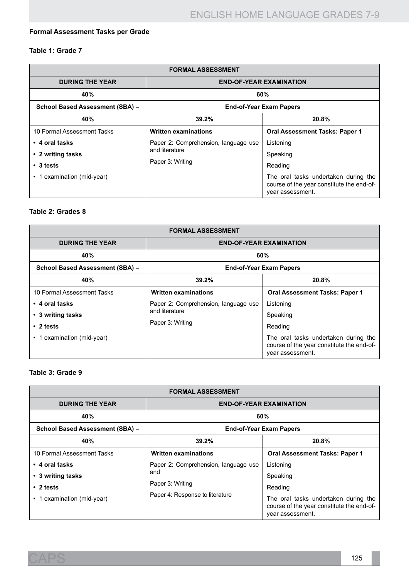# **Formal Assessment Tasks per Grade**

## **Table 1: Grade 7**

| <b>FORMAL ASSESSMENT</b>        |                                       |                                                                                                       |  |  |  |
|---------------------------------|---------------------------------------|-------------------------------------------------------------------------------------------------------|--|--|--|
| <b>DURING THE YEAR</b>          |                                       | <b>END-OF-YEAR EXAMINATION</b>                                                                        |  |  |  |
| 40%                             | 60%<br><b>End-of-Year Exam Papers</b> |                                                                                                       |  |  |  |
| School Based Assessment (SBA) - |                                       |                                                                                                       |  |  |  |
| 40%                             | $39.2\%$                              | 20.8%                                                                                                 |  |  |  |
| 10 Formal Assessment Tasks      | <b>Written examinations</b>           | <b>Oral Assessment Tasks: Paper 1</b>                                                                 |  |  |  |
| • 4 oral tasks                  | Paper 2: Comprehension, language use  | Listening                                                                                             |  |  |  |
| • 2 writing tasks               | and literature                        | Speaking                                                                                              |  |  |  |
| $\cdot$ 3 tests                 | Paper 3: Writing                      | Reading                                                                                               |  |  |  |
| • 1 examination (mid-year)      |                                       | The oral tasks undertaken during the<br>course of the year constitute the end-of-<br>year assessment. |  |  |  |

#### **Table 2: Grades 8**

| <b>FORMAL ASSESSMENT</b>        |                                       |                                                                                                       |  |  |  |
|---------------------------------|---------------------------------------|-------------------------------------------------------------------------------------------------------|--|--|--|
| <b>DURING THE YEAR</b>          |                                       | <b>END-OF-YEAR EXAMINATION</b>                                                                        |  |  |  |
| 40%                             | 60%<br><b>End-of-Year Exam Papers</b> |                                                                                                       |  |  |  |
| School Based Assessment (SBA) - |                                       |                                                                                                       |  |  |  |
| 40%                             | 39.2%                                 | 20.8%                                                                                                 |  |  |  |
| 10 Formal Assessment Tasks      | <b>Written examinations</b>           | Oral Assessment Tasks: Paper 1                                                                        |  |  |  |
| • 4 oral tasks                  | Paper 2: Comprehension, language use  | Listening                                                                                             |  |  |  |
| • 3 writing tasks               | and literature                        | Speaking                                                                                              |  |  |  |
| $\cdot$ 2 tests                 | Paper 3: Writing                      | Reading                                                                                               |  |  |  |
| • 1 examination (mid-year)      |                                       | The oral tasks undertaken during the<br>course of the year constitute the end-of-<br>year assessment. |  |  |  |

## **Table 3: Grade 9**

| <b>FORMAL ASSESSMENT</b>        |                                       |                                                                                                       |  |  |  |  |
|---------------------------------|---------------------------------------|-------------------------------------------------------------------------------------------------------|--|--|--|--|
| <b>DURING THE YEAR</b>          |                                       | <b>END-OF-YEAR EXAMINATION</b>                                                                        |  |  |  |  |
| 40%                             | 60%<br><b>End-of-Year Exam Papers</b> |                                                                                                       |  |  |  |  |
| School Based Assessment (SBA) - |                                       |                                                                                                       |  |  |  |  |
| 40%                             | 39.2%                                 | 20.8%                                                                                                 |  |  |  |  |
| 10 Formal Assessment Tasks      | <b>Written examinations</b>           | <b>Oral Assessment Tasks: Paper 1</b>                                                                 |  |  |  |  |
| • 4 oral tasks                  | Paper 2: Comprehension, language use  | Listening                                                                                             |  |  |  |  |
| • 3 writing tasks               | and                                   | Speaking                                                                                              |  |  |  |  |
| $\cdot$ 2 tests                 | Paper 3: Writing                      | Reading                                                                                               |  |  |  |  |
| • 1 examination (mid-year)      | Paper 4: Response to literature       | The oral tasks undertaken during the<br>course of the year constitute the end-of-<br>year assessment. |  |  |  |  |

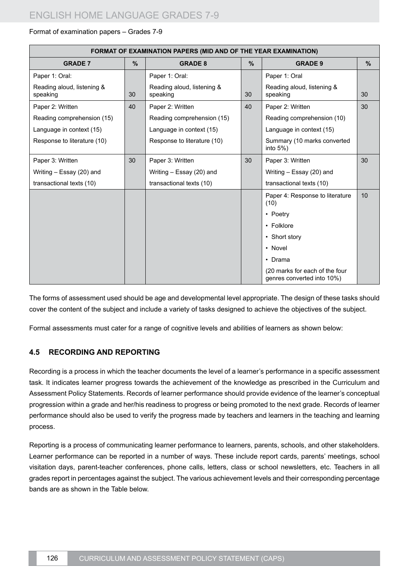Format of examination papers – Grades 7-9

| FORMAT OF EXAMINATION PAPERS (MID AND OF THE YEAR EXAMINATION) |    |                                        |    |                                                              |    |  |  |
|----------------------------------------------------------------|----|----------------------------------------|----|--------------------------------------------------------------|----|--|--|
| <b>GRADE 7</b>                                                 | %  | <b>GRADE 8</b>                         | %  | <b>GRADE 9</b>                                               | %  |  |  |
| Paper 1: Oral:                                                 |    | Paper 1: Oral:                         |    | Paper 1: Oral                                                |    |  |  |
| Reading aloud, listening &<br>speaking                         | 30 | Reading aloud, listening &<br>speaking | 30 | Reading aloud, listening &<br>speaking                       | 30 |  |  |
| Paper 2: Written                                               | 40 | Paper 2: Written                       | 40 | Paper 2: Written                                             | 30 |  |  |
| Reading comprehension (15)                                     |    | Reading comprehension (15)             |    | Reading comprehension (10)                                   |    |  |  |
| Language in context (15)                                       |    | Language in context (15)               |    | Language in context (15)                                     |    |  |  |
| Response to literature (10)                                    |    | Response to literature (10)            |    | Summary (10 marks converted<br>into $5\%$ )                  |    |  |  |
| Paper 3: Written                                               | 30 | Paper 3: Written                       | 30 | Paper 3: Written                                             | 30 |  |  |
| Writing - Essay (20) and                                       |    | Writing – Essay (20) and               |    | Writing - Essay (20) and                                     |    |  |  |
| transactional texts (10)                                       |    | transactional texts (10)               |    | transactional texts (10)                                     |    |  |  |
|                                                                |    |                                        |    | Paper 4: Response to literature<br>(10)                      | 10 |  |  |
|                                                                |    |                                        |    | $\cdot$ Poetry                                               |    |  |  |
|                                                                |    |                                        |    | • Folklore                                                   |    |  |  |
|                                                                |    |                                        |    | • Short story                                                |    |  |  |
|                                                                |    |                                        |    | • Novel                                                      |    |  |  |
|                                                                |    |                                        |    | $\cdot$ Drama                                                |    |  |  |
|                                                                |    |                                        |    | (20 marks for each of the four<br>genres converted into 10%) |    |  |  |

The forms of assessment used should be age and developmental level appropriate. The design of these tasks should cover the content of the subject and include a variety of tasks designed to achieve the objectives of the subject.

Formal assessments must cater for a range of cognitive levels and abilities of learners as shown below:

# **4.5 Recording and reporting**

Recording is a process in which the teacher documents the level of a learner's performance in a specific assessment task. It indicates learner progress towards the achievement of the knowledge as prescribed in the Curriculum and Assessment Policy Statements. Records of learner performance should provide evidence of the learner's conceptual progression within a grade and her/his readiness to progress or being promoted to the next grade. Records of learner performance should also be used to verify the progress made by teachers and learners in the teaching and learning process.

Reporting is a process of communicating learner performance to learners, parents, schools, and other stakeholders. Learner performance can be reported in a number of ways. These include report cards, parents' meetings, school visitation days, parent-teacher conferences, phone calls, letters, class or school newsletters, etc. Teachers in all grades report in percentages against the subject. The various achievement levels and their corresponding percentage bands are as shown in the Table below.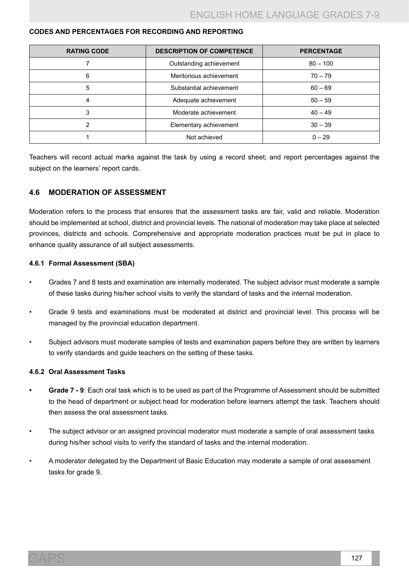| <b>RATING CODE</b> | <b>DESCRIPTION OF COMPETENCE</b> | <b>PERCENTAGE</b> |
|--------------------|----------------------------------|-------------------|
|                    | Outstanding achievement          | $80 - 100$        |
| 6                  | Meritorious achievement          | $70 - 79$         |
| 5                  | Substantial achievement          | $60 - 69$         |
| 4                  | Adequate achievement             | $50 - 59$         |
| 3                  | Moderate achievement             | $40 - 49$         |
| 2                  | Elementary achievement           | $30 - 39$         |
|                    | Not achieved                     | $0 - 29$          |

#### **CODES AND PERCENTAGES FOR RECORDING AND REPORTING**

Teachers will record actual marks against the task by using a record sheet; and report percentages against the subject on the learners' report cards.

## **4.6 Moderation OF ASSESSMENT**

Moderation refers to the process that ensures that the assessment tasks are fair, valid and reliable. Moderation should be implemented at school, district and provincial levels. The national of moderation may take place at selected provinces, districts and schools. Comprehensive and appropriate moderation practices must be put in place to enhance quality assurance of all subject assessments.

#### **4.6.1 Formal Assessment (SBA)**

- Grades 7 and 8 tests and examination are internally moderated. The subject advisor must moderate a sample of these tasks during his/her school visits to verify the standard of tasks and the internal moderation.
- Grade 9 tests and examinations must be moderated at district and provincial level. This process will be managed by the provincial education department.
- Subject advisors must moderate samples of tests and examination papers before they are written by learners to verify standards and guide teachers on the setting of these tasks.

#### **4.6.2 Oral Assessment Tasks**

- **• Grade 7 9**: Each oral task which is to be used as part of the Programme of Assessment should be submitted to the head of department or subject head for moderation before learners attempt the task. Teachers should then assess the oral assessment tasks.
- The subject advisor or an assigned provincial moderator must moderate a sample of oral assessment tasks during his/her school visits to verify the standard of tasks and the internal moderation.
- A moderator delegated by the Department of Basic Education may moderate a sample of oral assessment tasks for grade 9.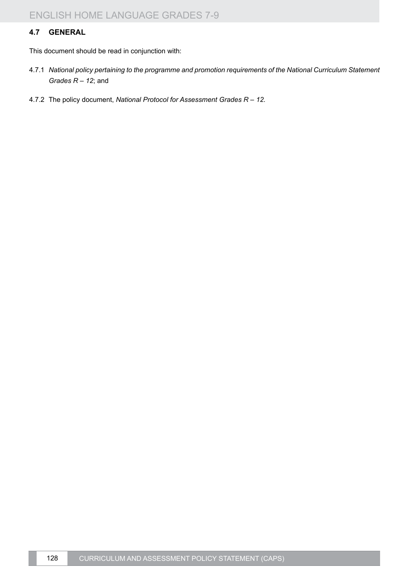# **4.7 GENERAL**

This document should be read in conjunction with:

- 4.7.1 *National policy pertaining to the programme and promotion requirements of the National Curriculum Statement Grades R – 12*; and
- 4.7.2 The policy document, *National Protocol for Assessment Grades R 12.*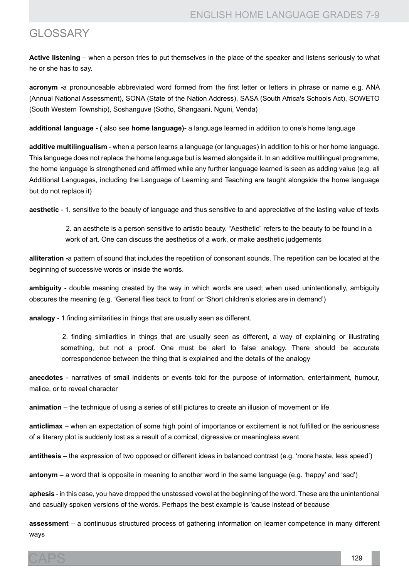# GLOSSARY

**Active listening** – when a person tries to put themselves in the place of the speaker and listens seriously to what he or she has to say.

**acronym -**a pronounceable abbreviated word formed from the first letter or letters in phrase or name e.g. ANA (Annual National Assessment), SONA (State of the Nation Address), SASA (South Africa's Schools Act), SOWETO (South Western Township), Soshanguve (Sotho, Shangaani, Nguni, Venda)

**additional language - (** also see **home language)-** a language learned in addition to one's home language

**additive multilingualism** - when a person learns a language (or languages) in addition to his or her home language. This language does not replace the home language but is learned alongside it. In an additive multilingual programme, the home language is strengthened and affirmed while any further language learned is seen as adding value (e.g. all Additional Languages, including the Language of Learning and Teaching are taught alongside the home language but do not replace it)

**aesthetic** - 1. sensitive to the beauty of language and thus sensitive to and appreciative of the lasting value of texts

 2. an aesthete is a person sensitive to artistic beauty. "Aesthetic" refers to the beauty to be found in a work of art. One can discuss the aesthetics of a work, or make aesthetic judgements

**alliteration -**a pattern of sound that includes the repetition of consonant sounds. The repetition can be located at the beginning of successive words or inside the words.

**ambiguity** - double meaning created by the way in which words are used; when used unintentionally, ambiguity obscures the meaning (e.g. 'General flies back to front' or 'Short children's stories are in demand')

**analogy** - 1.finding similarities in things that are usually seen as different.

 2. finding similarities in things that are usually seen as different, a way of explaining or illustrating something, but not a proof. One must be alert to false analogy. There should be accurate correspondence between the thing that is explained and the details of the analogy

**anecdotes** - narratives of small incidents or events told for the purpose of information, entertainment, humour, malice, or to reveal character

**animation** – the technique of using a series of still pictures to create an illusion of movement or life

**anticlimax** – when an expectation of some high point of importance or excitement is not fulfilled or the seriousness of a literary plot is suddenly lost as a result of a comical, digressive or meaningless event

**antithesis** – the expression of two opposed or different ideas in balanced contrast (e.g. 'more haste, less speed')

**antonym –** a word that is opposite in meaning to another word in the same language (e.g. 'happy' and 'sad')

**aphesis** - in this case, you have dropped the unstessed vowel at the beginning of the word. These are the unintentional and casually spoken versions of the words. Perhaps the best example is 'cause instead of because

**assessment** – a continuous structured process of gathering information on learner competence in many different ways

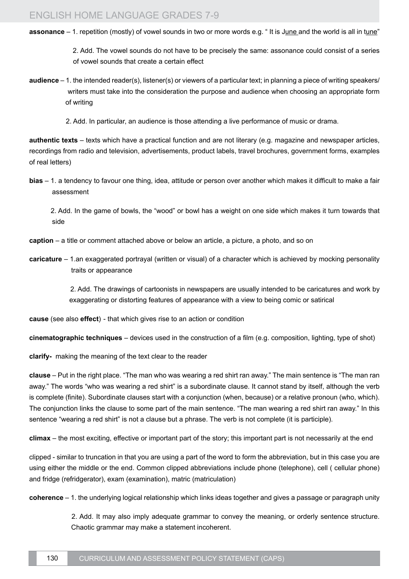**assonance** – 1. repetition (mostly) of vowel sounds in two or more words e.g. " It is June and the world is all in tune"

 2. Add. The vowel sounds do not have to be precisely the same: assonance could consist of a series of vowel sounds that create a certain effect

**audience** – 1. the intended reader(s), listener(s) or viewers of a particular text; in planning a piece of writing speakers/ writers must take into the consideration the purpose and audience when choosing an appropriate form of writing

2. Add. In particular, an audience is those attending a live performance of music or drama.

**authentic texts** – texts which have a practical function and are not literary (e.g. magazine and newspaper articles, recordings from radio and television, advertisements, product labels, travel brochures, government forms, examples of real letters)

**bias** – 1. a tendency to favour one thing, idea, attitude or person over another which makes it difficult to make a fair assessment

 2. Add. In the game of bowls, the "wood" or bowl has a weight on one side which makes it turn towards that side

- **caption** a title or comment attached above or below an article, a picture, a photo, and so on
- **caricature** 1.an exaggerated portrayal (written or visual) of a character which is achieved by mocking personality traits or appearance

 2. Add. The drawings of cartoonists in newspapers are usually intended to be caricatures and work by exaggerating or distorting features of appearance with a view to being comic or satirical

**cause** (see also **effect**) - that which gives rise to an action or condition

**cinematographic techniques** – devices used in the construction of a film (e.g. composition, lighting, type of shot)

**clarify-** making the meaning of the text clear to the reader

**clause** – Put in the right place. "The man who was wearing a red shirt ran away." The main sentence is "The man ran away." The words "who was wearing a red shirt" is a subordinate clause. It cannot stand by itself, although the verb is complete (finite). Subordinate clauses start with a conjunction (when, because) or a relative pronoun (who, which). The conjunction links the clause to some part of the main sentence. "The man wearing a red shirt ran away." In this sentence "wearing a red shirt" is not a clause but a phrase. The verb is not complete (it is participle).

**climax** – the most exciting, effective or important part of the story; this important part is not necessarily at the end

clipped - similar to truncation in that you are using a part of the word to form the abbreviation, but in this case you are using either the middle or the end. Common clipped abbreviations include phone (telephone), cell ( cellular phone) and fridge (refridgerator), exam (examination), matric (matriculation)

**coherence** – 1. the underlying logical relationship which links ideas together and gives a passage or paragraph unity

 2. Add. It may also imply adequate grammar to convey the meaning, or orderly sentence structure. Chaotic grammar may make a statement incoherent.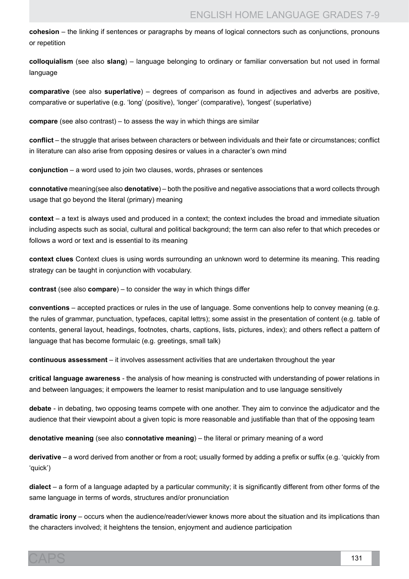**cohesion** – the linking if sentences or paragraphs by means of logical connectors such as conjunctions, pronouns or repetition

**colloquialism** (see also **slang**) – language belonging to ordinary or familiar conversation but not used in formal language

**comparative** (see also **superlative**) – degrees of comparison as found in adjectives and adverbs are positive, comparative or superlative (e.g. 'long' (positive), 'longer' (comparative), 'longest' (superlative)

**compare** (see also contrast) – to assess the way in which things are similar

**conflict** – the struggle that arises between characters or between individuals and their fate or circumstances; conflict in literature can also arise from opposing desires or values in a character's own mind

**conjunction** – a word used to join two clauses, words, phrases or sentences

**connotative** meaning(see also **denotative**) – both the positive and negative associations that a word collects through usage that go beyond the literal (primary) meaning

**context** – a text is always used and produced in a context; the context includes the broad and immediate situation including aspects such as social, cultural and political background; the term can also refer to that which precedes or follows a word or text and is essential to its meaning

**context clues** Context clues is using words surrounding an unknown word to determine its meaning. This reading strategy can be taught in conjunction with vocabulary.

**contrast** (see also **compare**) – to consider the way in which things differ

**conventions** – accepted practices or rules in the use of language. Some conventions help to convey meaning (e.g. the rules of grammar, punctuation, typefaces, capital lettrs); some assist in the presentation of content (e.g. table of contents, general layout, headings, footnotes, charts, captions, lists, pictures, index); and others reflect a pattern of language that has become formulaic (e.g. greetings, small talk)

**continuous assessment** – it involves assessment activities that are undertaken throughout the year

**critical language awareness** - the analysis of how meaning is constructed with understanding of power relations in and between languages; it empowers the learner to resist manipulation and to use language sensitively

**debate** - in debating, two opposing teams compete with one another. They aim to convince the adjudicator and the audience that their viewpoint about a given topic is more reasonable and justifiable than that of the opposing team

**denotative meaning** (see also **connotative meaning**) – the literal or primary meaning of a word

**derivative** – a word derived from another or from a root; usually formed by adding a prefix or suffix (e.g. 'quickly from 'quick')

**dialect** – a form of a language adapted by a particular community; it is significantly different from other forms of the same language in terms of words, structures and/or pronunciation

**dramatic irony** – occurs when the audience/reader/viewer knows more about the situation and its implications than the characters involved; it heightens the tension, enjoyment and audience participation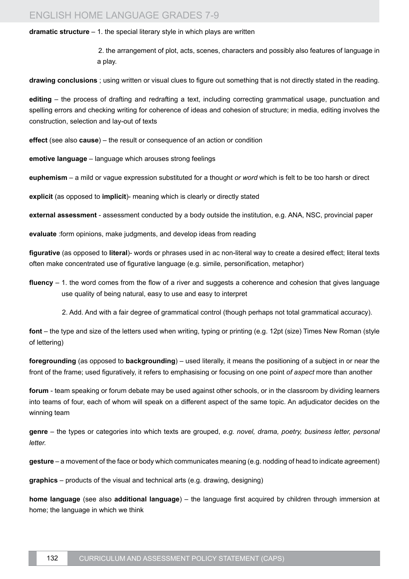**dramatic structure** – 1. the special literary style in which plays are written

 2. the arrangement of plot, acts, scenes, characters and possibly also features of language in a play.

**drawing conclusions** ; using written or visual clues to figure out something that is not directly stated in the reading.

**editing** – the process of drafting and redrafting a text, including correcting grammatical usage, punctuation and spelling errors and checking writing for coherence of ideas and cohesion of structure; in media, editing involves the construction, selection and lay-out of texts

**effect** (see also **cause**) – the result or consequence of an action or condition

**emotive language** – language which arouses strong feelings

**euphemism** – a mild or vague expression substituted for a thought *or word* which is felt to be too harsh or direct

**explicit** (as opposed to **implicit**)- meaning which is clearly or directly stated

**external assessment** - assessment conducted by a body outside the institution, e.g. ANA, NSC, provincial paper

**evaluate** :form opinions, make judgments, and develop ideas from reading

**figurative** (as opposed to **literal**)- words or phrases used in ac non-literal way to create a desired effect; literal texts often make concentrated use of figurative language (e.g. simile, personification, metaphor)

**fluency** – 1. the word comes from the flow of a river and suggests a coherence and cohesion that gives language use quality of being natural, easy to use and easy to interpret

2. Add. And with a fair degree of grammatical control (though perhaps not total grammatical accuracy).

**font** – the type and size of the letters used when writing, typing or printing (e.g. 12pt (size) Times New Roman (style of lettering)

**foregrounding** (as opposed to **backgrounding**) – used literally, it means the positioning of a subject in or near the front of the frame; used figuratively, it refers to emphasising or focusing on one point *of aspect* more than another

**forum** - team speaking or forum debate may be used against other schools, or in the classroom by dividing learners into teams of four, each of whom will speak on a different aspect of the same topic. An adjudicator decides on the winning team

**genre** – the types or categories into which texts are grouped, *e.g. novel, drama, poetry, business letter, personal letter.* 

**gesture** – a movement of the face or body which communicates meaning (e.g. nodding of head to indicate agreement)

**graphics** – products of the visual and technical arts (e.g. drawing, designing)

**home language** (see also **additional language**) – the language first acquired by children through immersion at home; the language in which we think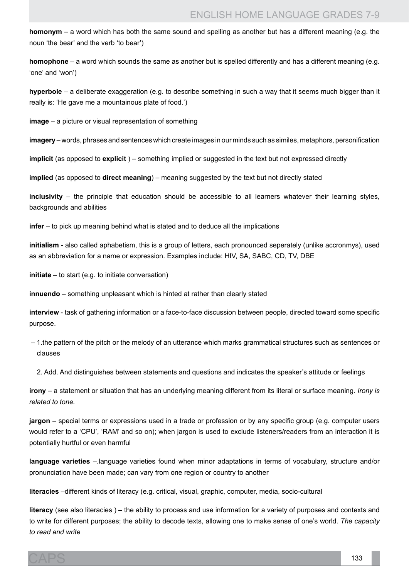**homonym** – a word which has both the same sound and spelling as another but has a different meaning (e.g. the noun 'the bear' and the verb 'to bear')

**homophone** – a word which sounds the same as another but is spelled differently and has a different meaning (e.g. 'one' and 'won')

**hyperbole** – a deliberate exaggeration (e.g. to describe something in such a way that it seems much bigger than it really is: 'He gave me a mountainous plate of food.')

**image** – a picture or visual representation of something

**imagery** – words, phrases and sentences which create images in our minds such as similes, metaphors, personification

**implicit** (as opposed to **explicit** ) – something implied or suggested in the text but not expressed directly

**implied** (as opposed to **direct meaning**) – meaning suggested by the text but not directly stated

**inclusivity** – the principle that education should be accessible to all learners whatever their learning styles, backgrounds and abilities

**infer** – to pick up meaning behind what is stated and to deduce all the implications

**initialism -** also called aphabetism, this is a group of letters, each pronounced seperately (unlike accronmys), used as an abbreviation for a name or expression. Examples include: HIV, SA, SABC, CD, TV, DBE

**initiate** – to start (e.g. to initiate conversation)

**innuendo** – something unpleasant which is hinted at rather than clearly stated

**interview** - task of gathering information or a face-to-face discussion between people, directed toward some specific purpose.

 – 1.the pattern of the pitch or the melody of an utterance which marks grammatical structures such as sentences or clauses

2. Add. And distinguishes between statements and questions and indicates the speaker's attitude or feelings

**irony** – a statement or situation that has an underlying meaning different from its literal or surface meaning. *Irony is related to tone.* 

**jargon** – special terms or expressions used in a trade or profession or by any specific group (e.g. computer users would refer to a 'CPU', 'RAM' and so on); when jargon is used to exclude listeners/readers from an interaction it is potentially hurtful or even harmful

**language varieties** –.language varieties found when minor adaptations in terms of vocabulary, structure and/or pronunciation have been made; can vary from one region or country to another

**literacies** –different kinds of literacy (e.g. critical, visual, graphic, computer, media, socio-cultural

**literacy** (see also literacies ) – the ability to process and use information for a variety of purposes and contexts and to write for different purposes; the ability to decode texts, allowing one to make sense of one's world. *The capacity to read and write*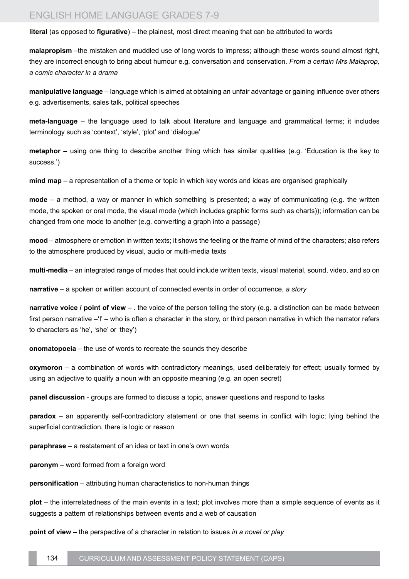**literal** (as opposed to **figurative**) – the plainest, most direct meaning that can be attributed to words

**malapropism** –the mistaken and muddled use of long words to impress; although these words sound almost right, they are incorrect enough to bring about humour e.g. conversation and conservation. *From a certain Mrs Malaprop, a comic character in a drama*

**manipulative language** – language which is aimed at obtaining an unfair advantage or gaining influence over others e.g. advertisements, sales talk, political speeches

**meta-language** – the language used to talk about literature and language and grammatical terms; it includes terminology such as 'context', 'style', 'plot' and 'dialogue'

**metaphor** – using one thing to describe another thing which has similar qualities (e.g. 'Education is the key to success.')

**mind map** – a representation of a theme or topic in which key words and ideas are organised graphically

**mode** – a method, a way or manner in which something is presented; a way of communicating (e.g. the written mode, the spoken or oral mode, the visual mode (which includes graphic forms such as charts)); information can be changed from one mode to another (e.g. converting a graph into a passage)

**mood** – atmosphere or emotion in written texts; it shows the feeling or the frame of mind of the characters; also refers to the atmosphere produced by visual, audio or multi-media texts

**multi-media** – an integrated range of modes that could include written texts, visual material, sound, video, and so on

**narrative** – a spoken or written account of connected events in order of occurrence, *a story*

**narrative voice / point of view** – . the voice of the person telling the story (e.g. a distinction can be made between first person narrative –'I' – who is often a character in the story, or third person narrative in which the narrator refers to characters as 'he', 'she' or 'they')

**onomatopoeia** – the use of words to recreate the sounds they describe

**oxymoron** – a combination of words with contradictory meanings, used deliberately for effect; usually formed by using an adjective to qualify a noun with an opposite meaning (e.g. an open secret)

**panel discussion** - groups are formed to discuss a topic, answer questions and respond to tasks

**paradox** – an apparently self-contradictory statement or one that seems in conflict with logic; lying behind the superficial contradiction, there is logic or reason

**paraphrase** – a restatement of an idea or text in one's own words

**paronym** – word formed from a foreign word

**personification** – attributing human characteristics to non-human things

**plot** – the interrelatedness of the main events in a text; plot involves more than a simple sequence of events as it suggests a pattern of relationships between events and a web of causation

**point of view** – the perspective of a character in relation to issues *in a novel or play*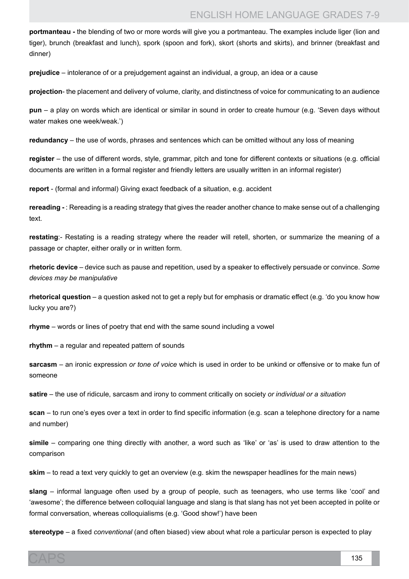**portmanteau -** the blending of two or more words will give you a portmanteau. The examples include liger (lion and tiger), brunch (breakfast and lunch), spork (spoon and fork), skort (shorts and skirts), and brinner (breakfast and dinner)

**prejudice** – intolerance of or a prejudgement against an individual, a group, an idea or a cause

**projection**- the placement and delivery of volume, clarity, and distinctness of voice for communicating to an audience

**pun** – a play on words which are identical or similar in sound in order to create humour (e.g. 'Seven days without water makes one week/weak.')

**redundancy** – the use of words, phrases and sentences which can be omitted without any loss of meaning

**register** – the use of different words, style, grammar, pitch and tone for different contexts or situations (e.g. official documents are written in a formal register and friendly letters are usually written in an informal register)

**report** - (formal and informal) Giving exact feedback of a situation, e.g. accident

**rereading -** : Rereading is a reading strategy that gives the reader another chance to make sense out of a challenging text.

**restating**:- Restating is a reading strategy where the reader will retell, shorten, or summarize the meaning of a passage or chapter, either orally or in written form.

**rhetoric device** – device such as pause and repetition, used by a speaker to effectively persuade or convince. *Some devices may be manipulative*

**rhetorical question** – a question asked not to get a reply but for emphasis or dramatic effect (e.g. 'do you know how lucky you are?)

**rhyme** – words or lines of poetry that end with the same sound including a vowel

**rhythm** – a regular and repeated pattern of sounds

**sarcasm** – an ironic expression *or tone of voice* which is used in order to be unkind or offensive or to make fun of someone

**satire** – the use of ridicule, sarcasm and irony to comment critically on society *or individual or a situation* 

**scan** – to run one's eyes over a text in order to find specific information (e.g. scan a telephone directory for a name and number)

**simile** – comparing one thing directly with another, a word such as 'like' or 'as' is used to draw attention to the comparison

**skim** – to read a text very quickly to get an overview (e.g. skim the newspaper headlines for the main news)

**slang** – informal language often used by a group of people, such as teenagers, who use terms like 'cool' and 'awesome'; the difference between colloquial language and slang is that slang has not yet been accepted in polite or formal conversation, whereas colloquialisms (e.g. 'Good show!') have been

**stereotype** – a fixed *conventional* (and often biased) view about what role a particular person is expected to play